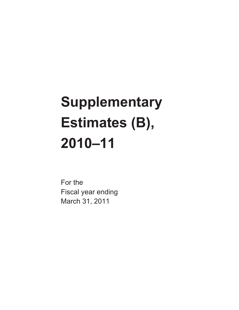# **Supplementary Estimates (B), 2010–11**

For the Fiscal year ending March 31, 2011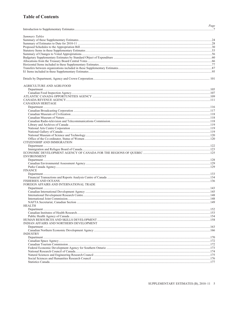## **Table of Contents**

|                                         | Page |
|-----------------------------------------|------|
|                                         |      |
| Summary Tables                          |      |
|                                         |      |
|                                         |      |
|                                         |      |
|                                         |      |
|                                         |      |
|                                         |      |
|                                         |      |
|                                         |      |
|                                         |      |
|                                         |      |
| AGRICULTURE AND AGRI-FOOD               |      |
|                                         |      |
|                                         |      |
|                                         |      |
|                                         |      |
| CANADIAN HERITAGE                       |      |
|                                         |      |
|                                         |      |
|                                         |      |
|                                         |      |
|                                         |      |
|                                         |      |
|                                         |      |
|                                         |      |
|                                         |      |
|                                         |      |
| CITIZENSHIP AND IMMIGRATION             |      |
|                                         |      |
|                                         |      |
|                                         |      |
| <b>ENVIRONMENT</b>                      |      |
|                                         |      |
|                                         |      |
| <b>FINANCE</b>                          |      |
|                                         |      |
|                                         |      |
|                                         |      |
| FOREIGN AFFAIRS AND INTERNATIONAL TRADE |      |
|                                         |      |
|                                         |      |
|                                         |      |
|                                         |      |
|                                         |      |
| <b>HEALTH</b>                           |      |
|                                         |      |
|                                         |      |
|                                         |      |
|                                         |      |
| INDIAN AFFAIRS AND NORTHERN DEVELOPMENT |      |
|                                         |      |
|                                         |      |
| <b>INDUSTRY</b>                         |      |
|                                         |      |
|                                         |      |
|                                         |      |
|                                         |      |
|                                         |      |
|                                         |      |
|                                         |      |
|                                         |      |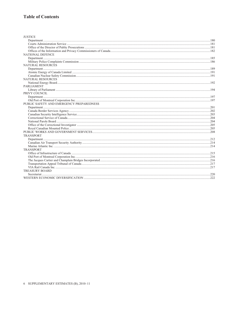### **Table of Contents**

| <b>JUSTICE</b>                           |  |
|------------------------------------------|--|
|                                          |  |
|                                          |  |
|                                          |  |
|                                          |  |
| <b>NATIONAL DEFENCE</b>                  |  |
|                                          |  |
|                                          |  |
| <b>NATURAL RESOURCES</b>                 |  |
|                                          |  |
|                                          |  |
|                                          |  |
| <b>NATURAL RESOURCES</b>                 |  |
|                                          |  |
| <b>PARLIAMENT</b>                        |  |
|                                          |  |
| PRIVY COUNCIL                            |  |
|                                          |  |
|                                          |  |
| PUBLIC SAFETY AND EMERGENCY PREPAREDNESS |  |
|                                          |  |
|                                          |  |
|                                          |  |
|                                          |  |
|                                          |  |
|                                          |  |
|                                          |  |
|                                          |  |
| <b>TRANSPORT</b>                         |  |
|                                          |  |
|                                          |  |
|                                          |  |
| <b>TRANSPORT</b>                         |  |
|                                          |  |
|                                          |  |
|                                          |  |
|                                          |  |
|                                          |  |
| <b>TREASURY BOARD</b>                    |  |
|                                          |  |
|                                          |  |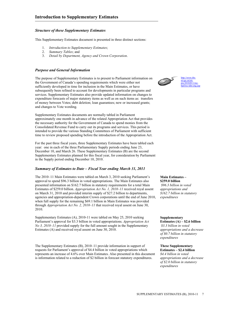#### <span id="page-4-0"></span>*Structure of these Supplementary Estimates*

This Supplementary Estimates document is presented in three distinct sections:

- 1. *Introduction to Supplementary Estimates*;
- 2. *Summary Tables*; and
- 3. *Detail by Department, Agency and Crown Corporation*.

#### *Purpose and General Information*

The purpose of Supplementary Estimates is to present to Parliament information on the Government of Canada's spending requirements which were either not sufficiently developed in time for inclusion in the Main Estimates, or have subsequently been refined to account for developments in particular programs and services. Supplementary Estimates also provide updated information on changes to expenditure forecasts of major statutory items as well as on such items as: transfers of money between Votes; debt deletion; loan guarantees; new or increased grants; and changes to Vote wording.

Supplementary Estimates documents are normally tabled in Parliament approximately one month in advance of the related Appropriation Act that provides the necessary authority for the Government of Canada to spend monies from the Consolidated Revenue Fund to carry out its programs and services. This period is intended to provide the various Standing Committees of Parliament with sufficient time to review proposed spending before the introduction of the Appropriation Act.

For the past three fiscal years, three Supplementary Estimates have been tabled each year: one in each of the three Parliamentary Supply periods ending June 23, December 10, and March 26. These Supplementary Estimates (B) are the second Supplementary Estimates planned for this fiscal year, for consideration by Parliament in the Supply period ending December 10, 2010.

#### *Summary of Estimates to Date – Fiscal Year ending March 31, 2011*

The 2010–11 Main Estimates were tabled on March 3, 2010 seeking Parliament's approval to spend \$96.3 billion in voted appropriations. The Main Estimates also presented information on \$162.7 billion in statutory requirements for a total Main Estimates of \$259.0 billion. *Appropriation Act No. 1, 2010*–*11* received royal assent on March 31, 2010 and provided interim supply of \$27.2 billion to departments, agencies and appropriation-dependent Crown corporations until the end of June 2010, when full supply for the remaining \$69.1 billion in Main Estimates was provided through *Appropriation Act No. 2, 2010–11* that received royal assent on June 30, 2010.

Supplementary Estimates (A), 2010-11 were tabled on May 25, 2010 seeking Parliament's approval for \$3.3 billion in voted appropriations. *Appropriation Act No 3, 2010–11* provided supply for the full amount sought in the Supplementary Estimates (A) and received royal assent on June 30, 2010.

The Supplementary Estimates (B), 2010–11 provide information in support of requests for Parliament's approval of \$4.4 billion in voted appropriations which represents an increase of 4.6% over Main Estimates. Also presented in this document is information related to a reduction of \$2 billion in forecast statutory expenditures.



http://www.tbssct.gc.ca/estpre/20102011/mebpd/toc-tdm-eng.asp

**Main Estimates – \$259.0 billion**   *\$96.3 billion in voted appropriations and \$162.7 billion in statutory expenditures* 

#### **Supplementary**

**Estimates (A) – \$2.6 billion**   *\$3.3 billion in voted appropriations and a decrease of \$0.7 billion in statutory expenditures* 

#### **These Supplementary Estimates – \$2.4 billion**

*\$4.4 billion in voted appropriations and a decrease of \$2.0 billion in statutory expenditures*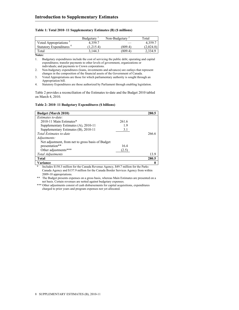| Table 1: Total 2010–11 Supplementary Estimates (B) (\$ millions) |  |  |  |
|------------------------------------------------------------------|--|--|--|
|------------------------------------------------------------------|--|--|--|

|                               | Budgetary | Non-Budgetary | Total     |
|-------------------------------|-----------|---------------|-----------|
| Voted Appropriations          | 4.359.7   |               | 4,359.7   |
| <b>Statutory Expenditures</b> | .215.4    | (809.4)       | (2,024.8) |
| Total                         | .144.3    | (809.4)       |           |

**Notes:** 

1. Budgetary expenditures include the cost of servicing the public debt; operating and capital expenditures; transfer payments to other levels of government, organizations or individuals; and payments to Crown corporations.

2. Non-budgetary expenditures (loans, investments and advances) are outlays that represent changes in the composition of the financial assets of the Government of Canada.

3. Voted Appropriations are those for which parliamentary authority is sought through an Appropriation bill.

4. Statutory Expenditures are those authorized by Parliament through enabling legislation.

Table 2 provides a reconciliation of the Estimates to-date and the Budget 2010 tabled on March 4, 2010.

**Table 2: 2010**–**11 Budgetary Expenditures (\$ billions)** 

| <b>Budget (March 2010)</b>                        |       | 280.5 |
|---------------------------------------------------|-------|-------|
| Estimates to-date:                                |       |       |
| 2010-11 Main Estimates*                           | 261.6 |       |
| Supplementary Estimates (A), 2010-11              | 1.9   |       |
| Supplementary Estimates (B), 2010-11              | 3.1   |       |
| <b>Total Estimates to-date</b>                    |       | 266.6 |
| Adjustments:                                      |       |       |
| Net adjustment, from net to gross basis of Budget |       |       |
| presentation**                                    | 16.4  |       |
| Other adjustments***                              | (2.5) |       |
| Total Adjustments                                 |       | 13.9  |
| <b>Total</b>                                      |       | 280.5 |
| Variance                                          |       |       |

\* Includes \$150.3 million for the Canada Revenue Agency, \$49.7 million for the Parks Canada Agency and \$157.9 million for the Canada Border Services Agency from within 2009-10 appropriations.

\*\* The Budget presents expenses on a gross basis, whereas Main Estimates are presented on a net basis. Certain revenues are netted against budgetary expenses.

\*\*\* Other adjustments consist of cash disbursements for capital acquisitions, expenditures charged to prior years and program expenses not yet allocated.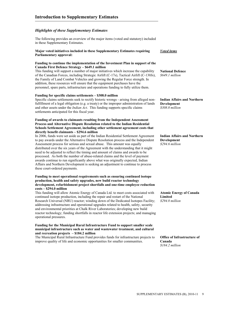#### *Highlights of these Supplementary Estimates*

The following provides an overview of the major items (voted and statutory) included in these Supplementary Estimates.

**Major voted initiatives included in these Supplementary Estimates requiring Parliamentary approval:**

#### **Funding to continue the implementation of the Investment Plan in support of the Canada First Defence Strategy – \$649.1 million**

This funding will support a number of major initiatives which increase the capability of the Canadian Forces, including Strategic Airlift (C-17s), Tactical Airlift (C-130Js), the Family of Land Combat Vehicles and growing the Regular Force strength. In addition, these resources will ensure that the equipment purchases have the personnel, spare parts, infrastructure and operations funding to fully utilize them.

#### **Funding for specific claims settlements – \$308.0 million**

Specific claims settlements seek to rectify historic wrongs - arising from alleged nonfulfillment of a legal obligation (e.g. a treaty) or the improper administration of lands and other assets under the *Indian Act*. This funding supports specific claims settlements anticipated for this fiscal year.

#### **Funding of awards to claimants resulting from the Independent Assessment Process and Alternative Dispute Resolution related to the Indian Residential Schools Settlement Agreement, including other settlement agreement costs that directly benefit claimants – \$294.6 million**

In 2006, funds were set aside as part of the Indian Residential Settlement Agreement to pay awards under the Alternative Dispute Resolution process and the Independent Assessment process for serious and sexual abuse. This amount was equally distributed over the six years of the Agreement with the understanding that it might need to be adjusted to reflect the timing and amount of claims and awards to be processed. As both the number of abuse-related claims and the level of payment awards continue to run significantly above what was originally expected, Indian Affairs and Northern Development is seeking an adjustment to continue to process these court-ordered payments.

#### **Funding to meet operational requirements such as ensuring continued isotope production, health and safety upgrades, new build reactor technology development, refurbishment project shortfalls and one-time employee reduction costs – \$294.0 million**

This funding will allow Atomic Energy of Canada Ltd. to meet costs associated with continued isotope production, including the repair and restart of the National Research Universal (NRU) reactor; winding down of the Dedicated Isotopes Facility; addressing infrastructure and operational upgrades related to health, safety, security and environmental priorities at Chalk River Laboratories; developing new build reactor technology; funding shortfalls in reactor life extension projects; and managing operational pressures.

#### **Funding for the Municipal Rural Infrastructure Fund to support smaller scale municipal infrastructure such as water and wastewater treatment, and cultural and recreation projects – \$184.2 million**

The Municipal Rural Infrastructure Fund provides funds for infrastructure projects to improve quality of life and economic opportunities for smaller communities.

*Voted items*

**National Defence**  *\$649.1 million* 

**Indian Affairs and Northern Development** *\$308.0 million* 

**Indian Affairs and Northern Development** *\$294.6 million* 

**Atomic Energy of Canada Limited**  *\$294.0 million* 

**Office of Infrastructure of Canada**  *\$184.2 million*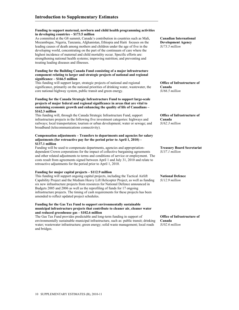#### **Funding to support maternal, newborn and child health programming activities in developing countries – \$173.5 million**

As committed at the G8 summit, Canada's contribution in countries such as Mali, Mozambique, Nigeria, Tanzania, Afghanistan, Ethiopia and Haiti focuses on the leading causes of death among mothers and children under the age of five in the developing world, concentrating on the part of the continuum of care where the highest incidence of maternal and child mortality occur. Specific efforts are: strengthening national health systems; improving nutrition; and preventing and treating leading diseases and illnesses.

#### **Funding for the Building Canada Fund consisting of a major infrastructure component relating to larger and strategic projects of national and regional significance – \$166.5 million**

This funding will support larger, strategic projects of national and regional significance, primarily on the national priorities of drinking water, wastewater, the core national highway system, public transit and green energy.

#### **Funding for the Canada Strategic Infrastructure Fund to support large-scale projects of major federal and regional significance in areas that are vital to sustaining economic growth and enhancing the quality of life of Canadians – \$162.3 million**

This funding will, through the Canada Strategic Infrastructure Fund, support infrastructure projects in the following five investment categories: highways and railways; local transportation; tourism or urban development; water or sewage; and broadband (telecommunications connectivity).

#### **Compensation adjustments – Transfers to departments and agencies for salary adjustments (for retroactive pay for the period prior to April 1, 2010) – \$137.1 million**

Funding will be used to compensate departments, agencies and appropriationdependent Crown corporations for the impact of collective bargaining agreements and other related adjustments to terms and conditions of service or employment. The costs result from agreements signed between April 1 and July 31, 2010 and relate to retroactive adjustments for the period prior to April 1, 2010.

#### **Funding for major capital projects – \$112.9 million**

This funding will support ongoing capital projects, including the Tactical Airlift Capability Project and the Medium Heavy Lift Helicopter Project, as well as funding six new infrastructure projects from resources for National Defence announced in Budgets 2005 and 2006 as well as the reprofiling of funds for 17 ongoing infrastructure projects. The timing of cash requirements for these projects has been amended to reflect updated project schedules.

#### **Funding for the Gas Tax Fund to support environmentally sustainable municipal infrastructure projects that contribute to cleaner air, cleaner water and reduced greenhouse gas – \$102.6 million**

The Gas Tax Fund provides predictable and long-term funding in support of environmentally sustainable municipal infrastructure, such as: public transit; drinking water; wastewater infrastructure; green energy; solid waste management; local roads and bridges.

**Canadian International Development Agency** *\$173.5 million* 

**Office of Infrastructure of Canada** *\$166.5 million*

**Office of Infrastructure of Canada** *\$162.3 million*

**Treasury Board Secretariat**  *\$137.1 million*

**National Defence**  *\$112.9 million* 

**Office of Infrastructure of Canada** *\$102.6 million*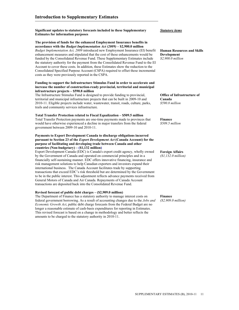#### **Significant updates to statutory forecasts included in these Supplementary Estimates for information purposes**

#### **The provision of funds for the enhanced Employment Insurance benefits in accordance with the** *Budget Implementation Act (2009)* **– \$2,900.0 million**

*Budget Implementation Act, 2009* introduced new Employment Insurance (EI) benefit enhancement measures and stipulated that the cost of these enhancements would be funded by the Consolidated Revenue Fund. These Supplementary Estimates include the statutory authority for the payment from the Consolidated Revenue Fund to the EI Account to cover these costs. In addition, these Estimates show the reduction to the Consolidated Specified Purpose Account (CSPA) required to offset these incremental costs as they were previously reported in the CSPA.

#### **Funding to support the Infrastructure Stimulus Fund in order to accelerate and increase the number of construction-ready provincial, territorial and municipal infrastructure projects – \$590.8 million**

The Infrastructure Stimulus Fund is designed to provide funding to provincial, territorial and municipal infrastructure projects that can be built in 2009-10 and 2010-11. Eligible projects include water, wastewater, transit, roads, culture, parks, trails and community services infrastructure.

#### **Total Transfer Protection related to Fiscal Equalization – \$509.5 million**

Total Transfer Protection payments are one-time payments made to provinces that would have otherwise experienced a decline in major transfers from the federal government between 2009-10 and 2010-11.

#### **Payments to Export Development Canada to discharge obligations incurred pursuant to Section 23 of the** *Export Development Act* **(Canada Account) for the purpose of facilitating and developing trade between Canada and other countries (Non-budgetary) – (\$1,132 million)**

Export Development Canada (EDC) is Canada's export credit agency, wholly owned by the Government of Canada and operated on commercial principles and in a financially self-sustaining manner. EDC offers innovative financing, insurance and risk management solutions to help Canadian exporters and investors expand their international business. The Canada Account facilitates trade by supporting transactions that exceed EDC's risk threshold but are determined by the Government to be in the public interest. This adjustment reflects advance payments received from General Motors of Canada and Air Canada. Repayments of Canada Account transactions are deposited back into the Consolidated Revenue Fund.

#### **Revised forecast of public debt charges – (\$2,909.0 million)**

The Department of Finance has a statutory authority to manage interest costs on federal government borrowing. As a result of accounting changes due to the *Jobs and Economic Growth Act*, public debt charge forecasts from the Federal Budget are no longer a reasonable estimate of cash-basis expenditures for reporting in Estimates. This revised forecast is based on a change in methodology and better reflects the amounts to be charged to the statutory authority in 2010-11.

#### *Statutory items*

**Human Resources and Skills Development**  *\$2,900.0 million*

**Office of Infrastructure of Canada** *\$590.8 million* 

**Finance**  *\$509.5 million*

#### **Foreign Affairs**  *(\$1,132.0 million)*

**Finance**  *(\$2,909.0 million)*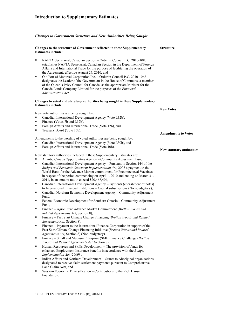#### *Changes to Government Structure and New Authorities Being Sought*

#### **Changes to the structure of Government reflected in these Supplementary Estimates include: Structure**

- NAFTA Secretariat, Canadian Section Order in Council P.C. 2010-1083 establishes NAFTA Secretariat, Canadian Section in the Department of Foreign Affairs and International Trade for the purpose of facilitating the operation of the Agreement, effective August 27, 2010, and
- Old Port of Montreal Corporation Inc. Order in Council P.C. 2010-1068 designates the Leader of the Government in the House of Commons, a member of the Queen's Privy Council for Canada, as the appropriate Minister for the Canada Lands Company Limited for the purposes of the *Financial Administration Act*.

#### **Changes to voted and statutory authorities being sought in these Supplementary Estimates include:**

New vote authorities are being sought by:

- Canadian International Development Agency (Vote L32b),
- Finance (Votes 7b and L12b),
- **Foreign Affairs and International Trade (Vote 12b), and**
- **Treasury Board (Vote 15b).**

Amendments to the wording of voted authorities are being sought by:

- Canadian International Development Agency (Vote L30b), and
- Foreign Affairs and International Trade (Vote 10b).

New statutory authorities included in these Supplementary Estimates are:

- Atlantic Canada Opportunities Agency Community Adjustment Fund, Canadian International Development Agency – Pursuant to Section 144 of the *Budget and Economic Statement Implementation Act*, 2007 a payment to the World Bank for the Advance Market commitment for Pneumococcal Vaccines in respect of the period commencing on April 1, 2010 and ending on March 31, 2011, in an amount not to exceed \$20,468,404,
- Canadian International Development Agency –Payments (encashment of notes) to International Financial Institutions – Capital subscriptions (Non-budgetary),
- Canadian Northern Economic Development Agency Community Adjustment Fund,
- Federal Economic Development for Southern Ontario Community Adjustment Fund,
- Finance Agriculture Advance Market Commitment (*Bretton Woods and Related Agreements Act*, Section 8),
- Finance Fast Start Climate Change Financing (*Bretton Woods and Related Agreements Act*, Section 8),
- Finance Payment to the International Finance Corporation in support of the Fast Start Climate Change Financing Initiative (*Bretton Woods and Related Agreements Act*, Section 8) (Non-budgetary),
- Finance Small and Medium Enterprise (SME) Finance Challenge (*Bretton Woods and Related Agreements Act*, Section 8),
- Human Resources and Skills Development The provision of funds for enhanced Employment Insurance benefits in accordance with the *Budget Implementation Act (2009)* ,
- Indian Affairs and Northern Development Grants to Aboriginal organizations designated to receive claim settlement payments pursuant to Comprehensive Land Claim Acts, and
- Western Economic Diversification Contributions to the Rick Hansen Foundation.

**New Votes** 

**Amendments to Votes** 

**New statutory authorities**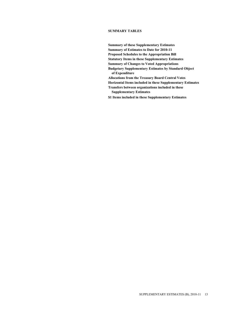#### **SUMMARY TABLES**

**Summary of these Supplementary Estimates Summary of Estimates to Date for 2010-11 Proposed Schedules to the Appropriation Bill Statutory Items in these Supplementary Estimates Summary of Changes to Voted Appropriations Budgetary Supplementary Estimates by Standard Object of Expenditure Allocations from the Treasury Board Central Votes Horizontal Items included in these Supplementary Estimates Transfers between organizations included in these Supplementary Estimates** 

**\$1 Items included in these Supplementary Estimates**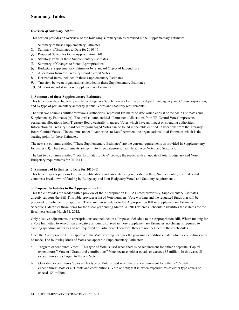#### *Overview of Summary Tables*

This section provides an overview of the following summary tables provided in the Supplementary Estimates.

- 1. Summary of these Supplementary Estimates
- 2. Summary of Estimates to Date for 2010-11
- 3. Proposed Schedules to the Appropriation Bill
- 4. Statutory Items in these Supplementary Estimates
- 5. Summary of Changes to Voted Appropriations
- 6. Budgetary Supplementary Estimates by Standard Object of Expenditure
- 7. Allocations from the Treasury Board Central Votes
- 8. Horizontal Items included in these Supplementary Estimates
- 9. Transfers between organizations included in these Supplementary Estimates
- 10. \$1 Items included in these Supplementary Estimates

#### **1. Summary of these Supplementary Estimates**

This table identifies Budgetary and Non-Budgetary Supplementary Estimates by department, agency and Crown corporation, and by type of parliamentary authority (annual Votes and Statutory requirements).

The first two columns entitled "Previous Authorities" represent Estimates to date which consist of the Main Estimates and Supplementary Estimates (A). The third column entitled "Permanent Allocations from TB Central Votes" represents permanent allocations from Treasury Board centrally-managed Votes which have an impact on spending authorities. Information on Treasury Board centrally-managed Votes can be found in the table entitled "Allocations from the Treasury Board Central Votes". The columns under " Authorities to Date" represent the organizations' total Estimates which is the starting point for these Estimates.

The next six columns entitled "These Supplementary Estimates" are the current requirements as provided in Supplementary Estimates (B). These requirements are split into three categories: Transfers, To be Voted and Statutory.

The last two columns entitled "Total Estimates to Date" provide the reader with an update of total Budgetary and Non-Budgetary requirements for 2010-11.

#### **2. Summary of Estimates to Date for 2010–11**

This table displays previous Estimates publications and amounts being requested in these Supplementary Estimates and contains a breakdown of funding by Budgetary and Non-Budgetary/Voted and Statutory requirements.

#### **3. Proposed Schedules to the Appropriation Bill**

This table provides the reader with a preview of the Appropriation Bill. As noted previously, Supplementary Estimates directly supports the Bill. This table provides a list of Vote numbers, Vote wording and the requested funds that will be proposed to Parliament for approval. There are two schedules to the Appropriation Bill in Supplementary Estimates: Schedule 1 identifies those items for the fiscal year ending March 31, 2011 whereas Schedule 2 identifies those items for the fiscal year ending March 31, 2012.

Only positive adjustments to appropriations are included in a Proposed Schedule to the Appropriation Bill. Where funding for a Vote has netted to zero or has a negative amount displayed in these Supplementary Estimates, no change is required to existing spending authority and not requested of Parliament. Therefore, they are not included in these schedules.

Once the Appropriation Bill is approved, the Vote wording becomes the governing conditions under which expenditures may be made. The following kinds of Votes can appear in Supplementary Estimates:

- a. Program expenditures Votes This type of Vote is used when there is no requirement for either a separate "Capital expenditures" Vote or "Grants and contributions" Vote because neither equals or exceeds \$5 million. In this case, all expenditures are charged to the one Vote.
- b. Operating expenditures Votes This type of Vote is used when there is a requirement for either a "Capital expenditures" Vote or a "Grants and contributions" Vote or both; that is, when expenditures of either type equals or exceeds \$5 million.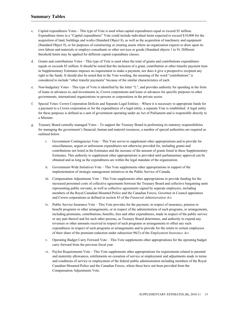- c. Capital expenditures Votes This type of Vote is used when capital expenditures equal or exceed \$5 million. Expenditure items in a "Capital expenditures" Vote could include individual items expected to exceed \$10,000 for the acquisition of land, buildings and works (Standard Object 8), as well as the acquisition of machinery and equipment (Standard Object 9), or for purposes of constructing or creating assets where an organization expects to draw upon its own labour and materials or employs consultants or other services or goods (Standard objects 1 to 9). Different threshold limits may be applied for different capital expenditure classes.
- d. Grants and contributions Votes This type of Vote is used when the total of grants and contributions expenditures equals or exceeds \$5 million. It should be noted that the inclusion of a grant, contribution or other transfer payment item in Supplementary Estimates imposes no requirement to make a payment, nor does it give a prospective recipient any right to the funds. It should also be noted that in the Vote wording, the meaning of the word "contributions" is considered to include "other transfer payments" because of the similar characteristics of each.
- e. Non-budgetary Votes This type of Vote is identified by the letter "L", and provides authority for spending in the form of loans or advances to, and investments in, Crown corporations and loans or advances for specific purposes to other governments, international organizations or persons or corporations in the private sector.
- f. Special Votes: Crown Corporation Deficits and Separate Legal Entities Where it is necessary to appropriate funds for a payment to a Crown corporation or for the expenditures of a legal entity, a separate Vote is established. A legal entity for these purposes is defined as a unit of government operating under an Act of Parliament and is responsible directly to a Minister.
- g. Treasury Board centrally-managed Votes To support the Treasury Board in performing its statutory responsibilities for managing the government's financial, human and materiel resources, a number of special authorities are required as outlined below.
	- i. Government Contingencies Vote This Vote serves to supplement other appropriations and to provide for miscellaneous, urgent or unforeseen expenditures not otherwise provided for, including grants and contributions not listed in the Estimates and the increase of the amount of grants listed in these Supplementary Estimates. This authority to supplement other appropriations is provided until parliamentary approval can be obtained and as long as the expenditures are within the legal mandate of the organization.
	- ii. Government-Wide Initiatives Vote This Vote supplements other appropriations in support of the implementation of strategic management initiatives in the Public Service of Canada.
	- iii. Compensation Adjustments Vote This Vote supplements other appropriations to provide funding for the increased personnel costs of collective agreements between the Treasury Board and collective bargaining units representing public servants, as well as collective agreements signed by separate employers, including members of the Royal Canadian Mounted Police and the Canadian Forces, Governor in Council appointees and Crown corporations as defined in section 83 of the *Financial Administration Act*.
	- iv. Public Service Insurance Vote This Vote provides for the payment, in respect of insurance, pension or benefit programs or other arrangements, or in respect of the administration of such programs, or arrangements, including premiums, contributions, benefits, fees and other expenditures, made in respect of the public service or any part thereof and for such other persons, as Treasury Board determines, and authority to expend any revenues or other amounts received in respect of such programs or arrangements to offset any such expenditures in respect of such programs or arrangements and to provide for the return to certain employees of their share of the premium reduction under subsection 96(3) of the *Employment Insurance Act* .
	- v. Operating Budget Carry Forward Vote This Vote supplements other appropriations for the operating budget carry forward from the previous fiscal year.
	- vi. Paylist Requirements Vote This Vote supplements other appropriations for requirements related to parental and maternity allowances, entitlements on cessation of service or employment and adjustments made to terms and conditions of service or employment of the federal public administration including members of the Royal Canadian Mounted Police and the Canadian Forces, where these have not been provided from the Compensation Adjustments Vote.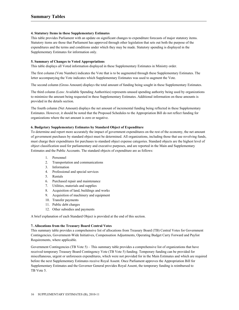#### **4. Statutory Items in these Supplementary Estimates**

This table provides Parliament with an update on significant changes to expenditure forecasts of major statutory items. Statutory items are those that Parliament has approved through other legislation that sets out both the purpose of the expenditures and the terms and conditions under which they may be made. Statutory spending is displayed in the Supplementary Estimates for information only.

#### **5. Summary of Changes to Voted Appropriations**

This table displays all Voted information displayed in these Supplementary Estimates in Ministry order.

The first column (Vote Number) indicates the Vote that is to be augmented through these Supplementary Estimates. The letter accompanying the Vote indicates which Supplementary Estimates was used to augment the Vote.

The second column (Gross Amount) displays the total amount of funding being sought in these Supplementary Estimates.

The third column (Less: Available Spending Authorities) represents unused spending authority being used by organizations to minimize the amount being requested in these Supplementary Estimates. Additional information on these amounts is provided in the details section.

The fourth column (Net Amount) displays the net amount of incremental funding being reflected in these Supplementary Estimates. However, it should be noted that the Proposed Schedules to the Appropriation Bill do not reflect funding for organizations where the net amount is zero or negative.

#### **6. Budgetary Supplementary Estimates by Standard Object of Expenditure**

To determine and report more accurately the impact of government expenditures on the rest of the economy, the net amount of government purchases by standard object must be determined. All organizations, including those that use revolving funds, must charge their expenditures for purchases to standard object expense categories. Standard objects are the highest level of object classification used for parliamentary and executive purposes, and are reported in the Main and Supplementary Estimates and the Public Accounts. The standard objects of expenditure are as follows:

- 1. Personnel
- 2. Transportation and communications
- 3. Information
- 4. Professional and special services
- 5. Rentals
- 6. Purchased repair and maintenance
- 7. Utilities, materials and supplies
- 8. Acquisition of land, buildings and works
- 9. Acquisition of machinery and equipment
- 10. Transfer payments
- 11. Public debt charges
- 12. Other subsidies and payments

A brief explanation of each Standard Object is provided at the end of this section.

#### **7. Allocations from the Treasury Board Central Votes**

This summary table provides a comprehensive list of allocations from Treasury Board (TB) Central Votes for Government Contingencies, Government-Wide Initiatives, Compensation Adjustments, Operating Budget Carry Forward and Paylist Requirements, where applicable.

Government Contingencies (TB Vote 5) – This summary table provides a comprehensive list of organizations that have received temporary Treasury Board Contingency Vote (TB Vote 5) funding. Temporary funding can be provided for miscellaneous, urgent or unforeseen expenditures, which were not provided for in the Main Estimates and which are required before the next Supplementary Estimates receive Royal Assent. Once Parliament approves the Appropriation Bill for Supplementary Estimates and the Governor General provides Royal Assent, the temporary funding is reimbursed to TB Vote 5.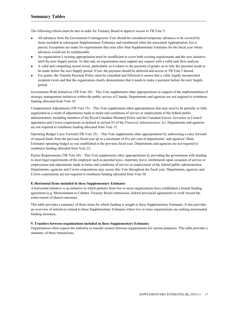The following criteria must be met in order for Treasury Board to approve access to TB Vote 5:

- All advances from the Government Contingencies Vote should be considered temporary advances to be covered by items included in subsequent Supplementary Estimates and reimbursed when the associated Appropriation Act is passed. Exceptions are made for requirements that arise after final Supplementary Estimates for the fiscal year where advances would not be reimbursable.
- An organization's existing appropriation must be insufficient to cover both existing requirements and the new initiative until the next Supply period. To that end, an organization must support any request with a valid cash flow analysis.
- A valid and compelling reason exists, particularly as it relates to the payment of grants, as to why the payment needs to be made before the next Supply period. If not, the payment should be deferred and access to TB Vote 5 denied.
- For grants, the Transfer Payment Policy must be consulted and followed to ensure that a valid, legally incorporated recipient exists and that the organization clearly demonstrates that it needs to make a payment before the next Supply period.

Government-Wide Initiatives (TB Vote 10) – This Vote supplements other appropriations in support of the implementation of strategic management initiatives within the public service of Canada. Departments and agencies are not required to reimburse funding allocated from Vote 10.

Compensation Adjustments (TB Vote 15) – This Vote supplements other appropriations that may need to be partially or fully augmented as a result of adjustments made to terms and conditions of service or employment of the federal public administration, including members of the Royal Canadian Mounted Police and the Canadian Forces, Governor in Council appointees and Crown corporations as defined in section 83 of the *Financial Administration Act*. Departments and agencies are not required to reimburse funding allocated from Vote 15.

Operating Budget Carry Forward (TB Vote 25) – This Vote supplements other appropriations by authorizing a carry forward of unused funds from the previous fiscal year up to a maximum of five per cent of departments' and agencies' Main Estimates operating budget as was established in the previous fiscal year. Departments and agencies are not required to reimburse funding allocated from Vote 25.

Paylist Requirements (TB Vote 30) – This Vote supplements other appropriations by providing the government with funding to meet legal requirements of the employer such as parental leave, maternity leave, entitlements upon cessation of service or employment and adjustments made to terms and conditions of service or employment of the federal public administration. Departments, agencies and Crown corporations may access this Vote throughout the fiscal year. Departments, agencies and Crown corporations are not required to reimburse funding allocated from Vote 30.

#### **8. Horizontal Items included in these Supplementary Estimates**

A horizontal initiative is an initiative in which partners from two or more organizations have established a formal funding agreement (e.g. Memorandum to Cabinet, Treasury Board submission, federal-provincial agreement) to work toward the achievement of shared outcomes.

This table provides a summary of those items for which funding is sought in these Supplementary Estimates. It also provides an overview of initiatives related to these Supplementary Estimates where two or more organizations are seeking incremental funding increases.

#### **9. Transfers between organizations included in these Supplementary Estimates**

Organizations often request the authority to transfer monies between organizations for various purposes. This table provides a summary of these transactions.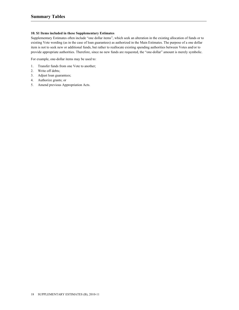#### **10. \$1 Items included in these Supplementary Estimates**

Supplementary Estimates often include "one dollar items", which seek an alteration in the existing allocation of funds or to existing Vote wording (as in the case of loan guarantees) as authorized in the Main Estimates. The purpose of a one dollar item is not to seek new or additional funds, but rather to reallocate existing spending authorities between Votes and/or to provide appropriate authorities. Therefore, since no new funds are requested, the "one-dollar" amount is merely symbolic.

For example, one-dollar items may be used to:

- 1. Transfer funds from one Vote to another;
- 2. Write off debts;
- 3. Adjust loan guarantees;
- 4. Authorize grants; or
- 5. Amend previous Appropriation Acts.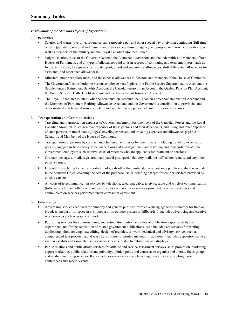#### *Explanation of the Standard Objects of Expenditure*

#### 1. **Personnel**

- Salaries and wages, overtime, severance pay, retroactive pay and other special pay of civilian continuing (full-time) or term (part-time, seasonal and casual) employees except those of agency and proprietary Crown corporations, as well as members of the military and the Royal Canadian Mounted Police.
- Judges' salaries, those of the Governor General, the Lieutenant-Governors and the indemnities to Members of both Houses of Parliament, and all types of allowances paid to or in respect of continuing and term employees (such as living, terminable, foreign service, isolated post, board and subsistence allowances, shift differential allowances for assistants, and other such allowances).
- Ministers' motor car allowances, and the expense allowances to Senators and Members of the House of Commons.
- The Government's contribution to various employee benefit plans (the Public Service Superannuation Account, the Supplementary Retirement Benefits Account, the Canada Pension Plan Account, the Quebec Pension Plan Account, the Public Service Death Benefit Account and the Employment Insurance Account).
- The Royal Canadian Mounted Police Superannuation Account, the Canadian Forces Superannuation Account and the Members of Parliament Retiring Allowances Account, and the Government's contribution to provincial and other medical and hospital insurance plans and supplementary personnel costs for various purposes.

#### 2. **Transportation and Communications**

- Traveling and transportation expenses of Government employees, members of the Canadian Forces and the Royal Canadian Mounted Police, removal expenses of those persons and their dependants, and living and other expenses of such persons on travel status, judges' traveling expenses, and traveling expenses and allowances payable to Senators and Members of the House of Commons.
- Transportation of persons by contract and chartered facilities or by other means (including traveling expenses of persons engaged in field survey work, inspections and investigations), and traveling and transportation of non-Government employees such as travel costs of veterans who are applicants for treatment or pensions.
- Ordinary postage, airmail, registered mail, parcel post special delivery mail, post office box rentals, and any other postal charges.
- Expenditures relating to the transportation of goods other than initial delivery cost on a purchase (which is included in the Standard Object covering the cost of the purchase itself) including charges for courier services provided by outside carriers.
- All costs of telecommunication services by telephone, telegram, cable, teletype, radio and wireless communication (tolls, rates, etc.) and other communication costs such as courier services provided by outside agencies and communication services performed under contract or agreement.

#### **3. Information**

- Advertising services acquired for publicity and general purposes from advertising agencies or directly for time on broadcast media or for space in print media or on outdoor posters or billboards. It includes advertising and creative work services such as graphic artwork.
- Publishing services for commissioning, marketing, distribution and sales of publications sponsored by the department, and for the acquisition of related government publications. Also included are services for printing, duplicating, photocopying, text editing, design of graphics, art work, technical and advisory services such as computerized text processing and mass transmission of printed material. In addition, it includes exposition services such as exhibits and associated audio-visual services related to exhibitions and displays.
- Public relations and public affairs services for attitude and service assessment surveys, sales promotion, marketing, export marketing, public relations and publicity, opinion polls, and contracts to organize and operate focus groups and media monitoring services. It also includes services for speech writing, press releases, briefing, press conferences and special events.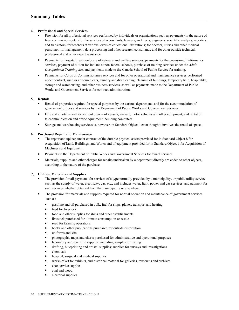#### **4. Professional and Special Services**

- Provision for all professional services performed by individuals or organizations such as payments (in the nature of fees, commissions, etc.) for the services of accountants, lawyers, architects, engineers, scientific analysts, reporters, and translators; for teachers at various levels of educational institutions; for doctors, nurses and other medical personnel; for management, data processing and other research consultants; and for other outside technical, professional and other expert assistance.
- Payments for hospital treatment, care of veterans and welfare services, payments for the provision of informatics services, payment of tuition for Indians at non-federal schools, purchase of training services under the *Adult Occupational Training Act*, and payments made to the Canada School of Public Service for training.
- Payments for Corps of Commissionaires services and for other operational and maintenance services performed under contract, such as armoured cars, laundry and dry cleaning, cleaning of buildings, temporary help, hospitality, storage and warehousing, and other business services, as well as payments made to the Department of Public Works and Government Services for contract administration.

#### **5. Rentals**

- **Rental of properties required for special purposes by the various departments and for the accommodation of** government offices and services by the Department of Public Works and Government Services.
- Hire and charter with or without crew of vessels, aircraft, motor vehicles and other equipment, and rental of telecommunication and office equipment including computers.
- Storage and warehousing services is, however, in Standard Object 4 even though it involves the rental of space.

#### **6. Purchased Repair and Maintenance**

- The repair and upkeep under contract of the durable physical assets provided for in Standard Object 8 for Acquisition of Land, Buildings, and Works and of equipment provided for in Standard Object 9 for Acquisition of Machinery and Equipment.
- Payments to the Department of Public Works and Government Services for tenant services.
- Materials, supplies and other charges for repairs undertaken by a department directly are coded to other objects, according to the nature of the purchase.

#### **7. Utilities, Materials and Supplies**

- The provision for all payments for services of a type normally provided by a municipality, or public utility service such as the supply of water, electricity, gas, etc., and includes water, light, power and gas services, and payment for such services whether obtained from the municipality or elsewhere.
- The provision for materials and supplies required for normal operation and maintenance of government services such as:
	- gasoline and oil purchased in bulk; fuel for ships, planes, transport and heating
	- feed for livestock
	- food and other supplies for ships and other establishments
	- livestock purchased for ultimate consumption or resale
	- seed for farming operations
	- **books and other publications purchased for outside distribution**
	- uniforms and kits
	- photographs, maps and charts purchased for administrative and operational purposes
	- laboratory and scientific supplies, including samples for testing
	- drafting, blueprinting and artists' supplies; supplies for surveys and investigations
	- chemicals
	- hospital, surgical and medical supplies
	- works of art for exhibits, and historical material for galleries, museums and archives
	- char service supplies
	- coal and wood
	- **electrical supplies**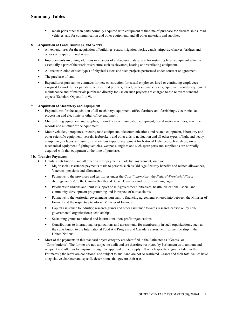repair parts other than parts normally acquired with equipment at the time of purchase for aircraft, ships, road vehicles, and for communication and other equipment; and all other materials and supplies.

#### **8. Acquisition of Land, Buildings, and Works**

- All expenditures for the acquisition of buildings, roads, irrigation works, canals, airports, wharves, bridges and other such types of fixed assets.
- Improvements involving additions or changes of a structural nature, and for installing fixed equipment which is essentially a part of the work or structure such as elevators, heating and ventilating equipment.
- All reconstruction of such types of physical assets and such projects performed under contract or agreement.
- The purchase of land.
- **Expenditures pursuant to contracts for new construction for casual employees hired or continuing employees** assigned to work full or part-time on specified projects, travel, professional services, equipment rentals, equipment maintenance and of materials purchased directly for use on such projects are charged to the relevant standard objects (Standard Objects 1 to 9).

#### **9. Acquisition of Machinery and Equipment**

- Expenditures for the acquisition of all machinery, equipment, office furniture and furnishings, electronic data processing and electronic or other office equipment.
- Microfilming equipment and supplies, inter-office communication equipment, postal meter machines, machine records and all other office equipment.
- Motor vehicles, aeroplanes, tractors, road equipment, telecommunications and related equipment, laboratory and other scientific equipment, vessels, icebreakers and other aids to navigation and all other types of light and heavy equipment; includes ammunition and various types of equipment for National Defence, such as ships, aircraft, mechanical equipment, fighting vehicles, weapons, engines and such spare parts and supplies as are normally acquired with that equipment at the time of purchase.

#### **10. Transfer Payments**

- Grants, contributions, and all other transfer payments made by Government, such as:
	- Major social assistance payments made to persons such as Old Age Security benefits and related allowances, Veterans' pensions and allowances.
	- Payments to the provinces and territories under the *Constitution Acts* , the *Federal-Provincial Fiscal Arrangements Act* , the Canada Health and Social Transfers and for official languages.
	- Payments to Indians and Inuit in support of self-government initiatives, health, educational, social and community development programming and in respect of native claims.
	- Payments to the territorial governments pursuant to financing agreements entered into between the Minister of Finance and the respective territorial Minister of Finance.
	- Capital assistance to industry; research grants and other assistance towards research carried on by nongovernmental organizations; scholarships.
	- Sustaining grants to national and international non-profit organizations.
	- Contributions to international organizations and assessments for membership in such organizations, such as the contribution to the International Food Aid Program and Canada's assessment for membership in the United Nations.
- Most of the payments in this standard object category are identified in the Estimates as "Grants" or "Contributions". The former are not subject to audit and are therefore restricted by Parliament as to amount and recipient and often as to purpose through the approval of the Supply bill which specifies "grants listed in the Estimates"; the latter are conditional and subject to audit and are not so restricted. Grants and their total values have a legislative character and specific descriptions that govern their use.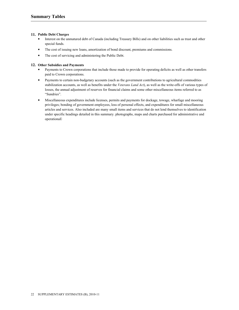#### **11. Public Debt Charges**

- Interest on the unmatured debt of Canada (including Treasury Bills) and on other liabilities such as trust and other special funds.
- The cost of issuing new loans, amortization of bond discount, premiums and commissions.
- The cost of servicing and administering the Public Debt.

#### **12. Other Subsidies and Payments**

- Payments to Crown corporations that include those made to provide for operating deficits as well as other transfers paid to Crown corporations.
- Payments to certain non-budgetary accounts (such as the government contributions to agricultural commodities stabilization accounts, as well as benefits under the *Veterans Land Act*), as well as the write-offs of various types of losses, the annual adjustment of reserves for financial claims and some other miscellaneous items referred to as "Sundries".
- Miscellaneous expenditures include licenses, permits and payments for dockage, towage, wharfage and mooring privileges; bonding of government employees, loss of personal effects, and expenditures for small miscellaneous articles and services. Also included are many small items and services that do not lend themselves to identification under specific headings detailed in this summary. photographs, maps and charts purchased for administrative and operational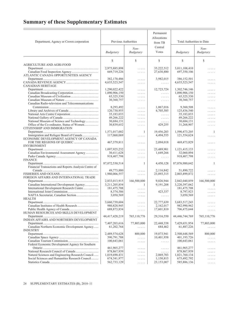# <span id="page-21-0"></span>**Summary of these Supplementary Estimates**

| Department, Agency or Crown corporation               | Previous Authorities |                     | Permanent<br>Allocations<br>from TB        | Total Authorities to Date |                     |
|-------------------------------------------------------|----------------------|---------------------|--------------------------------------------|---------------------------|---------------------|
|                                                       | Budgetary            | $Non-$<br>Budgetary | Central<br>Votes                           | Budgetary                 | $Non-$<br>Budgetary |
|                                                       | \$                   | S                   | $\mathbb{S}$                               | $\mathbb{S}$              | \$                  |
| AGRICULTURE AND AGRI-FOOD                             |                      |                     |                                            |                           |                     |
|                                                       | 2,975,885,898        | .                   | 35,222,512                                 | 3,011,108,410             | .                   |
|                                                       | 669,719,226          | .                   | 27,630,880                                 | 697,350,106               | .                   |
| ATLANTIC CANADA OPPORTUNITIES AGENCY                  |                      |                     |                                            |                           |                     |
|                                                       | 382,170,486          | .                   | 3,982,015                                  | 386, 152, 501             | .                   |
|                                                       | 4,635,523,547        | .                   | .                                          | 4,635,523,547             | .                   |
| <b>CANADIAN HERITAGE</b>                              |                      |                     |                                            |                           |                     |
|                                                       | 1,290,022,422        | .                   | 12,723,724                                 | 1,302,746,146             | .                   |
|                                                       | 1,090,906,150        | .                   | .                                          | 1,090,906,150             | .                   |
|                                                       | 65,325,330           | .                   | .                                          | 65, 325, 330              | .                   |
| Canadian Radio-television and Telecommunications      | 30,360,757           | .                   | .                                          | 30,360,757                | .                   |
|                                                       | 8,293,492            |                     | 1,067,016                                  | 9,360,508                 |                     |
|                                                       | 120,730,955          | .<br>.              | 4,705,585                                  | 125,436,540               | .<br>.              |
|                                                       | 35,183,033           | .                   | $\mathbb{Z}^2$ . The set of $\mathbb{Z}^2$ | 35,183,033                | .                   |
|                                                       | 49,266,222           | .                   | $\mathbb{Z}^2$ . The set of $\mathbb{Z}^2$ | 49,266,222                | .                   |
| National Museum of Science and Technology             | 30,684,131           | .                   | 1.1.1.1                                    | 30,684,131                | .                   |
| Office of the Co-ordinator, Status of Women           | 30,839,652           | .                   | 429,255                                    | 31,268,907                | .                   |
| CITIZENSHIP AND IMMIGRATION                           |                      |                     |                                            |                           |                     |
|                                                       | 1,571,017,002        | 1                   | 19,456,203                                 | 1,590,473,205             | 1                   |
| Immigration and Refugee Board of Canada               | 117,060,069          | .                   | 4,494,555                                  | 121,554,624               | .                   |
| ECONOMIC DEVELOPMENT AGENCY OF CANADA                 |                      |                     |                                            |                           |                     |
|                                                       | 467,379,811          | .                   | 2,094,018                                  | 469, 473, 829             | .                   |
| <b>ENVIRONMENT</b>                                    |                      |                     |                                            |                           |                     |
|                                                       | 1,097,925,232        | .                   | 23,489,901                                 | 1,121,415,133             | .                   |
| Canadian Environmental Assessment Agency              | 30,411,628           | .                   | 1,649,266                                  | 32,060,894                | .                   |
|                                                       | 918,407,798          | .                   | .                                          | 918,407,798               | .                   |
| <b>FINANCE</b>                                        |                      | 1                   | 4,450,128                                  | 87,076,980,642            | 1                   |
| Financial Transactions and Reports Analysis Centre of | 87,072,530,514       |                     |                                            |                           |                     |
|                                                       | 49,773,880           | $\cdots$            | 2,116,842                                  | 51,890,722                | .                   |
|                                                       | 1,980,006,557        | $\cdots$            | 23,893,315                                 | 2,003,899,872             | .                   |
| FOREIGN AFFAIRS AND INTERNATIONAL TRADE               |                      |                     |                                            |                           |                     |
|                                                       | 2,833,013,915        | 166,500,000         | 9,026,944                                  | 2,842,040,859             | 166,500,000         |
| Canadian International Development Agency             | 3,211,205,854        | 1                   | 9,191,208                                  | 3,220,397,062             | 1                   |
| International Development Research Centre             | 181,475,708          | $\cdots$            | .                                          | 181,475,708               | .                   |
|                                                       | 8,374,586            | .                   | 423,337                                    | 8,797,923                 | .                   |
|                                                       | 3,050,569            | .                   | .                                          | 3,050,569                 | .                   |
| <b>HEALTH</b>                                         |                      |                     |                                            |                           |                     |
|                                                       | 3,660,739,604        | $\cdots$            | 22,777,639                                 | 3,683,517,243             | .                   |
|                                                       | 980,828,945          | .                   | 2,162,017                                  | 982,990,962               | .                   |
|                                                       | 688, 873, 834        | .                   | 17,601,810                                 | 706,475,644               | .                   |
| HUMAN RESOURCES AND SKILLS DEVELOPMENT                |                      |                     |                                            |                           |                     |
| INDIAN AFFAIRS AND NORTHERN DEVELOPMENT               | 44,417,428,219       | 765,110,776         | 29,316,550                                 | 44,446,744,769            | 765,110,776         |
|                                                       | 7,407,203,616        | 77,803,000          | 22,448,338                                 | 7,429,651,954             | 77,803,000          |
| Canadian Northern Economic Development Agency         | 61,202,764           | .                   | 684,462                                    | 61,887,226                | .                   |
| <b>INDUSTRY</b>                                       |                      |                     |                                            |                           |                     |
|                                                       | 2,489,574,628        | 800,000             | 19,073,941                                 | 2,508,648,569             | 800,000             |
|                                                       | 390,791,788          | .                   | 10,401,938                                 | 401,193,726               | .                   |
|                                                       | 100,643,061          | .                   | .                                          | 100,643,061               | .                   |
| Federal Economic Development Agency for Southern      |                      |                     |                                            |                           |                     |
|                                                       | 461,965,277          | .                   | .                                          | 461, 965, 277             | .                   |
|                                                       | 878,867,939          | .                   | .                                          | 878, 867, 939             | .                   |
| Natural Sciences and Engineering Research Council     | 1,019,690,431        | .                   | 2,069,703                                  | 1,021,760,134             | .                   |
| Social Sciences and Humanities Research Council       | 674, 341, 977        | .                   | 1,150,815                                  | 675,492,792               | .                   |
|                                                       | 562,733,129          | .                   | 23,153,007                                 | 585,886,136               | .                   |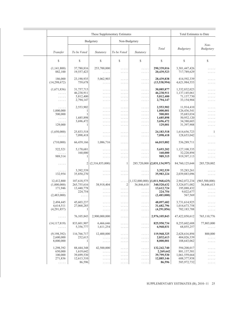| These Supplementary Estimates                                                                  |                                                                                       |                                                                                                         |                                                                                                  |                                                                                                                                                                              |                                                                |                                                                             | Total Estimates to Date                                                           |
|------------------------------------------------------------------------------------------------|---------------------------------------------------------------------------------------|---------------------------------------------------------------------------------------------------------|--------------------------------------------------------------------------------------------------|------------------------------------------------------------------------------------------------------------------------------------------------------------------------------|----------------------------------------------------------------|-----------------------------------------------------------------------------|-----------------------------------------------------------------------------------|
|                                                                                                |                                                                                       | Budgetary                                                                                               | Non-Budgetary                                                                                    |                                                                                                                                                                              |                                                                |                                                                             | Non-                                                                              |
| Transfer                                                                                       | To be Voted                                                                           | <i>Statutory</i>                                                                                        | To be Voted                                                                                      | Statutory                                                                                                                                                                    | Total                                                          | Budgetary                                                                   | Budgetary                                                                         |
| \$                                                                                             | \$                                                                                    | \$                                                                                                      | $\mathbb{S}$                                                                                     | \$                                                                                                                                                                           | \$                                                             | \$                                                                          | \$                                                                                |
| (1,141,800)<br>882,100                                                                         | 37,780,816<br>19,557,423                                                              | 253,700,000<br>$\ldots$                                                                                 | $\ldots \ldots$<br>.                                                                             | $\ldots \ldots$<br>$\mathbb{R}^n$ . In the $\mathbb{R}^n$                                                                                                                    | 290,339,016<br>20,439,523                                      | 3,301,447,426<br>717,789,629                                                | .<br>$\ldots$ .                                                                   |
| 186,000<br>(14,298,672)                                                                        | 23,190,935<br>759,678                                                                 | 5,062,903<br>$\ldots$                                                                                   | .<br>.                                                                                           | $\ldots$<br>$\ldots$                                                                                                                                                         | 28,439,838<br>(13,538,994)                                     | 414,592,339<br>4,621,984,553                                                | .<br>.                                                                            |
| (1,671,836)<br>$\ldots$<br>$\ldots$<br>$\ldots$                                                | 31,757,713<br>46,238,911<br>5,812,400<br>2,794,147                                    | $\cdots$<br>$\cdots$<br>$\cdots$<br>.                                                                   | $\ldots$<br>.<br>$\ldots$<br>$\alpha$ , $\alpha$ , $\alpha$ , $\alpha$                           | .<br>$\ldots$<br>.<br>$\ldots$                                                                                                                                               | 30,085,877<br>46,238,911<br>5,812,400<br>2,794,147             | 1,332,832,023<br>1,137,145,061<br>71,137,730<br>33,154,904                  | .<br>.<br>.<br>.                                                                  |
| .<br>1,000,000<br>500,000<br>$\ldots$                                                          | 2,553,902<br>1<br>1,685,898                                                           | .<br>$\alpha$ , $\alpha$ , $\alpha$ , $\alpha$<br>$\alpha$ , $\alpha$ , $\alpha$ , $\alpha$<br>$\cdots$ | $\alpha$ , $\alpha$ , $\alpha$ , $\alpha$<br>$\alpha$ , $\alpha$ , $\alpha$ , $\alpha$<br>.<br>. | $\ldots$<br>$\ldots$<br>$\alpha$ is a second .<br>.                                                                                                                          | 2,553,902<br>1,000,001<br>500,001<br>1,685,898                 | 11,914,410<br>126,436,541<br>35,683,034<br>50,952,120                       | .<br>.                                                                            |
| .<br>129,000                                                                                   | 3,696,472<br>1                                                                        | $\cdots$<br>$\cdots$                                                                                    | $\ldots$<br>.                                                                                    | $\ldots$<br>$\ldots$                                                                                                                                                         | 3,696,472<br>129,001                                           | 34,380,603<br>31,397,908                                                    | .<br>.                                                                            |
| (1,650,000)<br>.                                                                               | 25,833,518<br>7,098,418                                                               | $\cdots$<br>$\alpha$ is a second .                                                                      | $\ldots$<br>$\ldots$                                                                             | $\ldots$<br>$\alpha$ is a second .                                                                                                                                           | 24, 183, 518<br>7,098,418                                      | 1,614,656,723<br>128,653,042                                                | $\mathbf{1}$<br>.                                                                 |
| (710,000)                                                                                      | 66,439,166                                                                            | 1,086,716                                                                                               | $\alpha$ , $\alpha$ , $\alpha$ , $\alpha$                                                        | $\ldots$                                                                                                                                                                     | 66,815,882                                                     | 536,289,711                                                                 | $\cdots$                                                                          |
| 522,521<br>989,314                                                                             | 5,170,681<br>160,000<br>1                                                             | $\alpha$ , $\alpha$ , $\alpha$ , $\alpha$<br>$\dots$                                                    | $\sim$ $\sim$ $\sim$ $\sim$ $\sim$<br>$\ldots$<br>$\ldots$                                       | $\ldots$<br>$\ldots$<br>$\mathbb{Z}^2$ . The set of $\mathbb{Z}^2$                                                                                                           | 5,693,202<br>160,000<br>989,315                                | 1,127,108,335<br>32,220,894<br>919,397,113                                  | .                                                                                 |
| $\ldots$                                                                                       | 2 <sup>1</sup>                                                                        | (2,316,855,000)                                                                                         | $\mathbf{1}$                                                                                     |                                                                                                                                                                              | 285,720,000 (2,031,134,997)                                    | 84,760,125,644                                                              | 285,720,002                                                                       |
| .<br>132,954                                                                                   | 3,392,539<br>35,850,270                                                               | $\mathbb{Z}^n$ . $\mathbb{Z}^n$ , $\mathbb{Z}^n$ ,<br>$\dots$                                           | $\mathbb{R}^n$ . In the $\mathbb{R}^n$<br>$\ldots$                                               | $\mathbb{Z}^n$ . In the $\mathbb{Z}^n$<br>$\ldots$                                                                                                                           | 3,392,539<br>35,983,224                                        | 55,283,261<br>2,039,883,096                                                 | .<br>.                                                                            |
| 12,412,800<br>(1,000,000)<br>171,946<br>(2,483,000)                                            | 107,618,575<br>265,755,616<br>13,440,778<br>224,754<br>$\alpha$ , $\alpha$ , $\alpha$ | $\ldots$<br>38,918,404<br>$\cdots$<br>$\ldots$<br>$\dots$                                               | 2<br>.<br>$\ldots$<br>$\alpha$ is a second .                                                     | $\ldots$ , (1,132,000,000) (1,011,968,625)<br>36,846,610<br>$\mathbb{Z}^2$ . The set of $\mathbb{Z}^2$<br>$\alpha$ is a second<br>$\mathbb{Z}^2$ . The set of $\mathbb{Z}^2$ | 340,520,632<br>13,612,724<br>224,754<br>(2,483,000)            | 2,962,072,234<br>3,524,071,082<br>195,088,432<br>9,022,677<br>567,569       | (965, 500, 000)<br>36,846,613<br>$\mathbb{R}^n$ . In the $\mathbb{R}^n$<br>.<br>. |
| 2,494,445<br>4,614,511<br>(4,291,857)                                                          | 45,603,237<br>27,068,285<br>1                                                         | $\sim$ $\sim$ $\sim$ $\sim$ $\sim$<br>.<br>$\cdots$                                                     | $\ldots$<br>.<br>.                                                                               | $\sim$ $\sim$ $\sim$ $\sim$ $\sim$<br>.<br>.                                                                                                                                 | 48,097,682<br>31,682,796<br>(4,291,856)                        | 3,731,614,925<br>1,014,673,758<br>702,183,788                               | $\dots$<br>.<br>.                                                                 |
| .                                                                                              | 76,105,843                                                                            | 2,900,000,000                                                                                           | $\ldots$                                                                                         | $\ldots$                                                                                                                                                                     | 2,976,105,843                                                  | 47,422,850,612                                                              | 765,110,776                                                                       |
| (14, 117, 819)<br>.                                                                            | 833,601,907<br>5,356,777                                                              | 6,466,646<br>1,611,254                                                                                  | $\sim$ $\sim$ $\sim$ $\sim$ $\sim$<br>.                                                          | $\ldots$<br>$\alpha$ is a second .                                                                                                                                           | 825,950,734<br>6,968,031                                       | 8,255,602,688<br>68,855,257                                                 | 77,803,000                                                                        |
| (9,198,392)<br>2,600,000<br>8,000,000                                                          | 116,766,717<br>232,613<br>1                                                           | 12,400,000<br>.<br>$\mathbb{Z}^2$ . $\mathbb{Z}^2$ , $\mathbb{Z}^2$                                     | .<br>.                                                                                           | .<br>.<br>$\alpha$ is a second .                                                                                                                                             | 119,968,325<br>2,832,613<br>8,000,001                          | 2,628,616,894<br>404,026,339<br>108,643,062                                 | 800,000<br>.<br>.                                                                 |
| 1,298,392<br>650,000<br>100,000<br>271,836<br>$\mathbb{Z}^2$ . $\mathbb{Z}^2$ , $\mathbb{Z}^2$ | 88,444,348<br>1,619,642<br>39,699,530<br>12,613,310<br>86,596                         | 42,500,000<br>.<br>.<br>$\ldots$                                                                        | .<br>.<br>.<br>$\cdots$                                                                          | .<br>.<br>.<br>.<br>$\ldots$                                                                                                                                                 | 132,242,740<br>2,269,642<br>39,799,530<br>12,885,146<br>86,596 | 594,208,017<br>881,137,581<br>1,061,559,664<br>688, 377, 938<br>585,972,732 | .<br>$\sim$ $\sim$ $\sim$ $\sim$<br>.<br>$\ldots$                                 |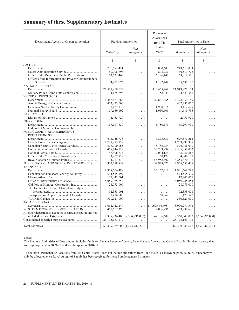## **Summary of these Supplementary Estimates**

| Department, Agency or Crown corporation                   |                                 | Previous Authorities                             | Permanent<br>Allocations<br>from TB              | Total Authorities to Date              |                               |
|-----------------------------------------------------------|---------------------------------|--------------------------------------------------|--------------------------------------------------|----------------------------------------|-------------------------------|
|                                                           | Budgetary                       | $Non-$<br>Budgetary                              | Central<br>Votes                                 | Budgetary                              | $Non-$<br>Budgetary           |
|                                                           | \$                              | $\mathcal{S}$                                    | $\mathcal{S}$                                    | $\mathcal{S}$                          | $\mathcal{S}$                 |
| <b>JUSTICE</b>                                            |                                 |                                                  |                                                  |                                        |                               |
|                                                           | 736,581,431                     | $\ldots$                                         | 13.030.603                                       | 749.612.034                            | .                             |
|                                                           | 59,708,793                      | .                                                | 808,930                                          | 60,517,723                             | .                             |
| Offices of the Information and Privacy Commissioners      | 163,623,465                     | 1.1.1.1                                          | 6,196,101                                        | 169,819,566                            | .                             |
| NATIONAL DEFENCE                                          | 34,452,676                      | .                                                | 1,182,449                                        | 35,635,125                             |                               |
|                                                           | 21,509,419,655                  | .                                                | 410,455,469                                      | 21,919,875,124                         | .                             |
|                                                           | 4,685,298                       | .                                                | 158,049                                          | 4,843,347                              | .                             |
| <b>NATURAL RESOURCES</b>                                  |                                 |                                                  |                                                  |                                        |                               |
|                                                           | 4,468,477,684                   | .                                                | 29,861,465                                       | 4,498,339,149                          | .                             |
|                                                           | 402,452,000                     | a a a a a                                        | 1.1.1.1                                          | 402,452,000                            | .                             |
|                                                           | 131,422,113                     | .                                                | 1.990.516                                        | 133,412,629                            | .                             |
|                                                           | 59,669,192                      | .                                                | 1,950,601                                        | 61,619,793                             | .                             |
| <b>PARLIAMENT</b>                                         |                                 |                                                  |                                                  |                                        |                               |
|                                                           | 42,455,920                      | $\ldots$                                         | .                                                | 42,455,920                             | .                             |
| PRIVY COUNCIL                                             |                                 |                                                  |                                                  |                                        |                               |
|                                                           | 157,517,359                     | .                                                | 5,780,571                                        | 163,297,930                            | .                             |
|                                                           | .                               | .                                                | .                                                | $\mathbb{R}^n$ . In the $\mathbb{R}^n$ | .                             |
| PUBLIC SAFETY AND EMERGENCY<br><b>PREPAREDNESS</b>        |                                 |                                                  |                                                  |                                        |                               |
|                                                           | 672,746,733                     | .                                                | 6,825,531                                        | 679, 572, 264                          | .                             |
|                                                           | 1,789,993,927                   | 1.1.1.1                                          | .                                                | 1,789,993,927                          | .                             |
|                                                           | 507,900,065                     | .                                                | 18,185,954                                       | 526,086,019                            | .                             |
|                                                           | 2,468,146,139                   | .                                                | 37,703,934                                       | 2,505,850,073                          | .                             |
|                                                           | 46,406,733                      | 1.1.1.1                                          | 2,044,134                                        | 48,450,867                             | .                             |
|                                                           | 3,957,939                       | $\cdots$                                         | 50,172                                           | 4,008,111                              | .                             |
|                                                           | 3,194,711,530                   | .                                                | 58,958,602                                       | 3,253,670,132                          | .                             |
| PUBLIC WORKS AND GOVERNMENT SERVICES                      | 2,902,678,852                   | .                                                | 52,978,575                                       | 2,955,657,427                          | .                             |
| <b>TRANSPORT</b>                                          |                                 |                                                  |                                                  |                                        |                               |
|                                                           | 1,868,506,488                   | .                                                | 33, 162, 311                                     | 1,901,668,799                          | .                             |
| Canadian Air Transport Security Authority                 | 594,555,399                     | .                                                | .                                                | 594,555,399                            | .                             |
|                                                           | 117,442,001                     | .                                                | .                                                | 117,442,001                            | .                             |
|                                                           | 8,059,985,854                   | 1.1.1.1                                          | $\mathbb{Z}^2$ . $\mathbb{Z}^2$ , $\mathbb{Z}^2$ | 8,059,985,854                          | .                             |
|                                                           | 28,073,000                      | .                                                | .                                                | 28,073,000                             | .                             |
| The Jacques Cartier and Champlain Bridges                 |                                 |                                                  |                                                  |                                        |                               |
|                                                           | 92,358,001                      | .                                                | $\mathbb{Z}^2$ . The set of $\mathbb{Z}^2$       | 92,358,001                             | .                             |
|                                                           | 1,416,580<br>550,521,000        | .                                                | 60,962                                           | 1,477,542<br>550,521,000               | .                             |
| TREASURY BOARD                                            |                                 | .                                                | $\mathbb{Z}^2$ . The set                         |                                        | .                             |
|                                                           | 5,052,742,240                   | .                                                | (1,062,464,698)                                  | 3,990,277,542                          |                               |
| WESTERN ECONOMIC DIVERSIFICATION                          | 451,652,390                     | $\mathbb{Z}^2$ . $\mathbb{Z}^2$ , $\mathbb{Z}^2$ | 2,086,236                                        | 453,738,626                            | .<br>.                        |
| All other departments, agencies or Crown corporations not |                                 |                                                  |                                                  |                                        |                               |
|                                                           |                                 | $9,318,236,403$ (2,504,996,000)                  | 42,106,609                                       |                                        | 9,360,343,012 (2,504,996,000) |
|                                                           | 23, 195, 163, 112               | .                                                | .                                                | 23, 195, 163, 112                      | $\ldots$                      |
|                                                           |                                 |                                                  |                                                  |                                        |                               |
|                                                           | 263,439,089,608 (1,494,782,221) |                                                  | 1.1.1.1                                          | $263,439,089,608$ $(1,494,782,221)$    |                               |

Notes:

The Previous Authorities to Date amount includes funds for Canada Revenue Agency, Parks Canada Agency and Canada Boarder Services Agency that were appropriated in 2009–10 and will be spent in 2010–11.

The column "Permanent Allocations from TB Central Votes" does not include allocations from TB Vote 15, as shown on pages 69 to 72, since they will only be allocated once Royal Assent of Supply has been received for these Supplementary Estimates.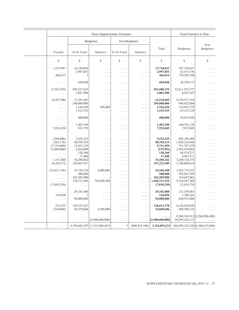| These Supplementary Estimates                                                            |                                                                                       |                                                                     |                                             |                                                                    |                                                                                       |                                                                                                          | <b>Total Estimates to Date</b>                        |
|------------------------------------------------------------------------------------------|---------------------------------------------------------------------------------------|---------------------------------------------------------------------|---------------------------------------------|--------------------------------------------------------------------|---------------------------------------------------------------------------------------|----------------------------------------------------------------------------------------------------------|-------------------------------------------------------|
| Transfer                                                                                 | Budgetary<br>To be Voted<br>Statutory                                                 |                                                                     | Non-Budgetary<br>To be Voted                | Statutory                                                          | Total                                                                                 | Budgetary                                                                                                | Non-<br>Budgetary                                     |
| \$                                                                                       | \$                                                                                    | \$                                                                  | \$                                          | \$                                                                 | \$                                                                                    | \$                                                                                                       | \$                                                    |
| 1,533,987<br>$\ldots$<br>466,013                                                         | 16,184,836<br>2,997,853<br>1                                                          | $\ldots$ .<br>.<br>$\mathbb{Z}^2$ . $\mathbb{Z}^2$ , $\mathbb{Z}^2$ | $\alpha$ , $\alpha$ , $\alpha$<br>.<br>.    | $\ldots$<br>.<br>$\ldots$                                          | 17,718,823<br>2,997,853<br>466,014                                                    | 767,330,857<br>63,515,576<br>170,285,580                                                                 | $\ldots$<br>.<br>.                                    |
| $\ldots$                                                                                 | 694,048                                                                               | $\ldots$                                                            | .                                           | $\ldots$                                                           | 694,048                                                                               | 36,329,173                                                                                               | .                                                     |
| (7,547,470)<br>$\ldots$                                                                  | 699,227,623<br>2,081,900                                                              | .<br>.                                                              | .<br>.                                      | $\alpha$ is a second .<br>.                                        | 691,680,153<br>2,081,900                                                              | 22,611,555,277<br>6,925,247                                                                              | .<br>.                                                |
| 16,927,000<br>$\mathbb{Z}^2$ . $\mathbb{Z}^2$ , $\mathbb{Z}^2$<br>.<br>.                 | 15,291,405<br>294,000,000<br>1,342,650<br>1,515,335                                   | $\ldots$<br>$\ldots$ .<br>200,000<br>.                              | .<br>.<br>.<br>.                            | $\ldots$<br>$\ldots$<br>.<br>.                                     | 32,218,405<br>294,000,000<br>1,542,650<br>1,515,335                                   | 4,530,557,554<br>696,452,000<br>134,955,279<br>63,135,128                                                | .<br>.<br>.                                           |
| $\ldots$                                                                                 | 600,000                                                                               | $\ldots$                                                            | $\ldots$                                    | $\ldots$                                                           | 600,000                                                                               | 43,055,920                                                                                               | .                                                     |
| $\mathbb{Z}^n$ . In the $\mathbb{Z}^n$<br>7,018,250                                      | 1,403,190<br>913,795                                                                  | 1.1.1.1<br>$\ldots$                                                 | 1.1.1.1<br>$\alpha$ is a second             | $\ldots$<br>$\mathbb{Z}^2$ . $\mathbb{Z}^2$ , $\mathbb{Z}^2$       | 1,403,190<br>7,932,045                                                                | 164,701,120<br>7,932,045                                                                                 | .<br>$\mathbb{Z}^2$ . $\mathbb{Z}^2$ , $\mathbb{Z}^2$ |
| (304,000)<br>(265, 170)<br>(7, 119, 800)<br>(2,400,000)<br>.<br>.<br>1,151,400           | 2,838,225<br>40,595,285<br>12,831,259<br>2,024,009<br>128,360<br>37,400<br>34,298,842 | .<br>.<br>.<br>1.1.1.1<br>.<br>.<br>.                               | .<br>.<br>.<br>.<br>.<br>.<br>.             | $\alpha$ is a second .<br>.<br>.<br>$\ldots$<br>.<br>.<br>$\ldots$ | 2,534,225<br>40,330,115<br>5,711,459<br>(375, 991)<br>128,360<br>37,400<br>35,450,242 | 682,106,489<br>1,830,324,042<br>531,797,478<br>2,505,474,082<br>48,579,227<br>4,045,511<br>3,289,120,374 | .<br>.<br>.<br>.<br>.<br>.                            |
| 26,430,272<br>(15,621,728)<br>.<br>$\mathbb{Z}^2$ . $\mathbb{Z}^2$ , $\mathbb{Z}^2$<br>. | 126,801,917<br>35,728,176<br>500,000<br>102,205,000<br>719,311,945                    | $\ldots$<br>4,000,000<br>$\ldots$<br>.<br>730,999,590               | .<br>.<br>.<br>.                            | .<br>.<br>.<br>$\ldots$<br>$\ldots$                                | 153,232,189<br>24,106,448<br>500,000<br>102,205,000<br>1,450,311,535                  | 3,108,889,616<br>1,925,775,247<br>595,055,399<br>219,647,001<br>9,510,297,389                            | .<br>.<br>$\sim$ $\sim$ $\sim$ $\sim$<br>.            |
| (7,018,250)                                                                              | $\alpha$ , $\alpha$ , $\alpha$                                                        | $\ldots$                                                            | .<br>$\mathbb{R}^n$ . In the $\mathbb{R}^n$ | .                                                                  | (7,018,250)                                                                           | 21,054,750                                                                                               | .<br>.                                                |
| $\ldots$<br>310,698<br>$\mathbb{Z}^2$ . $\mathbb{Z}^2$ , $\mathbb{Z}^2$                  | 29,181,000<br>94,000,000                                                              | $\cdots$<br>$\ldots$<br>$\ldots$                                    | .<br>.<br>.                                 | $\ldots$<br>.<br>$\ldots$                                          | 29,181,000<br>310,699<br>94,000,000                                                   | 121,539,001<br>1,788,241<br>644,521,000                                                                  | .<br>.<br>.                                           |
| 276,355<br>(230,000)                                                                     | 138,357,023<br>30,579,606                                                             | 1.1.1.1<br>4,500,000                                                | .<br>.                                      | $\alpha$ is a second .<br>$\alpha$ is a set                        | 138,633,378<br>34,849,606                                                             | 4,128,910,920<br>488,588,232                                                                             | .<br>.                                                |
| $\cdots$<br>$\ldots$                                                                     | .<br>$\ldots$                                                                         | (2,900,000,000)                                                     | $\ldots$<br>.                               | $\ldots$                                                           | .<br>$\ldots$ $(2,900,000,000)$                                                       | 20, 295, 163, 112                                                                                        | 9,360,343,012 (2,504,996,000)<br>.                    |
| $\mathbb{R}^n$ . In the $\mathbb{R}^n$                                                   |                                                                                       | 4,359,682,107 (1,215,409,487)                                       | 3                                           | (809, 433, 390)                                                    | 2,334,839,233                                                                         | 266,583,362,228 (2,304,215,608)                                                                          |                                                       |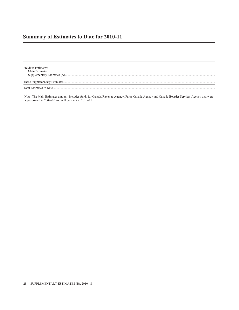## <span id="page-25-0"></span>**Summary of Estimates to Date for 2010-11**

Previous Estimates: 

-

Note: The Main Estimates amount includes funds for Canada Revenue Agency, Parks Canada Agency and Canada Boarder Services Agency that were appropriated in 2009–10 and will be spent in 2010–11.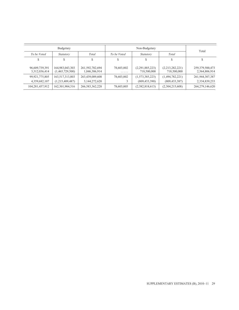| Total                            |                                | Non-Budgetary                  |                 |                                     | Budgetary                          |                                 |
|----------------------------------|--------------------------------|--------------------------------|-----------------|-------------------------------------|------------------------------------|---------------------------------|
|                                  | Total                          | Statutory                      | To be Voted     | Total                               | Statutory                          | To be Voted                     |
|                                  |                                |                                | Φ               | Φ                                   |                                    |                                 |
| 259,379,500,473<br>2,564,806,914 | (2,213,282,221)<br>718,500,000 | (2,291,885,223)<br>718,500,000 | 78,603,002<br>. | 261, 592, 782, 694<br>1,846,306,914 | 164,983,043,303<br>(1,465,729,500) | 96,609,739,391<br>3,312,036,414 |
| 261,944,307,387                  | (1,494,782,221)                | (1,573,385,223)                | 78,603,002      | 263,439,089,608                     | 163,517,313,803                    | 99, 921, 775, 805               |
| 2,334,839,233                    | (809, 433, 387)                | (809, 433, 390)                |                 | 3, 144, 272, 620                    | (1,215,409,487)                    | 4,359,682,107                   |
| 264, 279, 146, 620               | (2,304,215,608)                | (2,382,818,613)                | 78,603,005      | 266,583,362,228                     | 162, 301, 904, 316                 | 104,281,457,912                 |
|                                  |                                |                                |                 |                                     |                                    |                                 |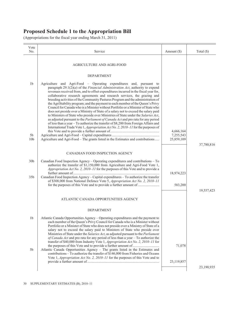<span id="page-27-0"></span>

| Vote<br>No.           | Service                                                                                                                                                                                                                                                                                                                                                                                                                                                                                                                                                                                                                                                                                                                                                                                                                                                                                                                                                                                                                                        | Amount $(\$)$           | Total $(\$)$ |
|-----------------------|------------------------------------------------------------------------------------------------------------------------------------------------------------------------------------------------------------------------------------------------------------------------------------------------------------------------------------------------------------------------------------------------------------------------------------------------------------------------------------------------------------------------------------------------------------------------------------------------------------------------------------------------------------------------------------------------------------------------------------------------------------------------------------------------------------------------------------------------------------------------------------------------------------------------------------------------------------------------------------------------------------------------------------------------|-------------------------|--------------|
|                       | AGRICULTURE AND AGRI-FOOD                                                                                                                                                                                                                                                                                                                                                                                                                                                                                                                                                                                                                                                                                                                                                                                                                                                                                                                                                                                                                      |                         |              |
|                       | <b>DEPARTMENT</b>                                                                                                                                                                                                                                                                                                                                                                                                                                                                                                                                                                                                                                                                                                                                                                                                                                                                                                                                                                                                                              |                         |              |
| 1 <sub>b</sub>        | Agriculture and Agri-Food – Operating expenditures and, pursuant to<br>paragraph $29.1(2)(a)$ of the <i>Financial Administration Act</i> , authority to expend<br>revenues received from, and to offset expenditures incurred in the fiscal year for,<br>collaborative research agreements and research services, the grazing and<br>breeding activities of the Community Pastures Program and the administration of<br>the AgriStability program; and the payment to each member of the Queen's Privy<br>Council for Canada who is a Minister without Portfolio or a Minister of State who<br>does not preside over a Ministry of State of a salary not to exceed the salary paid<br>to Ministers of State who preside over Ministries of State under the Salaries Act,<br>as adjusted pursuant to the <i>Parliament of Canada Act</i> and pro rata for any period<br>of less than a year - To authorize the transfer of \$8,200 from Foreign Affairs and<br>International Trade Vote 1, Appropriation Act No. 2, 2010-11 for the purposes of | 4,666,164               |              |
| 5b<br>10 <sub>b</sub> | Agriculture and Agri-Food - The grants listed in the Estimates and contributions                                                                                                                                                                                                                                                                                                                                                                                                                                                                                                                                                                                                                                                                                                                                                                                                                                                                                                                                                               | 7,255,543<br>25,859,109 |              |
|                       |                                                                                                                                                                                                                                                                                                                                                                                                                                                                                                                                                                                                                                                                                                                                                                                                                                                                                                                                                                                                                                                |                         | 37,780,816   |
|                       | CANADIAN FOOD INSPECTION AGENCY                                                                                                                                                                                                                                                                                                                                                                                                                                                                                                                                                                                                                                                                                                                                                                                                                                                                                                                                                                                                                |                         |              |
| 30 <sub>b</sub>       | Canadian Food Inspection Agency - Operating expenditures and contributions - To<br>authorize the transfer of \$1,150,000 from Agriculture and Agri-Food Vote 1,<br>Appropriation Act No. 2, 2010-11 for the purposes of this Vote and to provide a                                                                                                                                                                                                                                                                                                                                                                                                                                                                                                                                                                                                                                                                                                                                                                                             |                         |              |
| 35 <sub>b</sub>       | Canadian Food Inspection Agency - Capital expenditures - To authorize the transfer                                                                                                                                                                                                                                                                                                                                                                                                                                                                                                                                                                                                                                                                                                                                                                                                                                                                                                                                                             | 18,974,223              |              |
|                       | of \$308,000 from National Defence Vote 5, Appropriation Act No. 2, 2010-11                                                                                                                                                                                                                                                                                                                                                                                                                                                                                                                                                                                                                                                                                                                                                                                                                                                                                                                                                                    | 583,200                 | 19,557,423   |
|                       | ATLANTIC CANADA OPPORTUNITIES AGENCY                                                                                                                                                                                                                                                                                                                                                                                                                                                                                                                                                                                                                                                                                                                                                                                                                                                                                                                                                                                                           |                         |              |
|                       | <b>DEPARTMENT</b>                                                                                                                                                                                                                                                                                                                                                                                                                                                                                                                                                                                                                                                                                                                                                                                                                                                                                                                                                                                                                              |                         |              |
| 1 <sub>b</sub><br>5b  | Atlantic Canada Opportunities Agency - Operating expenditures and the payment to<br>each member of the Queen's Privy Council for Canada who is a Minister without<br>Portfolio or a Minister of State who does not preside over a Ministry of State of a<br>salary not to exceed the salary paid to Ministers of State who preside over<br>Ministries of State under the Salaries Act, as adjusted pursuant to the Parliament<br>of Canada Act and pro rata for any period of less than a year $-$ To authorize the<br>transfer of \$40,000 from Industry Vote 1, <i>Appropriation Act No. 2, 2010–11</i> for<br>Atlantic Canada Opportunities Agency - The grants listed in the Estimates and<br>contributions – To authorize the transfer of \$146,000 from Fisheries and Oceans                                                                                                                                                                                                                                                             | 71,078                  |              |
|                       | Vote 1, <i>Appropriation Act No. 2, 2010–11</i> for the purposes of this Vote and to                                                                                                                                                                                                                                                                                                                                                                                                                                                                                                                                                                                                                                                                                                                                                                                                                                                                                                                                                           | 23,119,857              |              |
|                       |                                                                                                                                                                                                                                                                                                                                                                                                                                                                                                                                                                                                                                                                                                                                                                                                                                                                                                                                                                                                                                                |                         | 23,190,935   |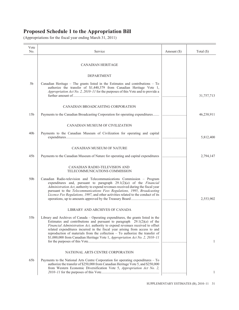| Vote            |                                                                                                                                                                                                                                                                                                                                                                                                                                                                                                 |             |            |
|-----------------|-------------------------------------------------------------------------------------------------------------------------------------------------------------------------------------------------------------------------------------------------------------------------------------------------------------------------------------------------------------------------------------------------------------------------------------------------------------------------------------------------|-------------|------------|
| No.             | Service                                                                                                                                                                                                                                                                                                                                                                                                                                                                                         | Amount (\$) | Total (\$) |
|                 | <b>CANADIAN HERITAGE</b>                                                                                                                                                                                                                                                                                                                                                                                                                                                                        |             |            |
|                 | <b>DEPARTMENT</b>                                                                                                                                                                                                                                                                                                                                                                                                                                                                               |             |            |
| 5 <sub>b</sub>  | Canadian Heritage – The grants listed in the Estimates and contributions – To<br>authorize the transfer of \$1,440,379 from Canadian Heritage Vote 1,<br>Appropriation Act No. 2, 2010-11 for the purposes of this Vote and to provide a                                                                                                                                                                                                                                                        |             | 31,757,713 |
|                 | CANADIAN BROADCASTING CORPORATION                                                                                                                                                                                                                                                                                                                                                                                                                                                               |             |            |
| 15 <sub>b</sub> | Payments to the Canadian Broadcasting Corporation for operating expenditures                                                                                                                                                                                                                                                                                                                                                                                                                    |             | 46,238,911 |
|                 | CANADIAN MUSEUM OF CIVILIZATION                                                                                                                                                                                                                                                                                                                                                                                                                                                                 |             |            |
| 40 <sub>b</sub> | Payments to the Canadian Museum of Civilization for operating and capital                                                                                                                                                                                                                                                                                                                                                                                                                       |             | 5,812,400  |
|                 | CANADIAN MUSEUM OF NATURE                                                                                                                                                                                                                                                                                                                                                                                                                                                                       |             |            |
| 45 <sub>b</sub> | Payments to the Canadian Museum of Nature for operating and capital expenditures                                                                                                                                                                                                                                                                                                                                                                                                                | <br>        | 2,794,147  |
|                 | CANADIAN RADIO-TELEVISION AND<br>TELECOMMUNICATIONS COMMISSION                                                                                                                                                                                                                                                                                                                                                                                                                                  |             |            |
| 50 <sub>b</sub> | Canadian Radio-television and Telecommunications Commission - Program<br>expenditures and, pursuant to paragraph $29.1(2)(a)$ of the <i>Financial</i><br>Administration Act, authority to expend revenues received during the fiscal year<br>pursuant to the Telecommunications Fees Regulations, 1995, Broadcasting<br>Licence Fee Regulations, 1997, and other activities related to the conduct of its                                                                                       |             | 2,553,902  |
|                 | LIBRARY AND ARCHIVES OF CANADA                                                                                                                                                                                                                                                                                                                                                                                                                                                                  |             |            |
| 55b             | Library and Archives of Canada – Operating expenditures, the grants listed in the<br>Estimates and contributions and pursuant to paragraph $29.1(2)(a)$ of the<br>Financial Administration Act, authority to expend revenues received to offset<br>related expenditures incurred in the fiscal year arising from access to and<br>reproduction of materials from the collection $-$ To authorize the transfer of<br>\$1,000,000 from Canadian Heritage Vote 1, Appropriation Act No. 2, 2010-11 |             | 1          |
|                 | NATIONAL ARTS CENTRE CORPORATION                                                                                                                                                                                                                                                                                                                                                                                                                                                                |             |            |
| 65b             | Payments to the National Arts Centre Corporation for operating expenditures – To<br>authorize the transfer of \$250,000 from Canadian Heritage Vote 5, and \$250,000<br>from Western Economic Diversification Vote 5, Appropriation Act No. 2,                                                                                                                                                                                                                                                  |             | 1          |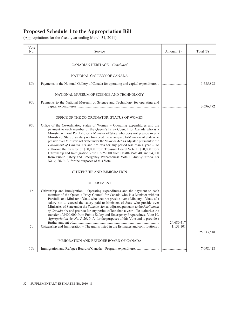| Vote<br>No.     | Service                                                                                                                                                                                                                                                                                                                                                                                                                                                                                                                                                                                                                                                                                                                                                      | Amount (\$) | Total $(\$)$ |
|-----------------|--------------------------------------------------------------------------------------------------------------------------------------------------------------------------------------------------------------------------------------------------------------------------------------------------------------------------------------------------------------------------------------------------------------------------------------------------------------------------------------------------------------------------------------------------------------------------------------------------------------------------------------------------------------------------------------------------------------------------------------------------------------|-------------|--------------|
|                 | CANADIAN HERITAGE - Concluded                                                                                                                                                                                                                                                                                                                                                                                                                                                                                                                                                                                                                                                                                                                                |             |              |
|                 | NATIONAL GALLERY OF CANADA                                                                                                                                                                                                                                                                                                                                                                                                                                                                                                                                                                                                                                                                                                                                   |             |              |
| 80b             | Payments to the National Gallery of Canada for operating and capital expenditures                                                                                                                                                                                                                                                                                                                                                                                                                                                                                                                                                                                                                                                                            |             | 1,685,898    |
|                 | NATIONAL MUSEUM OF SCIENCE AND TECHNOLOGY                                                                                                                                                                                                                                                                                                                                                                                                                                                                                                                                                                                                                                                                                                                    |             |              |
| 90 <sub>b</sub> | Payments to the National Museum of Science and Technology for operating and                                                                                                                                                                                                                                                                                                                                                                                                                                                                                                                                                                                                                                                                                  |             | 3,696,472    |
|                 | OFFICE OF THE CO-ORDINATOR, STATUS OF WOMEN                                                                                                                                                                                                                                                                                                                                                                                                                                                                                                                                                                                                                                                                                                                  |             |              |
| 95b             | Office of the Co-ordinator, Status of Women - Operating expenditures and the<br>payment to each member of the Queen's Privy Council for Canada who is a<br>Minister without Portfolio or a Minister of State who does not preside over a<br>Ministry of State of a salary not to exceed the salary paid to Ministers of State who<br>preside over Ministries of State under the Salaries Act, as adjusted pursuant to the<br><i>Parliament of Canada Act</i> and pro rata for any period less than a year $-$ To<br>authorize the transfer of \$50,000 from Treasury Board Vote 1, \$50,000 from<br>Citizenship and Immigration Vote 1, \$25,000 from Health Vote 40, and \$4,000<br>from Public Safety and Emergency Preparedness Vote 1, Appropriation Act |             | 1            |
|                 | CITIZENSHIP AND IMMIGRATION                                                                                                                                                                                                                                                                                                                                                                                                                                                                                                                                                                                                                                                                                                                                  |             |              |
|                 | <b>DEPARTMENT</b>                                                                                                                                                                                                                                                                                                                                                                                                                                                                                                                                                                                                                                                                                                                                            |             |              |
| 1 <sub>b</sub>  | Citizenship and Immigration - Operating expenditures and the payment to each<br>member of the Queen's Privy Council for Canada who is a Minister without<br>Portfolio or a Minister of State who does not preside over a Ministry of State of a<br>salary not to exceed the salary paid to Ministers of State who preside over<br>Ministries of State under the Salaries Act, as adjusted pursuant to the Parliament<br>of Canada Act and pro rata for any period of less than a year $-$ To authorize the<br>transfer of \$400,000 from Public Safety and Emergency Preparedness Vote 10,<br>Appropriation Act No. 2, 2010-11 for the purposes of this Vote and to provide a<br>further amount of                                                           | 24,680,417  |              |
| 5b              | Citizenship and Immigration - The grants listed in the Estimates and contributions                                                                                                                                                                                                                                                                                                                                                                                                                                                                                                                                                                                                                                                                           | 1,153,101   | 25,833,518   |
|                 | IMMIGRATION AND REFUGEE BOARD OF CANADA                                                                                                                                                                                                                                                                                                                                                                                                                                                                                                                                                                                                                                                                                                                      |             |              |
| 10 <sub>b</sub> |                                                                                                                                                                                                                                                                                                                                                                                                                                                                                                                                                                                                                                                                                                                                                              |             | 7,098,418    |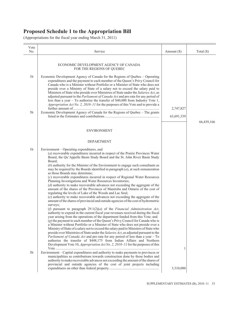| Vote<br>No.                      | Service                                                                                                                                                                                                                                                                                                                                                                                                                                                                                                                                                                                                                                                                                                                                                                                                                                                                                                                                                                                                                                                                                                                                                                                                                                                                                                                                                                                                                                                                                                                                                                                                                                                                                                                                                                                                                                                                                                                                                                  | Amount $(\$)$           | Total (\$) |
|----------------------------------|--------------------------------------------------------------------------------------------------------------------------------------------------------------------------------------------------------------------------------------------------------------------------------------------------------------------------------------------------------------------------------------------------------------------------------------------------------------------------------------------------------------------------------------------------------------------------------------------------------------------------------------------------------------------------------------------------------------------------------------------------------------------------------------------------------------------------------------------------------------------------------------------------------------------------------------------------------------------------------------------------------------------------------------------------------------------------------------------------------------------------------------------------------------------------------------------------------------------------------------------------------------------------------------------------------------------------------------------------------------------------------------------------------------------------------------------------------------------------------------------------------------------------------------------------------------------------------------------------------------------------------------------------------------------------------------------------------------------------------------------------------------------------------------------------------------------------------------------------------------------------------------------------------------------------------------------------------------------------|-------------------------|------------|
| 1 <sub>b</sub><br>5b             | ECONOMIC DEVELOPMENT AGENCY OF CANADA<br>FOR THE REGIONS OF QUEBEC<br>Economic Development Agency of Canada for the Regions of Quebec – Operating<br>expenditures and the payment to each member of the Queen's Privy Council for<br>Canada who is a Minister without Portfolio or a Minister of State who does not<br>preside over a Ministry of State of a salary not to exceed the salary paid to<br>Ministers of State who preside over Ministries of State under the Salaries Act, as<br>adjusted pursuant to the <i>Parliament of Canada Act</i> and pro rata for any period of<br>less than a year $-$ To authorize the transfer of \$40,000 from Industry Vote 1,<br>Appropriation Act No. 2, 2010-11 for the purposes of this Vote and to provide a<br>Economic Development Agency of Canada for the Regions of Quebec - The grants                                                                                                                                                                                                                                                                                                                                                                                                                                                                                                                                                                                                                                                                                                                                                                                                                                                                                                                                                                                                                                                                                                                             | 2,747,827<br>63,691,339 |            |
|                                  | <b>ENVIRONMENT</b>                                                                                                                                                                                                                                                                                                                                                                                                                                                                                                                                                                                                                                                                                                                                                                                                                                                                                                                                                                                                                                                                                                                                                                                                                                                                                                                                                                                                                                                                                                                                                                                                                                                                                                                                                                                                                                                                                                                                                       |                         | 66,439,166 |
| 1 <sub>b</sub><br>5 <sub>b</sub> | <b>DEPARTMENT</b><br>Environment – Operating expenditures, and<br>(a) recoverable expenditures incurred in respect of the Prairie Provinces Water<br>Board, the Qu'Appelle Basin Study Board and the St. John River Basin Study<br>Board;<br>$(b)$ authority for the Minister of the Environment to engage such consultants as<br>may be required by the Boards identified in paragraph $(a)$ , at such remuneration<br>as those Boards may determine;<br>(c) recoverable expenditures incurred in respect of Regional Water Resources<br>Planning Investigations and Water Resources Inventories;<br>$(d)$ authority to make recoverable advances not exceeding the aggregate of the<br>amount of the shares of the Provinces of Manitoba and Ontario of the cost of<br>regulating the levels of Lake of the Woods and Lac Seul;<br>(e) authority to make recoverable advances not exceeding the aggregate of the<br>amount of the shares of provincial and outside agencies of the cost of hydrometric<br>surveys;<br>(f) pursuant to paragraph $29.1(2)(a)$ of the Financial Administration Act,<br>authority to expend in the current fiscal year revenues received during the fiscal<br>year arising from the operations of the department funded from this Vote; and<br>$(g)$ the payment to each member of the Queen's Privy Council for Canada who is<br>a Minister without Portfolio or a Minister of State who does not preside over a<br>Ministry of State of a salary not to exceed the salary paid to Ministers of State who<br>preside over Ministries of State under the Salaries Act, as adjusted pursuant to the<br>Parliament of Canada Act and pro rata for any period of less than a year - To<br>authorize the transfer of \$448,175 from Indian Affairs and Northern<br>Development Vote 10, <i>Appropriation Act No. 2, 2010–11</i> for the purposes of this<br>Environment – Capital expenditures and authority to make payments to provinces or | 1                       |            |
|                                  | municipalities as contributions towards construction done by those bodies and<br>authority to make recoverable advances not exceeding the amount of the shares of<br>provincial and outside agencies of the cost of joint projects including                                                                                                                                                                                                                                                                                                                                                                                                                                                                                                                                                                                                                                                                                                                                                                                                                                                                                                                                                                                                                                                                                                                                                                                                                                                                                                                                                                                                                                                                                                                                                                                                                                                                                                                             | 3,310,000               |            |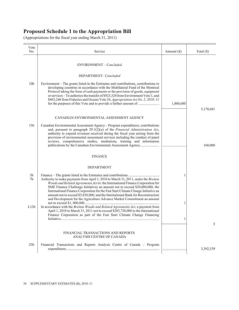| Vote<br>No.     | Service                                                                                                                                                                                                                                                                                                                                                                                                                                                                          | Amount $(\$)$ | Total $(\$)$ |
|-----------------|----------------------------------------------------------------------------------------------------------------------------------------------------------------------------------------------------------------------------------------------------------------------------------------------------------------------------------------------------------------------------------------------------------------------------------------------------------------------------------|---------------|--------------|
|                 | ENVIRONMENT - Concluded                                                                                                                                                                                                                                                                                                                                                                                                                                                          |               |              |
|                 | DEPARTMENT- Concluded                                                                                                                                                                                                                                                                                                                                                                                                                                                            |               |              |
| 10 <sub>b</sub> | Environment – The grants listed in the Estimates and contributions, contributions to<br>developing countries in accordance with the Multilateral Fund of the Montreal<br>Protocol taking the form of cash payments or the provision of goods, equipment<br>or services - To authorize the transfer of \$923,320 from Environment Vote 1, and<br>\$463,246 from Fisheries and Oceans Vote 10, <i>Appropriation Act No. 2, 2010–11</i>                                             | 1,860,680     | 5,170,681    |
|                 | CANADIAN ENVIRONMENTAL ASSESSMENT AGENCY                                                                                                                                                                                                                                                                                                                                                                                                                                         |               |              |
| 15 <sub>b</sub> | Canadian Environmental Assessment Agency - Program expenditures, contributions<br>and, pursuant to paragraph $29.1(2)(a)$ of the <i>Financial Administration Act</i> ,<br>authority to expend revenues received during the fiscal year arising from the<br>provision of environmental assessment services including the conduct of panel<br>reviews, comprehensive studies, mediations, training and information<br>publications by the Canadian Environmental Assessment Agency |               | 160,000      |
|                 | <b>FINANCE</b>                                                                                                                                                                                                                                                                                                                                                                                                                                                                   |               |              |
|                 | <b>DEPARTMENT</b>                                                                                                                                                                                                                                                                                                                                                                                                                                                                |               |              |
| 5b<br>7b        | Authority to make payments from April 1, 2010 to March 31, 2011, under the Bretton<br><i>Woods and Related Agreements Act</i> to: the International Finance Corporation for<br>SME Finance Challenge Initiatives an amount not to exceed \$20,000,000; the<br>International Finance Corporation for the Fast Start Climate Change Initiative an<br>amount not to exceed \$5,830,000; and the International Bank for Reconstruction                                               | 1             |              |
| L12b            | and Development for the Agriculture Advance Market Commitment an amount<br>In accordance with the Bretton Woods and Related Agreements Act, a payment from<br>April 1, 2010 to March 31, 2011 not to exceed \$285,720,000 to the International<br>Finance Corporation as part of the Fast Start Climate Change Financing<br>Initiative                                                                                                                                           | 1             |              |
|                 |                                                                                                                                                                                                                                                                                                                                                                                                                                                                                  |               | 3            |
|                 | FINANCIAL TRANSACTIONS AND REPORTS<br>ANALYSIS CENTRE OF CANADA                                                                                                                                                                                                                                                                                                                                                                                                                  |               |              |
| 25 <sub>b</sub> | Financial Transactions and Reports Analysis Centre of Canada - Program                                                                                                                                                                                                                                                                                                                                                                                                           |               | 3,392,539    |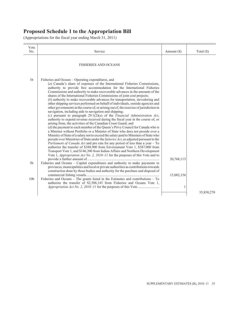| Vote<br>No.     | Service                                                                                                                                                                                                                                                                                                                                                                                                                                                                                                                                                                                                                                                                                                                                                                                                                                                                                                                                                                                                                                                                                                                                                                                                                                                                                                                                                                                                                                                                                                                                                                                                                                 | Amount (\$)     | Total $(\$)$ |
|-----------------|-----------------------------------------------------------------------------------------------------------------------------------------------------------------------------------------------------------------------------------------------------------------------------------------------------------------------------------------------------------------------------------------------------------------------------------------------------------------------------------------------------------------------------------------------------------------------------------------------------------------------------------------------------------------------------------------------------------------------------------------------------------------------------------------------------------------------------------------------------------------------------------------------------------------------------------------------------------------------------------------------------------------------------------------------------------------------------------------------------------------------------------------------------------------------------------------------------------------------------------------------------------------------------------------------------------------------------------------------------------------------------------------------------------------------------------------------------------------------------------------------------------------------------------------------------------------------------------------------------------------------------------------|-----------------|--------------|
|                 | <b>FISHERIES AND OCEANS</b>                                                                                                                                                                                                                                                                                                                                                                                                                                                                                                                                                                                                                                                                                                                                                                                                                                                                                                                                                                                                                                                                                                                                                                                                                                                                                                                                                                                                                                                                                                                                                                                                             |                 |              |
| 1 <sub>b</sub>  | Fisheries and Oceans – Operating expenditures, and<br>(a) Canada's share of expenses of the International Fisheries Commissions,<br>authority to provide free accommodation for the International Fisheries<br>Commissions and authority to make recoverable advances in the amounts of the<br>shares of the International Fisheries Commissions of joint cost projects;<br>$(b)$ authority to make recoverable advances for transportation, stevedoring and<br>other shipping services performed on behalf of individuals, outside agencies and<br>other governments in the course of, or arising out of, the exercise of jurisdiction in<br>navigation, including aids to navigation and shipping;<br>(c) pursuant to paragraph $29.1(2)(a)$ of the Financial Administration Act,<br>authority to expend revenue received during the fiscal year in the course of, or<br>arising from, the activities of the Canadian Coast Guard; and<br>$(d)$ the payment to each member of the Queen's Privy Council for Canada who is<br>a Minister without Portfolio or a Minister of State who does not preside over a<br>Ministry of State of a salary not to exceed the salary paid to Ministers of State who<br>preside over Ministries of State under the Salaries Act, as adjusted pursuant to the<br>Parliament of Canada Act and pro rata for any period of less than a year - To<br>authorize the transfer of \$388,900 from Environment Vote 1, \$387,000 from<br>Transport Vote 1, and \$146,300 from Indian Affairs and Northern Development<br>Vote 1, <i>Appropriation Act No. 2, 2010–11</i> for the purposes of this Vote and to |                 |              |
| 5 <sub>b</sub>  | Fisheries and Oceans - Capital expenditures and authority to make payments to<br>provinces, municipalities and local or private authorities as contributions towards<br>construction done by those bodies and authority for the purchase and disposal of                                                                                                                                                                                                                                                                                                                                                                                                                                                                                                                                                                                                                                                                                                                                                                                                                                                                                                                                                                                                                                                                                                                                                                                                                                                                                                                                                                                | 20,768,113      |              |
| 10 <sub>b</sub> | Fisheries and Oceans $-$ The grants listed in the Estimates and contributions $-$ To<br>authorize the transfer of \$2,506,145 from Fisheries and Oceans Vote 1,                                                                                                                                                                                                                                                                                                                                                                                                                                                                                                                                                                                                                                                                                                                                                                                                                                                                                                                                                                                                                                                                                                                                                                                                                                                                                                                                                                                                                                                                         | 15,082,156<br>1 | 35,850,270   |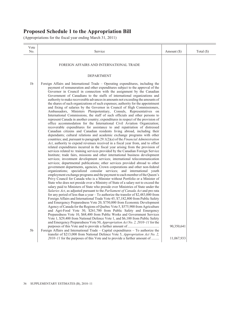| Vote<br>No.    | Service                                                                                                                                                                                                                                                                                                                                                                                                                                                                                                                                                                                                                                                                                                                                                                                                                                                                                                                                                                                                                                                                                                                                                                                                                                                                                                                                                                                                                                                                                                                                                                                                                                                                                                                                                                                                                                                                                                                                                                                                                                                                                                                                                                                                                                                                                                                                                                                                                                                                                                                                                                                                                                                                                                                                           | Amount (\$) | Total $(\$)$ |
|----------------|---------------------------------------------------------------------------------------------------------------------------------------------------------------------------------------------------------------------------------------------------------------------------------------------------------------------------------------------------------------------------------------------------------------------------------------------------------------------------------------------------------------------------------------------------------------------------------------------------------------------------------------------------------------------------------------------------------------------------------------------------------------------------------------------------------------------------------------------------------------------------------------------------------------------------------------------------------------------------------------------------------------------------------------------------------------------------------------------------------------------------------------------------------------------------------------------------------------------------------------------------------------------------------------------------------------------------------------------------------------------------------------------------------------------------------------------------------------------------------------------------------------------------------------------------------------------------------------------------------------------------------------------------------------------------------------------------------------------------------------------------------------------------------------------------------------------------------------------------------------------------------------------------------------------------------------------------------------------------------------------------------------------------------------------------------------------------------------------------------------------------------------------------------------------------------------------------------------------------------------------------------------------------------------------------------------------------------------------------------------------------------------------------------------------------------------------------------------------------------------------------------------------------------------------------------------------------------------------------------------------------------------------------------------------------------------------------------------------------------------------------|-------------|--------------|
|                | FOREIGN AFFAIRS AND INTERNATIONAL TRADE                                                                                                                                                                                                                                                                                                                                                                                                                                                                                                                                                                                                                                                                                                                                                                                                                                                                                                                                                                                                                                                                                                                                                                                                                                                                                                                                                                                                                                                                                                                                                                                                                                                                                                                                                                                                                                                                                                                                                                                                                                                                                                                                                                                                                                                                                                                                                                                                                                                                                                                                                                                                                                                                                                           |             |              |
|                | <b>DEPARTMENT</b>                                                                                                                                                                                                                                                                                                                                                                                                                                                                                                                                                                                                                                                                                                                                                                                                                                                                                                                                                                                                                                                                                                                                                                                                                                                                                                                                                                                                                                                                                                                                                                                                                                                                                                                                                                                                                                                                                                                                                                                                                                                                                                                                                                                                                                                                                                                                                                                                                                                                                                                                                                                                                                                                                                                                 |             |              |
| 1 <sub>b</sub> | Foreign Affairs and International Trade – Operating expenditures, including the<br>payment of remuneration and other expenditures subject to the approval of the<br>Governor in Council in connection with the assignment by the Canadian<br>Government of Canadians to the staffs of international organizations and<br>authority to make recoverable advances in amounts not exceeding the amounts of<br>the shares of such organizations of such expenses; authority for the appointment<br>and fixing of salaries by the Governor in Council of High Commissioners,<br>Ambassadors, Ministers Plenipotentiary, Consuls, Representatives on<br>International Commissions, the staff of such officials and other persons to<br>represent Canada in another country; expenditures in respect of the provision of<br>office accommodation for the International Civil Aviation Organization;<br>recoverable expenditures for assistance to and repatriation of distressed<br>Canadian citizens and Canadian residents living abroad, including their<br>dependants; cultural relations and academic exchange programs with other<br>countries; and, pursuant to paragraph $29.1(2)(a)$ of the <i>Financial Administration</i><br>Act, authority to expend revenues received in a fiscal year from, and to offset<br>related expenditures incurred in the fiscal year arising from the provision of<br>services related to: training services provided by the Canadian Foreign Service<br>Institute; trade fairs, missions and other international business development<br>services; investment development services; international telecommunication<br>services; departmental publications; other services provided abroad to other<br>government departments, agencies, Crown corporations and other non-federal<br>organizations; specialized consular services; and international youth<br>employment exchange programs and the payment to each member of the Queen's<br>Privy Council for Canada who is a Minister without Portfolio or a Minister of<br>State who does not preside over a Ministry of State of a salary not to exceed the<br>salary paid to Ministers of State who preside over Ministries of State under the<br><i>Salaries Act</i> , as adjusted pursuant to the <i>Parliament of Canada Act</i> and pro rata<br>for any period of less than a year $-$ To authorize the transfer of \$2,483,000 from<br>Foreign Affairs and International Trade Vote 45, \$7,182,800 from Public Safety<br>and Emergency Preparedness Vote 20, \$750,000 from Economic Development<br>Agency of Canada for the Regions of Quebec Vote 5, \$575,900 from Agriculture<br>and Agri-Food Vote 30, \$261,700 from Public Safety and Emergency |             |              |
|                | Preparedness Vote 10, \$68,400 from Public Works and Government Services<br>Vote 1, \$29,400 from National Defence Vote 1, and \$6,100 from Public Safety<br>and Emergency Preparedness Vote 50, <i>Appropriation Act No. 2, 2010–11</i> for the                                                                                                                                                                                                                                                                                                                                                                                                                                                                                                                                                                                                                                                                                                                                                                                                                                                                                                                                                                                                                                                                                                                                                                                                                                                                                                                                                                                                                                                                                                                                                                                                                                                                                                                                                                                                                                                                                                                                                                                                                                                                                                                                                                                                                                                                                                                                                                                                                                                                                                  |             |              |
| 5b             | Foreign Affairs and International Trade – Capital expenditures – To authorize the<br>transfer of \$213,000 from National Defence Vote 5, Appropriation Act No. 2,                                                                                                                                                                                                                                                                                                                                                                                                                                                                                                                                                                                                                                                                                                                                                                                                                                                                                                                                                                                                                                                                                                                                                                                                                                                                                                                                                                                                                                                                                                                                                                                                                                                                                                                                                                                                                                                                                                                                                                                                                                                                                                                                                                                                                                                                                                                                                                                                                                                                                                                                                                                 | 90,350,641  |              |
|                | 2010–11 for the purposes of this Vote and to provide a further amount of                                                                                                                                                                                                                                                                                                                                                                                                                                                                                                                                                                                                                                                                                                                                                                                                                                                                                                                                                                                                                                                                                                                                                                                                                                                                                                                                                                                                                                                                                                                                                                                                                                                                                                                                                                                                                                                                                                                                                                                                                                                                                                                                                                                                                                                                                                                                                                                                                                                                                                                                                                                                                                                                          | 11,067,933  |              |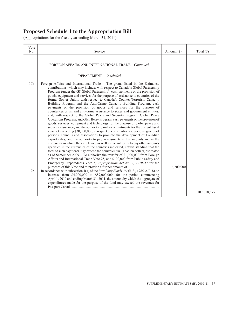| Vote<br>No.                        | Service                                                                                                                                                                                                                                                                                                                                                                                                                                                                                                                                                                                                                                                                                                                                                                                                                                                                                                                                                                                                                                                                                                                                                                                                                                                                                                                                                                                                                                                                                                                                                                                                                                                                                                                                                                                                                                                                                                                                                                                                                                                                           | Amount $(\$)$             | Total $(\$)$ |
|------------------------------------|-----------------------------------------------------------------------------------------------------------------------------------------------------------------------------------------------------------------------------------------------------------------------------------------------------------------------------------------------------------------------------------------------------------------------------------------------------------------------------------------------------------------------------------------------------------------------------------------------------------------------------------------------------------------------------------------------------------------------------------------------------------------------------------------------------------------------------------------------------------------------------------------------------------------------------------------------------------------------------------------------------------------------------------------------------------------------------------------------------------------------------------------------------------------------------------------------------------------------------------------------------------------------------------------------------------------------------------------------------------------------------------------------------------------------------------------------------------------------------------------------------------------------------------------------------------------------------------------------------------------------------------------------------------------------------------------------------------------------------------------------------------------------------------------------------------------------------------------------------------------------------------------------------------------------------------------------------------------------------------------------------------------------------------------------------------------------------------|---------------------------|--------------|
|                                    | FOREIGN AFFAIRS AND INTERNATIONAL TRADE - Continued                                                                                                                                                                                                                                                                                                                                                                                                                                                                                                                                                                                                                                                                                                                                                                                                                                                                                                                                                                                                                                                                                                                                                                                                                                                                                                                                                                                                                                                                                                                                                                                                                                                                                                                                                                                                                                                                                                                                                                                                                               |                           |              |
|                                    | DEPARTMENT - Concluded                                                                                                                                                                                                                                                                                                                                                                                                                                                                                                                                                                                                                                                                                                                                                                                                                                                                                                                                                                                                                                                                                                                                                                                                                                                                                                                                                                                                                                                                                                                                                                                                                                                                                                                                                                                                                                                                                                                                                                                                                                                            |                           |              |
| 10 <sub>b</sub><br>12 <sub>b</sub> | Foreign Affairs and International Trade - The grants listed in the Estimates,<br>contributions, which may include: with respect to Canada's Global Partnership<br>Program (under the G8 Global Partnership), cash payments or the provision of<br>goods, equipment and services for the purpose of assistance to countries of the<br>former Soviet Union; with respect to Canada's Counter-Terrorism Capacity<br>Building Program and the Anti-Crime Capacity Building Program, cash<br>payments or the provision of goods and services for the purpose of<br>counter-terrorism and anti-crime assistance to states and government entities;<br>and, with respect to the Global Peace and Security Program, Global Peace<br>Operations Program, and Glyn Berry Program, cash payments or the provision of<br>goods, services, equipment and technology for the purpose of global peace and<br>security assistance; and the authority to make commitments for the current fiscal<br>year not exceeding \$30,000,000, in respect of contributions to persons, groups of<br>persons, councils and associations to promote the development of Canadian<br>export sales; and the authority to pay assessments in the amounts and in the<br>currencies in which they are levied as well as the authority to pay other amounts<br>specified in the currencies of the countries indicated, notwithstanding that the<br>total of such payments may exceed the equivalent in Canadian dollars, estimated<br>as of September 2009 - To authorize the transfer of \$1,000,000 from Foreign<br>Affairs and International Trade Vote 25, and \$100,000 from Public Safety and<br>Emergency Preparedness Vote 5, Appropriation Act No. 2, 2010-11 for the<br>In accordance with subsection 4(3) of the <i>Revolving Funds Act</i> (R.S., 1985, c. R-8), to<br>increase from \$4,000,000 to \$89,000,000, for the period commencing<br>April 1, 2010 and ending March 31, 2011, the amount by which the aggregate of<br>expenditures made for the purpose of the fund may exceed the revenues for | 6,200,000<br>$\mathbf{1}$ |              |
|                                    |                                                                                                                                                                                                                                                                                                                                                                                                                                                                                                                                                                                                                                                                                                                                                                                                                                                                                                                                                                                                                                                                                                                                                                                                                                                                                                                                                                                                                                                                                                                                                                                                                                                                                                                                                                                                                                                                                                                                                                                                                                                                                   |                           | 107,618,575  |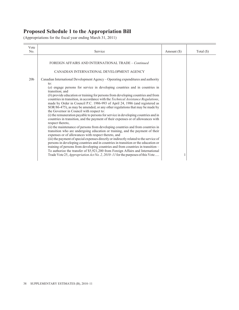| FOREIGN AFFAIRS AND INTERNATIONAL TRADE – Continued<br>CANADIAN INTERNATIONAL DEVELOPMENT AGENCY<br>20 <sub>b</sub><br>Canadian International Development Agency – Operating expenditures and authority<br>to:                                                                                                                                                                                                                                                                                                                                                                                                                                                                                                                                                                                                                                                                                                                                                                                                                                                                               | Vote<br>No. | Service                                                                                                                                                                                                                                                     | Amount $(\$)$ | Total $(\$)$ |
|----------------------------------------------------------------------------------------------------------------------------------------------------------------------------------------------------------------------------------------------------------------------------------------------------------------------------------------------------------------------------------------------------------------------------------------------------------------------------------------------------------------------------------------------------------------------------------------------------------------------------------------------------------------------------------------------------------------------------------------------------------------------------------------------------------------------------------------------------------------------------------------------------------------------------------------------------------------------------------------------------------------------------------------------------------------------------------------------|-------------|-------------------------------------------------------------------------------------------------------------------------------------------------------------------------------------------------------------------------------------------------------------|---------------|--------------|
| (a) engage persons for service in developing countries and in countries in<br>transition; and<br>$(b)$ provide education or training for persons from developing countries and from<br>countries in transition, in accordance with the Technical Assistance Regulations,<br>made by Order in Council P.C. 1986-993 of April 24, 1986 (and registered as<br>SOR/86-475), as may be amended, or any other regulations that may be made by<br>the Governor in Council with respect to:<br>(i) the remuneration payable to persons for service in developing countries and in<br>countries in transition, and the payment of their expenses or of allowances with<br>respect thereto,<br>(ii) the maintenance of persons from developing countries and from countries in<br>transition who are undergoing education or training, and the payment of their<br>expenses or of allowances with respect thereto, and<br>(iii) the payment of special expenses directly or indirectly related to the service of<br>persons in developing countries and in countries in transition or the education or |             | training of persons from developing countries and from countries in transition -<br>To authorize the transfer of \$5,921,200 from Foreign Affairs and International<br>Trade Vote 25, <i>Appropriation Act No. 2, 2010–11</i> for the purposes of this Vote |               |              |
|                                                                                                                                                                                                                                                                                                                                                                                                                                                                                                                                                                                                                                                                                                                                                                                                                                                                                                                                                                                                                                                                                              |             |                                                                                                                                                                                                                                                             |               |              |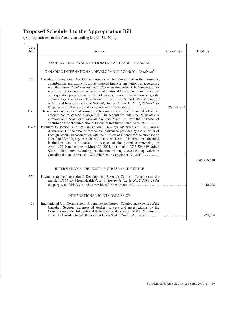| Vote<br>No.      | Service                                                                                                                                                                                                                                                                                                                                                                                                                                                                                                                                                                                            | Amount $(\$)$ | Total $(\$)$ |
|------------------|----------------------------------------------------------------------------------------------------------------------------------------------------------------------------------------------------------------------------------------------------------------------------------------------------------------------------------------------------------------------------------------------------------------------------------------------------------------------------------------------------------------------------------------------------------------------------------------------------|---------------|--------------|
|                  | FOREIGN AFFAIRS AND INTERNATIONAL TRADE - Concluded<br>CANADIAN INTERNATIONAL DEVELOPMENT AGENCY - Concluded                                                                                                                                                                                                                                                                                                                                                                                                                                                                                       |               |              |
| 25 <sub>b</sub>  | Canadian International Development Agency – The grants listed in the Estimates,<br>contributions and payments to international financial institutions in accordance<br>with the International Development (Financial Institutions) Assistance Act, for<br>international development assistance, international humanitarian assistance and<br>other specified purposes, in the form of cash payments or the provision of goods,<br>commodities or services - To authorize the transfer of \$1,660,385 from Foreign<br>Affairs and International Trade Vote 20, Appropriation Act No. 2, 2010–11 for | 265,755,615   |              |
| L30b             | The issuance and payment of non-interest bearing, non-negotiable demand notes in an<br>amount not to exceed \$245,482,000 in accordance with the International<br>Development (Financial Institutions) Assistance Act for the purpose of<br>contributions to the International Financial Institution Fund Accounts                                                                                                                                                                                                                                                                                 | 1             |              |
| L32 <sub>b</sub> | Pursuant to section 3 (c) of <i>International Development (Financial Institutions)</i><br>Assistance Act, the amount of financial assistance provided by the Minister of<br>Foreign Affairs, in consultation with the Minister of Finance for the purchase on<br>behalf of Her Majesty in right of Canada of shares of international financial<br>institutions shall not exceed, in respect of the period commencing on<br>April 1, 2010 and ending on March 31, 2011, an amount of \$35,724,849 United<br>States dollars notwithstanding that the amount may exceed the equivalent in             |               |              |
|                  | Canadian dollars estimated at \$36,846,610 on September 17, 2010                                                                                                                                                                                                                                                                                                                                                                                                                                                                                                                                   | $\mathbf{1}$  | 265,755,618  |
|                  | INTERNATIONAL DEVELOPMENT RESEARCH CENTRE                                                                                                                                                                                                                                                                                                                                                                                                                                                                                                                                                          |               |              |
| 35 <sub>b</sub>  | Payments to the International Development Research Centre $-$ To authorize the<br>transfer of \$171,946 from Health Vote 40, Appropriation Act No. 2, 2010-11 for                                                                                                                                                                                                                                                                                                                                                                                                                                  | .             | 13,440,778   |
|                  | INTERNATIONAL JOINT COMMISSION                                                                                                                                                                                                                                                                                                                                                                                                                                                                                                                                                                     |               |              |
| 40 <sub>b</sub>  | International Joint Commission - Program expenditures - Salaries and expenses of the<br>Canadian Section, expenses of studies, surveys and investigations by the<br>Commission under International References and expenses of the Commission<br>under the Canada/United States Great Lakes Water Quality Agreement                                                                                                                                                                                                                                                                                 |               | 224,754      |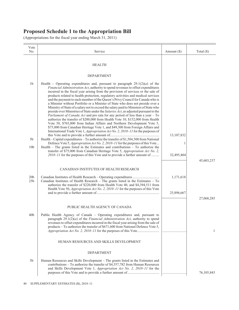| Vote<br>No.     | Service                                                                                                                                                                                                                                                                                                                                                                                                                                                                                                                                                                                                                                                                                                                                                                                                                                                                                                                                                                                                                                                                                                                            | Amount (\$)             | Total $(\$)$ |
|-----------------|------------------------------------------------------------------------------------------------------------------------------------------------------------------------------------------------------------------------------------------------------------------------------------------------------------------------------------------------------------------------------------------------------------------------------------------------------------------------------------------------------------------------------------------------------------------------------------------------------------------------------------------------------------------------------------------------------------------------------------------------------------------------------------------------------------------------------------------------------------------------------------------------------------------------------------------------------------------------------------------------------------------------------------------------------------------------------------------------------------------------------------|-------------------------|--------------|
|                 | <b>HEALTH</b>                                                                                                                                                                                                                                                                                                                                                                                                                                                                                                                                                                                                                                                                                                                                                                                                                                                                                                                                                                                                                                                                                                                      |                         |              |
|                 | <b>DEPARTMENT</b>                                                                                                                                                                                                                                                                                                                                                                                                                                                                                                                                                                                                                                                                                                                                                                                                                                                                                                                                                                                                                                                                                                                  |                         |              |
| 1 <sub>b</sub>  | Health – Operating expenditures and, pursuant to paragraph $29.1(2)(a)$ of the<br>Financial Administration Act, authority to spend revenues to offset expenditures<br>incurred in the fiscal year arising from the provision of services or the sale of<br>products related to health protection, regulatory activities and medical services<br>and the payment to each member of the Queen's Privy Council for Canada who is<br>a Minister without Portfolio or a Minister of State who does not preside over a<br>Ministry of State of a salary not to exceed the salary paid to Ministers of State who<br>preside over Ministries of State under the Salaries Act, as adjusted pursuant to the<br><i>Parliament of Canada Act</i> and pro rata for any period of less than a year – To<br>authorize the transfer of \$200,000 from Health Vote 10, \$152,000 from Health<br>Vote 50, \$765,000 from Indian Affairs and Northern Development Vote 5,<br>\$75,000 from Canadian Heritage Vote 1, and \$49,300 from Foreign Affairs and<br>International Trade Vote 1, <i>Appropriation Act No. 2, 2010–11</i> for the purposes of |                         |              |
| 5 <sub>b</sub>  | Health – Capital expenditures – To authorize the transfer of \$1,504,500 from National<br>Defence Vote 5, <i>Appropriation Act No. 2, 2010–11</i> for the purposes of this Vote                                                                                                                                                                                                                                                                                                                                                                                                                                                                                                                                                                                                                                                                                                                                                                                                                                                                                                                                                    | 13,107,832<br>1         |              |
| 10 <sub>b</sub> | Health $-$ The grants listed in the Estimates and contributions $-$ To authorize the<br>transfer of \$75,000 from Canadian Heritage Vote 5, Appropriation Act No. 2,<br>2010–11 for the purposes of this Vote and to provide a further amount of                                                                                                                                                                                                                                                                                                                                                                                                                                                                                                                                                                                                                                                                                                                                                                                                                                                                                   | 32,495,404              |              |
|                 |                                                                                                                                                                                                                                                                                                                                                                                                                                                                                                                                                                                                                                                                                                                                                                                                                                                                                                                                                                                                                                                                                                                                    |                         | 45,603,237   |
| 20 <sub>b</sub> | CANADIAN INSTITUTES OF HEALTH RESEARCH                                                                                                                                                                                                                                                                                                                                                                                                                                                                                                                                                                                                                                                                                                                                                                                                                                                                                                                                                                                                                                                                                             |                         |              |
| 25 <sub>b</sub> | Canadian Institutes of Health Research - The grants listed in the Estimates - To<br>authorize the transfer of \$220,000 from Health Vote 40, and \$4,394,511 from<br>Health Vote 50, Appropriation Act No. 2, 2010-11 for the purposes of this Vote                                                                                                                                                                                                                                                                                                                                                                                                                                                                                                                                                                                                                                                                                                                                                                                                                                                                                | 1,171,618<br>25,896,667 | 27,068,285   |
|                 | PUBLIC HEALTH AGENCY OF CANADA                                                                                                                                                                                                                                                                                                                                                                                                                                                                                                                                                                                                                                                                                                                                                                                                                                                                                                                                                                                                                                                                                                     |                         |              |
| 40b             | Public Health Agency of Canada – Operating expenditures and, pursuant to<br>paragraph $29.1(2)(a)$ of the <i>Financial Administration Act</i> , authority to spend<br>revenues to offset expenditures incurred in the fiscal year arising from the sale of<br>products - To authorize the transfer of \$671,600 from National Defence Vote 5,                                                                                                                                                                                                                                                                                                                                                                                                                                                                                                                                                                                                                                                                                                                                                                                      |                         | $\mathbf{1}$ |
|                 | HUMAN RESOURCES AND SKILLS DEVELOPMENT                                                                                                                                                                                                                                                                                                                                                                                                                                                                                                                                                                                                                                                                                                                                                                                                                                                                                                                                                                                                                                                                                             |                         |              |
|                 | <b>DEPARTMENT</b>                                                                                                                                                                                                                                                                                                                                                                                                                                                                                                                                                                                                                                                                                                                                                                                                                                                                                                                                                                                                                                                                                                                  |                         |              |
| 5b              | Human Resources and Skills Development – The grants listed in the Estimates and<br>contributions – To authorize the transfer of \$4,557,782 from Human Resources<br>and Skills Development Vote 1, Appropriation Act No. 2, 2010-11 for the                                                                                                                                                                                                                                                                                                                                                                                                                                                                                                                                                                                                                                                                                                                                                                                                                                                                                        |                         | 76,105,843   |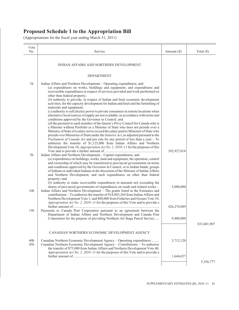| Vote<br>No.                        | Service                                                                                                                                                                                                                                                                                                                                                                                                                                                                                                                                                                                                                                                                                                                                                                                                                                                                                                                                                                                                                                                                                                                                                 | Amount $(\$)$ | Total $(\$)$ |
|------------------------------------|---------------------------------------------------------------------------------------------------------------------------------------------------------------------------------------------------------------------------------------------------------------------------------------------------------------------------------------------------------------------------------------------------------------------------------------------------------------------------------------------------------------------------------------------------------------------------------------------------------------------------------------------------------------------------------------------------------------------------------------------------------------------------------------------------------------------------------------------------------------------------------------------------------------------------------------------------------------------------------------------------------------------------------------------------------------------------------------------------------------------------------------------------------|---------------|--------------|
|                                    | INDIAN AFFAIRS AND NORTHERN DEVELOPMENT                                                                                                                                                                                                                                                                                                                                                                                                                                                                                                                                                                                                                                                                                                                                                                                                                                                                                                                                                                                                                                                                                                                 |               |              |
|                                    | <b>DEPARTMENT</b>                                                                                                                                                                                                                                                                                                                                                                                                                                                                                                                                                                                                                                                                                                                                                                                                                                                                                                                                                                                                                                                                                                                                       |               |              |
| 1 <sub>b</sub>                     | Indian Affairs and Northern Development – Operating expenditures, and<br>(a) expenditures on works, buildings and equipment; and expenditures and<br>recoverable expenditures in respect of services provided and work performed on<br>other than federal property;<br>$(b)$ authority to provide, in respect of Indian and Inuit economic development<br>activities, for the capacity development for Indian and Inuit and the furnishing of<br>materials and equipment;<br>$(c)$ authority to sell electric power to private consumers in remote locations when<br>alternative local sources of supply are not available, in accordance with terms and<br>conditions approved by the Governor in Council; and<br>$(d)$ the payment to each member of the Queen's Privy Council for Canada who is<br>a Minister without Portfolio or a Minister of State who does not preside over a<br>Ministry of State of a salary not to exceed the salary paid to Ministers of State who<br>preside over Ministries of State under the Salaries Act, as adjusted pursuant to the<br>Parliament of Canada Act and pro rata for any period of less than a year - To |               |              |
| 5b                                 | authorize the transfer of \$1,125,000 from Indian Affairs and Northern<br>Development Vote 10, <i>Appropriation Act No. 2, 2010–11</i> for the purposes of this<br>Indian Affairs and Northern Development – Capital expenditures, and<br>$(a)$ expenditures on buildings, works, land and equipment, the operation, control<br>and ownership of which may be transferred to provincial governments on terms<br>and conditions approved by the Governor in Council, or to Indian bands, groups<br>of Indians or individual Indians at the discretion of the Minister of Indian Affairs<br>and Northern Development, and such expenditures on other than federal                                                                                                                                                                                                                                                                                                                                                                                                                                                                                         | 392,927,018   |              |
| 10 <sub>b</sub>                    | property; and<br>$(b)$ authority to make recoverable expenditures in amounts not exceeding the<br>shares of provincial governments of expenditures on roads and related works<br>Indian Affairs and Northern Development - The grants listed in the Estimates and<br>contributions - To authorize the transfer of \$18,803,264 from Indian Affairs and<br>Northern Development Vote 1, and \$80,000 from Fisheries and Oceans Vote 10,                                                                                                                                                                                                                                                                                                                                                                                                                                                                                                                                                                                                                                                                                                                  | 5,000,000     |              |
| 15 <sub>b</sub>                    | Appropriation Act No. 2, 2010–11 for the purposes of this Vote and to provide a<br>Payments to Canada Post Corporation pursuant to an agreement between the                                                                                                                                                                                                                                                                                                                                                                                                                                                                                                                                                                                                                                                                                                                                                                                                                                                                                                                                                                                             | 426,274,889   |              |
|                                    | Department of Indian Affairs and Northern Development and Canada Post<br>Corporation for the purpose of providing Northern Air Stage Parcel Service                                                                                                                                                                                                                                                                                                                                                                                                                                                                                                                                                                                                                                                                                                                                                                                                                                                                                                                                                                                                     | 9,400,000     | 833,601,907  |
|                                    | CANADIAN NORTHERN ECONOMIC DEVELOPMENT AGENCY                                                                                                                                                                                                                                                                                                                                                                                                                                                                                                                                                                                                                                                                                                                                                                                                                                                                                                                                                                                                                                                                                                           |               |              |
| 40 <sub>b</sub><br>45 <sub>b</sub> | Canadian Northern Economic Development Agency – Operating expenditures<br>Canadian Northern Economic Development Agency - Contributions - To authorize<br>the transfer of \$75,000 from Indian Affairs and Northern Development Vote 40,                                                                                                                                                                                                                                                                                                                                                                                                                                                                                                                                                                                                                                                                                                                                                                                                                                                                                                                | 3,712,120     |              |
|                                    | Appropriation Act No. 2, 2010–11 for the purposes of this Vote and to provide a                                                                                                                                                                                                                                                                                                                                                                                                                                                                                                                                                                                                                                                                                                                                                                                                                                                                                                                                                                                                                                                                         | 1,644,657     | 5,356,777    |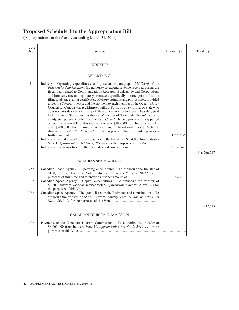| Vote<br>No.                                         | Service                                                                                                                                                                                                                                                                                                                                                                                                                                                                                                                                                                                                                                                                                                                                                                                                                                                                                                                                                                                                                                                                                                                                                                                                                                                                                            | Amount $(\$)$                 | Total $(\$)$ |
|-----------------------------------------------------|----------------------------------------------------------------------------------------------------------------------------------------------------------------------------------------------------------------------------------------------------------------------------------------------------------------------------------------------------------------------------------------------------------------------------------------------------------------------------------------------------------------------------------------------------------------------------------------------------------------------------------------------------------------------------------------------------------------------------------------------------------------------------------------------------------------------------------------------------------------------------------------------------------------------------------------------------------------------------------------------------------------------------------------------------------------------------------------------------------------------------------------------------------------------------------------------------------------------------------------------------------------------------------------------------|-------------------------------|--------------|
|                                                     | <b>INDUSTRY</b>                                                                                                                                                                                                                                                                                                                                                                                                                                                                                                                                                                                                                                                                                                                                                                                                                                                                                                                                                                                                                                                                                                                                                                                                                                                                                    |                               |              |
|                                                     | <b>DEPARTMENT</b>                                                                                                                                                                                                                                                                                                                                                                                                                                                                                                                                                                                                                                                                                                                                                                                                                                                                                                                                                                                                                                                                                                                                                                                                                                                                                  |                               |              |
| 1 <sub>b</sub><br>5 <sub>b</sub><br>10 <sub>b</sub> | Industry – Operating expenditures, and pursuant to paragraph $29.1(2)(a)$ of the<br>Financial Administration Act, authority to expend revenue received during the<br>fiscal year related to Communications Research, Bankruptcy and Corporations<br>and from services and regulatory processes, specifically pre-merger notification<br>filings, advance ruling certificates, advisory opinions and photocopies, provided<br>under the Competition Act and the payment to each member of the Queen's Privy<br>Council for Canada who is a Minister without Portfolio or a Minister of State who<br>does not preside over a Ministry of State of a salary not to exceed the salary paid<br>to Ministers of State who preside over Ministries of State under the Salaries Act,<br>as adjusted pursuant to the <i>Parliament of Canada Act</i> and pro rata for any period<br>of less than a year - To authorize the transfer of \$990,000 from Industry Vote 10,<br>and \$200,000 from Foreign Affairs and International Trade Vote 1,<br>Appropriation Act No. 2, 2010-11 for the purposes of this Vote and to provide a<br>Industry – Capital expenditures – To authorize the transfer of \$324,000 from Industry<br>Vote 1, <i>Appropriation Act No. 2, 2010–11</i> for the purposes of this Vote | 21,227,955<br>1<br>95,538,761 |              |
|                                                     |                                                                                                                                                                                                                                                                                                                                                                                                                                                                                                                                                                                                                                                                                                                                                                                                                                                                                                                                                                                                                                                                                                                                                                                                                                                                                                    |                               | 116,766,717  |
|                                                     | CANADIAN SPACE AGENCY                                                                                                                                                                                                                                                                                                                                                                                                                                                                                                                                                                                                                                                                                                                                                                                                                                                                                                                                                                                                                                                                                                                                                                                                                                                                              |                               |              |
| 25 <sub>b</sub>                                     | Canadian Space Agency - Operating expenditures - To authorize the transfer of<br>\$100,000 from Transport Vote 1, Appropriation Act No. 2, 2010-11 for the                                                                                                                                                                                                                                                                                                                                                                                                                                                                                                                                                                                                                                                                                                                                                                                                                                                                                                                                                                                                                                                                                                                                         | 232,611                       |              |
| 30 <sub>b</sub>                                     | Canadian Space Agency – Capital expenditures – To authorize the transfer of<br>\$2,500,000 from National Defence Vote 5, Appropriation Act No. 2, 2010-11 for                                                                                                                                                                                                                                                                                                                                                                                                                                                                                                                                                                                                                                                                                                                                                                                                                                                                                                                                                                                                                                                                                                                                      |                               |              |
| 35 <sub>b</sub>                                     | Canadian Space Agency – The grants listed in the Estimates and contributions – To<br>authorize the transfer of \$557,105 from Industry Vote 25, Appropriation Act                                                                                                                                                                                                                                                                                                                                                                                                                                                                                                                                                                                                                                                                                                                                                                                                                                                                                                                                                                                                                                                                                                                                  | 1<br>$\mathbf{1}$             | 232,613      |
|                                                     | CANADIAN TOURISM COMMISSION                                                                                                                                                                                                                                                                                                                                                                                                                                                                                                                                                                                                                                                                                                                                                                                                                                                                                                                                                                                                                                                                                                                                                                                                                                                                        |                               |              |
| 40 <sub>b</sub>                                     | Payments to the Canadian Tourism Commission - To authorize the transfer of<br>\$8,000,000 from Industry Vote 10, Appropriation Act No. 2, 2010-11 for the                                                                                                                                                                                                                                                                                                                                                                                                                                                                                                                                                                                                                                                                                                                                                                                                                                                                                                                                                                                                                                                                                                                                          |                               | $\mathbf{1}$ |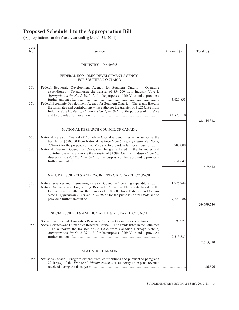| Vote<br>No.            | Service                                                                                                                                                                                                                                                                                                                                                                                                      | Amount (\$) | Total $(\$)$ |
|------------------------|--------------------------------------------------------------------------------------------------------------------------------------------------------------------------------------------------------------------------------------------------------------------------------------------------------------------------------------------------------------------------------------------------------------|-------------|--------------|
|                        | INDUSTRY-Concluded                                                                                                                                                                                                                                                                                                                                                                                           |             |              |
|                        | FEDERAL ECONOMIC DEVELOPMENT AGENCY<br>FOR SOUTHERN ONTARIO                                                                                                                                                                                                                                                                                                                                                  |             |              |
| 50 <sub>b</sub>        | Federal Economic Development Agency for Southern Ontario – Operating<br>expenditures $-$ To authorize the transfer of \$34,200 from Industry Vote 1,<br>Appropriation Act No. 2, 2010-11 for the purposes of this Vote and to provide a                                                                                                                                                                      | 3,620,838   |              |
| 55 <sub>b</sub>        | Federal Economic Development Agency for Southern Ontario - The grants listed in<br>the Estimates and contributions – To authorize the transfer of $$1,264,192$ from<br>Industry Vote 10, <i>Appropriation Act No. 2, 2010–11</i> for the purposes of this Vote                                                                                                                                               | 84,823,510  |              |
|                        | NATIONAL RESEARCH COUNCIL OF CANADA                                                                                                                                                                                                                                                                                                                                                                          |             | 88,444,348   |
| 65b<br>70 <sub>b</sub> | National Research Council of Canada - Capital expenditures - To authorize the<br>transfer of \$650,000 from National Defence Vote 5, Appropriation Act No. 2,<br>2010–11 for the purposes of this Vote and to provide a further amount of<br>National Research Council of Canada - The grants listed in the Estimates and<br>contributions - To authorize the transfer of \$2,992,358 from Industry Vote 60, | 988,000     |              |
|                        | Appropriation Act No. 2, 2010–11 for the purposes of this Vote and to provide a                                                                                                                                                                                                                                                                                                                              | 631,642     | 1,619,642    |
|                        | NATURAL SCIENCES AND ENGINEERING RESEARCH COUNCIL                                                                                                                                                                                                                                                                                                                                                            |             |              |
| 75b<br>80 <sub>b</sub> | Natural Sciences and Engineering Research Council - Operating expenditures<br>Natural Sciences and Engineering Research Council - The grants listed in the<br>Estimates - To authorize the transfer of \$100,000 from Fisheries and Oceans<br>Vote 1, Appropriation Act No. 2, 2010-11 for the purposes of this Vote and to                                                                                  | 1,976,244   |              |
|                        |                                                                                                                                                                                                                                                                                                                                                                                                              | 37,723,286  | 39,699,530   |
| 90 <sub>b</sub>        | SOCIAL SCIENCES AND HUMANITIES RESEARCH COUNCIL<br>Social Sciences and Humanities Research Council - Operating expenditures                                                                                                                                                                                                                                                                                  | 99,977      |              |
| 95b                    | Social Sciences and Humanities Research Council - The grants listed in the Estimates<br>- To authorize the transfer of \$271,836 from Canadian Heritage Vote 5,<br>Appropriation Act No. 2, 2010–11 for the purposes of this Vote and to provide a                                                                                                                                                           |             |              |
|                        |                                                                                                                                                                                                                                                                                                                                                                                                              | 12,513,333  | 12,613,310   |
|                        | STATISTICS CANADA                                                                                                                                                                                                                                                                                                                                                                                            |             |              |
| 105b                   | Statistics Canada - Program expenditures, contributions and pursuant to paragraph<br>$29.1(2)(a)$ of the <i>Financial Administration Act</i> , authority to expend revenue                                                                                                                                                                                                                                   |             | 86,596       |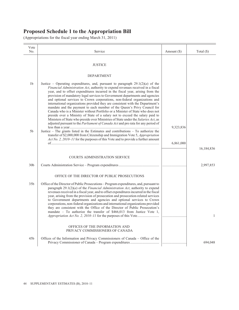| Vote<br>No.     | Service                                                                                                                                                                                                                                                                                                                                                                                                                                                                                                                                                                                                                                                                                                                                             | Amount $(\$)$ | Total $(\$)$ |
|-----------------|-----------------------------------------------------------------------------------------------------------------------------------------------------------------------------------------------------------------------------------------------------------------------------------------------------------------------------------------------------------------------------------------------------------------------------------------------------------------------------------------------------------------------------------------------------------------------------------------------------------------------------------------------------------------------------------------------------------------------------------------------------|---------------|--------------|
|                 | <b>JUSTICE</b>                                                                                                                                                                                                                                                                                                                                                                                                                                                                                                                                                                                                                                                                                                                                      |               |              |
|                 | <b>DEPARTMENT</b>                                                                                                                                                                                                                                                                                                                                                                                                                                                                                                                                                                                                                                                                                                                                   |               |              |
| 1 <sub>b</sub>  | Justice – Operating expenditures, and, pursuant to paragraph $29.1(2)(a)$ of the<br>Financial Administration Act, authority to expend revenues received in a fiscal<br>year, and to offset expenditures incurred in the fiscal year, arising from the<br>provision of mandatory legal services to Government departments and agencies<br>and optional services to Crown corporations, non-federal organizations and<br>international organizations provided they are consistent with the Department's<br>mandate and the payment to each member of the Queen's Privy Council for<br>Canada who is a Minister without Portfolio or a Minister of State who does not<br>preside over a Ministry of State of a salary not to exceed the salary paid to |               |              |
|                 | Ministers of State who preside over Ministries of State under the <i>Salaries Act</i> , as<br>adjusted pursuant to the Parliament of Canada Act and pro rata for any period of                                                                                                                                                                                                                                                                                                                                                                                                                                                                                                                                                                      | 9,323,836     |              |
| 5 <sub>b</sub>  | Justice $-$ The grants listed in the Estimates and contributions $-$ To authorize the<br>transfer of \$2,000,000 from Citizenship and Immigration Vote 5, Appropriation<br>Act No. 2, 2010–11 for the purposes of this Vote and to provide a further amount                                                                                                                                                                                                                                                                                                                                                                                                                                                                                         | 6,861,000     |              |
|                 |                                                                                                                                                                                                                                                                                                                                                                                                                                                                                                                                                                                                                                                                                                                                                     |               | 16,184,836   |
|                 | <b>COURTS ADMINISTRATION SERVICE</b>                                                                                                                                                                                                                                                                                                                                                                                                                                                                                                                                                                                                                                                                                                                |               |              |
| 30 <sub>b</sub> |                                                                                                                                                                                                                                                                                                                                                                                                                                                                                                                                                                                                                                                                                                                                                     |               | 2,997,853    |
|                 | OFFICE OF THE DIRECTOR OF PUBLIC PROSECUTIONS                                                                                                                                                                                                                                                                                                                                                                                                                                                                                                                                                                                                                                                                                                       |               |              |
| 35 <sub>b</sub> | Office of the Director of Public Prosecutions – Program expenditures, and, pursuant to<br>paragraph $29.1(2)(a)$ of the <i>Financial Administration Act</i> , authority to expend<br>revenues received in a fiscal year, and to offset expenditures incurred in the fiscal<br>year, arising from the provision of prosecution and prosecution-related services<br>to Government departments and agencies and optional services to Crown<br>corporations, non-federal organizations and international organizations provided<br>they are consistent with the Office of the Director of Public Prosecution's<br>mandate - To authorize the transfer of $$466,013$ from Justice Vote 1,                                                                |               | $\mathbf{1}$ |
|                 | OFFICES OF THE INFORMATION AND<br>PRIVACY COMMISSIONERS OF CANADA                                                                                                                                                                                                                                                                                                                                                                                                                                                                                                                                                                                                                                                                                   |               |              |
| 45 <sub>b</sub> | Offices of the Information and Privacy Commissioners of Canada – Office of the                                                                                                                                                                                                                                                                                                                                                                                                                                                                                                                                                                                                                                                                      |               | 694.048      |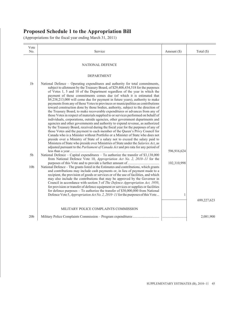| Vote<br>No.     | Service                                                                                                                                                                                                                                                                                                                                                                                                                                                                                                                                                                                                                                                                                                                                                                                                                                                                                                                                                                                                                                                                                                                                                                                                                                                                                                                                                                                                                                     | Amount $(\$)$               | Total $($ ) |
|-----------------|---------------------------------------------------------------------------------------------------------------------------------------------------------------------------------------------------------------------------------------------------------------------------------------------------------------------------------------------------------------------------------------------------------------------------------------------------------------------------------------------------------------------------------------------------------------------------------------------------------------------------------------------------------------------------------------------------------------------------------------------------------------------------------------------------------------------------------------------------------------------------------------------------------------------------------------------------------------------------------------------------------------------------------------------------------------------------------------------------------------------------------------------------------------------------------------------------------------------------------------------------------------------------------------------------------------------------------------------------------------------------------------------------------------------------------------------|-----------------------------|-------------|
|                 | NATIONAL DEFENCE                                                                                                                                                                                                                                                                                                                                                                                                                                                                                                                                                                                                                                                                                                                                                                                                                                                                                                                                                                                                                                                                                                                                                                                                                                                                                                                                                                                                                            |                             |             |
|                 | <b>DEPARTMENT</b>                                                                                                                                                                                                                                                                                                                                                                                                                                                                                                                                                                                                                                                                                                                                                                                                                                                                                                                                                                                                                                                                                                                                                                                                                                                                                                                                                                                                                           |                             |             |
| 1 <sub>b</sub>  | National Defence - Operating expenditures and authority for total commitments,<br>subject to allotment by the Treasury Board, of \$29,408,434,518 for the purposes<br>of Votes 1, 5 and 10 of the Department regardless of the year in which the<br>payment of those commitments comes due (of which it is estimated that<br>\$9,238,213,000 will come due for payment in future years), authority to make<br>payments from any of those Votes to provinces or municipalities as contributions<br>toward construction done by those bodies, authority, subject to the direction of<br>the Treasury Board, to make recoverable expenditures or advances from any of<br>those Votes in respect of materials supplied to or services performed on behalf of<br>individuals, corporations, outside agencies, other government departments and<br>agencies and other governments and authority to expend revenue, as authorized<br>by the Treasury Board, received during the fiscal year for the purposes of any of<br>those Votes and the payment to each member of the Queen's Privy Council for<br>Canada who is a Minister without Portfolio or a Minister of State who does not<br>preside over a Ministry of State of a salary not to exceed the salary paid to<br>Ministers of State who preside over Ministries of State under the Salaries Act, as<br>adjusted pursuant to the Parliament of Canada Act and pro rata for any period of |                             |             |
| 5 <sub>b</sub>  | National Defence – Capital expenditures – To authorize the transfer of \$3,138,000<br>from National Defence Vote 10, Appropriation Act No. 2, 2010-11 for the                                                                                                                                                                                                                                                                                                                                                                                                                                                                                                                                                                                                                                                                                                                                                                                                                                                                                                                                                                                                                                                                                                                                                                                                                                                                               | 596,916,624                 |             |
| 10 <sub>b</sub> | National Defence – The grants listed in the Estimates and contributions, which grants<br>and contributions may include cash payments or, in lieu of payment made to a<br>recipient, the provision of goods or services or of the use of facilities, and which<br>may also include the contributions that may be approved by the Governor in<br>Council in accordance with section 3 of The Defence Appropriation Act, 1950,<br>for provision or transfer of defence equipment or services or supplies or facilities<br>for defence purposes $-$ To authorize the transfer of \$30,000,000 from National<br>Defence Vote 5, <i>Appropriation Act No. 2, 2010–11</i> for the purposes of this Vote                                                                                                                                                                                                                                                                                                                                                                                                                                                                                                                                                                                                                                                                                                                                            | 102,310,998<br>$\mathbf{1}$ |             |
|                 |                                                                                                                                                                                                                                                                                                                                                                                                                                                                                                                                                                                                                                                                                                                                                                                                                                                                                                                                                                                                                                                                                                                                                                                                                                                                                                                                                                                                                                             |                             | 699,227,623 |
|                 | MILITARY POLICE COMPLAINTS COMMISSION                                                                                                                                                                                                                                                                                                                                                                                                                                                                                                                                                                                                                                                                                                                                                                                                                                                                                                                                                                                                                                                                                                                                                                                                                                                                                                                                                                                                       |                             |             |
| 20 <sub>b</sub> |                                                                                                                                                                                                                                                                                                                                                                                                                                                                                                                                                                                                                                                                                                                                                                                                                                                                                                                                                                                                                                                                                                                                                                                                                                                                                                                                                                                                                                             |                             | 2,081,900   |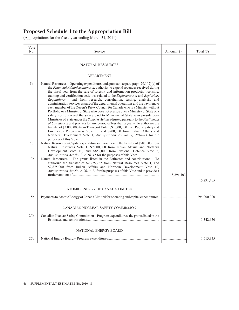| Vote<br>No.                             | Service                                                                                                                                                                                                                                                                                                                                                                                                                                                                                                                                                                                                                                                                                                                                                                                                                                                                                                                                                                                                                                                                                                                                                                                                                                                                                                                                                                                                                                                                                                                                                                                               | Amount $(\$)$     | Total $(\$)$ |
|-----------------------------------------|-------------------------------------------------------------------------------------------------------------------------------------------------------------------------------------------------------------------------------------------------------------------------------------------------------------------------------------------------------------------------------------------------------------------------------------------------------------------------------------------------------------------------------------------------------------------------------------------------------------------------------------------------------------------------------------------------------------------------------------------------------------------------------------------------------------------------------------------------------------------------------------------------------------------------------------------------------------------------------------------------------------------------------------------------------------------------------------------------------------------------------------------------------------------------------------------------------------------------------------------------------------------------------------------------------------------------------------------------------------------------------------------------------------------------------------------------------------------------------------------------------------------------------------------------------------------------------------------------------|-------------------|--------------|
|                                         | NATURAL RESOURCES                                                                                                                                                                                                                                                                                                                                                                                                                                                                                                                                                                                                                                                                                                                                                                                                                                                                                                                                                                                                                                                                                                                                                                                                                                                                                                                                                                                                                                                                                                                                                                                     |                   |              |
|                                         | <b>DEPARTMENT</b>                                                                                                                                                                                                                                                                                                                                                                                                                                                                                                                                                                                                                                                                                                                                                                                                                                                                                                                                                                                                                                                                                                                                                                                                                                                                                                                                                                                                                                                                                                                                                                                     |                   |              |
| 1 <sub>b</sub><br>5b<br>10 <sub>b</sub> | Natural Resources – Operating expenditures and, pursuant to paragraph 29.1(2)( <i>a</i> ) of<br>the Financial Administration Act, authority to expend revenues received during<br>the fiscal year from the sale of forestry and information products; licensing,<br>training and certification activities related to the Explosives Act and Explosives<br>and from research, consultation, testing, analysis, and<br>Regulations:<br>administration services as part of the departmental operations and the payment to<br>each member of the Queen's Privy Council for Canada who is a Minister without<br>Portfolio or a Minister of State who does not preside over a Ministry of State of a<br>salary not to exceed the salary paid to Ministers of State who preside over<br>Ministries of State under the Salaries Act, as adjusted pursuant to the Parliament<br>of Canada Act and pro rata for any period of less than a year $-$ To authorize the<br>transfer of \$3,000,000 from Transport Vote 1, \$1,000,000 from Public Safety and<br>Emergency Preparedness Vote 30, and \$200,000 from Indian Affairs and<br>Northern Development Vote 1, Appropriation Act No. 2, 2010-11 for the<br>Natural Resources - Capital expenditures - To authorize the transfer of \$588,503 from<br>Natural Resources Vote 1, \$9,000,000 from Indian Affairs and Northern<br>Development Vote 10, and \$852,000 from National Defence Vote 5,<br>Natural Resources – The grants listed in the Estimates and contributions – To<br>authorize the transfer of \$2,925,782 from Natural Resources Vote 1, and | $\mathbf{1}$<br>1 |              |
|                                         | \$2,875,000 from Indian Affairs and Northern Development Vote 10,<br>Appropriation Act No. 2, 2010-11 for the purposes of this Vote and to provide a                                                                                                                                                                                                                                                                                                                                                                                                                                                                                                                                                                                                                                                                                                                                                                                                                                                                                                                                                                                                                                                                                                                                                                                                                                                                                                                                                                                                                                                  | 15,291,403        | 15,291,405   |
|                                         | ATOMIC ENERGY OF CANADA LIMITED                                                                                                                                                                                                                                                                                                                                                                                                                                                                                                                                                                                                                                                                                                                                                                                                                                                                                                                                                                                                                                                                                                                                                                                                                                                                                                                                                                                                                                                                                                                                                                       |                   |              |
| 15 <sub>b</sub>                         | Payments to Atomic Energy of Canada Limited for operating and capital expenditures.                                                                                                                                                                                                                                                                                                                                                                                                                                                                                                                                                                                                                                                                                                                                                                                                                                                                                                                                                                                                                                                                                                                                                                                                                                                                                                                                                                                                                                                                                                                   |                   | 294,000,000  |
|                                         | CANADIAN NUCLEAR SAFETY COMMISSION                                                                                                                                                                                                                                                                                                                                                                                                                                                                                                                                                                                                                                                                                                                                                                                                                                                                                                                                                                                                                                                                                                                                                                                                                                                                                                                                                                                                                                                                                                                                                                    |                   |              |
| 20 <sub>b</sub>                         | Canadian Nuclear Safety Commission – Program expenditures, the grants listed in the                                                                                                                                                                                                                                                                                                                                                                                                                                                                                                                                                                                                                                                                                                                                                                                                                                                                                                                                                                                                                                                                                                                                                                                                                                                                                                                                                                                                                                                                                                                   |                   | 1,342,650    |
|                                         | NATIONAL ENERGY BOARD                                                                                                                                                                                                                                                                                                                                                                                                                                                                                                                                                                                                                                                                                                                                                                                                                                                                                                                                                                                                                                                                                                                                                                                                                                                                                                                                                                                                                                                                                                                                                                                 |                   |              |
| 25 <sub>b</sub>                         |                                                                                                                                                                                                                                                                                                                                                                                                                                                                                                                                                                                                                                                                                                                                                                                                                                                                                                                                                                                                                                                                                                                                                                                                                                                                                                                                                                                                                                                                                                                                                                                                       |                   | 1,515,335    |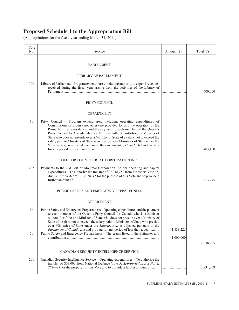| Vote<br>No.     | Service                                                                                                                                                                                                                                                                                                                                                                                                                                                                                                                                                                           | Amount (\$) | Total $(\$)$ |
|-----------------|-----------------------------------------------------------------------------------------------------------------------------------------------------------------------------------------------------------------------------------------------------------------------------------------------------------------------------------------------------------------------------------------------------------------------------------------------------------------------------------------------------------------------------------------------------------------------------------|-------------|--------------|
|                 |                                                                                                                                                                                                                                                                                                                                                                                                                                                                                                                                                                                   |             |              |
|                 | PARLIAMENT                                                                                                                                                                                                                                                                                                                                                                                                                                                                                                                                                                        |             |              |
|                 | LIBRARY OF PARLIAMENT                                                                                                                                                                                                                                                                                                                                                                                                                                                                                                                                                             |             |              |
| 10 <sub>b</sub> | Library of Parliament - Program expenditures, including authority to expend revenues<br>received during the fiscal year arising from the activities of the Library of                                                                                                                                                                                                                                                                                                                                                                                                             |             | 600,000      |
|                 | PRIVY COUNCIL                                                                                                                                                                                                                                                                                                                                                                                                                                                                                                                                                                     |             |              |
|                 | <b>DEPARTMENT</b>                                                                                                                                                                                                                                                                                                                                                                                                                                                                                                                                                                 |             |              |
| 1 <sub>b</sub>  | Privy Council - Program expenditures, including operating expenditures of<br>Commissions of Inquiry not otherwise provided for and the operation of the<br>Prime Minister's residence; and the payment to each member of the Queen's<br>Privy Council for Canada who is a Minister without Portfolio or a Minister of<br>State who does not preside over a Ministry of State of a salary not to exceed the<br>salary paid to Ministers of State who preside over Ministries of State under the<br>Salaries Act, as adjusted pursuant to the Parliament of Canada Act and pro rata |             | 1,403,190    |
|                 | OLD PORT OF MONTREAL CORPORATION INC.                                                                                                                                                                                                                                                                                                                                                                                                                                                                                                                                             |             |              |
| 23 <sub>b</sub> | Payments to the Old Port of Montreal Corporation Inc. for operating and capital<br>expenditures – To authorize the transfer of \$7,018,250 from Transport Vote 65,<br>Appropriation Act No. 2, 2010–11 for the purpose of this Vote and to provide a                                                                                                                                                                                                                                                                                                                              |             | 913,795      |
|                 | PUBLIC SAFETY AND EMERGENCY PREPAREDNESS                                                                                                                                                                                                                                                                                                                                                                                                                                                                                                                                          |             |              |
|                 | <b>DEPARTMENT</b>                                                                                                                                                                                                                                                                                                                                                                                                                                                                                                                                                                 |             |              |
| 1b              | Public Safety and Emergency Preparedness – Operating expenditures and the payment<br>to each member of the Queen's Privy Council for Canada who is a Minister<br>without Portfolio or a Minister of State who does not preside over a Ministry of<br>State of a salary not to exceed the salary paid to Ministers of State who preside<br>over Ministries of State under the Salaries Act, as adjusted pursuant to the                                                                                                                                                            |             |              |
|                 | Parliament of Canada Act and pro rata for any period of less than a year                                                                                                                                                                                                                                                                                                                                                                                                                                                                                                          | 1,838,225   |              |
| 5 <sub>b</sub>  | Public Safety and Emergency Preparedness - The grants listed in the Estimates and                                                                                                                                                                                                                                                                                                                                                                                                                                                                                                 | 1,000,000   |              |
|                 |                                                                                                                                                                                                                                                                                                                                                                                                                                                                                                                                                                                   |             | 2,838,225    |
|                 | CANADIAN SECURITY INTELLIGENCE SERVICE                                                                                                                                                                                                                                                                                                                                                                                                                                                                                                                                            |             |              |
| 20 <sub>b</sub> | Canadian Security Intelligence Service - Operating expenditures - To authorize the<br>transfer of \$63,000 from National Defence Vote 5, Appropriation Act No. 2,<br>2010–11 for the purposes of this Vote and to provide a further amount of                                                                                                                                                                                                                                                                                                                                     |             | 12,831,259   |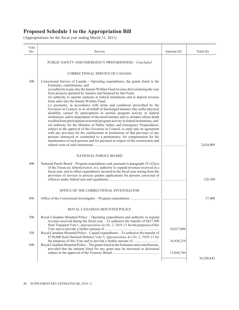| Vote<br>No.     | Service                                                                                                                                                                                                                                                                                                                                                                                                                                                                                                                                                                                                                                                                                                                                                                                                                                                                                                                                                                                                                                                                                                                                                                                                                                         | Amount (\$) | Total $(\$)$ |
|-----------------|-------------------------------------------------------------------------------------------------------------------------------------------------------------------------------------------------------------------------------------------------------------------------------------------------------------------------------------------------------------------------------------------------------------------------------------------------------------------------------------------------------------------------------------------------------------------------------------------------------------------------------------------------------------------------------------------------------------------------------------------------------------------------------------------------------------------------------------------------------------------------------------------------------------------------------------------------------------------------------------------------------------------------------------------------------------------------------------------------------------------------------------------------------------------------------------------------------------------------------------------------|-------------|--------------|
|                 | PUBLIC SAFETY AND EMERGENCY PREPAREDNESS - Concluded                                                                                                                                                                                                                                                                                                                                                                                                                                                                                                                                                                                                                                                                                                                                                                                                                                                                                                                                                                                                                                                                                                                                                                                            |             |              |
|                 | CORRECTIONAL SERVICE OF CANADA                                                                                                                                                                                                                                                                                                                                                                                                                                                                                                                                                                                                                                                                                                                                                                                                                                                                                                                                                                                                                                                                                                                                                                                                                  |             |              |
| 30 <sub>b</sub> | Correctional Service of Canada – Operating expenditures, the grants listed in the<br>Estimates, contributions, and<br>$(a)$ authority to pay into the Inmate Welfare Fund revenue derived during the year<br>from projects operated by inmates and financed by that Fund;<br>$(b)$ authority to operate canteens in federal institutions and to deposit revenue<br>from sales into the Inmate Welfare Fund;<br>(c) payments, in accordance with terms and conditions prescribed by the<br>Governor in Council, to or on behalf of discharged inmates who suffer physical<br>disability caused by participation in normal program activity in federal<br>institutions, and to dependants of deceased inmates and ex-inmates whose death<br>resulted from participation in normal program activity in federal institutions; and<br>(d) authority for the Minister of Public Safety and Emergency Preparedness,<br>subject to the approval of the Governor in Council, to enter into an agreement<br>with any province for the confinement in institutions of that province of any<br>persons sentenced or committed to a penitentiary, for compensation for the<br>maintenance of such persons and for payment in respect of the construction and |             | 2,024,009    |
|                 | NATIONAL PAROLE BOARD                                                                                                                                                                                                                                                                                                                                                                                                                                                                                                                                                                                                                                                                                                                                                                                                                                                                                                                                                                                                                                                                                                                                                                                                                           |             |              |
| 40 <sub>b</sub> | National Parole Board – Program expenditures and, pursuant to paragraph $29.1(2)(a)$<br>of the Financial Administration Act, authority to expend revenues received in a<br>fiscal year, and to offset expenditures incurred in the fiscal year arising from the<br>provision of services to process pardon applications for persons convicted of                                                                                                                                                                                                                                                                                                                                                                                                                                                                                                                                                                                                                                                                                                                                                                                                                                                                                                |             | 128,360      |
|                 | OFFICE OF THE CORRECTIONAL INVESTIGATOR                                                                                                                                                                                                                                                                                                                                                                                                                                                                                                                                                                                                                                                                                                                                                                                                                                                                                                                                                                                                                                                                                                                                                                                                         |             |              |
| 45 <sub>b</sub> |                                                                                                                                                                                                                                                                                                                                                                                                                                                                                                                                                                                                                                                                                                                                                                                                                                                                                                                                                                                                                                                                                                                                                                                                                                                 |             | 37,400       |
|                 | ROYAL CANADIAN MOUNTED POLICE                                                                                                                                                                                                                                                                                                                                                                                                                                                                                                                                                                                                                                                                                                                                                                                                                                                                                                                                                                                                                                                                                                                                                                                                                   |             |              |
| 50b             | Royal Canadian Mounted Police – Operating expenditures and authority to expend<br>revenue received during the fiscal year $-$ To authorize the transfer of \$427,500<br>from Transport Vote 1, <i>Appropriation Act No. 2, 2010–11</i> for the purposes of this                                                                                                                                                                                                                                                                                                                                                                                                                                                                                                                                                                                                                                                                                                                                                                                                                                                                                                                                                                                 | 10,017,888  |              |
| 55b             | Royal Canadian Mounted Police - Capital expenditures - To authorize the transfer of<br>\$730,000 from National Defence Vote 5, Appropriation Act No. 2, 2010-11 for                                                                                                                                                                                                                                                                                                                                                                                                                                                                                                                                                                                                                                                                                                                                                                                                                                                                                                                                                                                                                                                                             |             |              |
| 60 <sub>b</sub> | Royal Canadian Mounted Police - The grants listed in the Estimates and contributions,                                                                                                                                                                                                                                                                                                                                                                                                                                                                                                                                                                                                                                                                                                                                                                                                                                                                                                                                                                                                                                                                                                                                                           | 10,436,210  |              |
|                 | provided that the amount listed for any grant may be increased or decreased                                                                                                                                                                                                                                                                                                                                                                                                                                                                                                                                                                                                                                                                                                                                                                                                                                                                                                                                                                                                                                                                                                                                                                     | 13,844,744  |              |
|                 |                                                                                                                                                                                                                                                                                                                                                                                                                                                                                                                                                                                                                                                                                                                                                                                                                                                                                                                                                                                                                                                                                                                                                                                                                                                 |             | 34,298,842   |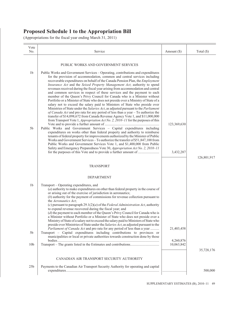| Vote<br>No.                                         | Service                                                                                                                                                                                                                                                                                                                                                                                                                                                                                                                                                                                                                                                                                                                                                                                                                                                                                                                                                                                                                                                                                                                                                                                                                                                                                                                                                                                                                                                                                                                                                                                                                             | Amount $(\$)$                         | Total $(\$)$ |
|-----------------------------------------------------|-------------------------------------------------------------------------------------------------------------------------------------------------------------------------------------------------------------------------------------------------------------------------------------------------------------------------------------------------------------------------------------------------------------------------------------------------------------------------------------------------------------------------------------------------------------------------------------------------------------------------------------------------------------------------------------------------------------------------------------------------------------------------------------------------------------------------------------------------------------------------------------------------------------------------------------------------------------------------------------------------------------------------------------------------------------------------------------------------------------------------------------------------------------------------------------------------------------------------------------------------------------------------------------------------------------------------------------------------------------------------------------------------------------------------------------------------------------------------------------------------------------------------------------------------------------------------------------------------------------------------------------|---------------------------------------|--------------|
| 1 <sub>b</sub><br>5 <sub>b</sub>                    | PUBLIC WORKS AND GOVERNMENT SERVICES<br>Public Works and Government Services – Operating, contributions and expenditures<br>for the provision of accommodation, common and central services including<br>recoverable expenditures on behalf of the Canada Pension Plan, the Employment<br>Insurance Act and the Seized Property Management Act; authority to spend<br>revenues received during the fiscal year arising from accommodation and central<br>and common services in respect of these services and the payment to each<br>member of the Queen's Privy Council for Canada who is a Minister without<br>Portfolio or a Minister of State who does not preside over a Ministry of State of a<br>salary not to exceed the salary paid to Ministers of State who preside over<br>Ministries of State under the Salaries Act, as adjusted pursuant to the Parliament<br>of Canada Act and pro rata for any period of less than a year – To authorize the<br>transfer of \$14,098,672 from Canada Revenue Agency Vote 1, and \$11,000,000<br>from Transport Vote 1, <i>Appropriation Act No. 2, 2010-11</i> for the purposes of this<br>Public Works and Government Services - Capital expenditures including<br>expenditures on works other than federal property and authority to reimburse<br>tenants of federal property for improvements authorized by the Minister of Public<br>Works and Government Services - To authorize the transfer of \$51,847,100 from<br>Public Works and Government Services Vote 1, and \$1,400,000 from Public<br>Safety and Emergency Preparedness Vote 30, Appropriation Act No. 2, 2010–11 | 123,369,630<br>3,432,287              |              |
|                                                     | <b>TRANSPORT</b>                                                                                                                                                                                                                                                                                                                                                                                                                                                                                                                                                                                                                                                                                                                                                                                                                                                                                                                                                                                                                                                                                                                                                                                                                                                                                                                                                                                                                                                                                                                                                                                                                    |                                       | 126,801,917  |
| 1 <sub>b</sub><br>5 <sub>b</sub><br>10 <sub>b</sub> | DEPARTMENT<br>Transport – Operating expenditures, and<br>(a) authority to make expenditures on other than federal property in the course of<br>or arising out of the exercise of jurisdiction in aeronautics;<br>$(b)$ authority for the payment of commissions for revenue collection pursuant to<br>the Aeronautics Act;<br>(c) pursuant to paragraph 29.1(2)(a) of the Federal Administration Act, authority<br>to expend revenue recovered during the fiscal year; and<br>(d) the payment to each member of the Queen's Privy Council for Canada who is<br>a Minister without Portfolio or a Minister of State who does not preside over a<br>Ministry of State of a salary not to exceed the salary paid to Ministers of State who<br>preside over Ministries of State under the Salaries Act, as adjusted pursuant to the<br>Parliament of Canada Act and pro rata for any period of less than a year<br>Transport - Capital expenditures including contributions to provinces or<br>municipalities or local or private authorities towards construction done by those                                                                                                                                                                                                                                                                                                                                                                                                                                                                                                                                                        | 21,403,458<br>4,260,876<br>10,063,842 | 35,728,176   |
|                                                     | CANADIAN AIR TRANSPORT SECURITY AUTHORITY                                                                                                                                                                                                                                                                                                                                                                                                                                                                                                                                                                                                                                                                                                                                                                                                                                                                                                                                                                                                                                                                                                                                                                                                                                                                                                                                                                                                                                                                                                                                                                                           |                                       |              |
| 25 <sub>b</sub>                                     | Payments to the Canadian Air Transport Security Authority for operating and capital                                                                                                                                                                                                                                                                                                                                                                                                                                                                                                                                                                                                                                                                                                                                                                                                                                                                                                                                                                                                                                                                                                                                                                                                                                                                                                                                                                                                                                                                                                                                                 |                                       | 500,000      |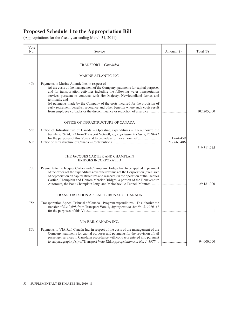| Vote<br>No.     | Service                                                                                                                                                                                                                                                                                                                                                                                                                                                                                                                                                        | Amount (\$)              | Total $(\$)$ |
|-----------------|----------------------------------------------------------------------------------------------------------------------------------------------------------------------------------------------------------------------------------------------------------------------------------------------------------------------------------------------------------------------------------------------------------------------------------------------------------------------------------------------------------------------------------------------------------------|--------------------------|--------------|
|                 | TRANSPORT - Concluded                                                                                                                                                                                                                                                                                                                                                                                                                                                                                                                                          |                          |              |
|                 | <b>MARINE ATLANTIC INC.</b>                                                                                                                                                                                                                                                                                                                                                                                                                                                                                                                                    |                          |              |
| 40 <sub>b</sub> | Payments to Marine Atlantic Inc. in respect of<br>$(a)$ the costs of the management of the Company, payments for capital purposes<br>and for transportation activities including the following water transportation<br>services pursuant to contracts with Her Majesty: Newfoundland ferries and<br>terminals; and<br>(b) payments made by the Company of the costs incurred for the provision of<br>early retirement benefits, severance and other benefits where such costs result<br>from employee cutbacks or the discontinuance or reduction of a service |                          | 102,205,000  |
|                 | OFFICE OF INFRASTRUCTURE OF CANADA                                                                                                                                                                                                                                                                                                                                                                                                                                                                                                                             |                          |              |
| 55 <sub>b</sub> | Office of Infrastructure of Canada – Operating expenditures – To authorize the<br>transfer of \$224,123 from Transport Vote 60, Appropriation Act No. 2, 2010-11                                                                                                                                                                                                                                                                                                                                                                                               |                          |              |
| 60 <sub>b</sub> |                                                                                                                                                                                                                                                                                                                                                                                                                                                                                                                                                                | 1,644,459<br>717,667,486 | 719,311,945  |
|                 | THE JACQUES CARTIER AND CHAMPLAIN<br><b>BRIDGES INCORPORATED</b>                                                                                                                                                                                                                                                                                                                                                                                                                                                                                               |                          |              |
| 70 <sub>b</sub> | Payments to the Jacques Cartier and Champlain Bridges Inc. to be applied in payment<br>of the excess of the expenditures over the revenues of the Corporation (exclusive<br>of depreciation on capital structures and reserves) in the operation of the Jacques<br>Cartier, Champlain and Honoré Mercier Bridges, a portion of the Bonaventure<br>Autoroute, the Pont-Champlain Jetty, and Melocheville Tunnel, Montreal                                                                                                                                       |                          | 29,181,000   |
|                 | TRANSPORTATION APPEAL TRIBUNAL OF CANADA                                                                                                                                                                                                                                                                                                                                                                                                                                                                                                                       |                          |              |
| 75 <sub>b</sub> | Transportation Appeal Tribunal of Canada – Program expenditures – To authorize the<br>transfer of \$310,698 from Transport Vote 1, Appropriation Act No. 2, 2010-11                                                                                                                                                                                                                                                                                                                                                                                            |                          | $\mathbf{1}$ |
|                 | VIA RAIL CANADA INC.                                                                                                                                                                                                                                                                                                                                                                                                                                                                                                                                           |                          |              |
| 80b             | Payments to VIA Rail Canada Inc. in respect of the costs of the management of the<br>Company, payments for capital purposes and payments for the provision of rail<br>passenger services in Canada in accordance with contracts entered into pursuant<br>to subparagraph (c)(i) of Transport Vote 52d, Appropriation Act No. 1, 1977                                                                                                                                                                                                                           |                          | 94,000,000   |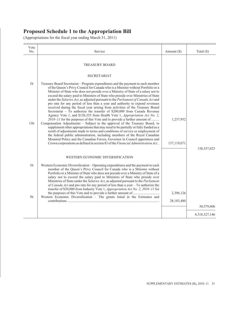| Vote<br>No.     | Service                                                                                                                                                                                                                                                                                                                                                                                                                                                                                                                                                                                                                                                                          | Amount $(\$)$            | Total $(\$)$  |
|-----------------|----------------------------------------------------------------------------------------------------------------------------------------------------------------------------------------------------------------------------------------------------------------------------------------------------------------------------------------------------------------------------------------------------------------------------------------------------------------------------------------------------------------------------------------------------------------------------------------------------------------------------------------------------------------------------------|--------------------------|---------------|
|                 | <b>TREASURY BOARD</b>                                                                                                                                                                                                                                                                                                                                                                                                                                                                                                                                                                                                                                                            |                          |               |
|                 | <b>SECRETARIAT</b>                                                                                                                                                                                                                                                                                                                                                                                                                                                                                                                                                                                                                                                               |                          |               |
| 1 <sub>b</sub>  | Treasury Board Secretariat - Program expenditures and the payment to each member<br>of the Queen's Privy Council for Canada who is a Minister without Portfolio or a<br>Minister of State who does not preside over a Ministry of State of a salary not to<br>exceed the salary paid to Ministers of State who preside over Ministries of State<br>under the Salaries Act, as adjusted pursuant to the Parliament of Canada Act and<br>pro rata for any period of less than a year and authority to expend revenues<br>received during the fiscal year arising from activities of the Treasury Board<br>Secretariat - To authorize the transfer of \$200,000 from Canada Revenue |                          |               |
| 15 <sub>b</sub> | Agency Vote 1, and \$126,355 from Health Vote 1, Appropriation Act No. 2,<br>2010–11 for the purposes of this Vote and to provide a further amount of<br>Compensation Adjustments - Subject to the approval of the Treasury Board, to<br>supplement other appropriations that may need to be partially or fully funded as a<br>result of adjustments made to terms and conditions of service or employment of<br>the federal public administration, including members of the Royal Canadian<br>Mounted Police and the Canadian Forces, Governor in Council appointees and<br>Crown corporations as defined in section 83 of the Financial Administration Act                     | 1,237,952<br>137,119,071 | 138, 357, 023 |
|                 | WESTERN ECONOMIC DIVERSIFICATION                                                                                                                                                                                                                                                                                                                                                                                                                                                                                                                                                                                                                                                 |                          |               |
| 1b              | Western Economic Diversification - Operating expenditures and the payment to each<br>member of the Queen's Privy Council for Canada who is a Minister without<br>Portfolio or a Minister of State who does not preside over a Ministry of State of a<br>salary not to exceed the salary paid to Ministers of State who preside over<br>Ministries of State under the Salaries Act, as adjusted pursuant to the Parliament<br>of Canada Act and pro rata for any period of less than a year $-$ To authorize the<br>transfer of \$20,000 from Industry Vote 1, Appropriation Act No. 2, 2010-11 for                                                                               | 2,396,126                |               |
| 5b              | Western Economic Diversification - The grants listed in the Estimates and                                                                                                                                                                                                                                                                                                                                                                                                                                                                                                                                                                                                        | 28,183,480               |               |
|                 |                                                                                                                                                                                                                                                                                                                                                                                                                                                                                                                                                                                                                                                                                  |                          | 30,579,606    |
|                 |                                                                                                                                                                                                                                                                                                                                                                                                                                                                                                                                                                                                                                                                                  |                          | 4,318,327,146 |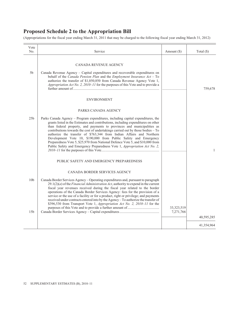(Appropriations for the fiscal year ending March 31, 2011 that may be charged to the following fiscal year ending March 31, 2012)

| Vote<br>N <sub>0</sub> | Service                                                                                                                                                                                                                                                                                                                                                                                                                                                                                                                                                                                                                                    | Amount (\$)               | Total (\$)   |
|------------------------|--------------------------------------------------------------------------------------------------------------------------------------------------------------------------------------------------------------------------------------------------------------------------------------------------------------------------------------------------------------------------------------------------------------------------------------------------------------------------------------------------------------------------------------------------------------------------------------------------------------------------------------------|---------------------------|--------------|
| 5b                     | <b>CANADA REVENUE AGENCY</b><br>Canada Revenue Agency - Capital expenditures and recoverable expenditures on<br>behalf of the Canada Pension Plan and the Employment Insurance $Act - To$<br>authorize the transfer of \$1,050,850 from Canada Revenue Agency Vote 1,<br>Appropriation Act No. 2, 2010-11 for the purposes of this Vote and to provide a                                                                                                                                                                                                                                                                                   |                           | 759,678      |
|                        | <b>ENVIRONMENT</b><br>PARKS CANADA AGENCY                                                                                                                                                                                                                                                                                                                                                                                                                                                                                                                                                                                                  |                           |              |
| 25 <sub>b</sub>        | Parks Canada Agency – Program expenditures, including capital expenditures, the<br>grants listed in the Estimates and contributions, including expenditures on other<br>than federal property, and payments to provinces and municipalities as<br>contributions towards the cost of undertakings carried out by those bodies - To<br>authorize the transfer of \$763,344 from Indian Affairs and Northern<br>Development Vote 10, \$190,000 from Public Safety and Emergency<br>Preparedness Vote 5, \$25,970 from National Defence Vote 5, and \$10,000 from<br>Public Safety and Emergency Preparedness Vote 1, Appropriation Act No. 2, |                           | $\mathbf{1}$ |
|                        | PUBLIC SAFETY AND EMERGENCY PREPAREDNESS                                                                                                                                                                                                                                                                                                                                                                                                                                                                                                                                                                                                   |                           |              |
| 10 <sub>b</sub>        | CANADA BORDER SERVICES AGENCY<br>Canada Border Services Agency – Operating expenditures and, pursuant to paragraph<br>$29.1(2)(a)$ of the <i>Financial Administration Act</i> , authority to expend in the current<br>fiscal year revenues received during the fiscal year related to the border<br>operations of the Canada Border Services Agency: fees for the provision of a<br>service or the use of a facility or for a product, right or privilege; and payments<br>received under contracts entered into by the Agency - To authorize the transfer of<br>\$396,530 from Transport Vote 1, Appropriation Act No. 2, 2010-11 for the |                           |              |
| 15 <sub>b</sub>        |                                                                                                                                                                                                                                                                                                                                                                                                                                                                                                                                                                                                                                            | 33, 323, 519<br>7,271,766 | 40,595,285   |
|                        |                                                                                                                                                                                                                                                                                                                                                                                                                                                                                                                                                                                                                                            |                           | 41,354,964   |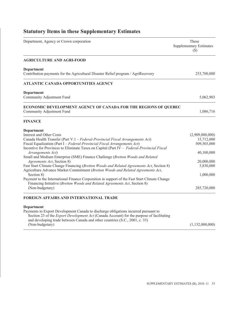#### **Statutory Items in these Supplementary Estimates**

| Department, Agency or Crown corporation                                                                                                                                                                                                                                                                                                                                                                                                                                                                                                                                                                                                                                                                                                                                                                                                         | These<br><b>Supplementary Estimates</b><br>$(\$\)$                                                                |
|-------------------------------------------------------------------------------------------------------------------------------------------------------------------------------------------------------------------------------------------------------------------------------------------------------------------------------------------------------------------------------------------------------------------------------------------------------------------------------------------------------------------------------------------------------------------------------------------------------------------------------------------------------------------------------------------------------------------------------------------------------------------------------------------------------------------------------------------------|-------------------------------------------------------------------------------------------------------------------|
| <b>AGRICULTURE AND AGRI-FOOD</b>                                                                                                                                                                                                                                                                                                                                                                                                                                                                                                                                                                                                                                                                                                                                                                                                                |                                                                                                                   |
| <b>Department</b><br>Contribution payments for the Agricultural Disaster Relief program / AgriRecovery                                                                                                                                                                                                                                                                                                                                                                                                                                                                                                                                                                                                                                                                                                                                          | 253,700,000                                                                                                       |
| <b>ATLANTIC CANADA OPPORTUNITIES AGENCY</b>                                                                                                                                                                                                                                                                                                                                                                                                                                                                                                                                                                                                                                                                                                                                                                                                     |                                                                                                                   |
| <b>Department</b><br>Community Adjustment Fund                                                                                                                                                                                                                                                                                                                                                                                                                                                                                                                                                                                                                                                                                                                                                                                                  | 5,062,903                                                                                                         |
| <b>ECONOMIC DEVELOPMENT AGENCY OF CANADA FOR THE REGIONS OF QUEBEC</b><br>Community Adjustment Fund                                                                                                                                                                                                                                                                                                                                                                                                                                                                                                                                                                                                                                                                                                                                             | 1,086,716                                                                                                         |
| <b>FINANCE</b>                                                                                                                                                                                                                                                                                                                                                                                                                                                                                                                                                                                                                                                                                                                                                                                                                                  |                                                                                                                   |
| <b>Department</b><br>Interest and Other Costs<br>Canada Health Transfer (Part V.1 – Federal-Provincial Fiscal Arrangements Act)<br>Fiscal Equalization (Part I – Federal-Provincial Fiscal Arrangements Act)<br>Incentive for Provinces to Eliminate Taxes on Capital (Part IV - Federal-Provincial Fiscal<br>Arrangements Act)<br>Small and Medium Enterprise (SME) Finance Challenge (Bretton Woods and Related<br>Agreements Act, Section 8)<br>Fast Start Climate Change Financing (Bretton Woods and Related Agreements Act, Section 8)<br>Agriculture Advance Market Commitment (Bretton Woods and Related Agreements Act,<br>Section 8)<br>Payment to the International Finance Corporation in support of the Fast Start Climate Change<br>Financing Initiative (Bretton Woods and Related Agreements Act, Section 8)<br>(Non-budgetary) | (2,909,000,000)<br>15,712,000<br>509,503,000<br>40,100,000<br>20,000,000<br>5,830,000<br>1,000,000<br>285,720,000 |
| <b>FOREIGN AFFAIRS AND INTERNATIONAL TRADE</b><br><b>Department</b>                                                                                                                                                                                                                                                                                                                                                                                                                                                                                                                                                                                                                                                                                                                                                                             |                                                                                                                   |

Payments to Export Development Canada to discharge obligations incurred pursuant to Section 23 of the *Export Development Act* (Canada Account) for the purpose of facilitating and developing trade between Canada and other countries (S.C., 2001, c. 33) (Non-budgetary) (1,132,000,000)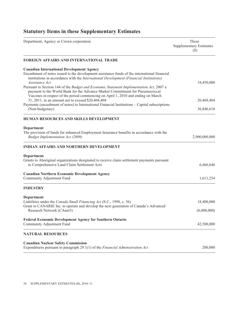# **Statutory Items in these Supplementary Estimates**

| Department, Agency or Crown corporation                                                                                                                                                                                                                                                                           | These<br><b>Supplementary Estimates</b><br>$(\$\)$ |
|-------------------------------------------------------------------------------------------------------------------------------------------------------------------------------------------------------------------------------------------------------------------------------------------------------------------|----------------------------------------------------|
| <b>FOREIGN AFFAIRS AND INTERNATIONAL TRADE</b>                                                                                                                                                                                                                                                                    |                                                    |
| <b>Canadian International Development Agency</b><br>Encashment of notes issued to the development assistance funds of the international financial<br>institutions in accordance with the International Development (Financial Institutions)<br>Assistance Act                                                     | 18,450,000                                         |
| Pursuant to Section 144 of the Budget and Economic Statement Implementation Act, 2007 a<br>payment to the World Bank for the Advance Market Commitment for Pneumococcal<br>Vaccines in respect of the period commencing on April 1, 2010 and ending on March<br>31, 2011, in an amount not to exceed \$20,468,404 | 20,468,404                                         |
| Payments (encashment of notes) to International Financial Institutions – Capital subscriptions<br>(Non-budgetary)                                                                                                                                                                                                 | 36,846,610                                         |
| HUMAN RESOURCES AND SKILLS DEVELOPMENT                                                                                                                                                                                                                                                                            |                                                    |
| <b>Department</b><br>The provision of funds for enhanced Employment Insurance benefits in accordance with the<br><b>Budget Implementation Act (2009)</b>                                                                                                                                                          | 2,900,000,000                                      |
| <b>INDIAN AFFAIRS AND NORTHERN DEVELOPMENT</b>                                                                                                                                                                                                                                                                    |                                                    |
| Department<br>Grants to Aboriginal organizations designated to receive claim settlement payments pursuant<br>to Comprehensive Land Claim Settlement Acts                                                                                                                                                          | 6,466,646                                          |
| <b>Canadian Northern Economic Development Agency</b><br>Community Adjustment Fund                                                                                                                                                                                                                                 | 1,611,254                                          |
| <b>INDUSTRY</b>                                                                                                                                                                                                                                                                                                   |                                                    |
| Department<br>Liabilities under the <i>Canada Small Financing Act</i> (S.C., 1998, c. 36)                                                                                                                                                                                                                         | 18,400,000                                         |
| Grant to CANARIE Inc. to operate and develop the next generation of Canada's Advanced<br>Research Network (CAnet5)                                                                                                                                                                                                | (6,000,000)                                        |
| <b>Federal Economic Development Agency for Southern Ontario</b><br>Community Adjustment Fund                                                                                                                                                                                                                      | 42,500,000                                         |
| <b>NATURAL RESOURCES</b>                                                                                                                                                                                                                                                                                          |                                                    |
| <b>Canadian Nuclear Safety Commission</b><br>Expenditures pursuant to paragraph $29.1(1)$ of the Financial Administration Act                                                                                                                                                                                     | 200,000                                            |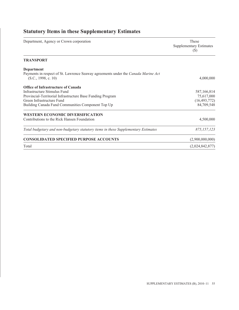# **Statutory Items in these Supplementary Estimates**

| Department, Agency or Crown corporation                                            | These<br><b>Supplementary Estimates</b><br>$\left( \text{\$}\right)$ |
|------------------------------------------------------------------------------------|----------------------------------------------------------------------|
| <b>TRANSPORT</b>                                                                   |                                                                      |
| Department                                                                         |                                                                      |
| Payments in respect of St. Lawrence Seaway agreements under the Canada Marine Act  |                                                                      |
| (S.C., 1998, c. 10)                                                                | 4,000,000                                                            |
| <b>Office of Infrastructure of Canada</b>                                          |                                                                      |
| Infrastructure Stimulus Fund                                                       | 587,166,814                                                          |
| Provincial-Territorial Infrastructure Base Funding Program                         | 75,617,000                                                           |
| Green Infrastructure Fund                                                          | (16, 493, 772)                                                       |
| Building Canada Fund Communities Component Top Up                                  | 84,709,548                                                           |
| <b>WESTERN ECONOMIC DIVERSIFICATION</b>                                            |                                                                      |
| Contributions to the Rick Hansen Foundation                                        | 4,500,000                                                            |
| Total budgetary and non-budgetary statutory items in these Supplementary Estimates | 875,157,123                                                          |
| <b>CONSOLIDATED SPECIFIED PURPOSE ACCOUNTS</b>                                     | (2,900,000,000)                                                      |
| Total                                                                              | (2,024,842,877)                                                      |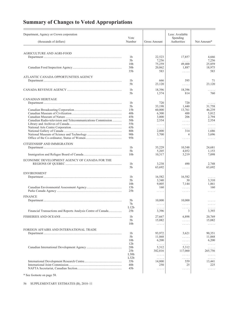# **Summary of Changes to Voted Appropriations**

| Department, Agency or Crown corporation                      | Vote                                |                                                | Less: Available                               |                  |
|--------------------------------------------------------------|-------------------------------------|------------------------------------------------|-----------------------------------------------|------------------|
| (thousands of dollars)                                       | Number                              | Gross Amount                                   | Spending<br>Authorities                       | Net Amount*      |
| AGRICULTURE AND AGRI-FOOD                                    |                                     |                                                |                                               |                  |
|                                                              | 1 <sub>b</sub>                      | 22,523                                         | 17,857                                        | 4,666            |
|                                                              | 5b<br>10 <sub>b</sub>               | 7,256<br>75,259                                | $\alpha$ , $\alpha$ , $\alpha$<br>49,400      | 7,256<br>25,859  |
|                                                              | 30 <sub>b</sub>                     | 20,862                                         | 1,887                                         | 18,975           |
|                                                              | 35 <sub>b</sub>                     | 583                                            | $\alpha$ , $\alpha$ , $\alpha$                | 583              |
| ATLANTIC CANADA OPPORTUNITIES AGENCY                         |                                     |                                                |                                               |                  |
|                                                              | 1 <sub>b</sub>                      | 666                                            | 595                                           | 71               |
|                                                              | 5b                                  | 23,120                                         | $\alpha$ , $\alpha$ , $\alpha$                | 23,120           |
|                                                              | 1 <sub>b</sub>                      | 18,396                                         | 18,396                                        | .                |
|                                                              | 5b                                  | 1,574                                          | 814                                           | 760              |
| <b>CANADIAN HERITAGE</b>                                     |                                     |                                                |                                               |                  |
|                                                              | 1 <sub>b</sub>                      | 720                                            | 720                                           | .                |
|                                                              | 5b<br>15 <sub>b</sub>               | 33,198<br>60,000                               | 1,440<br>13,761                               | 31,758<br>46,239 |
|                                                              | 40 <sub>b</sub>                     | 6,300                                          | 488                                           | 5,812            |
|                                                              | 45 <sub>b</sub>                     | 3,000                                          | 206                                           | 2,794            |
| Canadian Radio-television and Telecommunications Commission  | 50 <sub>b</sub>                     | 2,554                                          | $\cdots$                                      | 2,554            |
|                                                              | 55 <sub>b</sub>                     | $\ldots$                                       | $\mathbb{Z}^n$ . In the $\mathbb{Z}^n$        | .                |
|                                                              | 65b<br>80 <sub>b</sub>              | .<br>2.000                                     | $\mathbb{Z}^n$ . In the $\mathbb{Z}^n$<br>314 | .<br>1,686       |
|                                                              | 90 <sub>b</sub>                     | 3,700                                          | 4                                             | 3,696            |
|                                                              | 95 <sub>b</sub>                     | .                                              | $\ldots$                                      | .                |
| CITIZENSHIP AND IMMIGRATION                                  |                                     |                                                |                                               |                  |
|                                                              | 1b                                  | 35,229                                         | 10,548                                        | 24,681           |
|                                                              | 5b<br>10 <sub>b</sub>               | 5,205<br>10,317                                | 4,052<br>3,219                                | 1,153<br>7,098   |
|                                                              |                                     |                                                |                                               |                  |
| ECONOMIC DEVELOPMENT AGENCY OF CANADA FOR THE                | 1b                                  | 3,238                                          | 490                                           | 2,748            |
|                                                              | 5b                                  | 63,692                                         | .                                             | 63,692           |
| <b>ENVIRONMENT</b>                                           |                                     |                                                |                                               |                  |
|                                                              | 1b                                  | 16,582                                         | 16,582                                        | .                |
|                                                              | 5b                                  | 3,340                                          | 30                                            | 3,310            |
|                                                              | 10 <sub>b</sub>                     | 9,005                                          | 7,144                                         | 1,861            |
|                                                              | 15 <sub>b</sub><br>25 <sub>b</sub>  | 160<br>.                                       | $\ldots$<br>$\dots$                           | 160<br>.         |
|                                                              |                                     |                                                |                                               |                  |
| <b>FINANCE</b>                                               | 5b                                  | 10,000                                         | 10,000                                        |                  |
|                                                              | 7b                                  |                                                |                                               | .                |
|                                                              | L12b                                | .                                              | .                                             | .                |
| Financial Transactions and Reports Analysis Centre of Canada | 25 <sub>b</sub>                     | 3,396                                          | 3                                             | 3,393            |
|                                                              | 1b                                  | 27,667                                         | 6,898                                         | 20,769           |
|                                                              | 5b                                  | 15,082                                         | .                                             | 15,082           |
|                                                              | 10 <sub>b</sub>                     | $\dots$                                        | $\ldots$                                      | .                |
| FOREIGN AFFAIRS AND INTERNATIONAL TRADE                      |                                     |                                                |                                               |                  |
|                                                              | 1b<br>5b                            | 93,972<br>11,068                               | 3,621                                         | 90,351<br>11,068 |
|                                                              | 10 <sub>b</sub>                     | 6,200                                          | $\ldots$<br>$\alpha$ , $\alpha$ , $\alpha$    | 6,200            |
|                                                              | 12 <sub>b</sub>                     | $\ldots$                                       | $\alpha$ , $\alpha$ , $\alpha$                | .                |
|                                                              | 20 <sub>b</sub>                     | 5,312                                          | 5,312                                         | .                |
|                                                              | 25 <sub>b</sub><br>L30 <sub>b</sub> | 382,816                                        | 117,060                                       | 265,756          |
|                                                              | L32b                                | $\alpha$ is a second .<br>$\alpha$ is a second | $\alpha$ , $\alpha$ , $\alpha$<br>$\ldots$    | .<br>.           |
|                                                              | 35 <sub>b</sub>                     | 14,000                                         | 559                                           | 13,441           |
|                                                              | 40 <sub>b</sub>                     | 250                                            | 25                                            | 225              |
|                                                              | 45b                                 | .                                              | .                                             | .                |

\* See footnote on page 58.

56 SUPPLEMENTARY ESTIMATES (B), 2010–11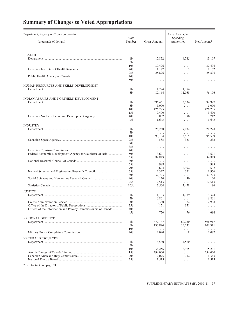| Department, Agency or Crown corporation                        | Vote                               |                                             | Less: Available<br>Spending                                                   |                                        |
|----------------------------------------------------------------|------------------------------------|---------------------------------------------|-------------------------------------------------------------------------------|----------------------------------------|
| (thousands of dollars)                                         | Number                             | Gross Amount                                | Authorities                                                                   | Net Amount*                            |
| <b>HEALTH</b>                                                  |                                    |                                             |                                                                               |                                        |
|                                                                | 1 <sub>b</sub>                     | 17,852                                      | 4,745                                                                         | 13,107                                 |
|                                                                | 5b                                 | $\ldots$                                    | $\ldots$                                                                      | $\mathbb{R}^n$ . In the $\mathbb{R}^n$ |
|                                                                | 10 <sub>b</sub>                    | 32,496                                      | .                                                                             | 32,496                                 |
|                                                                | 20 <sub>b</sub>                    | 1,177                                       | 5                                                                             | 1,172<br>25,896                        |
|                                                                | 25 <sub>b</sub><br>40 <sub>b</sub> | 25,896<br>$\alpha$ , $\alpha$ , $\alpha$    | .<br>$\sim$ $\sim$ $\sim$ $\sim$ $\sim$                                       | .                                      |
|                                                                | 50 <sub>b</sub>                    | $\ldots$                                    | .                                                                             | .                                      |
| HUMAN RESOURCES AND SKILLS DEVELOPMENT                         |                                    |                                             |                                                                               |                                        |
|                                                                | 1b                                 | 1,774                                       | 1,774                                                                         | .                                      |
|                                                                | 5b                                 | 87,164                                      | 11,058                                                                        | 76,106                                 |
| INDIAN AFFAIRS AND NORTHERN DEVELOPMENT                        |                                    |                                             |                                                                               |                                        |
|                                                                | 1b<br>5b                           | 396,461                                     | 3,534                                                                         | 392,927                                |
|                                                                | 10 <sub>b</sub>                    | 5,000<br>426,275                            | $\ldots$<br>$\ldots$                                                          | 5,000<br>426,275                       |
|                                                                | 15 <sub>b</sub>                    | 9,400                                       | .                                                                             | 9,400                                  |
|                                                                | 40 <sub>b</sub>                    | 3,802                                       | 90                                                                            | 3,712                                  |
|                                                                | 45b                                | 1,645                                       | .                                                                             | 1,645                                  |
| <b>INDUSTRY</b>                                                |                                    |                                             |                                                                               |                                        |
|                                                                | 1b                                 | 28,260                                      | 7,032                                                                         | 21,228                                 |
|                                                                | 5b                                 | $\ldots$                                    | .                                                                             | $\cdots$                               |
|                                                                | 10 <sub>b</sub>                    | 99,104                                      | 3,565                                                                         | 95,539                                 |
|                                                                | 25 <sub>b</sub>                    | 585                                         | 353                                                                           | 232                                    |
|                                                                | 30 <sub>b</sub><br>35 <sub>b</sub> | $\mathbb{R}^n$ . In the $\mathbb{R}^n$      | .                                                                             | $\mathbb{R}^n$ . In the $\mathbb{R}^n$ |
|                                                                | 40 <sub>b</sub>                    | $\mathbb{R}^n$ . In the $\mathbb{R}^n$<br>. | $\ldots$<br>$\mathbb{Z}^2$ . $\mathbb{Z}^2$ , $\mathbb{Z}^2$ , $\mathbb{Z}^2$ | .<br>.                                 |
| Federal Economic Development Agency for Southern Ontario       | 50 <sub>b</sub>                    | 3,621                                       | $\ldots$                                                                      | 3,621                                  |
|                                                                | 55b                                | 84,823                                      | .                                                                             | 84,823                                 |
|                                                                | 60 <sub>b</sub>                    | $\ldots$                                    | $\ldots$                                                                      | .                                      |
|                                                                | 65b                                | 988                                         | .                                                                             | 988                                    |
|                                                                | 70 <sub>b</sub><br>75 <sub>b</sub> | 3,624                                       | 2,992<br>351                                                                  | 632                                    |
|                                                                | 80 <sub>b</sub>                    | 2,327<br>37,723                             | $\ldots$                                                                      | 1,976<br>37,723                        |
|                                                                | 90 <sub>b</sub>                    | 130                                         | 30                                                                            | 100                                    |
|                                                                | 95 <sub>b</sub>                    | 12,513                                      | .                                                                             | 12,513                                 |
|                                                                | 105 <sub>b</sub>                   | 3,564                                       | 3,478                                                                         | 86                                     |
| <b>JUSTICE</b>                                                 |                                    |                                             |                                                                               |                                        |
|                                                                | 1 <sub>b</sub>                     | 11,103                                      | 1,779                                                                         | 9,324                                  |
|                                                                | 5b                                 | 6,861                                       | .                                                                             | 6,861                                  |
|                                                                | 30 <sub>b</sub>                    | 3,380                                       | 382                                                                           | 2,998                                  |
|                                                                | 35b                                | 151                                         | 151                                                                           | .                                      |
| Offices of the Information and Privacy Commissioners of Canada | 40 <sub>b</sub><br>45b             | $\ldots$ .<br>770                           | .<br>76                                                                       | .<br>694                               |
|                                                                |                                    |                                             |                                                                               |                                        |
| NATIONAL DEFENCE                                               | 1b                                 | 677,167                                     | 80,250                                                                        | 596,917                                |
|                                                                | 5b                                 | 137,844                                     | 35,533                                                                        | 102,311                                |
|                                                                | 10 <sub>b</sub>                    | .                                           | $\ldots$                                                                      | .                                      |
|                                                                | 20 <sub>b</sub>                    | 2,090                                       | 8                                                                             | 2,082                                  |
| NATURAL RESOURCES                                              |                                    |                                             |                                                                               |                                        |
|                                                                | 1 <sub>b</sub>                     | 14,560                                      | 14,560                                                                        | .                                      |
|                                                                | 5b                                 | $\ldots$ .                                  | $\ldots$                                                                      | .                                      |
|                                                                | 10 <sub>b</sub>                    | 34,256                                      | 18,965                                                                        | 15,291                                 |
|                                                                | 15 <sub>b</sub><br>20 <sub>b</sub> | 294,000<br>2,075                            | $\alpha$ , $\alpha$ , $\alpha$<br>732                                         | 294,000<br>1,343                       |
|                                                                | 25 <sub>b</sub>                    | 1,515                                       | .                                                                             | 1,515                                  |
| $$Q_{20}$ footpate on nego $58$                                |                                    |                                             |                                                                               |                                        |

# **Summary of Changes to Voted Appropriations**

\* See footnote on page 58.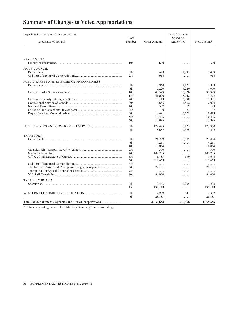| <b>Summary of Changes to Voted Appropriations</b> |  |  |
|---------------------------------------------------|--|--|
|---------------------------------------------------|--|--|

| Department, Agency or Crown corporation                 |                 |              | Less: Available         |             |
|---------------------------------------------------------|-----------------|--------------|-------------------------|-------------|
| (thousands of dollars)                                  | Vote<br>Number  | Gross Amount | Spending<br>Authorities | Net Amount* |
|                                                         |                 |              |                         |             |
| <b>PARLIAMENT</b>                                       |                 |              |                         |             |
|                                                         | 10 <sub>b</sub> | 600          | 1.1.1.1                 | 600         |
| PRIVY COUNCIL                                           |                 |              |                         |             |
|                                                         | 1 <sub>b</sub>  | 3,698        | 2,295                   | 1.403       |
|                                                         | 23 <sub>b</sub> | 914          | .                       | 914         |
| PUBLIC SAFETY AND EMERGENCY PREPAREDNESS                |                 |              |                         |             |
|                                                         | 1 <sub>b</sub>  | 3,960        | 2.121                   | 1.839       |
|                                                         | 5b              | 7,220        | 6,220                   | 1,000       |
|                                                         | 10 <sub>b</sub> | 48,543       | 15,220                  | 33,323      |
|                                                         | 15 <sub>b</sub> | 41,020       | 33,748                  | 7,272       |
|                                                         | 20 <sub>b</sub> | 18,119       | 5,288                   | 12,831      |
|                                                         | 30 <sub>b</sub> | 6,886        | 4,862                   | 2,024       |
|                                                         | 40 <sub>b</sub> | 507          | 379                     | 128         |
|                                                         | 45 <sub>b</sub> | 60           | 23                      | 37          |
|                                                         | 50 <sub>b</sub> | 13,641       | 3,623                   | 10.018      |
|                                                         | 55b             | 10,436       | .                       | 10,436      |
|                                                         | 60 <sub>b</sub> | 13,845       | .                       | 13,845      |
|                                                         | 1 <sub>b</sub>  | 129,495      | 6,125                   | 123,370     |
|                                                         | 5b              | 5,857        | 2,425                   | 3,432       |
| <b>TRANSPORT</b>                                        |                 |              |                         |             |
|                                                         | 1 <sub>b</sub>  | 24,289       | 2,885                   | 21,404      |
|                                                         | 5 <sub>b</sub>  | 4,261        | .                       | 4,261       |
|                                                         | 10 <sub>b</sub> | 10,064       | .                       | 10,064      |
|                                                         | 25 <sub>b</sub> | 500          | .                       | 500         |
|                                                         | 40 <sub>b</sub> | 102,205      | .                       | 102,205     |
|                                                         | 55b             | 1,783        | 139                     | 1,644       |
|                                                         | 60 <sub>b</sub> | 717,668      | .                       | 717,668     |
|                                                         | 65b             | .            | .                       |             |
|                                                         | 70 <sub>b</sub> | 29,181       | .                       | 29,181      |
|                                                         | 75 <sub>b</sub> | $\ldots$     | .                       | .           |
|                                                         | 80 <sub>b</sub> | 94,000       | .                       | 94,000      |
| <b>TREASURY BOARD</b>                                   |                 |              |                         |             |
|                                                         | 1b              | 3,443        | 2,205                   | 1,238       |
|                                                         | 15 <sub>b</sub> | 137,119      | .                       | 137,119     |
|                                                         | 1 <sub>b</sub>  | 2,939        | 542                     | 2,397       |
|                                                         | 5 <sub>b</sub>  | 28,183       |                         | 28,183      |
| Total, all departments, agencies and Crown corporations |                 | 4,930,654    | 570,968                 | 4,359,686   |

\* Totals may not agree with the "Ministry Summary" due to rounding.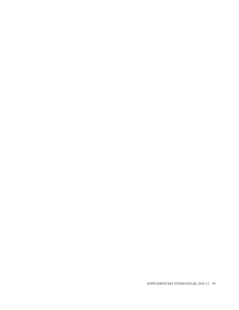SUPPLEMENTARY ESTIMATES (B), 2010–11 59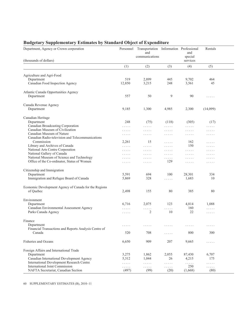| (thousands of dollars)<br>services<br>(1)<br>(2)<br>(3)<br>(4)<br>(5)<br>Agriculture and Agri-Food<br>Department<br>519<br>2,899<br>445<br>9,702<br>464<br>Canadian Food Inspection Agency<br>12,850<br>3,215<br>248<br>3,561<br>45<br>Atlantic Canada Opportunities Agency<br>557<br>50<br>9<br>90<br>Department<br>.<br>Canada Revenue Agency<br>Department<br>9,185<br>1,300<br>(14,099)<br>4,985<br>2,300<br>Canadian Heritage<br>Department<br>248<br>(75)<br>(118)<br>(305)<br>(17)<br>Canadian Broadcasting Corporation<br>.<br>$\ldots$<br>$\cdots$<br>$\cdots\cdots\cdots$<br>.<br>Canadian Museum of Civilization<br>.<br>$\ldots$<br>$\cdots$<br>.<br>$\sim$ $\sim$ $\sim$ $\sim$ $\sim$<br>Canadian Museum of Nature<br>.<br>$\ldots$<br>$\dots$<br>$\cdots$<br>.<br>Canadian Radio-television and Telecommunications<br>Commission<br>2,261<br>15<br>162<br>$\ldots$<br>.<br>Library and Archives of Canada<br>150<br>$\sim$ $\sim$ $\sim$ $\sim$ $\sim$<br>$\ldots$<br>.<br>.<br>National Arts Centre Corporation<br>$\cdots$<br>$\ldots$<br>$\cdots$<br>.<br>$\cdots\cdots\cdots$<br>National Gallery of Canada<br>.<br>$\ldots$<br>$\ldots$<br>$\cdots$<br>$\cdots$ | Transportation Information Professional<br>Rentals<br>and<br>special | and<br>communications | Personnel | Department, Agency or Crown corporation   |
|-------------------------------------------------------------------------------------------------------------------------------------------------------------------------------------------------------------------------------------------------------------------------------------------------------------------------------------------------------------------------------------------------------------------------------------------------------------------------------------------------------------------------------------------------------------------------------------------------------------------------------------------------------------------------------------------------------------------------------------------------------------------------------------------------------------------------------------------------------------------------------------------------------------------------------------------------------------------------------------------------------------------------------------------------------------------------------------------------------------------------------------------------------------------------------------|----------------------------------------------------------------------|-----------------------|-----------|-------------------------------------------|
|                                                                                                                                                                                                                                                                                                                                                                                                                                                                                                                                                                                                                                                                                                                                                                                                                                                                                                                                                                                                                                                                                                                                                                                     |                                                                      |                       |           |                                           |
|                                                                                                                                                                                                                                                                                                                                                                                                                                                                                                                                                                                                                                                                                                                                                                                                                                                                                                                                                                                                                                                                                                                                                                                     |                                                                      |                       |           |                                           |
|                                                                                                                                                                                                                                                                                                                                                                                                                                                                                                                                                                                                                                                                                                                                                                                                                                                                                                                                                                                                                                                                                                                                                                                     |                                                                      |                       |           |                                           |
|                                                                                                                                                                                                                                                                                                                                                                                                                                                                                                                                                                                                                                                                                                                                                                                                                                                                                                                                                                                                                                                                                                                                                                                     |                                                                      |                       |           |                                           |
|                                                                                                                                                                                                                                                                                                                                                                                                                                                                                                                                                                                                                                                                                                                                                                                                                                                                                                                                                                                                                                                                                                                                                                                     |                                                                      |                       |           |                                           |
|                                                                                                                                                                                                                                                                                                                                                                                                                                                                                                                                                                                                                                                                                                                                                                                                                                                                                                                                                                                                                                                                                                                                                                                     |                                                                      |                       |           |                                           |
|                                                                                                                                                                                                                                                                                                                                                                                                                                                                                                                                                                                                                                                                                                                                                                                                                                                                                                                                                                                                                                                                                                                                                                                     |                                                                      |                       |           |                                           |
|                                                                                                                                                                                                                                                                                                                                                                                                                                                                                                                                                                                                                                                                                                                                                                                                                                                                                                                                                                                                                                                                                                                                                                                     |                                                                      |                       |           |                                           |
|                                                                                                                                                                                                                                                                                                                                                                                                                                                                                                                                                                                                                                                                                                                                                                                                                                                                                                                                                                                                                                                                                                                                                                                     |                                                                      |                       |           |                                           |
|                                                                                                                                                                                                                                                                                                                                                                                                                                                                                                                                                                                                                                                                                                                                                                                                                                                                                                                                                                                                                                                                                                                                                                                     |                                                                      |                       |           |                                           |
|                                                                                                                                                                                                                                                                                                                                                                                                                                                                                                                                                                                                                                                                                                                                                                                                                                                                                                                                                                                                                                                                                                                                                                                     |                                                                      |                       |           |                                           |
|                                                                                                                                                                                                                                                                                                                                                                                                                                                                                                                                                                                                                                                                                                                                                                                                                                                                                                                                                                                                                                                                                                                                                                                     |                                                                      |                       |           |                                           |
|                                                                                                                                                                                                                                                                                                                                                                                                                                                                                                                                                                                                                                                                                                                                                                                                                                                                                                                                                                                                                                                                                                                                                                                     |                                                                      |                       |           |                                           |
|                                                                                                                                                                                                                                                                                                                                                                                                                                                                                                                                                                                                                                                                                                                                                                                                                                                                                                                                                                                                                                                                                                                                                                                     |                                                                      |                       |           |                                           |
|                                                                                                                                                                                                                                                                                                                                                                                                                                                                                                                                                                                                                                                                                                                                                                                                                                                                                                                                                                                                                                                                                                                                                                                     |                                                                      |                       |           |                                           |
|                                                                                                                                                                                                                                                                                                                                                                                                                                                                                                                                                                                                                                                                                                                                                                                                                                                                                                                                                                                                                                                                                                                                                                                     |                                                                      |                       |           |                                           |
|                                                                                                                                                                                                                                                                                                                                                                                                                                                                                                                                                                                                                                                                                                                                                                                                                                                                                                                                                                                                                                                                                                                                                                                     |                                                                      |                       |           |                                           |
| $\sim$ $\sim$ $\sim$ $\sim$ $\sim$<br>$\cdots$<br>.<br>.<br>$\cdots$                                                                                                                                                                                                                                                                                                                                                                                                                                                                                                                                                                                                                                                                                                                                                                                                                                                                                                                                                                                                                                                                                                                |                                                                      |                       |           | National Museum of Science and Technology |
| Office of the Co-ordinator, Status of Women<br>129<br>$\cdots$<br>$\ldots$<br>$\cdots\cdots\cdots$<br>.                                                                                                                                                                                                                                                                                                                                                                                                                                                                                                                                                                                                                                                                                                                                                                                                                                                                                                                                                                                                                                                                             |                                                                      |                       |           |                                           |
| Citizenship and Immigration                                                                                                                                                                                                                                                                                                                                                                                                                                                                                                                                                                                                                                                                                                                                                                                                                                                                                                                                                                                                                                                                                                                                                         |                                                                      |                       |           |                                           |
| 28,301<br>Department<br>5,591<br>694<br>100<br>334                                                                                                                                                                                                                                                                                                                                                                                                                                                                                                                                                                                                                                                                                                                                                                                                                                                                                                                                                                                                                                                                                                                                  |                                                                      |                       |           |                                           |
| Immigration and Refugee Board of Canada<br>328<br>10<br>5,869<br>1,683<br>$\ldots$                                                                                                                                                                                                                                                                                                                                                                                                                                                                                                                                                                                                                                                                                                                                                                                                                                                                                                                                                                                                                                                                                                  |                                                                      |                       |           |                                           |
| Economic Development Agency of Canada for the Regions                                                                                                                                                                                                                                                                                                                                                                                                                                                                                                                                                                                                                                                                                                                                                                                                                                                                                                                                                                                                                                                                                                                               |                                                                      |                       |           |                                           |
| of Quebec<br>155<br>80<br>385<br>80<br>2,498                                                                                                                                                                                                                                                                                                                                                                                                                                                                                                                                                                                                                                                                                                                                                                                                                                                                                                                                                                                                                                                                                                                                        |                                                                      |                       |           |                                           |
| Environment                                                                                                                                                                                                                                                                                                                                                                                                                                                                                                                                                                                                                                                                                                                                                                                                                                                                                                                                                                                                                                                                                                                                                                         |                                                                      |                       |           |                                           |
| Department<br>6,716<br>2,075<br>123<br>4,814<br>1,088                                                                                                                                                                                                                                                                                                                                                                                                                                                                                                                                                                                                                                                                                                                                                                                                                                                                                                                                                                                                                                                                                                                               |                                                                      |                       |           |                                           |
| 160<br>Canadian Environmental Assessment Agency<br>$\mathbb{Z}^n$ . In the $\mathbb{Z}^n$<br>$\alpha$ , $\alpha$ , $\alpha$<br>$\sim$ $\sim$ $\sim$ $\sim$ $\sim$<br>$\sim$ $\sim$ $\sim$ $\sim$ $\sim$                                                                                                                                                                                                                                                                                                                                                                                                                                                                                                                                                                                                                                                                                                                                                                                                                                                                                                                                                                             |                                                                      |                       |           |                                           |
| 2<br>10<br>22<br>Parks Canada Agency<br>1.1.1.1<br>$\cdots$                                                                                                                                                                                                                                                                                                                                                                                                                                                                                                                                                                                                                                                                                                                                                                                                                                                                                                                                                                                                                                                                                                                         |                                                                      |                       |           |                                           |
| Finance                                                                                                                                                                                                                                                                                                                                                                                                                                                                                                                                                                                                                                                                                                                                                                                                                                                                                                                                                                                                                                                                                                                                                                             |                                                                      |                       |           |                                           |
| Department<br>.<br>$\cdots$<br>$\cdots$<br>$\cdots$<br>.<br>Financial Transactions and Reports Analysis Centre of                                                                                                                                                                                                                                                                                                                                                                                                                                                                                                                                                                                                                                                                                                                                                                                                                                                                                                                                                                                                                                                                   |                                                                      |                       |           |                                           |
| 708<br>800<br>300<br>Canada<br>520<br>$\cdots$                                                                                                                                                                                                                                                                                                                                                                                                                                                                                                                                                                                                                                                                                                                                                                                                                                                                                                                                                                                                                                                                                                                                      |                                                                      |                       |           |                                           |
| Fisheries and Oceans<br>909<br>207<br>6,650<br>9,665<br>.                                                                                                                                                                                                                                                                                                                                                                                                                                                                                                                                                                                                                                                                                                                                                                                                                                                                                                                                                                                                                                                                                                                           |                                                                      |                       |           |                                           |
| Foreign Affairs and International Trade                                                                                                                                                                                                                                                                                                                                                                                                                                                                                                                                                                                                                                                                                                                                                                                                                                                                                                                                                                                                                                                                                                                                             |                                                                      |                       |           |                                           |
| Department<br>3,275<br>1,862<br>2,055<br>87,430<br>6,707                                                                                                                                                                                                                                                                                                                                                                                                                                                                                                                                                                                                                                                                                                                                                                                                                                                                                                                                                                                                                                                                                                                            |                                                                      |                       |           |                                           |
| Canadian International Development Agency<br>5,312<br>1,044<br>26<br>4,215<br>175                                                                                                                                                                                                                                                                                                                                                                                                                                                                                                                                                                                                                                                                                                                                                                                                                                                                                                                                                                                                                                                                                                   |                                                                      |                       |           |                                           |
| <b>International Development Research Centre</b><br>$\mathbb{Z}^2$ , $\mathbb{Z}^2$ , $\mathbb{Z}^2$<br>.<br>$\alpha$ is a set of<br>$\ldots$<br>$\ldots$                                                                                                                                                                                                                                                                                                                                                                                                                                                                                                                                                                                                                                                                                                                                                                                                                                                                                                                                                                                                                           |                                                                      |                       |           |                                           |
| International Joint Commission<br>250<br>.<br>$\ldots$<br>$\ldots$<br>.<br>NAFTA Secretariat, Canadian Section<br>(497)<br>(99)<br>(20)<br>(1,668)<br>(80)                                                                                                                                                                                                                                                                                                                                                                                                                                                                                                                                                                                                                                                                                                                                                                                                                                                                                                                                                                                                                          |                                                                      |                       |           |                                           |

#### **Budgetary Supplementary Estimates by Standard Object of Expenditure**

60 SUPPLEMENTARY ESTIMATES (B), 2010–11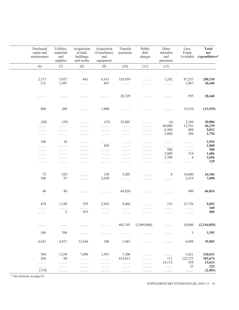| <b>Total</b><br>$\mathbf{net}$<br>expenditures* | Less:<br>Funds<br>Available | Other<br>subsidies<br>and<br>payments | Public<br>debt<br>charges          | Transfer<br>payments               | Acquisition<br>of machinery<br>and<br>equipment | Acquisition<br>of land,<br>buildings<br>and works | Utilities,<br>materials<br>and<br>supplies | Purchased<br>repair and<br>maintenance |
|-------------------------------------------------|-----------------------------|---------------------------------------|------------------------------------|------------------------------------|-------------------------------------------------|---------------------------------------------------|--------------------------------------------|----------------------------------------|
|                                                 |                             | (12)                                  | (11)                               | (10)                               | (9)                                             | (8)                                               | (7)                                        | (6)                                    |
|                                                 |                             |                                       |                                    |                                    |                                                 |                                                   |                                            |                                        |
| 290,339<br>20,440                               | 67,257<br>1,887             | 1,242<br>.                            | .<br>.                             | 328,959<br>$\ldots$                | 6,415<br>891                                    | 841<br>.                                          | 3,937<br>1,305                             | 2,173<br>212                           |
| 28,440                                          | 595                         | .                                     | .                                  | 28,329                             | $\cdots$                                        | .                                                 | .                                          | .                                      |
| (13,539)                                        | 19,210                      | .                                     | .                                  | $\ldots$                           | 1,000                                           | .                                                 | 200                                        | 800                                    |
| 30,086                                          | 2,160                       | (6)                                   | $\cdots$                           | 32,601                             | (33)                                            | .                                                 | (29)                                       | (20)                                   |
| 46,239                                          | 13,761                      | 60,000                                | $\sim$ $\sim$ $\sim$ $\sim$ $\sim$ | $\alpha$ , $\alpha$ , $\alpha$     | $\sim$ $\sim$ $\sim$ $\sim$ $\sim$              | $\cdots\cdots\cdots$                              | $\sim$ $\sim$ $\sim$ $\sim$ $\sim$         | .                                      |
| 5,812                                           | 488                         | 6,300                                 | $\sim$ $\sim$ $\sim$ $\sim$ $\sim$ | $\sim$ $\sim$ $\sim$ $\sim$ $\sim$ | $\dots$                                         | .                                                 | .                                          | .                                      |
| 2,794                                           | 206                         | 3,000                                 | .                                  | $\sim$ $\sim$ $\sim$ $\sim$ $\sim$ | $\sim$ $\sim$ $\sim$ $\sim$ $\sim$              | .                                                 | $\sim$ $\sim$ $\sim$ $\sim$ $\sim$         | .                                      |
| 2,554                                           | $\cdots$                    | $\sim$ $\sim$ $\sim$ $\sim$ $\sim$    | $\cdots\cdots\cdots$               | $\sim$ $\sim$ $\sim$ $\sim$ $\sim$ | $\dots$                                         | .                                                 | 16                                         | 100                                    |
| 1,000                                           | .                           | .                                     | $\cdots\cdots\cdots$               | $\sim$ $\sim$ $\sim$ $\sim$ $\sim$ | 850                                             | $\sim$ $\sim$ $\sim$ $\sim$ $\sim$                | .                                          | .                                      |
| 500                                             | .                           | 500                                   | $\ldots$                           | $\sim$ $\sim$ $\sim$ $\sim$ $\sim$ | $\dots$                                         | $\sim$ $\sim$ $\sim$ $\sim$ $\sim$                | $\ldots$                                   | $\cdots\cdots\cdots$                   |
| 1,686                                           | 314                         | 2,000                                 | .                                  | .                                  | $\cdots$                                        | .                                                 | .                                          | .                                      |
| 3,696                                           | $\overline{4}$              | 3,700                                 | $\cdots\cdots\cdots$               | $\sim$ $\sim$ $\sim$ $\sim$ $\sim$ | $\ldots$                                        | .                                                 | $\cdots\cdots\cdots$                       | .                                      |
| 129                                             | $\ldots$                    | $\alpha$ is a set of                  | $\sim$ $\sim$ $\sim$ $\sim$ $\sim$ | $\sim$ $\sim$ $\sim$ $\sim$ $\sim$ | $\dots$                                         | .                                                 | $\sim$ $\sim$ $\sim$ $\sim$ $\sim$         | .                                      |
| 24,184                                          | 14,600                      | 8                                     | $\sim$ $\sim$ $\sim$ $\sim$ $\sim$ | 3,205                              | 150                                             | .                                                 | 329                                        | 72                                     |
| 7,098                                           | 3,219                       | .                                     | .                                  | $\sim$ $\sim$ $\sim$ $\sim$ $\sim$ | 2,030                                           | .                                                 | 97                                         | 300                                    |
| 66,816                                          | 490                         | .                                     | $\sim$ $\sim$ $\sim$ $\sim$ $\sim$ | 64,028                             | $\sim$ $\sim$ $\sim$ $\sim$ $\sim$              | $\cdots$                                          | 40                                         | 40                                     |
| 5,693                                           | 23,756                      | 153                                   | .                                  | 9,468                              | 2,945                                           | 395                                               | 1,198                                      | 474                                    |
| <b>160</b>                                      | $\cdots\cdots\cdots$        | .                                     | $\cdots\cdots\cdots$               | $\sim$ $\sim$ $\sim$ $\sim$ $\sim$ | $\ldots$                                        | .                                                 | $\ldots$                                   | .                                      |
| 989                                             | $\cdots$                    | .                                     | .                                  | .                                  | $\dots$                                         | 953                                               | $\overline{2}$                             | .                                      |
| (2,316,855)                                     | 10,000                      | .                                     | (2,909,000)                        | 602,145                            | $\ldots$                                        | .                                                 | $\sim$ $\sim$ $\sim$ $\sim$ $\sim$         | $\cdots\cdots\cdots$                   |
| 3,393                                           | $\mathfrak{Z}$              | .                                     | $\sim$ $\sim$ $\sim$ $\sim$ $\sim$ | $\sim$ $\sim$ $\sim$ $\sim$ $\sim$ | $\sim$ $\sim$ $\sim$ $\sim$ $\sim$              | $\sim$ $\sim$ $\sim$ $\sim$ $\sim$                | 700                                        | 368                                    |
| 35,983                                          | 6,898                       | .                                     | .                                  | 1,963                              | 280                                             | 13,684                                            | 4,871                                      | 4,652                                  |
| 120,031                                         | 3,621                       | .                                     | .                                  | 7,300                              | 3,591                                           | 7,690                                             | 3,238                                      | 504                                    |
| 303,674                                         | 122,372                     | 111                                   | .                                  | 414,813                            | $\ldots$                                        | $\sim$ $\sim$ $\sim$ $\sim$ $\sim$                | 90                                         | 260                                    |
| 13,613                                          | 559                         | 14,172                                | $\cdots\cdots\cdots$               | $\alpha$ , $\alpha$ , $\alpha$     | $\sim$ $\sim$ $\sim$ $\sim$ $\sim$              | $\sim$ $\sim$ $\sim$ $\sim$ $\sim$                | .                                          | .                                      |
| 225                                             | 25                          | $\ldots$                              | .                                  | $\sim$ $\sim$ $\sim$ $\sim$ $\sim$ | $\sim$ $\sim$ $\sim$ $\sim$ $\sim$              | .                                                 | $\sim$ $\sim$ $\sim$ $\sim$ $\sim$         | .                                      |
| (2, 483)                                        | $\dots$                     | .                                     | .                                  | .                                  | .                                               | .                                                 | .                                          | (119)                                  |

SUPPLEMENTARY ESTIMATES (B), 2010–11 61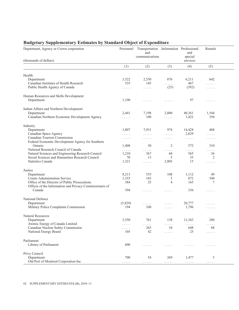| Department, Agency or Crown corporation<br>(thousands of dollars) | Personnel                          | Transportation Information Professional<br>and<br>communications  |                                    | and<br>special<br>services         | Rentals                            |  |
|-------------------------------------------------------------------|------------------------------------|-------------------------------------------------------------------|------------------------------------|------------------------------------|------------------------------------|--|
|                                                                   | (1)                                | (2)                                                               | (3)                                | (4)                                | (5)                                |  |
| Health                                                            |                                    |                                                                   |                                    |                                    |                                    |  |
| Department                                                        | 3,322                              | 2,550                                                             | 876                                | 6,211                              | 642                                |  |
| Canadian Institutes of Health Research                            | 535                                | 145                                                               | 1.1.1.1                            | 467                                | .                                  |  |
| Public Health Agency of Canada                                    | .                                  | $\sim$ $\sim$ $\sim$ $\sim$ $\sim$                                | (25)                               | (392)                              | .                                  |  |
| Human Resources and Skills Development                            |                                    |                                                                   |                                    |                                    |                                    |  |
| Department                                                        | 1,190                              | $\cdots$                                                          | .                                  | 97                                 | .                                  |  |
| Indian Affairs and Northern Development                           |                                    |                                                                   |                                    |                                    |                                    |  |
| Department                                                        | 2,441                              | 7,198                                                             | 2,800                              | 40,361                             | 1,544                              |  |
| Canadian Northern Economic Development Agency                     | .                                  | 100                                                               | .                                  | 1,422                              | 350                                |  |
| Industry                                                          |                                    |                                                                   |                                    |                                    |                                    |  |
| Department                                                        | 1,807                              | 7,931                                                             | 974                                | 14,428                             | 488                                |  |
| Canadian Space Agency                                             | .                                  | $\sim$ $\sim$ $\sim$ $\sim$ $\sim$                                | .                                  | 2,629                              | .                                  |  |
| Canadian Tourism Commission                                       | .                                  | $\cdots$                                                          | .                                  | $\sim$ $\sim$ $\sim$ $\sim$ $\sim$ | .                                  |  |
| Federal Economic Development Agency for Southern<br>Ontario       | 1,408                              | 30                                                                | 2                                  | 572                                | 310                                |  |
| National Research Council of Canada                               | 1.1.1.1                            | $\mathbb{Z}^2$ . The set of $\mathbb{Z}^2$                        | 1.1.1.1                            | .                                  | .                                  |  |
| Natural Sciences and Engineering Research Council                 | 1,210                              | 367                                                               | 68                                 | 565                                | 36                                 |  |
| Social Sciences and Humanities Research Council                   | 70                                 | 13                                                                | 5                                  | 35                                 | $\overline{2}$                     |  |
| <b>Statistics Canada</b>                                          | 1,321                              | $\mathbb{Z}^2$ . $\mathbb{Z}^2$ , $\mathbb{Z}^2$ , $\mathbb{Z}^2$ | 2,005                              | 15                                 | $\cdots$                           |  |
| Justice                                                           |                                    |                                                                   |                                    |                                    |                                    |  |
| Department                                                        | 8,213                              | 535                                                               | 108                                | 1,112                              | 49                                 |  |
| <b>Courts Administration Service</b>                              | 1,355                              | 183                                                               | 5                                  | 872                                | 540                                |  |
| Office of the Director of Public Prosecutions                     | 384                                | 25                                                                | $\overline{4}$                     | 165                                | 7                                  |  |
| Offices of the Information and Privacy Commissioners of<br>Canada | 394                                | $\cdots$                                                          | $\sim$ $\sim$ $\sim$ $\sim$ $\sim$ | 336                                | $\cdots$                           |  |
|                                                                   |                                    |                                                                   |                                    |                                    |                                    |  |
| National Defence                                                  |                                    |                                                                   |                                    |                                    |                                    |  |
| Department                                                        | (5,829)<br>194                     | 1.1.1.1<br>100                                                    | .                                  | 20,777                             | 1.1.1.1                            |  |
| Military Police Complaints Commission                             |                                    |                                                                   | .                                  | 1,796                              | .                                  |  |
| Natural Resources                                                 |                                    |                                                                   |                                    |                                    |                                    |  |
| Department                                                        | 3,550                              | 761                                                               | 138                                | 11,343                             | 280                                |  |
| Atomic Energy of Canada Limited                                   | .                                  | 1.1.1.1                                                           | .                                  | .                                  | 1.1.1.1                            |  |
| Canadian Nuclear Safety Commission                                | .                                  | 265                                                               | 34                                 | 648                                | 68                                 |  |
| National Energy Board                                             | 105                                | 42                                                                | $\ldots$                           | 25                                 | .                                  |  |
| Parliament                                                        |                                    |                                                                   |                                    |                                    |                                    |  |
| Library of Parliament                                             | 600                                | $\ldots$                                                          | .                                  | $\cdots\cdots\cdots$               | .                                  |  |
| Privy Council                                                     |                                    |                                                                   |                                    |                                    |                                    |  |
| Department                                                        | 700                                | 54                                                                | 269                                | 1,477                              | 5                                  |  |
| Old Port of Montreal Corporation Inc.                             | $\sim$ $\sim$ $\sim$ $\sim$ $\sim$ | $\sim$ $\sim$ $\sim$ $\sim$ $\sim$                                | $\sim$ $\sim$ $\sim$ $\sim$ $\sim$ | $\sim$ $\sim$ $\sim$ $\sim$ $\sim$ | $\sim$ $\sim$ $\sim$ $\sim$ $\sim$ |  |

#### **Budgetary Supplementary Estimates by Standard Object of Expenditure**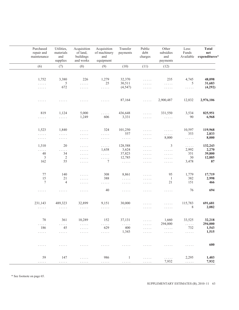| Purchased<br>repair and<br>maintenance | Utilities,<br>materials<br>and<br>supplies | Acquisition<br>of land,<br>buildings<br>and works | Acquisition<br>of machinery<br>and<br>equipment | Transfer<br>payments               | Public<br>debt<br>charges          | Other<br>subsidies<br>and<br>payments  | Less:<br>Funds<br>Available                                     | <b>Total</b><br>$\mathbf{net}$<br>expenditures* |
|----------------------------------------|--------------------------------------------|---------------------------------------------------|-------------------------------------------------|------------------------------------|------------------------------------|----------------------------------------|-----------------------------------------------------------------|-------------------------------------------------|
| (6)                                    | (7)                                        | (8)                                               | (9)                                             | (10)                               | (11)                               | (12)                                   |                                                                 |                                                 |
|                                        |                                            |                                                   |                                                 |                                    |                                    |                                        |                                                                 |                                                 |
| 1,752                                  | 3,380                                      | 226                                               | 1,279                                           | 32,370                             | .                                  | 235                                    | 4,745                                                           | 48,098                                          |
| .                                      | 5                                          | .                                                 | 25                                              | 30,511                             | $\sim$ $\sim$ $\sim$ $\sim$ $\sim$ | .                                      | 5                                                               | 31,683                                          |
| .                                      | 672                                        | $\ldots$                                          | $\ldots$                                        | (4, 547)                           | .                                  | $\sim$ $\sim$ $\sim$ $\sim$            | $\alpha$ is a set of                                            | (4,292)                                         |
|                                        |                                            |                                                   |                                                 |                                    |                                    |                                        |                                                                 |                                                 |
| .                                      | .                                          | .                                                 | $\alpha$ is a set of                            | 87,164                             | $\ldots$                           | 2,900,487                              | 12,832                                                          | 2,976,106                                       |
|                                        |                                            |                                                   |                                                 |                                    |                                    |                                        |                                                                 |                                                 |
| 819                                    | 1,124                                      | 5,000                                             | .                                               | 436,648                            | .                                  | 331,550                                | 3,534                                                           | 825,951                                         |
| .                                      | $\ldots$                                   | 1,249                                             | 606                                             | 3,331                              | .                                  | .                                      | 90                                                              | 6,968                                           |
|                                        |                                            |                                                   |                                                 |                                    |                                    |                                        |                                                                 |                                                 |
| 1,523                                  | 1,840                                      | .                                                 | 324                                             | 101,250                            | .                                  | .                                      | 10,597                                                          | 119,968                                         |
| .                                      | $\cdots$                                   | .                                                 | $\ldots$                                        | 557                                | $\sim$ $\sim$ $\sim$ $\sim$ $\sim$ | .                                      | 353                                                             | 2,833                                           |
| .                                      | $\ldots$                                   | $\sim$ $\sim$ $\sim$ $\sim$ $\sim$                | $\sim$ $\sim$ $\sim$ $\sim$ $\sim$              | $\ldots$                           | $\sim$ $\sim$ $\sim$ $\sim$ $\sim$ | 8,000                                  | $\mathbb{Z}^2$ , $\mathbb{Z}^2$ , $\mathbb{Z}^2$                | 8,000                                           |
| 1,310                                  | 20                                         | $\cdots$                                          | .                                               | 128,588                            | $\ldots$                           | 3                                      | .                                                               | 132,243                                         |
| .                                      | .                                          | $\ldots$                                          | 1,638                                           | 3,624                              | 1.1.1.1                            | $\sim$ $\sim$ $\sim$ $\sim$            | 2,992                                                           | 2,270                                           |
| 48                                     | 34                                         | $\ldots$                                          | $\ldots$                                        | 37,823                             | .                                  | $\sim$ $\sim$ $\sim$ $\sim$ $\sim$     | 351                                                             | 39,800                                          |
| 3                                      | $\overline{c}$                             | .                                                 | .                                               | 12,785                             | .                                  | $\ldots$                               | $30\,$                                                          | 12,885                                          |
| 162                                    | 55                                         | $\ldots$                                          | 7                                               | $\sim$ $\sim$ $\sim$ $\sim$        | $\sim$ $\sim$ $\sim$ $\sim$ $\sim$ | $\sim$ $\sim$ $\sim$ $\sim$            | 3,478                                                           | 87                                              |
|                                        |                                            |                                                   |                                                 |                                    |                                    |                                        |                                                                 |                                                 |
| 77                                     | 140                                        | .                                                 | 308                                             | 8,861                              | .                                  | 95                                     | 1,779                                                           | 17,719                                          |
| 15                                     | 21                                         | $\ldots$                                          | 388                                             | $\alpha$ , $\alpha$ , $\alpha$     | $\sim$ $\sim$ $\sim$ $\sim$ $\sim$ | $\mathbf{1}$                           | 382                                                             | 2,998                                           |
| 7                                      | $\overline{4}$                             | $\sim$ $\sim$ $\sim$ $\sim$ $\sim$                | $\sim$ $\sim$ $\sim$ $\sim$ $\sim$              | $\sim$ $\sim$ $\sim$ $\sim$ $\sim$ | $\sim$ $\sim$ $\sim$ $\sim$ $\sim$ | 21                                     | 151                                                             | 466                                             |
| .                                      | .                                          | .                                                 | 40                                              | .                                  | .                                  | .                                      | 76                                                              | 694                                             |
| 231,143                                | 489,323                                    | 32,899                                            | 9,151                                           | 30,000                             | .                                  | .                                      | 115,783                                                         | 691,681                                         |
| $\ldots$                               | $\sim$ $\sim$ $\sim$ $\sim$ $\sim$         | $\ldots$                                          | $\ldots$                                        | $\alpha$ , $\alpha$ , $\alpha$     | .                                  | .                                      | 8                                                               | 2,082                                           |
|                                        |                                            |                                                   |                                                 |                                    |                                    |                                        |                                                                 |                                                 |
| 78                                     | 361                                        | 10,289                                            | 152                                             | 37,131                             | $\cdots\cdots\cdots$               | 1,660                                  | 33,525                                                          | 32,218                                          |
| .                                      | .                                          | .                                                 | $\ldots$                                        | $\dots$                            | .                                  | 294,000                                | $\ldots$                                                        | 294,000                                         |
| 186                                    | 45                                         | .                                                 | 629                                             | 400                                | $\sim$ $\sim$ $\sim$ $\sim$ $\sim$ | $\ldots$                               | 732                                                             | 1,543                                           |
| $\ldots$                               | $\ldots$                                   | $\dots$                                           | $\dots$                                         | 1,343                              | .                                  | $\ldots$                               | $\dots$                                                         | 1,515                                           |
| $\sim$ $\sim$ $\sim$ $\sim$ $\sim$     | $\sim$ $\sim$ $\sim$ $\sim$ $\sim$         | $\sim$ $\sim$ $\sim$ $\sim$ $\sim$                | $\alpha$ , $\alpha$ , $\alpha$                  | $\alpha$ , $\alpha$ , $\alpha$     | $\sim$ $\sim$ $\sim$ $\sim$ $\sim$ | $\mathbb{Z}^n$ . In the $\mathbb{Z}^n$ | $\mathcal{L}(\mathcal{L}(\mathcal{L},\mathcal{L},\mathcal{L}))$ | 600                                             |
|                                        |                                            |                                                   |                                                 |                                    |                                    |                                        |                                                                 |                                                 |
| 59                                     | 147                                        | .                                                 | 986                                             | $\mathbf{1}$                       | .                                  | $\ldots$ .                             | 2,295                                                           | 1,403                                           |
| .                                      | .                                          | $\ldots$                                          | $\ldots$                                        | .                                  | .                                  | 7,932                                  | $\ldots$                                                        | 7,932                                           |

\* See footnote on page 65.

SUPPLEMENTARY ESTIMATES (B), 2010–11 63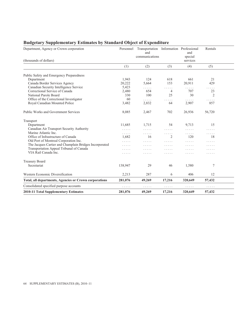| Department, Agency or Crown corporation<br>(thousands of dollars) | Personnel                          | Transportation Information Professional<br>and<br>communications |                     | and<br>special<br>services | Rentals              |  |
|-------------------------------------------------------------------|------------------------------------|------------------------------------------------------------------|---------------------|----------------------------|----------------------|--|
|                                                                   | (1)                                |                                                                  | (3)                 |                            |                      |  |
|                                                                   |                                    | (2)                                                              |                     | (4)                        | (5)                  |  |
| Public Safety and Emergency Preparedness                          |                                    |                                                                  |                     |                            |                      |  |
| Department                                                        | 1,943                              | 124                                                              | 618                 | 661                        | 21                   |  |
| Canada Border Services Agency                                     | 20,222                             | 5,664                                                            | 153                 | 20,911                     | 429                  |  |
| Canadian Security Intelligence Service                            | 5,423                              | 1.1.1.1                                                          | .                   | .                          | .                    |  |
| Correctional Service of Canada                                    | 2,480                              | 654                                                              | 4                   | 707                        | 23                   |  |
| National Parole Board                                             | 330                                | 100                                                              | 25                  | 30                         | 2                    |  |
| Office of the Correctional Investigator                           | 60                                 | .                                                                |                     |                            |                      |  |
| Royal Canadian Mounted Police                                     | 3,482                              | 2,832                                                            | .<br>64             | .<br>2,907                 | .<br>857             |  |
|                                                                   |                                    |                                                                  |                     |                            |                      |  |
| <b>Public Works and Government Services</b>                       | 8,085                              | 2,467                                                            | 702                 | 26,936                     | 56,720               |  |
| Transport                                                         |                                    |                                                                  |                     |                            |                      |  |
| Department                                                        | 11,685                             | 1,715                                                            | 54                  | 9,713                      | 15                   |  |
| Canadian Air Transport Security Authority                         |                                    |                                                                  |                     |                            |                      |  |
| Marine Atlantic Inc.                                              | $\cdots$                           | .                                                                | .                   | .                          | .                    |  |
| Office of Infrastructure of Canada                                | $\sim$ $\sim$ $\sim$ $\sim$ $\sim$ | $\sim$ $\sim$ $\sim$ $\sim$ $\sim$<br>16                         | .<br>$\overline{2}$ | .<br>120                   | .<br>18              |  |
|                                                                   | 1,682                              |                                                                  |                     |                            |                      |  |
| Old Port of Montreal Corporation Inc.                             | .                                  | .                                                                | .                   | .                          | .                    |  |
| The Jacques Cartier and Champlain Bridges Incorporated            | .                                  | .                                                                | .                   | .                          | .                    |  |
| Transportation Appeal Tribunal of Canada                          | .                                  | .                                                                | .                   | .                          | .                    |  |
| VIA Rail Canada Inc.                                              | .                                  | .                                                                | .                   | .                          | .                    |  |
| <b>Treasury Board</b>                                             |                                    |                                                                  |                     |                            |                      |  |
| Secretariat                                                       | 138,947                            | 29                                                               | 46                  | 1,580                      | 7                    |  |
|                                                                   |                                    |                                                                  |                     |                            |                      |  |
| Western Economic Diversification                                  | 2,213                              | 287                                                              | 6                   | 406                        | 12                   |  |
| Total, all departments, Agencies or Crown corporations            | 281,076                            | 49,269                                                           | 17,216              | 320,649                    | 57,432               |  |
| Consolidated specified purpose accounts                           | .                                  | .                                                                | .                   | .                          | $\cdots\cdots\cdots$ |  |
| 2010-11 Total Supplementary Estimates                             | 281,076                            | 49,269                                                           | 17,216              | 320,649                    | 57,432               |  |

#### **Budgetary Supplementary Estimates by Standard Object of Expenditure**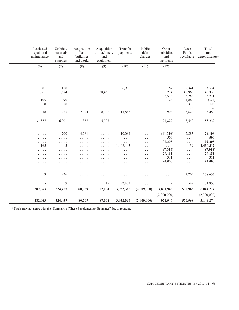| Purchased<br>repair and<br>maintenance | Utilities,<br>materials<br>and<br>supplies | Acquisition<br>of land,<br>buildings<br>and works | Acquisition<br>of machinery<br>and<br>equipment | Transfer<br>payments | Public<br>debt<br>charges | Other<br>subsidies<br>and<br>payments | Less:<br>Funds<br>Available | <b>Total</b><br>net<br>expenditures* |
|----------------------------------------|--------------------------------------------|---------------------------------------------------|-------------------------------------------------|----------------------|---------------------------|---------------------------------------|-----------------------------|--------------------------------------|
| (6)                                    | (7)                                        | (8)                                               | (9)                                             | (10)                 | (11)                      | (12)                                  |                             |                                      |
|                                        |                                            |                                                   |                                                 |                      |                           |                                       |                             |                                      |
| 301                                    | 110                                        | .                                                 | .                                               | 6,930                | .                         | 167                                   | 8,341                       | 2,534                                |
| 1,561                                  | 1,684                                      | .                                                 | 38,460                                          | .                    | .                         | 214                                   | 48,968                      | 40,330                               |
| .                                      | .                                          | .                                                 | $\cdots$                                        | .                    | .                         | 5,576                                 | 5,288                       | 5,711                                |
| 105                                    | 390                                        | .                                                 | .                                               | .                    | .                         | 123                                   | 4,862                       | (376)                                |
| 10                                     | 10                                         | .                                                 | .                                               | .                    | .                         | .                                     | 379                         | 128                                  |
| .                                      | .                                          | .                                                 | .                                               | .                    | .                         | .                                     | 23                          | 37                                   |
| 1,038                                  | 1,255                                      | 2,924                                             | 8,966                                           | 13,845               | .                         | 903                                   | 3,623                       | 35,450                               |
| 31,877                                 | 6,901                                      | 358                                               | 5,907                                           | .                    | .                         | 21,829                                | 8,550                       | 153,232                              |
| .                                      | 700                                        | 4,261                                             | .                                               | 10,064               | .                         | (11,216)                              | 2,885                       | 24,106                               |
| .                                      | .                                          | .                                                 | .                                               | .                    | .                         | 500                                   | .                           | 500                                  |
| $\sim$ $\sim$ $\sim$ $\sim$ $\sim$     | .                                          | .                                                 | .                                               | .                    | .                         | 102,205                               | .                           | 102,205                              |
| 165                                    | 5                                          | .                                                 | .                                               | 1,448,443            | .                         | .                                     | 139                         | 1,450,312                            |
| .                                      | .                                          | .                                                 | .                                               | .                    | .                         | (7,018)                               | .                           | (7,018)                              |
| .                                      | .                                          | .                                                 | .                                               | .                    | .                         | 29,181                                | .                           | 29,181<br>311                        |
| .                                      | .                                          | .                                                 | .                                               | .                    | .                         | 311<br>94,000                         | .                           | 94,000                               |
| .                                      | .                                          | .                                                 | .                                               | .                    | .                         |                                       | .                           |                                      |
| 3                                      | 226                                        | .                                                 | .                                               | .                    | .                         | .                                     | 2,205                       | 138,633                              |
| 5                                      | 9                                          | .                                                 | 19                                              | 32,433               | .                         | 2                                     | 542                         | 34,850                               |
| 282,063                                | 524,457                                    | 80,769                                            | 87,004                                          | 3,952,366            | (2,909,000)               | 3,871,946                             | 570,968                     | 6,044,274                            |
| .                                      | $\cdots$                                   | .                                                 | .                                               | .                    | .                         | (2,900,000)                           | .                           | (2,900,000)                          |
| 282,063                                | 524,457                                    | 80,769                                            | 87,004                                          | 3,952,366            | (2,909,000)               | 971,946                               | 570,968                     | 3,144,274                            |

\* Totals may not agree with the "Summary of These Supplementary Estimates" due to rounding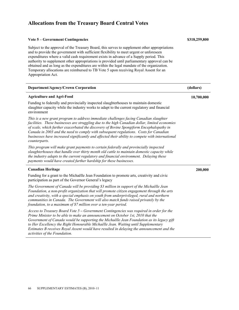#### **Vote 5 – Government Contingencies \$318,259,800**

Subject to the approval of the Treasury Board, this serves to supplement other appropriations and to provide the government with sufficient flexibility to meet urgent or unforeseen expenditures where a valid cash requirement exists in advance of a Supply period. This authority to supplement other appropriations is provided until parliamentary approval can be obtained and as long as the expenditures are within the legal mandate of the organization. Temporary allocations are reimbursed to TB Vote 5 upon receiving Royal Assent for an Appropriation Act.

| Department/Agency/Crown Corporation                                                                                                                                                                                                                                                                                                                                                                                                                                                               | (dollars)  |
|---------------------------------------------------------------------------------------------------------------------------------------------------------------------------------------------------------------------------------------------------------------------------------------------------------------------------------------------------------------------------------------------------------------------------------------------------------------------------------------------------|------------|
| <b>Agriculture and Agri-Food</b>                                                                                                                                                                                                                                                                                                                                                                                                                                                                  | 10,700,000 |
| Funding to federally and provincially inspected slaughterhouses to maintain domestic<br>slaughter capacity while the industry works to adapt to the current regulatory and financial<br>environment                                                                                                                                                                                                                                                                                               |            |
| This is a new grant program to address immediate challenges facing Canadian slaughter<br>facilities. These businesses are struggling due to the high Canadian dollar, limited economies<br>of scale, which further exacerbated the discovery of Bovine Spongiform Encephalopathy in<br>Canada in 2003 and the need to comply with subsequent regulations. Costs for Canadian<br>businesses have increased significantly and affected their ability to compete with international<br>counterparts. |            |
| This program will make grant payments to certain federally and provincially inspected<br>slaughterhouses that handle over thirty month old cattle to maintain domestic capacity while<br>the industry adapts to the current regulatory and financial environment. Delaying these<br>payments would have created further hardship for these businesses.                                                                                                                                            |            |
| <b>Canadian Heritage</b>                                                                                                                                                                                                                                                                                                                                                                                                                                                                          | 200,000    |
| Funding for a grant to the Michaëlle Jean Foundation to promote arts, creativity and civic<br>participation as part of the Governor General's legacy                                                                                                                                                                                                                                                                                                                                              |            |
| The Government of Canada will be providing \$3 million in support of the Michaëlle Jean<br>Foundation, a non-profit organization that will promote citizen engagement through the arts<br>and creativity, with a special emphasis on youth from underprivileged, rural and northern<br>communities in Canada. The Government will also match funds raised privately by the<br>foundation, to a maximum of \$7 million over a ten-year period.                                                     |            |
| Access to Treasury Board Vote 5 – Government Contingencies was required in order for the<br>Prime Minister to be able to make an announcement on October 1st, 2010 that the<br>Government of Canada would be supporting the Michaëlle Jean Foundation as its legacy gift<br>to Her Excellency the Right Honourable Michaëlle Jean. Waiting until Supplementary<br>Estimates B receives Royal Assent would have resulted in delaying the announcement and the<br>activities of the Foundation.     |            |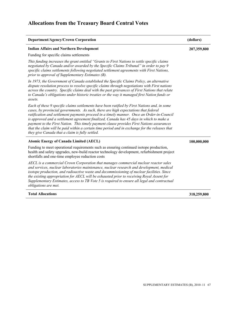| Department/Agency/Crown Corporation                                                                                                                                                                                                                                                                                                                                                                                                                                                                                                                                                                                           | (dollars)   |
|-------------------------------------------------------------------------------------------------------------------------------------------------------------------------------------------------------------------------------------------------------------------------------------------------------------------------------------------------------------------------------------------------------------------------------------------------------------------------------------------------------------------------------------------------------------------------------------------------------------------------------|-------------|
| <b>Indian Affairs and Northern Development</b>                                                                                                                                                                                                                                                                                                                                                                                                                                                                                                                                                                                | 207,359,800 |
| Funding for specific claims settlements                                                                                                                                                                                                                                                                                                                                                                                                                                                                                                                                                                                       |             |
| This funding increases the grant entitled "Grants to First Nations to settle specific claims"<br>negotiated by Canada and/or awarded by the Specific Claims Tribunal" in order to pay 9<br>specific claims settlements following negotiated settlement agreements with First Nations,<br>prior to approval of Supplementary Estimates (B).                                                                                                                                                                                                                                                                                    |             |
| In 1973, the Government of Canada established the Specific Claims Policy, an alternative<br>dispute resolution process to resolve specific claims through negotiations with First nations<br>across the country. Specific claims deal with the past grievances of First Nations that relate<br>to Canada's obligations under historic treaties or the way it managed first Nation funds or<br>assets.                                                                                                                                                                                                                         |             |
| Each of these 9 specific claims settlements have been ratified by First Nations and, in some<br>cases, by provincial governments. As such, there are high expectations that federal<br>ratification and settlement payments proceed in a timely manner. Once an Order-in-Council<br>is approved and a settlement agreement finalized, Canada has 45 days in which to make a<br>payment to the First Nation. This timely payment clause provides First Nations assurances<br>that the claim will be paid within a certain time period and in exchange for the releases that<br>they give Canada that a claim is fully settled. |             |
| <b>Atomic Energy of Canada Limited (AECL)</b>                                                                                                                                                                                                                                                                                                                                                                                                                                                                                                                                                                                 | 100,000,000 |
| Funding to meet operational requirements such as ensuring continued isotope production,<br>health and safety upgrades, new-build reactor technology development, refurbishment project<br>shortfalls and one-time employee reduction costs                                                                                                                                                                                                                                                                                                                                                                                    |             |
| AECL is a commercial Crown Corporation that manages commercial nuclear reactor sales<br>and services, nuclear laboratories maintenance, nuclear research and development, medical<br>isotope production, and radioactive waste and decommissioning of nuclear facilities. Since<br>the existing appropriation for AECL will be exhausted prior to receiving Royal Assent for<br>Supplementary Estimates, access to TB Vote 5 is required to ensure all legal and contractual<br>obligations are met.                                                                                                                          |             |
| <b>Total Allocations</b>                                                                                                                                                                                                                                                                                                                                                                                                                                                                                                                                                                                                      | 318,259,800 |

SUPPLEMENTARY ESTIMATES (B), 2010–11 67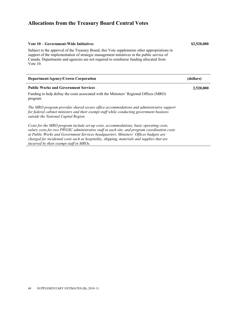| Vote 10 – Government-Wide Initiatives                                                                                                                                                                                                                                                                                                                                                                                    | \$2,520,000 |
|--------------------------------------------------------------------------------------------------------------------------------------------------------------------------------------------------------------------------------------------------------------------------------------------------------------------------------------------------------------------------------------------------------------------------|-------------|
| Subject to the approval of the Treasury Board, this Vote supplements other appropriations in<br>support of the implementation of strategic management initiatives in the public service of<br>Canada. Departments and agencies are not required to reimburse funding allocated from<br>Vote $10$ .                                                                                                                       |             |
| Department/Agency/Crown Corporation                                                                                                                                                                                                                                                                                                                                                                                      | (dollars)   |
| <b>Public Works and Government Services</b>                                                                                                                                                                                                                                                                                                                                                                              | 2,520,000   |
| Funding to help defray the costs associated with the Ministers' Regional Offices (MRO)<br>program                                                                                                                                                                                                                                                                                                                        |             |
| The MRO program provides shared secure office accommodations and administrative support<br>for federal cabinet ministers and their exempt staff while conducting government business<br>outside the National Capital Region.                                                                                                                                                                                             |             |
| Costs for the MRO program include set-up costs, accommodations, basic operating costs,<br>salary costs for two PWGSC administrative staff at each site, and program coordination costs<br>at Public Works and Government Services headquarters. Ministers' Offices budgets are<br>charged for incidental costs such as hospitality, shipping, materials and supplies that are<br>incurred by their exempt staff in MROs. |             |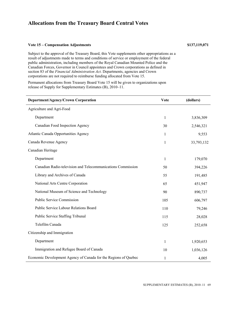#### Vote 15 – Compensation Adjustments **\$137,119,071**

Subject to the approval of the Treasury Board, this Vote supplements other appropriations as a result of adjustments made to terms and conditions of service or employment of the federal public administration, including members of the Royal Canadian Mounted Police and the Canadian Forces, Governor in Council appointees and Crown corporations as defined in section 83 of the *Financial Administration Act*. Departments, agencies and Crown corporations are not required to reimburse funding allocated from Vote 15.

Permanent allocations from Treasury Board Vote 15 will be given to organizations upon release of Supply for Supplementary Estimates (B), 2010–11.

| Department/Agency/Crown Corporation                             | Vote         | (dollars)  |
|-----------------------------------------------------------------|--------------|------------|
| Agriculture and Agri-Food                                       |              |            |
| Department                                                      | 1            | 3,836,309  |
| Canadian Food Inspection Agency                                 | 30           | 2,546,321  |
| Atlantic Canada Opportunities Agency                            | 1            | 9,553      |
| Canada Revenue Agency                                           | $\mathbf{1}$ | 33,793,132 |
| Canadian Heritage                                               |              |            |
| Department                                                      | 1            | 179,070    |
| Canadian Radio-television and Telecommunications Commission     | 50           | 394,226    |
| Library and Archives of Canada                                  | 55           | 191,485    |
| National Arts Centre Corporation                                | 65           | 451,947    |
| National Museum of Science and Technology                       | 90           | 890,737    |
| <b>Public Service Commission</b>                                | 105          | 606,797    |
| Public Service Labour Relations Board                           | 110          | 79,246     |
| Public Service Staffing Tribunal                                | 115          | 28,028     |
| Telefilm Canada                                                 | 125          | 252,658    |
| Citizenship and Immigration                                     |              |            |
| Department                                                      | 1            | 1,920,653  |
| Immigration and Refugee Board of Canada                         | 10           | 1,036,126  |
| Economic Development Agency of Canada for the Regions of Quebec | 1            | 4,005      |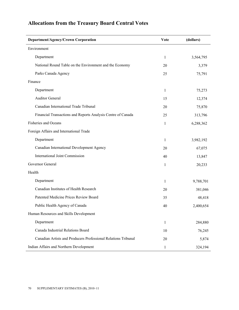| Department/Agency/Crown Corporation                            | Vote         | (dollars) |
|----------------------------------------------------------------|--------------|-----------|
| Environment                                                    |              |           |
| Department                                                     | 1            | 3,564,795 |
| National Round Table on the Environment and the Economy        | 20           | 3,379     |
| Parks Canada Agency                                            | 25           | 75,791    |
| Finance                                                        |              |           |
| Department                                                     | 1            | 75,273    |
| <b>Auditor General</b>                                         | 15           | 12,374    |
| Canadian International Trade Tribunal                          | 20           | 75,870    |
| Financial Transactions and Reports Analysis Centre of Canada   | 25           | 313,796   |
| Fisheries and Oceans                                           | $\mathbf{1}$ | 6,288,362 |
| Foreign Affairs and International Trade                        |              |           |
| Department                                                     | 1            | 3,982,192 |
| Canadian International Development Agency                      | 20           | 67,075    |
| <b>International Joint Commission</b>                          | 40           | 13,847    |
| Governor General                                               | 1            | 20,233    |
| Health                                                         |              |           |
| Department                                                     | 1            | 9,788,701 |
| Canadian Institutes of Health Research                         | 20           | 381,046   |
| Patented Medicine Prices Review Board                          | 35           | 48,418    |
| Public Health Agency of Canada                                 | 40           | 2,400,654 |
| Human Resources and Skills Development                         |              |           |
| Department                                                     | 1            | 284,880   |
| Canada Industrial Relations Board                              | 10           | 76,245    |
| Canadian Artists and Producers Professional Relations Tribunal | 20           | 5,874     |
| Indian Affairs and Northern Development                        | $\mathbf{1}$ | 324,194   |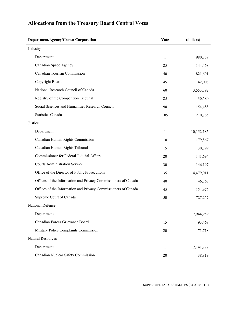|  |  | <b>Allocations from the Treasury Board Central Votes</b> |
|--|--|----------------------------------------------------------|
|--|--|----------------------------------------------------------|

| Department/Agency/Crown Corporation                            | <b>Vote</b> | (dollars)  |
|----------------------------------------------------------------|-------------|------------|
| Industry                                                       |             |            |
| Department                                                     | 1           | 980,859    |
| Canadian Space Agency                                          | 25          | 144,468    |
| Canadian Tourism Commission                                    | 40          | 821,691    |
| Copyright Board                                                | 45          | 42,008     |
| National Research Council of Canada                            | 60          | 3,553,392  |
| Registry of the Competition Tribunal                           | 85          | 30,580     |
| Social Sciences and Humanities Research Council                | 90          | 154,488    |
| <b>Statistics Canada</b>                                       | 105         | 210,765    |
| Justice                                                        |             |            |
| Department                                                     | 1           | 10,152,185 |
| Canadian Human Rights Commission                               | 10          | 179,867    |
| Canadian Human Rights Tribunal                                 | 15          | 30,399     |
| Commissioner for Federal Judicial Affairs                      | 20          | 141,694    |
| <b>Courts Administration Service</b>                           | 30          | 146,197    |
| Office of the Director of Public Prosecutions                  | 35          | 4,479,011  |
| Offices of the Information and Privacy Commissioners of Canada | 40          | 46,768     |
| Offices of the Information and Privacy Commissioners of Canada | 45          | 154,976    |
| Supreme Court of Canada                                        | 50          | 727,257    |
| National Defence                                               |             |            |
| Department                                                     | 1           | 7,944,959  |
| Canadian Forces Grievance Board                                | 15          | 93,468     |
| Military Police Complaints Commission                          | 20          | 71,718     |
| Natural Resources                                              |             |            |
| Department                                                     | 1           | 2,141,222  |
| Canadian Nuclear Safety Commission                             | 20          | 438,819    |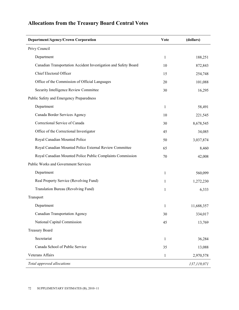|  |  | <b>Allocations from the Treasury Board Central Votes</b> |
|--|--|----------------------------------------------------------|
|--|--|----------------------------------------------------------|

| Department/Agency/Crown Corporation                             | <b>Vote</b>  | (dollars)   |
|-----------------------------------------------------------------|--------------|-------------|
| Privy Council                                                   |              |             |
| Department                                                      | 1            | 188,251     |
| Canadian Transportation Accident Investigation and Safety Board | 10           | 872,843     |
| Chief Electoral Officer                                         | 15           | 254,748     |
| Office of the Commission of Official Languages                  | 20           | 101,088     |
| Security Intelligence Review Committee                          | 30           | 16,295      |
| Public Safety and Emergency Preparedness                        |              |             |
| Department                                                      | 1            | 58,491      |
| Canada Border Services Agency                                   | 10           | 221,545     |
| Correctional Service of Canada                                  | 30           | 8,678,545   |
| Office of the Correctional Investigator                         | 45           | 34,085      |
| Royal Canadian Mounted Police                                   | 50           | 3,037,874   |
| Royal Canadian Mounted Police External Review Committee         | 65           | 8,460       |
| Royal Canadian Mounted Police Public Complaints Commission      | 70           | 42,008      |
| Public Works and Government Services                            |              |             |
| Department                                                      | 1            | 560,099     |
| Real Property Service (Revolving Fund)                          | 1            | 1,272,230   |
| Translation Bureau (Revolving Fund)                             | 1            | 6,333       |
| Transport                                                       |              |             |
| Department                                                      | 1            | 11,688,357  |
| <b>Canadian Transportation Agency</b>                           | 30           | 334,017     |
| National Capital Commission                                     | 45           | 13,769      |
| <b>Treasury Board</b>                                           |              |             |
| Secretariat                                                     | 1            | 36,284      |
| Canada School of Public Service                                 | 35           | 13,088      |
| Veterans Affairs                                                | $\mathbf{1}$ | 2,970,578   |
| Total approved allocations                                      |              | 137,119,071 |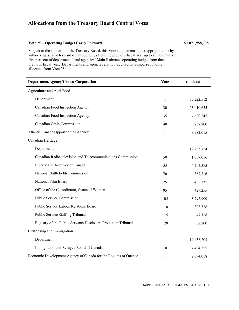#### **Vote 25 – Operating Budget Carry Forward \$1,071,958,735**

Subject to the approval of the Treasury Board, this Vote supplements other appropriations by authorizing a carry forward of unused funds from the previous fiscal year up to a maximum of five per cent of departments' and agencies' Main Estimates operating budget from that previous fiscal year. Departments and agencies are not required to reimburse funding allocated from Vote 25.

| Department/Agency/Crown Corporation                             | Vote         | (dollars)  |
|-----------------------------------------------------------------|--------------|------------|
| Agriculture and Agri-Food                                       |              |            |
| Department                                                      | $\mathbf{1}$ | 35,222,512 |
| Canadian Food Inspection Agency                                 | 30           | 23,010,635 |
| Canadian Food Inspection Agency                                 | 35           | 4,620,245  |
| Canadian Grain Commission                                       | 40           | 237,800    |
| Atlantic Canada Opportunities Agency                            | 1            | 3,982,015  |
| Canadian Heritage                                               |              |            |
| Department                                                      | 1            | 12,723,724 |
| Canadian Radio-television and Telecommunications Commission     | 50           | 1,067,016  |
| Library and Archives of Canada                                  | 55           | 4,705,585  |
| National Battlefields Commission                                | 70           | 367,716    |
| National Film Board                                             | 75           | 438,135    |
| Office of the Co-ordinator, Status of Women                     | 95           | 429,255    |
| <b>Public Service Commission</b>                                | 105          | 3,297,900  |
| Public Service Labour Relations Board                           | 110          | 303,538    |
| Public Service Staffing Tribunal                                | 115          | 47,118     |
| Registry of the Public Servants Disclosure Protection Tribunal  | 120          | 82,200     |
| Citizenship and Immigration                                     |              |            |
| Department                                                      | 1            | 19,456,203 |
| Immigration and Refugee Board of Canada                         | 10           | 4,494,555  |
| Economic Development Agency of Canada for the Regions of Quebec | 1            | 2,094,018  |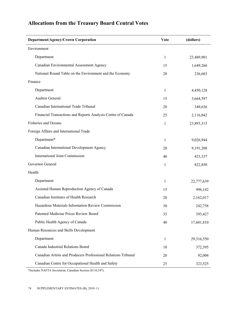|  |  | <b>Allocations from the Treasury Board Central Votes</b> |
|--|--|----------------------------------------------------------|
|--|--|----------------------------------------------------------|

| Department/Agency/Crown Corporation                            | Vote         | (dollars)  |
|----------------------------------------------------------------|--------------|------------|
| Environment                                                    |              |            |
| Department                                                     | $\mathbf{1}$ | 23,489,901 |
| Canadian Environmental Assessment Agency                       | 15           | 1,649,266  |
| National Round Table on the Environment and the Economy        | 20           | 236,603    |
| Finance                                                        |              |            |
| Department                                                     | 1            | 4,450,128  |
| <b>Auditor General</b>                                         | 15           | 3,664,597  |
| Canadian International Trade Tribunal                          | 20           | 349,636    |
| Financial Transactions and Reports Analysis Centre of Canada   | 25           | 2,116,842  |
| Fisheries and Oceans                                           | $\mathbf{1}$ | 23,893,315 |
| Foreign Affairs and International Trade                        |              |            |
| Department*                                                    | $\mathbf{1}$ | 9,026,944  |
| Canadian International Development Agency                      | 20           | 9,191,208  |
| <b>International Joint Commission</b>                          | 40           | 423,337    |
| Governor General                                               | 1            | 822,850    |
| Health                                                         |              |            |
| Department                                                     | 1            | 22,777,639 |
| Assisted Human Reproduction Agency of Canada                   | 15           | 496,142    |
| Canadian Institutes of Health Research                         | 20           | 2,162,017  |
| Hazardous Materials Information Review Commission              | 30           | 242,758    |
| Patented Medicine Prices Review Board                          | 35           | 393,427    |
| Public Health Agency of Canada                                 | 40           | 17,601,810 |
| Human Resources and Skills Development                         |              |            |
| Department                                                     | 1            | 29,316,550 |
| Canada Industrial Relations Board                              | 10           | 372,395    |
| Canadian Artists and Producers Professional Relations Tribunal | 20           | 92,004     |
| Canadian Centre for Occupational Health and Safety             | 25           | 323,525    |

\*Includes NAFTA Secretariat, Canadian Section (\$110,347).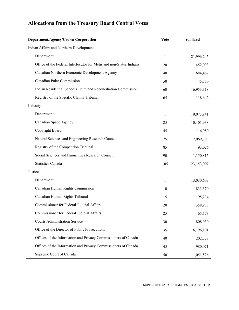# **Allocations from the Treasury Board Central Votes**

| Department/Agency/Crown Corporation                                 | Vote         | (dollars)  |
|---------------------------------------------------------------------|--------------|------------|
| Indian Affairs and Northern Development                             |              |            |
| Department                                                          | 1            | 21,996,245 |
| Office of the Federal Interlocutor for Métis and non-Status Indians | 20           | 452,093    |
| Canadian Northern Economic Development Agency                       | 40           | 684,462    |
| <b>Canadian Polar Commission</b>                                    | 50           | 45,350     |
| Indian Residential Schools Truth and Reconciliation Commission      | 60           | 16,953,318 |
| Registry of the Specific Claims Tribunal                            | 65           | 118,642    |
| Industry                                                            |              |            |
| Department                                                          | $\mathbf{1}$ | 19,073,941 |
| Canadian Space Agency                                               | 25           | 10,401,938 |
| Copyright Board                                                     | 45           | 116,980    |
| Natural Sciences and Engineering Research Council                   | 75           | 2,069,703  |
| Registry of the Competition Tribunal                                | 85           | 93,026     |
| Social Sciences and Humanities Research Council                     | 90           | 1,150,815  |
| <b>Statistics Canada</b>                                            | 105          | 23,153,007 |
| Justice                                                             |              |            |
| Department                                                          | 1            | 13,030,603 |
| Canadian Human Rights Commission                                    | 10           | 831,370    |
| Canadian Human Rights Tribunal                                      | 15           | 195,234    |
| Commissioner for Federal Judicial Affairs                           | 20           | 358,933    |
| <b>Commissioner for Federal Judicial Affairs</b>                    | 25           | 65,173     |
| <b>Courts Administration Service</b>                                | 30           | 808,930    |
| Office of the Director of Public Prosecutions                       | 35           | 6,196,101  |
| Offices of the Information and Privacy Commissioners of Canada      | 40           | 202,378    |
| Offices of the Information and Privacy Commissioners of Canada      | 45           | 980,071    |
| Supreme Court of Canada                                             | 50           | 1,051,876  |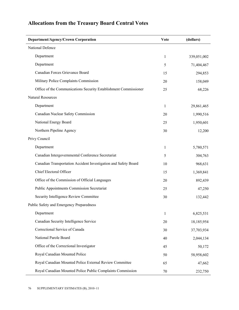| Department/Agency/Crown Corporation                              | Vote | (dollars)   |
|------------------------------------------------------------------|------|-------------|
| National Defence                                                 |      |             |
| Department                                                       | 1    | 339,051,002 |
| Department                                                       | 5    | 71,404,467  |
| Canadian Forces Grievance Board                                  | 15   | 294,853     |
| Military Police Complaints Commission                            | 20   | 158,049     |
| Office of the Communications Security Establishment Commissioner | 25   | 68,226      |
| Natural Resources                                                |      |             |
| Department                                                       | 1    | 29,861,465  |
| Canadian Nuclear Safety Commission                               | 20   | 1,990,516   |
| National Energy Board                                            | 25   | 1,950,601   |
| Northern Pipeline Agency                                         | 30   | 12,200      |
| Privy Council                                                    |      |             |
| Department                                                       | 1    | 5,780,571   |
| Canadian Intergovernmental Conference Secretariat                | 5    | 304,763     |
| Canadian Transportation Accident Investigation and Safety Board  | 10   | 968,631     |
| Chief Electoral Officer                                          | 15   | 1,369,841   |
| Office of the Commission of Official Languages                   | 20   | 892,439     |
| <b>Public Appointments Commission Secretariat</b>                | 25   | 47,250      |
| Security Intelligence Review Committee                           | 30   | 132,442     |
| Public Safety and Emergency Preparedness                         |      |             |
| Department                                                       | 1    | 6,825,531   |
| Canadian Security Intelligence Service                           | 20   | 18,185,954  |
| Correctional Service of Canada                                   | 30   | 37,703,934  |
| National Parole Board                                            | 40   | 2,044,134   |
| Office of the Correctional Investigator                          | 45   | 50,172      |
| Royal Canadian Mounted Police                                    | 50   | 58,958,602  |
| Royal Canadian Mounted Police External Review Committee          | 65   | 47,662      |
| Royal Canadian Mounted Police Public Complaints Commission       | 70   | 232,750     |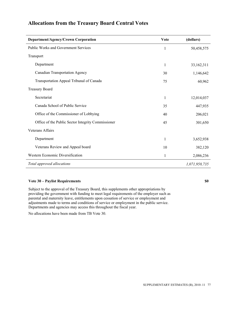## **Allocations from the Treasury Board Central Votes**

| Department/Agency/Crown Corporation                | Vote         | (dollars)     |
|----------------------------------------------------|--------------|---------------|
| <b>Public Works and Government Services</b>        | $\mathbf{1}$ | 50,458,575    |
| Transport                                          |              |               |
| Department                                         | $\mathbf{1}$ | 33,162,311    |
| <b>Canadian Transportation Agency</b>              | 30           | 1,146,642     |
| Transportation Appeal Tribunal of Canada           | 75           | 60,962        |
| <b>Treasury Board</b>                              |              |               |
| Secretariat                                        | $\mathbf{1}$ | 12,014,037    |
| Canada School of Public Service                    | 35           | 447,935       |
| Office of the Commissioner of Lobbying             | 40           | 206,021       |
| Office of the Public Sector Integrity Commissioner | 45           | 301,650       |
| Veterans Affairs                                   |              |               |
| Department                                         | 1            | 3,652,938     |
| Veterans Review and Appeal board                   | 10           | 382,120       |
| Western Economic Diversification                   | 1            | 2,086,236     |
| Total approved allocations                         |              | 1,071,958,735 |

#### Vote 30 – Paylist Requirements **\$0 10 and 20 and 30 and 30 and 30 and 30 and 30 and 30 and 30 and 30 and 30 and 30 and 30 and 30 and 30 and 30 and 30 and 30 and 30 and 30 and 30 and 30 and 30 and 30 and 30 and 30 and 30**

Subject to the approval of the Treasury Board, this supplements other appropriations by providing the government with funding to meet legal requirements of the employer such as parental and maternity leave, entitlements upon cessation of service or employment and adjustments made to terms and conditions of service or employment in the public service. Departments and agencies may access this throughout the fiscal year.

No allocations have been made from TB Vote 30.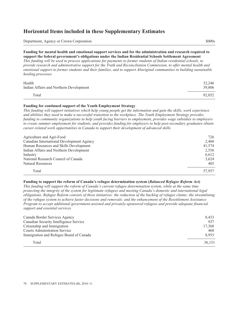Department, Agency or Crown Corporation \$000s

#### **Funding for mental health and emotional support services and for the administration and research required to support the federal government's obligations under the Indian Residential Schools Settlement Agreement**

*This funding will be used to process applications for payments to former students of Indian residential schools, to provide research and administrative support for the Truth and Reconciliation Commission, to offer mental health and emotional support to former students and their families, and to support Aboriginal communities in building sustainable healing processes.*

| Health                                  | 32.246 |
|-----------------------------------------|--------|
| Indian Affairs and Northern Development | 59.806 |
| Total                                   | 92,052 |

#### **Funding for continued support of the Youth Employment Strategy**

*This funding will support initiatives which help young people get the information and gain the skills, work experience and abilities they need to make a successful transition to the workplace. The Youth Employment Strategy provides funding to community organizations to help youth facing barriers to employment, provides wage subsidies to employers to create summer employment for students, and provides funding for employers to help post-secondary graduates obtain career-related work opportunities in Canada to support their development of advanced skills.*

| Agriculture and Agri-Food                 | 726    |
|-------------------------------------------|--------|
| Canadian International Development Agency | 2,460  |
| Human Resources and Skills Development    | 41,574 |
| Indian Affairs and Northern Development   | 2,556  |
| Industry                                  | 6.612  |
| National Research Council of Canada       | 3,624  |
| Natural Resources                         | 405    |
| Total                                     | 57,957 |

### **Funding to support the reform of Canada's refugee determination system (***Balanced Refugee Reform Act***)**

*This funding will support the reform of Canada's current refugee determination system, while at the same time protecting the integrity of the system for legitimate refugees and meeting Canada's domestic and international legal obligations. Refugee Reform consists of three initiatives: the reduction of the backlog of refugee claims; the streamlining of the refugee system to achieve faster decisions and removals; and the enhancement of the Resettlement Assistance Program to accept additional government-assisted and privately-sponsored refugees and provide adequate financial support and essential services.*

| Canada Border Services Agency           | 8.433  |
|-----------------------------------------|--------|
| Canadian Security Intelligence Service  | 937    |
| Citizenship and Immigration             | 17,368 |
| <b>Courts Administration Service</b>    | 460    |
| Immigration and Refugee Board of Canada | 8.953  |
| Total                                   | 36,151 |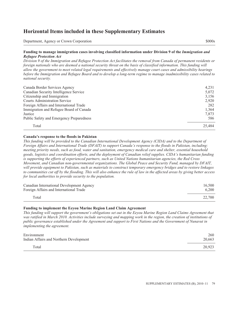Department, Agency or Crown Corporation \$000s

#### **Funding to manage immigration cases involving classified information under Division 9 of the** *Immigration and Refugee Protection Act*

*Division 9 of the Immigration and Refugee Protection Act facilitates the removal from Canada of permanent residents or foreign nationals who are deemed a national security threat on the basis of classified information. This funding will allow the government to meet related legal requirements and effectively manage court cases and admissibility hearings before the Immigration and Refugee Board and to develop a long-term regime to manage inadmissibility cases related to national security.*

| Canada Border Services Agency            | 4.231  |
|------------------------------------------|--------|
| Canadian Security Intelligence Service   | 5,072  |
| Citizenship and Immigration              | 3,156  |
| <b>Courts Administration Service</b>     | 2.920  |
| Foreign Affairs and International Trade  | 282    |
| Immigration and Refugee Board of Canada  | 1.364  |
| Justice                                  | 7,873  |
| Public Safety and Emergency Preparedness | 586    |
| Total                                    | 25.484 |

#### **Canada's response to the floods in Pakistan**

*This funding will be provided to the Canadian International Development Agency (CIDA) and to the Department of Foreign Affairs and International Trade (DFAIT) to support Canada's response to the floods in Pakistan, including: meeting priority needs, such as food, water and sanitation, emergency medical care and shelter, essential household goods, logistics and coordination efforts, and the deployment of Canadian relief supplies. CIDA's humanitarian funding is supporting the efforts of experienced partners, such as United Nations humanitarian agencies, the Red Cross Movement, and Canadian non-governmental organizations. The Global Peace and Security Fund, managed by DFAIT, will provide equipment to Pakistan, such as materials to construct temporary emergency bridges and to restore linkages to communities cut off by the flooding. This will also enhance the rule of law in the affected areas by giving better access for local authorities to provide security to the population.*

| Canadian International Development Agency | 16.500 |
|-------------------------------------------|--------|
| Foreign Affairs and International Trade   | 6.200  |
| Total                                     | 22,700 |

#### **Funding to implement the Eeyou Marine Region Land Claim Agreement**

*This funding will support the government's obligations set out in the Eeyou Marine Region Land Claims Agreement that was ratified in March 2010. Activities include surveying and mapping work in the region, the creation of institutions of public governance established under the Agreement and support to First Nations and the Government of Nunavut in implementing the agreement.*

| Environment                             | 260    |
|-----------------------------------------|--------|
| Indian Affairs and Northern Development | 20.663 |
| Total                                   | 20.923 |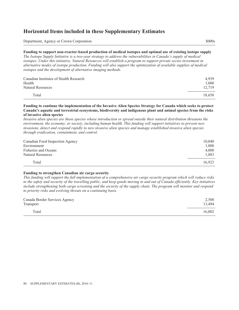Department, Agency or Crown Corporation \$000s

#### **Funding to support non-reactor-based production of medical isotopes and optimal use of existing isotope supply**

*The Isotope Supply Initiative is a two-year strategy to address the vulnerabilities in Canada's supply of medical isotopes. Under this initiative, Natural Resources will establish a program to support private sector investment in alternative modes of isotope production. Funding will also support the optimization of available supplies of medical isotopes and the development of alternative imaging methods.*

| Canadian Institutes of Health Research | 4.939  |
|----------------------------------------|--------|
| Health                                 | 1,000  |
| Natural Resources                      | 12.719 |
| Total                                  | 18,658 |

#### **Funding to continue the implementation of the Invasive Alien Species Strategy for Canada which seeks to protect Canada's aquatic and terrestrial ecosystems, biodiversity and indigenous plant and animal species from the risks of invasive alien species**

*Invasive alien species are those species whose introduction or spread outside their natural distribution threatens the environment, the economy, or society, including human health. This funding will support initiatives to prevent new invasions, detect and respond rapidly to new invasive alien species and manage established invasive alien species through eradication, containment, and control.*

| Canadian Food Inspection Agency | 10.040 |
|---------------------------------|--------|
| Environment                     | 1,000  |
| <b>Fisheries and Oceans</b>     | 4.000  |
| Natural Resources               | 1.883  |
| Total                           | 16.923 |

#### **Funding to strengthen Canadian air cargo security**

*This funding will support the full implementation of a comprehensive air cargo security program which will reduce risks to the safety and security of the travelling public, and keep goods moving in and out of Canada efficiently. Key initiatives include strengthening both cargo screening and the security of the supply chain. The program will monitor and respond to priority risks and evolving threats on a continuing basis.*

| Canada Border Services Agency | 2,508  |
|-------------------------------|--------|
| Transport                     | 13.494 |
| Total                         | 16,002 |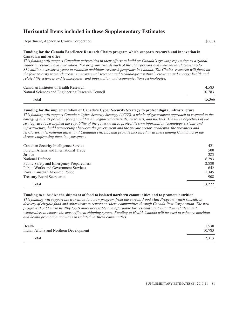Department, Agency or Crown Corporation \$000s

#### **Funding for the Canada Excellence Research Chairs program which supports research and innovation in Canadian universities**

*This funding will support Canadian universities in their efforts to build on Canada's growing reputation as a global leader in research and innovation. The program awards each of the chairpersons and their research teams up to \$10 million over seven years to establish ambitious research programs in Canada. The Chairs' research will focus on the four priority research areas: environmental sciences and technologies; natural resources and energy; health and related life sciences and technologies; and information and communications technologies.*

| Canadian Institutes of Health Research            | 4.583  |
|---------------------------------------------------|--------|
| Natural Sciences and Engineering Research Council | 10.783 |
| Total                                             | 15,366 |

#### **Funding for the implementation of Canada's Cyber Security Strategy to protect digital infrastructure**

*This funding will support Canada's Cyber Security Strategy (CCSS), a whole-of-government approach to respond to the emerging threats posed by foreign militaries, organized criminals, terrorists, and hackers. The three objectives of the strategy are to strengthen the capability of the government to protect its own information technology systems and infrastructure; build partnerships between the government and the private sector, academia, the provinces and territories, international allies, and Canadian citizens; and provide increased awareness among Canadians of the threats confronting them in cyberspace.*

| Canadian Security Intelligence Service   | 421    |
|------------------------------------------|--------|
| Foreign Affairs and International Trade  | 500    |
| Justice                                  | 283    |
| National Defence                         | 6.293  |
| Public Safety and Emergency Preparedness | 2,880  |
| Public Works and Government Services     | 642    |
| Royal Canadian Mounted Police            | 1,345  |
| <b>Treasury Board Secretariat</b>        | 908    |
| Total                                    | 13,272 |

#### **Funding to subsidize the shipment of food to isolated northern communities and to promote nutrition**

*This funding will support the transition to a new program from the current Food Mail Program which subsidizes delivery of eligible food and other items to remote northern communities through Canada Post Corporation. The new program should make healthy foods more accessible and affordable for residents and will allow retailers and wholesalers to choose the most efficient shipping system. Funding to Health Canada will be used to enhance nutrition and health promotion activities in isolated northern communities.*

| Health                                  | 1.530  |
|-----------------------------------------|--------|
| Indian Affairs and Northern Development | 10,783 |
| Total                                   | 12.313 |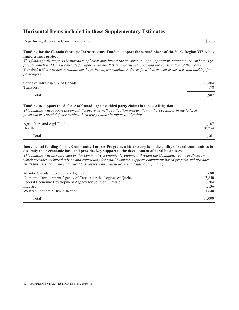Department, Agency or Crown Corporation \$000s

#### **Funding for the Canada Strategic Infrastructure Fund to support the second phase of the York Region VIVA bus rapid transit project**

*This funding will support the purchase of heavy-duty buses; the construction of an operation, maintenance, and storage facility which will have a capacity for approximately 250 articulated vehicles; and the construction of the Cornell Terminal which will accommodate bus bays, bus layover facilities, driver facilities, as well as services and parking for passengers.*

| Office of Infrastructure of Canada | 11,804 |
|------------------------------------|--------|
| Transport                          | 178    |
| Total                              | 11.982 |

#### **Funding to support the defence of Canada against third party claims in tobacco litigation**

*This funding will support document discovery as well as litigation preparation and proceedings in the federal government's legal defence against third party claims in tobacco litigation.*

| Agriculture and Agri-Food | 1,107  |
|---------------------------|--------|
| Health                    | 10,254 |
| Total                     | 11,361 |

#### **Incremental funding for the Community Futures Program, which strengthens the ability of rural communities to diversify their economic base and provides key support to the development of rural businesses**

*This funding will increase support for community economic development through the Community Futures Program which provides technical advice and counselling for small business, supports community-based projects and provides small business loans aimed at rural businesses with limited access to traditional funding.*

| Atlantic Canada Opportunities Agency                            | 1.680  |
|-----------------------------------------------------------------|--------|
| Economic Development Agency of Canada for the Regions of Quebec | 2.840  |
| Federal Economic Development Agency for Southern Ontario        | 1.704  |
| Industry                                                        | 1.136  |
| Western Economic Diversification                                | 3.640  |
| Total                                                           | 11,000 |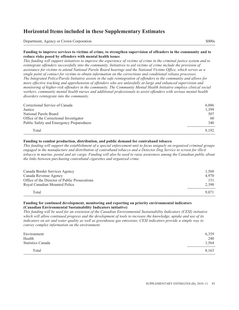Department, Agency or Crown Corporation \$000s

#### **Funding to improve services to victims of crime, to strengthen supervision of offenders in the community and to reduce risks posed by offenders with mental health issues**

*This funding will support initiatives to improve the experience of victims of crime in the criminal justice system and to reintegrate offenders successfully into the community. Initiatives to aid victims of crime include the provision of assistance for victims to attend National Parole Board hearings and the National Victims Office, which serves as a single point of contact for victims to obtain information on the corrections and conditional release processes. The Integrated Police/Parole Initiative assists in the safe reintegration of offenders to the community and allows for more effective tracking and apprehension of offenders who are unlawfully at-large and enhanced supervision and monitoring of higher-risk offenders in the community. The Community Mental Health Initiative employs clinical social workers, community mental health nurses and additional professionals to assist offenders with serious mental health disorders reintegrate into the community.*

| Correctional Service of Canada           | 6.886 |
|------------------------------------------|-------|
| Justice                                  | 1.399 |
| National Parole Board                    | 507   |
| Office of the Correctional Investigator  | 60    |
| Public Safety and Emergency Preparedness | 340   |
| Total                                    | 9.192 |

#### **Funding to combat production, distribution, and public demand for contraband tobacco**

*This funding will support the establishment of a special enforcement unit to focus uniquely on organized criminal groups engaged in the manufacture and distribution of contraband tobacco and a Detector Dog Service to screen for illicit tobacco in marine, postal and air cargo. Funding will also be used to raise awareness among the Canadian public about the links between purchasing contraband cigarettes and organized crime.*

| Canada Border Services Agency                 | 1.560 |
|-----------------------------------------------|-------|
| Canada Revenue Agency                         | 4.970 |
| Office of the Director of Public Prosecutions |       |
| Royal Canadian Mounted Police                 | 2.390 |
| Total                                         | 9.071 |

#### **Funding for continued development, monitoring and reporting on priority environmental indicators (Canadian Environmental Sustainability Indicators initiative)**

*This funding will be used for an extension of the Canadian Environmental Sustainability Indicators (CESI) initiative which will allow continued progress and the development of tools to increase the knowledge, uptake and use of its indicators on air and water quality as well as greenhouse gas emissions. CESI indicators provide a simple way to convey complex information on the environment.*

| Environment              | 6,359 |
|--------------------------|-------|
| Health                   | 240   |
| <b>Statistics Canada</b> | 1,564 |
| Total                    | 8,163 |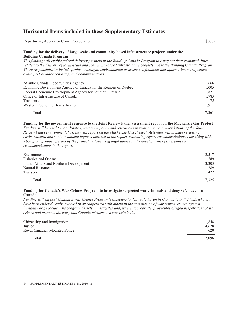Department, Agency or Crown Corporation \$000s

#### **Funding for the delivery of large-scale and community-based infrastructure projects under the Building Canada Program**

*This funding will enable federal delivery partners in the Building Canada Program to carry out their responsibilities related to the delivery of large-scale and community-based infrastructure projects under the Building Canada Program. These responsibilities include project oversight, environmental assessments, financial and information management, audit, performance reporting, and communications.*

| Atlantic Canada Opportunities Agency                            | 666   |
|-----------------------------------------------------------------|-------|
| Economic Development Agency of Canada for the Regions of Quebec | 1.005 |
| Federal Economic Development Agency for Southern Ontario        | 1,821 |
| Office of Infrastructure of Canada                              | 1,783 |
| Transport                                                       | 175   |
| Western Economic Diversification                                | 1.911 |
| Total                                                           | 7,361 |

#### **Funding for the government response to the Joint Review Panel assessment report on the Mackenzie Gas Project**

*Funding will be used to coordinate government policy and operations in relation to recommendations of the Joint Review Panel environmental assessment report on the Mackenzie Gas Project. Activities will include reviewing environmental and socio-economic impacts outlined in the report, evaluating report recommendations, consulting with Aboriginal groups affected by the project and securing legal advice in the development of a response to recommendations in the report.*

| Environment                             | 2,517 |
|-----------------------------------------|-------|
| Fisheries and Oceans                    | 789   |
| Indian Affairs and Northern Development | 3,303 |
| <b>Natural Resources</b>                | 289   |
| Transport                               | 427   |
| Total                                   | 7.325 |

#### **Funding for Canada's War Crimes Program to investigate suspected war criminals and deny safe haven in Canada**

*Funding will support Canada's War Crimes Program's objective to deny safe haven in Canada to individuals who may have been either directly involved in or cooperated with others in the commission of war crimes, crimes against humanity or genocide. The program detects, investigates and, where appropriate, prosecutes alleged perpetrators of war crimes and prevents the entry into Canada of suspected war criminals.*

| Citizenship and Immigration   | 1.848 |
|-------------------------------|-------|
| Justice                       | 4.628 |
| Royal Canadian Mounted Police | 620   |
| Total                         | 7.096 |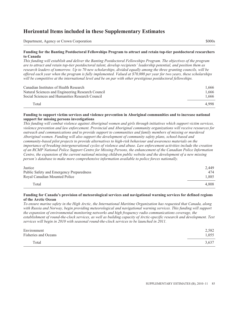Department, Agency or Crown Corporation \$000s

#### **Funding for the Banting Postdoctoral Fellowships Program to attract and retain top-tier postdoctoral researchers to Canada**

*This funding will establish and deliver the Banting Postdoctoral Fellowships Program. The objectives of the program are to attract and retain top-tier postdoctoral talent, develop recipients' leadership potential, and position them as research leaders of tomorrow. Up to 70 new scholarships, divided equally among the three granting councils, will be offered each year when the program is fully implemented. Valued at \$70,000 per year for two years, these scholarships will be competitive at the international level and be on par with other prestigious postdoctoral fellowships.*

| Canadian Institutes of Health Research            | 1.666 |
|---------------------------------------------------|-------|
| Natural Sciences and Engineering Research Council | 1.666 |
| Social Sciences and Humanities Research Council   | 1.666 |
|                                                   |       |

| $\sim$<br>Total |  |
|-----------------|--|
|-----------------|--|

#### **Funding to support victim services and violence prevention in Aboriginal communities and to increase national support for missing persons investigations**

*This funding will combat violence against Aboriginal women and girls through initiatives which support victim services, violence prevention and law enforcement. Provincial and Aboriginal community organizations will receive resources for outreach and communications and to provide support to communities and family members of missing or murdered Aboriginal women. Funding will also support the development of community safety plans, school-based and community-based pilot projects to provide alternatives to high-risk behaviour and awareness materials on the importance of breaking intergenerational cycles of violence and abuse. Law enforcement activities include the creation of an RCMP National Police Support Centre for Missing Persons, the enhancement of the Canadian Police Information Centre, the expansion of the current national missing children public website and the development of a new missing person's database to make more comprehensive information available to police forces nationally.*

| Justice                                  | 2.449 |
|------------------------------------------|-------|
| Public Safety and Emergency Preparedness | 474   |
| Royal Canadian Mounted Police            | 1.885 |
| Total                                    | 4.808 |

#### **Funding for Canada's provision of meteorological services and navigational warning services for defined regions of the Arctic Ocean**

*To ensure marine safety in the High Arctic, the International Maritime Organization has requested that Canada, along with Russia and Norway, begin providing meteorological and navigational warning services. This funding will support the expansion of environmental monitoring networks and high frequency radio communications coverage, the establishment of round-the-clock services, as well as building capacity of Arctic-specific research and development. Test services will begin in 2010 with seasonal round-the-clock services to be launched in 2011.*

| Environment          | 2,582 |
|----------------------|-------|
| Fisheries and Oceans | 1,055 |
| Total                | 3,637 |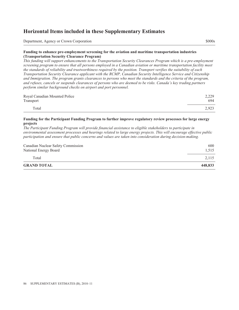Department, Agency or Crown Corporation \$000s

#### **Funding to enhance pre-employment screening for the aviation and maritime transportation industries (Transportation Security Clearance Program)**

*This funding will support enhancements to the Transportation Security Clearances Program which is a pre-employment screening program to ensure that all persons employed in a Canadian aviation or maritime transportation facility meet the standards of reliability and trustworthiness required by the position. Transport verifies the suitability of each Transportation Security Clearance applicant with the RCMP, Canadian Security Intelligence Service and Citizenship and Immigration. The program grants clearances to persons who meet the standards and the criteria of the program, and refuses, cancels or suspends clearances of persons who are deemed to be risks. Canada's key trading partners perform similar background checks on airport and port personnel.*

| Royal Canadian Mounted Police | 2,229 |
|-------------------------------|-------|
| Transport                     | 694   |
| Total                         | 2,923 |

#### **Funding for the Participant Funding Program to further improve regulatory review processes for large energy projects**

*The Participant Funding Program will provide financial assistance to eligible stakeholders to participate in environmental assessment processes and hearings related to large energy projects. This will encourage effective public participation and ensure that public concerns and values are taken into consideration during decision-making.*

| <b>GRAND TOTAL</b>                                          | 448,833      |
|-------------------------------------------------------------|--------------|
| Total                                                       | 2,115        |
| Canadian Nuclear Safety Commission<br>National Energy Board | 600<br>1.515 |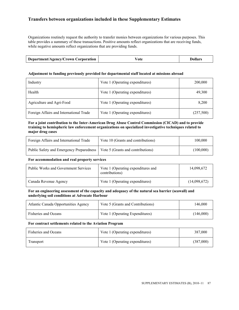Organizations routinely request the authority to transfer monies between organizations for various purposes. This table provides a summary of these transactions. Positive amounts reflect organizations that are receiving funds, while negative amounts reflect organizations that are providing funds.

| Department/Agency/Crown Corporation | ⁄ ote | Dollars |
|-------------------------------------|-------|---------|
|-------------------------------------|-------|---------|

#### **Adjustment to funding previously provided for departmental staff located at missions abroad**

| Industry                                | Vote 1 (Operating expenditures) | 200,000   |
|-----------------------------------------|---------------------------------|-----------|
| Health                                  | Vote 1 (Operating expenditures) | 49,300    |
| Agriculture and Agri-Food               | Vote 1 (Operating expenditures) | 8.200     |
| Foreign Affairs and International Trade | Vote 1 (Operating expenditures) | (257,500) |

#### **For a joint contribution to the Inter-American Drug Abuse Control Commission (CICAD) and to provide training to hemispheric law enforcement organizations on specialized investigative techniques related to major drug cases**

| Foreign Affairs and International Trade                                      | Vote 10 (Grants and contributions) | 100.000   |
|------------------------------------------------------------------------------|------------------------------------|-----------|
| Public Safety and Emergency Preparedness   Vote 5 (Grants and contributions) |                                    | (100,000) |

#### **For accommodation and real property services**

| <b>Public Works and Government Services</b> | Vote 1 (Operating expenditures and<br>contributions) | 14,098,672   |
|---------------------------------------------|------------------------------------------------------|--------------|
| Canada Revenue Agency                       | Vote 1 (Operating expenditures)                      | (14,098,672) |

#### **For an engineering assessment of the capacity and adequacy of the natural sea barrier (seawall) and underlying soil conditions at Advocate Harbour**

| <b>Atlantic Canada Opportunities Agency</b> | Vote 5 (Grants and Contributions) | 146.000   |
|---------------------------------------------|-----------------------------------|-----------|
| <b>Fisheries and Oceans</b>                 | Vote 1 (Operating Expenditures)   | (146,000) |

#### **For contract settlements related to the Aviation Program**

| <b>Fisheries and Oceans</b> | Vote 1 (Operating expenditures) | 387,000   |
|-----------------------------|---------------------------------|-----------|
| Transport                   | Vote 1 (Operating expenditures) | (387,000) |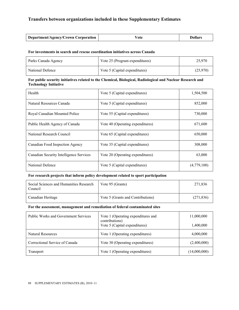| Department/Agency/Crown Corporation | ∕ ote | Dollars |
|-------------------------------------|-------|---------|
|-------------------------------------|-------|---------|

#### **For investments in search and rescue coordination initiatives across Canada**

| Parks Canada Agency | Vote 25 (Program expenditures) | 25,970   |
|---------------------|--------------------------------|----------|
| National Defence    | Vote 5 (Capital expenditures)  | (25,970) |

#### **For public security initiatives related to the Chemical, Biological, Radiological and Nuclear Research and Technology Initiative**

| Health                                  | Vote 5 (Capital expenditures)    | 1,504,500   |
|-----------------------------------------|----------------------------------|-------------|
| Natural Resources Canada                | Vote 5 (Capital expenditures)    | 852,000     |
| Royal Canadian Mounted Police           | Vote 55 (Capital expenditures)   | 730,000     |
| Public Health Agency of Canada          | Vote 40 (Operating expenditures) | 671,600     |
| National Research Council               | Vote 65 (Capital expenditures)   | 650,000     |
| Canadian Food Inspection Agency         | Vote 35 (Capital expenditures)   | 308,000     |
| Canadian Security Intelligence Services | Vote 20 (Operating expenditures) | 63,000      |
| National Defence                        | Vote 5 (Capital expenditures)    | (4,779,100) |

### **For research projects that inform policy development related to sport participation**

| Social Sciences and Humanities Research<br>Council | Vote 95 (Grants)                  | 271,836    |
|----------------------------------------------------|-----------------------------------|------------|
| Canadian Heritage                                  | Vote 5 (Grants and Contributions) | (271, 836) |

#### **For the assessment, management and remediation of federal contaminated sites**

| <b>Public Works and Government Services</b> | Vote 1 (Operating expenditures and<br>contributions)<br>Vote 5 (Capital expenditures) | 11,000,000<br>1,400,000 |
|---------------------------------------------|---------------------------------------------------------------------------------------|-------------------------|
| <b>Natural Resources</b>                    | Vote 1 (Operating expenditures)                                                       | 4,000,000               |
| Correctional Service of Canada              | Vote 30 (Operating expenditures)                                                      | (2,400,000)             |
| <b>Transport</b>                            | Vote 1 (Operating expenditures)                                                       | (14,000,000)            |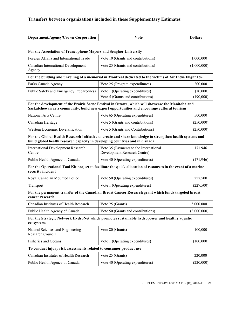| Department/Agency/Crown Corporation | ∕ ote | Dollars |
|-------------------------------------|-------|---------|
|-------------------------------------|-------|---------|

#### **For the Association of Francophone Mayors and Senghor University**

| Foreign Affairs and International Trade      | Vote 10 (Grants and contributions) | 1,000,000   |
|----------------------------------------------|------------------------------------|-------------|
| Canadian International Development<br>Agency | Vote 25 (Grants and contributions) | (1,000,000) |

#### **For the building and unveiling of a memorial in Montreal dedicated to the victims of Air India Flight 182**

| Parks Canada Agency                                                        | Vote 25 (Program expenditures)    | 200,000   |
|----------------------------------------------------------------------------|-----------------------------------|-----------|
| Public Safety and Emergency Preparedness   Vote 1 (Operating expenditures) |                                   | (10,000)  |
|                                                                            | Vote 5 (Grants and contributions) | (190,000) |

#### **For the development of the Prairie Scene Festival in Ottawa, which will showcase the Manitoba and Saskatchewan arts community, build new export opportunities and encourage cultural tourism**

| National Arts Centre             | Vote 65 (Operating expenditures)  | 500,000   |
|----------------------------------|-----------------------------------|-----------|
| Canadian Heritage                | Vote 5 (Grants and contributions) | (250,000) |
| Western Economic Diversification | Vote 5 (Grants and Contributions) | (250,000) |

#### **For the Global Health Research Initiative to create and share knowledge to strengthen health systems and build global health research capacity in developing countries and in Canada**

| <b>International Development Research</b><br>Centre | Vote 35 (Payments to the International<br>Development Research Centre) | 171.946    |
|-----------------------------------------------------|------------------------------------------------------------------------|------------|
| Public Health Agency of Canada                      | Vote 40 (Operating expenditures)                                       | (171, 946) |

### **For the Operational Tool Kit project to facilitate the quick allocation of resources in the event of a marine security incident**

| Royal Canadian Mounted Police | Vote 50 (Operating expenditures) | 227,500   |
|-------------------------------|----------------------------------|-----------|
| Transport                     | Vote 1 (Operating expenditures)  | (227,500) |

#### **For the permanent transfer of the Canadian Breast Cancer Research grant which funds targeted breast cancer research**

| Canadian Institutes of Health Research | Vote 25 (Grants)                   | 3,000,000   |
|----------------------------------------|------------------------------------|-------------|
| Public Health Agency of Canada         | Vote 50 (Grants and contributions) | (3,000,000) |

#### **For the Strategic Network HydroNet which promotes sustainable hydropower and healthy aquatic ecosystems**

| Natural Sciences and Engineering<br>Research Council | Vote 80 (Grants)                | 100,000   |
|------------------------------------------------------|---------------------------------|-----------|
| <b>Fisheries and Oceans</b>                          | Vote 1 (Operating expenditures) | (100,000) |

#### **To conduct injury risk assessments related to consumer product use**

| Canadian Institutes of Health Research | Vote 25 (Grants)                 | 220,000   |
|----------------------------------------|----------------------------------|-----------|
| Public Health Agency of Canada         | Vote 40 (Operating expenditures) | (220,000) |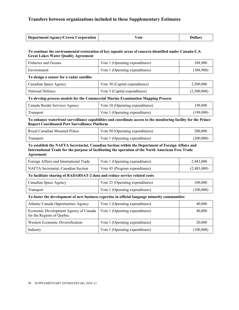| Department/Agency/Crown Corporation | V ote | Dollars |
|-------------------------------------|-------|---------|
|-------------------------------------|-------|---------|

#### **To continue the environmental restoration of key aquatic areas of concern identified under Canada-U.S. Great Lakes Water Quality Agreement**

| <b>Fisheries and Oceans</b> | Vote 1 (Operating expenditures) | 388,900   |
|-----------------------------|---------------------------------|-----------|
| Environment                 | Vote 1 (Operating expenditures) | (388,900) |

#### **To design a sensor for a radar satellite**

| Canadian Space Agency | Vote 30 (Capital expenditures) | 2,500,000   |
|-----------------------|--------------------------------|-------------|
| National Defence      | Vote 5 (Capital expenditures)  | (2,500,000) |

#### **To develop process models for the Commercial Marine Examination Mapping Process**

| Canada Border Services Agency | Vote 10 (Operating expenditures) | 199,090   |
|-------------------------------|----------------------------------|-----------|
| ransport                      | Vote 1 (Operating expenditures)  | (199,090) |

#### **To enhance waterfront surveillance capabilities and coordinate access to the monitoring facility for the Prince Rupert Coordinated Port Surveillance Platform**

| Royal Canadian Mounted Police | Vote 50 (Operating expenditures) | 200,000   |
|-------------------------------|----------------------------------|-----------|
| l ransport                    | Vote 1 (Operating expenditures)  | (200,000) |

#### **To establish the NAFTA Secretariat, Canadian Section within the Department of Foreign Affairs and International Trade for the purpose of facilitating the operation of the North American Free Trade Agreement**

| Foreign Affairs and International Trade | Vote 1 (Operating expenditures) | 2,483,000   |
|-----------------------------------------|---------------------------------|-------------|
| NAFTA Secretariat, Canadian Section     | Vote 45 (Program expenditures)  | (2,483,000) |

#### **To facilitate sharing of RADARSAT-2 data and reduce service related costs**

| Canadian Space Agency | Vote 25 (Operating expenditures) | 100.000   |
|-----------------------|----------------------------------|-----------|
| Transport             | Vote 1 (Operating expenditures)  | (100,000) |

#### **To foster the development of new business expertise in official language minority communities**

| <b>Atlantic Canada Opportunities Agency</b>                                                          | Vote 1 (Operating expenditures) | 40,000    |
|------------------------------------------------------------------------------------------------------|---------------------------------|-----------|
| Economic Development Agency of Canada   Vote 1 (Operating expenditures)<br>for the Regions of Quebec |                                 | 40,000    |
| Western Economic Diversification                                                                     | Vote 1 (Operating expenditures) | 20,000    |
| Industry                                                                                             | Vote 1 (Operating expenditures) | (100,000) |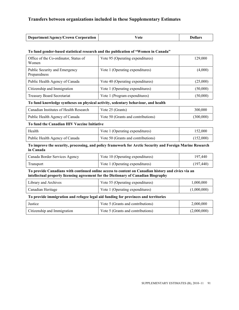| Department/Agency/Crown Corporation | √ote | <b>Dollars</b> |
|-------------------------------------|------|----------------|
|-------------------------------------|------|----------------|

#### **To fund gender-based statistical research and the publication of "Women in Canada"**

| Office of the Co-ordinator, Status of<br>Women | Vote 95 (Operating expenditures) | 129,000  |
|------------------------------------------------|----------------------------------|----------|
| Public Security and Emergency<br>Preparedness  | Vote 1 (Operating expenditures)  | (4,000)  |
| Public Health Agency of Canada                 | Vote 40 (Operating expenditures) | (25,000) |
| Citizenship and Immigration                    | Vote 1 (Operating expenditures)  | (50,000) |
| <b>Treasury Board Secretariat</b>              | Vote 1 (Program expenditures)    | (50,000) |

#### **To fund knowledge syntheses on physical activity, sedentary behaviour, and health**

| Canadian Institutes of Health Research | Vote 25 (Grants)                   | 300.000   |
|----------------------------------------|------------------------------------|-----------|
| Public Health Agency of Canada         | Vote 50 (Grants and contributions) | (300,000) |

#### **To fund the Canadian HIV Vaccine Initiative**

| Health                         | Vote 1 (Operating expenditures)    | 152.000   |
|--------------------------------|------------------------------------|-----------|
| Public Health Agency of Canada | Vote 50 (Grants and contributions) | (152,000) |

#### **To improve the security, processing, and policy framework for Arctic Security and Foreign Marine Research in Canada**

| Canada Border Services Agency | Vote 10 (Operating expenditures) | 197.440    |
|-------------------------------|----------------------------------|------------|
| <b>Transport</b>              | Vote 1 (Operating expenditures)  | (197, 440) |

#### **To provide Canadians with continued online access to content on Canadian history and civics via an intellectual property licensing agreement for the Dictionary of Canadian Biography**

| Library and Archives | Vote 55 (Operating expenditures) | 1,000,000   |
|----------------------|----------------------------------|-------------|
| Canadian Heritage    | Vote 1 (Operating expenditures)  | (1,000,000) |

### **To provide immigration and refugee legal aid funding for provinces and territories**

| Justice                     | Vote 5 (Grants and contributions) | 2,000,000   |
|-----------------------------|-----------------------------------|-------------|
| Citizenship and Immigration | Vote 5 (Grants and contributions) | (2,000,000) |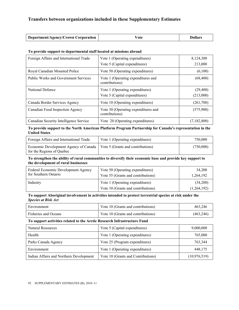| Department/Agency/Crown Corporation | ∕ ote | Dollars |
|-------------------------------------|-------|---------|
|-------------------------------------|-------|---------|

#### **To provide support to departmental staff located at missions abroad**

| Foreign Affairs and International Trade     | Vote 1 (Operating expenditures)<br>Vote 5 (Capital expenditures) | 8,124,300<br>213,000   |
|---------------------------------------------|------------------------------------------------------------------|------------------------|
| Royal Canadian Mounted Police               | Vote 50 (Operating expenditures)                                 | (6,100)                |
| <b>Public Works and Government Services</b> | Vote 1 (Operating expenditures and<br>contributions)             | (68, 400)              |
| <b>National Defence</b>                     | Vote 1 (Operating expenditures)<br>Vote 5 (Capital expenditures) | (29, 400)<br>(213,000) |
| Canada Border Services Agency               | Vote 10 (Operating expenditures)                                 | (261,700)              |
| Canadian Food Inspection Agency             | Vote 30 (Operating expenditures and<br>contributions)            | (575,900)              |
| Canadian Security Intelligence Service      | Vote 20 (Operating expenditures)                                 | (7,182,800)            |

#### **To provide support to the North American Platform Program Partnership for Canada's representation in the United States**

| Foreign Affairs and International Trade                                                                | Vote 1 (Operating expenditures) | 750,000   |
|--------------------------------------------------------------------------------------------------------|---------------------------------|-----------|
| Economic Development Agency of Canada   Vote 5 (Grants and contributions)<br>for the Regions of Quebec |                                 | (750,000) |

#### **To strengthen the ability of rural communities to diversify their economic base and provide key support to the development of rural businesses**

| Federal Economic Development Agency | Vote 50 (Operating expenditures)                                      | 34,200                  |
|-------------------------------------|-----------------------------------------------------------------------|-------------------------|
| for Southern Ontario                | Vote 55 (Grants and contributions)                                    | 1,264,192               |
| Industry                            | Vote 1 (Operating expenditures)<br>Vote 10 (Grants and contributions) | (34,200)<br>(1,264,192) |

#### **To support Aboriginal involvement in activities intended to protect terrestrial species at risk under the**  *Species at Risk Act*

| Environment                 | Vote 10 (Grants and contributions) | 463.246    |
|-----------------------------|------------------------------------|------------|
| <b>Fisheries and Oceans</b> | Vote 10 (Grants and contributions) | (463, 246) |

#### **To support activities related to the Arctic Research Infrastructure Fund**

| <b>Natural Resources</b>                | Vote 5 (Capital expenditures)      | 9,000,000      |
|-----------------------------------------|------------------------------------|----------------|
| Health                                  | Vote 1 (Operating expenditures)    | 765,000        |
| Parks Canada Agency                     | Vote 25 (Program expenditures)     | 763,344        |
| Environment                             | Vote 1 (Operating expenditures)    | 448,175        |
| Indian Affairs and Northern Development | Vote 10 (Grants and Contributions) | (10, 976, 519) |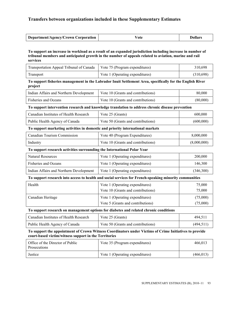| Department/Agency/Crown Corporation | ≟∩f∆ |  |
|-------------------------------------|------|--|
|-------------------------------------|------|--|

**To support an increase in workload as a result of an expanded jurisdiction including increase in number of tribunal members and anticipated growth in the number of appeals related to aviation, marine and rail services** 

| Transportation Appeal Tribunal of Canada | Vote 75 (Program expenditures)  | 310.698   |
|------------------------------------------|---------------------------------|-----------|
| Transport                                | Vote 1 (Operating expenditures) | (310,698) |

#### **To support fisheries management in the Labrador Inuit Settlement Area, specifically for the English River project**

| Indian Affairs and Northern Development | Vote 10 (Grants and contributions) | 80.000   |
|-----------------------------------------|------------------------------------|----------|
| <b>Fisheries and Oceans</b>             | Vote 10 (Grants and contributions) | (80,000) |

#### **To support intervention research and knowledge translation to address chronic disease prevention**

| Canadian Institutes of Health Research | Vote 25 (Grants)                   | 600.000   |
|----------------------------------------|------------------------------------|-----------|
| Public Health Agency of Canada         | Vote 50 (Grants and contributions) | (600,000) |

### **To support marketing activities in domestic and priority international markets**

| Canadian Tourism Commission | Vote 40 (Program Expenditures)     | 8,000,000   |
|-----------------------------|------------------------------------|-------------|
| Industry                    | Vote 10 (Grants and contributions) | (8,000,000) |

#### **To support research activities surrounding the International Polar Year**

| Natural Resources                       | Vote 1 (Operating expenditures) | 200,000   |
|-----------------------------------------|---------------------------------|-----------|
| <b>Fisheries and Oceans</b>             | Vote 1 (Operating expenditures) | 146,300   |
| Indian Affairs and Northern Development | Vote 1 (Operating expenditures) | (346,300) |

#### **To support research into access to health and social services for French-speaking minority communities**

| Health            | Vote 1 (Operating expenditures)<br>Vote 10 (Grants and contributions) | 75,000<br>75,000     |
|-------------------|-----------------------------------------------------------------------|----------------------|
| Canadian Heritage | Vote 1 (Operating expenditures)<br>Vote 5 (Grants and contributions)  | (75,000)<br>(75,000) |

#### **To support research on management options for diabetes and related chronic conditions**

| Canadian Institutes of Health Research | Vote 25 (Grants)                   | 494.511    |
|----------------------------------------|------------------------------------|------------|
| Public Health Agency of Canada         | Vote 50 (Grants and contributions) | (494, 511) |

#### **To support the appointment of Crown Witness Coordinators under Victims of Crime Initiatives to provide court-based victim/witness support in the Territories**

| Office of the Director of Public<br>Prosecutions | Vote 35 (Program expenditures)  | 466.013   |
|--------------------------------------------------|---------------------------------|-----------|
| Justice                                          | Vote 1 (Operating expenditures) | (466.013) |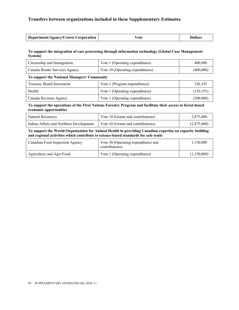| Department/Agency/Crown Corporation | ⁄ ote | Dollars |
|-------------------------------------|-------|---------|
|-------------------------------------|-------|---------|

#### **To support the integration of case processing through information technology (Global Case Management System)**

| Citizenship and Immigration   | Vote 1 (Operating expenditures)  | 400,000   |
|-------------------------------|----------------------------------|-----------|
| Canada Border Services Agency | Vote 10 (Operating expenditures) | (400,000) |

**To support the National Managers' Community**

| <b>Treasury Board Secretariat</b> | Vote 1 (Program expenditures)   | 326,355    |
|-----------------------------------|---------------------------------|------------|
| Health                            | Vote 1 (Operating expenditures) | (126, 355) |
| Canada Revenue Agency             | Vote 1 (Operating expenditures) | (200,000)  |

#### **To support the operations of the First Nations Forestry Program and facilitate their access to forest-based economic opportunities**

| Natural Resources                       | Vote 10 (Grants and contributions) | 2,875,000   |
|-----------------------------------------|------------------------------------|-------------|
| Indian Affairs and Northern Development | Vote 10 (Grants and contributions) | (2,875,000) |

#### **To support the World Organization for Animal Health in providing Canadian expertise on capacity building and regional activities which contribute to science-based standards for safe trade**

| Canadian Food Inspection Agency | Vote 30 (Operating expenditures and<br>contributions) | 1,150,000   |
|---------------------------------|-------------------------------------------------------|-------------|
| Agriculture and Agri-Food       | Vote 1 (Operating expenditures)                       | (1,150,000) |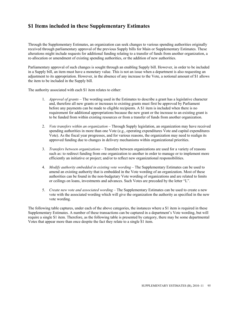Through the Supplementary Estimates, an organization can seek changes to various spending authorities originally received through parliamentary approval of the previous Supply bills for Main or Supplementary Estimates. These alterations might include requests for additional funding relating to a transfer of funds from another organization, a re-allocation or amendment of existing spending authorities, or the addition of new authorities.

Parliamentary approval of such changes is sought through an enabling Supply bill. However, in order to be included in a Supply bill, an item must have a monetary value. This is not an issue when a department is also requesting an adjustment to its appropriation. However, in the absence of any increase to the Vote, a notional amount of \$1 allows the item to be included in the Supply bill.

The authority associated with each \$1 item relates to either:

- 1. *Approval of grants* The wording used in the Estimates to describe a grant has a legislative character and, therefore all new grants or increases to existing grants must first be approved by Parliament before any payments can be made to eligible recipients. A \$1 item is included when there is no requirement for additional appropriations because the new grant or the increase to an existing grant is to be funded from within existing resources or from a transfer of funds from another organization.
- 2. *Vote transfers within an organization* Through Supply legislation, an organization may have received spending authorities in more than one Vote (e.g., operating expenditures Vote and capital expenditures Vote). As the fiscal year progresses, and for various reasons, the organization may need to realign its approved funding due to changes in delivery mechanisms within organizational priorities.
- 3. *Transfers between organizations* Transfers between organizations are used for a variety of reasons such as: to redirect funding from one organization to another in order to manage or to implement more efficiently an initiative or project; and/or to reflect new organizational responsibilities.
- 4. *Modify authority embedded in existing vote wording* The Supplementary Estimates can be used to amend an existing authority that is embedded in the Vote wording of an organization. Most of these authorities can be found in the non-budgetary Vote wording of organizations and are related to limits or ceilings on loans, investments and advances. Such Votes are preceded by the letter "L".
- 5. *Create new vote and associated wording* The Supplementary Estimates can be used to create a new vote with the associated wording which will give the organization the authority as specified in the new vote wording.

The following table captures, under each of the above categories, the instances where a \$1 item is required in these Supplementary Estimates. A number of these transactions can be captured in a department's Vote wording, but will require a single \$1 item. Therefore, as the following table is presented by category, there may be some departmental Votes that appear more than once despite the fact they relate to a single \$1 item.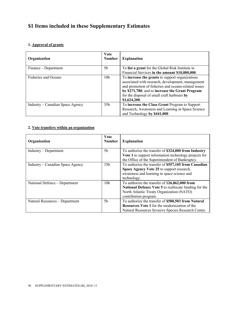## **1. Approval of grants**

| Organization                     | Vote<br><b>Number</b> | <b>Explanation</b>                                                                                                                                                                                                                                                             |
|----------------------------------|-----------------------|--------------------------------------------------------------------------------------------------------------------------------------------------------------------------------------------------------------------------------------------------------------------------------|
| Finance – Department             | 5 <sub>b</sub>        | To list a grant for the Global Risk Institute in<br>Financial Services in the amount \$10,000,000.                                                                                                                                                                             |
| <b>Fisheries and Oceans</b>      | 10 <sub>b</sub>       | To increase the grants to support organizations<br>associated with research, development, management<br>and promotion of fisheries and oceans-related issues<br>by \$271,780; and to increase the Grant Program<br>for the disposal of small craft harbours by<br>\$1,624,200. |
| Industry – Canadian Space Agency | 35 <sub>b</sub>       | To increase the Class Grant Program to Support<br>Research, Awareness and Learning in Space Science<br>and Technology by \$441,000                                                                                                                                             |

## **2. Vote transfers within an organization**

| Organization                     | Vote<br><b>Number</b> | <b>Explanation</b>                                                                                                                                                            |
|----------------------------------|-----------------------|-------------------------------------------------------------------------------------------------------------------------------------------------------------------------------|
| Industry – Department            | 5 <sub>b</sub>        | To authorize the transfer of \$324,000 from Industry<br>Vote 1 to support information technology projects for<br>the Office of the Superintendent of Bankruptcy.              |
| Industry – Canadian Space Agency | 35 <sub>b</sub>       | To authorize the transfer of \$557,105 from Canadian<br>Space Agency Vote 25 to support research,<br>awareness and learning in space science and<br>technology.               |
| National Defence – Department    | 10 <sub>b</sub>       | To authorize the transfer of \$26,862,000 from<br>National Defence Vote 5 to reallocate funding for the<br>North Atlantic Treaty Organization (NATO)<br>contribution program. |
| Natural Resources – Department   | 5 <sub>b</sub>        | To authorize the transfer of \$588,503 from Natural<br><b>Resources Vote 1</b> for the modernization of the<br>Natural Resources Invasive Species Research Centre.            |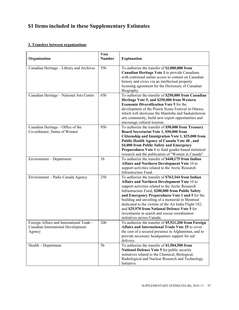## **3. Transfers between organizations**

| Organization                                                                              | Vote<br><b>Number</b> | <b>Explanation</b>                                                                                                                                                                                                                                                                                                                                                                                                                                                                                                 |
|-------------------------------------------------------------------------------------------|-----------------------|--------------------------------------------------------------------------------------------------------------------------------------------------------------------------------------------------------------------------------------------------------------------------------------------------------------------------------------------------------------------------------------------------------------------------------------------------------------------------------------------------------------------|
| Canadian Heritage - Library and Archives                                                  | 55b                   | To authorize the transfer of \$1,000,000 from<br>Canadian Heritage Vote 1 to provide Canadians<br>with continued online access to content on Canadian<br>history and civics via an intellectual property<br>licensing agreement for the Dictionary of Canadian<br>Biography.                                                                                                                                                                                                                                       |
| Canadian Heritage - National Arts Centre                                                  | 65 <sub>b</sub>       | To authorize the transfer of \$250,000 from Canadian<br>Heritage Vote 5, and \$250,000 from Western<br><b>Economic Diversification Vote 5</b> for the<br>development of the Prairie Scene Festival in Ottawa,<br>which will showcase the Manitoba and Saskatchewan<br>arts community, build new export opportunities and<br>encourage cultural tourism.                                                                                                                                                            |
| Canadian Heritage - Office of the<br>Co-ordinator, Status of Women                        | 95b                   | To authorize the transfer of \$50,000 from Treasury<br>Board Secretariat Vote 1, \$50,000 from<br>Citizenship and Immigration Vote 1, \$25,000 from<br>Public Health Agency of Canada Vote 40, and<br>\$4,000 from Public Safety and Emergency<br>Preparedness Vote 1 to fund gender-based statistical<br>research and the publication of "Women in Canada".                                                                                                                                                       |
| Environment - Department                                                                  | 1 <sub>b</sub>        | To authorize the transfer of \$448,175 from Indian<br><b>Affairs and Northern Development Vote 10 to</b><br>support activities related to the Arctic Research<br>Infrastructure Fund.                                                                                                                                                                                                                                                                                                                              |
| Environment - Parks Canada Agency                                                         | 25 <sub>b</sub>       | To authorize the transfer of \$763,344 from Indian<br><b>Affairs and Northern Development Vote 10 to</b><br>support activities related to the Arctic Research<br>Infrastructure Fund; \$200,000 from Public Safety<br>and Emergency Preparedness Vote 1 and 5 for the<br>building and unveiling of a memorial in Montreal<br>dedicated to the victims of the Air India Flight 182;<br>and \$25,970 from National Defence Vote 5 for<br>investments in search and rescue coordination<br>initiatives across Canada. |
| Foreign Affairs and International Trade -<br>Canadian International Development<br>Agency | 20 <sub>b</sub>       | To authorize the transfer of \$5,921,200 from Foreign<br>Affairs and International Trade Vote 25 to cover<br>the cost of a secured presence in Afghanistan, and to<br>provide necessary headquarters support for aid<br>delivery.                                                                                                                                                                                                                                                                                  |
| Health – Department                                                                       | 5 <sub>b</sub>        | To authorize the transfer of \$1,504,500 from<br>National Defence Vote 5 for public security<br>initiatives related to the Chemical, Biological,<br>Radiological and Nuclear Research and Technology<br>Initiative.                                                                                                                                                                                                                                                                                                |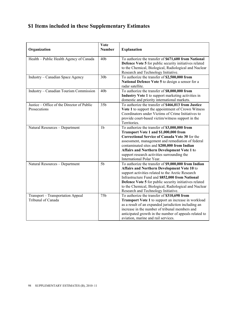| Organization                                               | Vote<br><b>Number</b> | <b>Explanation</b>                                                                                                                                                                                                                                                                                                                                                             |
|------------------------------------------------------------|-----------------------|--------------------------------------------------------------------------------------------------------------------------------------------------------------------------------------------------------------------------------------------------------------------------------------------------------------------------------------------------------------------------------|
| Health - Public Health Agency of Canada                    | 40 <sub>b</sub>       | To authorize the transfer of \$671,600 from National<br><b>Defence Vote 5</b> for public security initiatives related<br>to the Chemical, Biological, Radiological and Nuclear<br>Research and Technology Initiative.                                                                                                                                                          |
| Industry – Canadian Space Agency                           | 30 <sub>b</sub>       | To authorize the transfer of \$2,500,000 from<br>National Defence Vote 5 to design a sensor for a<br>radar satellite.                                                                                                                                                                                                                                                          |
| Industry - Canadian Tourism Commission                     | 40 <sub>b</sub>       | To authorize the transfer of \$8,000,000 from<br>Industry Vote 1 to support marketing activities in<br>domestic and priority international markets.                                                                                                                                                                                                                            |
| Justice – Office of the Director of Public<br>Prosecutions | 35 <sub>b</sub>       | To authorize the transfer of \$466,013 from Justice<br>Vote 1 to support the appointment of Crown Witness<br>Coordinators under Victims of Crime Initiatives to<br>provide court-based victim/witness support in the<br>Territories.                                                                                                                                           |
| Natural Resources - Department                             | 1 <sub>b</sub>        | To authorize the transfer of \$3,000,000 from<br>Transport Vote 1 and \$1,000,000 from<br>Correctional Service of Canada Vote 30 for the<br>assessment, management and remediation of federal<br>contaminated sites and \$200,000 from Indian<br><b>Affairs and Northern Development Vote 1 to</b><br>support research activities surrounding the<br>International Polar Year. |
| Natural Resources - Department                             | 5 <sub>b</sub>        | To authorize the transfer of \$9,000,000 from Indian<br>Affairs and Northern Development Vote 10 to<br>support activities related to the Arctic Research<br>Infrastructure Fund and \$852,000 from National<br><b>Defence Vote 5</b> for public security initiatives related<br>to the Chemical, Biological, Radiological and Nuclear<br>Research and Technology Initiative.   |
| Transport - Transportation Appeal<br>Tribunal of Canada    | 75b                   | To authorize the transfer of \$310,698 from<br><b>Transport Vote 1</b> to support an increase in workload<br>as a result of an expanded jurisdiction including an<br>increase in the number of tribunal members and<br>anticipated growth in the number of appeals related to<br>aviation, marine and rail services.                                                           |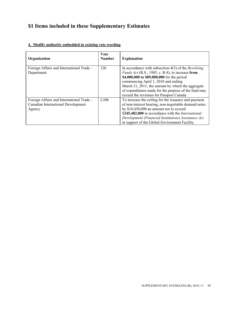| Organization                                                                              | <b>V</b> ote<br><b>Number</b> | <b>Explanation</b>                                                                                                                                                                                                                                                                                                                                             |
|-------------------------------------------------------------------------------------------|-------------------------------|----------------------------------------------------------------------------------------------------------------------------------------------------------------------------------------------------------------------------------------------------------------------------------------------------------------------------------------------------------------|
| Foreign Affairs and International Trade -<br>Department                                   | 12 <sub>b</sub>               | In accordance with subsection $4(3)$ of the <i>Revolving</i><br>Funds Act (R.S., 1985, c. R-8), to increase from<br>\$4,000,000 to \$89,000,000 for the period<br>commencing April 1, 2010 and ending<br>March 31, 2011, the amount by which the aggregate<br>of expenditures made for the purpose of the fund may<br>exceed the revenues for Passport Canada. |
| Foreign Affairs and International Trade -<br>Canadian International Development<br>Agency | 1.30 <sub>b</sub>             | To increase the ceiling for the issuance and payment<br>of non-interest bearing, non-negotiable demand notes<br>by \$18,450,000 an amount not to exceed<br>\$245,482,000 in accordance with the International<br>Development (Financial Institutions) Assistance Act<br>in support of the Global Environment Facility.                                         |

## **4. Modify authority embedded in existing vote wording**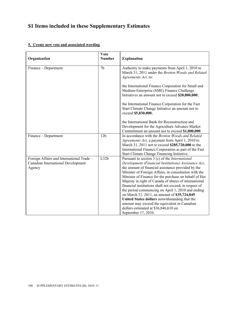## **5. Create new vote and associated wording**

| Organization                                                                              | Vote<br><b>Number</b> | <b>Explanation</b>                                                                                                                                                                                                                                                                                                                                                                                                                                                                                                                                                                                                                                                             |
|-------------------------------------------------------------------------------------------|-----------------------|--------------------------------------------------------------------------------------------------------------------------------------------------------------------------------------------------------------------------------------------------------------------------------------------------------------------------------------------------------------------------------------------------------------------------------------------------------------------------------------------------------------------------------------------------------------------------------------------------------------------------------------------------------------------------------|
| Finance – Department                                                                      | 7 <sub>b</sub>        | Authority to make payments from April 1, 2010 to<br>March 31, 2011 under the Bretton Woods and Related<br>Agreements Act, to:                                                                                                                                                                                                                                                                                                                                                                                                                                                                                                                                                  |
|                                                                                           |                       | the International Finance Corporation for Small and<br>Medium Enterprise (SME) Finance Challenge<br>Initiatives an amount not to exceed \$20,000,000;                                                                                                                                                                                                                                                                                                                                                                                                                                                                                                                          |
|                                                                                           |                       | the International Finance Corporation for the Fast<br>Start Climate Change Initiative an amount not to<br>exceed \$5,830,000;                                                                                                                                                                                                                                                                                                                                                                                                                                                                                                                                                  |
|                                                                                           |                       | the International Bank for Reconstruction and<br>Development for the Agriculture Advance Market<br>Commitment an amount not to exceed \$1,000,000.                                                                                                                                                                                                                                                                                                                                                                                                                                                                                                                             |
| Finance – Department                                                                      | 12 <sub>b</sub>       | In accordance with the Bretton Woods and Related<br>Agreements Act, a payment from April 1, 2010 to<br>March 31, 2011 not to exceed \$285,720,000 to the<br>International Finance Corporation as part of the Fast<br>Start Climate Change Financing Initiative.                                                                                                                                                                                                                                                                                                                                                                                                                |
| Foreign Affairs and International Trade -<br>Canadian International Development<br>Agency | L32b                  | Pursuant to section 3 (c) of the <i>International</i><br>Development (Financial Institutions) Assistance Act,<br>the amount of financial assistance provided by the<br>Minister of Foreign Affairs, in consultation with the<br>Minister of Finance for the purchase on behalf of Her<br>Majesty in right of Canada of shares of international<br>financial institutions shall not exceed, in respect of<br>the period commencing on April 1, 2010 and ending<br>on March 31, 2011, an amount of \$35,724,849<br>United States dollars notwithstanding that the<br>amount may exceed the equivalent in Canadian<br>dollars estimated at \$36,846,610 on<br>September 17, 2010. |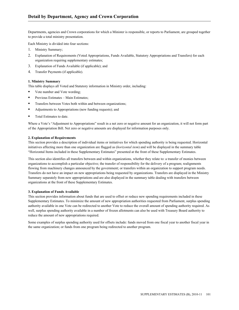Departments, agencies and Crown corporations for which a Minister is responsible, or reports to Parliament, are grouped together to provide a total ministry presentation.

Each Ministry is divided into four sections:

- 1. Ministry Summary;
- 2. Explanation of Requirements (Voted Appropriations, Funds Available, Statutory Appropriations and Transfers) for each organization requiring supplementary estimates;
- 3. Explanation of Funds Available (if applicable); and
- 4. Transfer Payments (if applicable).

#### **1. Ministry Summary**

This table displays all Voted and Statutory information in Ministry order, including:

- Vote number and Vote wording;
- **Previous Estimates Main Estimates;**
- Transfers between Votes both within and between organizations;
- Adjustments to Appropriations (new funding requests); and
- Total Estimates to date.

Where a Vote's "Adjustment to Appropriations" result in a net zero or negative amount for an organization, it will not form part of the Appropriation Bill. Net zero or negative amounts are displayed for information purposes only.

#### **2. Explanation of Requirements**

This section provides a description of individual items or initiatives for which spending authority is being requested. Horizontal initiatives affecting more than one organization are flagged as (*horizontal item*) and will be displayed in the summary table "Horizontal Items included in these Supplementary Estimates" presented at the front of these Supplementary Estimates.

This section also identifies all transfers between and within organizations, whether they relate to: a transfer of monies between organizations to accomplish a particular objective; the transfer of responsibility for the delivery of a program; realignments flowing from machinery changes announced by the government; or transfers within an organization to support program needs. Transfers do not have an impact on new appropriations being requested by organizations. Transfers are displayed in the Ministry Summary separately from new appropriations and are also displayed in the summary table dealing with transfers between organizations at the front of these Supplementary Estimates.

#### **3. Explanation of Funds Available**

This section provides information about funds that are used to offset or reduce new spending requirements included in these Supplementary Estimates. To minimize the amount of new appropriation authorities requested from Parliament, surplus spending authority available in one Vote can be redirected to another Vote to reduce the overall amount of spending authority required. As well, surplus spending authority available in a number of frozen allotments can also be used with Treasury Board authority to reduce the amount of new appropriations required.

Some examples of surplus spending authority used for offsets include: funds moved from one fiscal year to another fiscal year in the same organization; or funds from one program being redirected to another program.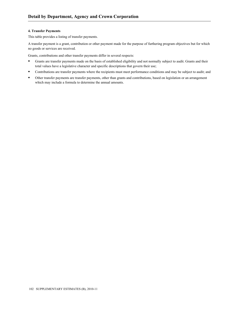#### **4. Transfer Payments**

This table provides a listing of transfer payments.

A transfer payment is a grant, contribution or other payment made for the purpose of furthering program objectives but for which no goods or services are received.

Grants, contributions and other transfer payments differ in several respects:

- Grants are transfer payments made on the basis of established eligibility and not normally subject to audit. Grants and their total values have a legislative character and specific descriptions that govern their use;
- Contributions are transfer payments where the recipients must meet performance conditions and may be subject to audit; and
- Other transfer payments are transfer payments, other than grants and contributions, based on legislation or an arrangement which may include a formula to determine the annual amounts.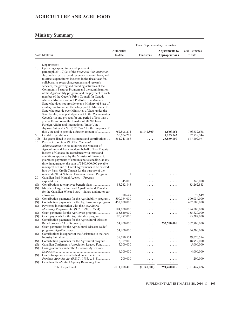## **AGRICULTURE AND AGRI-FOOD**

## **Ministry Summary**

|                             |                                                                                                                                                                                                                                                                                                                                                                                                                                                                                                                                                                                                                                                                                          |                                          | These Supplementary Estimates |                                      |                                          |
|-----------------------------|------------------------------------------------------------------------------------------------------------------------------------------------------------------------------------------------------------------------------------------------------------------------------------------------------------------------------------------------------------------------------------------------------------------------------------------------------------------------------------------------------------------------------------------------------------------------------------------------------------------------------------------------------------------------------------------|------------------------------------------|-------------------------------|--------------------------------------|------------------------------------------|
|                             |                                                                                                                                                                                                                                                                                                                                                                                                                                                                                                                                                                                                                                                                                          | Authorities                              |                               | <b>Adjustments to</b>                | <b>Total Estimates</b>                   |
|                             | Vote (dollars)                                                                                                                                                                                                                                                                                                                                                                                                                                                                                                                                                                                                                                                                           | to date                                  | <b>Transfers</b>              | <b>Appropriations</b>                | to date                                  |
| 1b                          | Department<br>Operating expenditures and, pursuant to<br>paragraph $29.1(2)(a)$ of the Financial Administration<br>Act, authority to expend revenues received from, and<br>to offset expenditures incurred in the fiscal year for,<br>collaborative research agreements and research<br>services, the grazing and breeding activities of the<br>Community Pastures Program and the administration<br>of the AgriStability program; and the payment to each<br>member of the Queen's Privy Council for Canada<br>who is a Minister without Portfolio or a Minister of<br>State who does not preside over a Ministry of State of<br>a salary not to exceed the salary paid to Ministers of |                                          |                               |                                      |                                          |
| 5b<br>10 <sub>b</sub><br>15 | State who preside over Ministries of State under the<br>Salaries Act, as adjusted pursuant to the Parliament of<br>Canada Act and pro rata for any period of less than a<br>$year - To authorize the transfer of $8,200 from$<br>Foreign Affairs and International Trade Vote 1,<br>Appropriation Act No. 2, 2010–11 for the purposes of<br>this Vote and to provide a further amount of<br>The grants listed in the Estimates and contributions<br>Pursuant to section 29 of the <i>Financial</i>                                                                                                                                                                                       | 762,808,274<br>50,604,201<br>551,243,868 | (1,141,800)<br>.              | 4,666,164<br>7,255,543<br>25,859,109 | 766,332,638<br>57,859,744<br>577,102,977 |
|                             | Administration Act, to authorize the Minister of<br>Agriculture and Agri-Food, on behalf of Her Majesty<br>in right of Canada, in accordance with terms and<br>conditions approved by the Minister of Finance, to<br>guarantee payments of amounts not exceeding, at any<br>time, in aggregate, the sum of \$140,000,000 payable<br>in respect of Line of Credit Agreements to be entered<br>into by Farm Credit Canada for the purpose of the<br>renewed (2003) National Biomass Ethanol Program                                                                                                                                                                                        | 1                                        |                               |                                      | 1                                        |
| 20                          | Canadian Pari-Mutuel Agency – Program                                                                                                                                                                                                                                                                                                                                                                                                                                                                                                                                                                                                                                                    |                                          |                               |                                      |                                          |
| (S)<br>(S)                  | Minister of Agriculture and Agri-Food and Minister<br>for the Canadian Wheat Board – Salary and motor car                                                                                                                                                                                                                                                                                                                                                                                                                                                                                                                                                                                | 345,000<br>83, 262, 843                  | .                             | .                                    | 345,000<br>83,262,843                    |
|                             |                                                                                                                                                                                                                                                                                                                                                                                                                                                                                                                                                                                                                                                                                          | 78,649                                   |                               |                                      | 78,649                                   |
| (S)<br>(S)<br>(S)           | Contribution payments for the AgriStability program<br>Contribution payments for the AgriInsurance program<br>Payments in connection with the Agriculutral                                                                                                                                                                                                                                                                                                                                                                                                                                                                                                                               | 500,034,000<br>452,000,000               |                               | .<br>.                               | 500,034,000<br>452,000,000               |
|                             | <i>Marketing Programs Act</i> (S.C., 1997, c. C-34)                                                                                                                                                                                                                                                                                                                                                                                                                                                                                                                                                                                                                                      | 184,000,000                              |                               |                                      | 184,000,000                              |
| (S)                         | Grant payments for the AgriInvest program                                                                                                                                                                                                                                                                                                                                                                                                                                                                                                                                                                                                                                                | 155,820,000                              | .                             | .                                    | 155,820,000                              |
| (S)<br>(S)                  | Grant payments for the AgriStability program<br>Contribution payments for the Agricultural Disaster                                                                                                                                                                                                                                                                                                                                                                                                                                                                                                                                                                                      | 95,282,000                               | .                             | .                                    | 95,282,000                               |
| (S)                         | Grant payments for the Agricultural Disaster Relief                                                                                                                                                                                                                                                                                                                                                                                                                                                                                                                                                                                                                                      | 54,200,000                               | .                             | 253,700,000                          | 307,900,000                              |
|                             |                                                                                                                                                                                                                                                                                                                                                                                                                                                                                                                                                                                                                                                                                          | 54,200,000                               | .                             | .                                    | 54,200,000                               |
| (S)                         | Contributions in support of the Assistance to the Pork                                                                                                                                                                                                                                                                                                                                                                                                                                                                                                                                                                                                                                   |                                          |                               |                                      |                                          |
| (S)                         | Contribution payments for the AgriInvest program                                                                                                                                                                                                                                                                                                                                                                                                                                                                                                                                                                                                                                         | 39,070,574<br>18,959,000                 |                               |                                      | 39,070,574<br>18,959,000                 |
| (S)                         | Canadian Cattlemen's Association Legacy Fund                                                                                                                                                                                                                                                                                                                                                                                                                                                                                                                                                                                                                                             | 5,000,000                                |                               |                                      | 5,000,000                                |
| (S)                         | Loan guarantees under the Canadian Agriculture                                                                                                                                                                                                                                                                                                                                                                                                                                                                                                                                                                                                                                           |                                          |                               |                                      |                                          |
|                             |                                                                                                                                                                                                                                                                                                                                                                                                                                                                                                                                                                                                                                                                                          | 4,000,000                                | .                             | .                                    | 4,000,000                                |
| (S)                         | Grants to agencies established under the Farm<br>Products Agencies Act (R.S.C., 1985, c. F-4)                                                                                                                                                                                                                                                                                                                                                                                                                                                                                                                                                                                            |                                          |                               |                                      |                                          |
| (S)                         | Canadian Pari-Mutuel Agency Revolving Fund                                                                                                                                                                                                                                                                                                                                                                                                                                                                                                                                                                                                                                               | 200,000                                  | .                             | .<br>.                               | 200,000                                  |
|                             |                                                                                                                                                                                                                                                                                                                                                                                                                                                                                                                                                                                                                                                                                          | 3,011,108,410                            | (1,141,800)                   | 291,480,816                          | 3,301,447,426                            |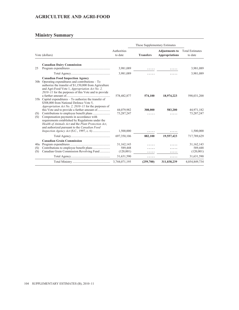## **AGRICULTURE AND AGRI-FOOD**

## **Ministry Summary**

|                 |                                                                                                                                                                                                                                                                 |                        |                  | These Supplementary Estimates                  |                                   |
|-----------------|-----------------------------------------------------------------------------------------------------------------------------------------------------------------------------------------------------------------------------------------------------------------|------------------------|------------------|------------------------------------------------|-----------------------------------|
| Vote (dollars)  |                                                                                                                                                                                                                                                                 | Authorities<br>to date | <b>Transfers</b> | <b>Adjustments to</b><br><b>Appropriations</b> | <b>Total Estimates</b><br>to date |
|                 | <b>Canadian Dairy Commission</b>                                                                                                                                                                                                                                |                        |                  |                                                |                                   |
| 25              |                                                                                                                                                                                                                                                                 | 3,981,089              |                  |                                                | 3,981,089                         |
|                 |                                                                                                                                                                                                                                                                 | 3,981,089              |                  |                                                | 3,981,089                         |
| 30 <sub>b</sub> | <b>Canadian Food Inspection Agency</b><br>Operating expenditures and contributions - To<br>authorize the transfer of \$1,150,000 from Agriculture<br>and Agri-Food Vote 1, Appropriation Act No. 2,<br>$2010 - 11$ for the purposes of this Vote and to provide |                        |                  |                                                |                                   |
|                 | 35b Capital expenditures – To authorize the transfer of<br>\$308,000 from National Defence Vote 5,<br>Appropriation Act No. 2, 2010–11 for the purposes of                                                                                                      | 578,482,877            | 574,100          | 18,974,223                                     | 598,031,200                       |
|                 |                                                                                                                                                                                                                                                                 | 44,079,982             | 308,000          | 583,200                                        | 44,971,182                        |
| (S)<br>(S)      | Compensation payments in accordance with<br>requirements established by Regulations under the<br>Health of Animals Act and the Plant Protection Act,<br>and authorized pursuant to the Canadian Food                                                            | 73,287,247             |                  |                                                | 73,287,247                        |
|                 |                                                                                                                                                                                                                                                                 | 1,500,000              |                  |                                                | 1,500,000                         |
|                 |                                                                                                                                                                                                                                                                 | 697,350,106            | 882,100          | 19,557,423                                     | 717,789,629                       |
|                 | <b>Canadian Grain Commission</b>                                                                                                                                                                                                                                |                        |                  |                                                |                                   |
| 40a             |                                                                                                                                                                                                                                                                 | 31,162,143             |                  |                                                | 31,162,143                        |
| (S)             |                                                                                                                                                                                                                                                                 | 589,448                |                  |                                                | 589,448                           |
| (S)             | Canadian Grain Commission Revolving Fund                                                                                                                                                                                                                        | (120,001)              | .                | .                                              | (120,001)                         |
|                 |                                                                                                                                                                                                                                                                 | 31,631,590             | .                | .                                              | 31,631,590                        |
|                 |                                                                                                                                                                                                                                                                 | 3,744,071,195          | (259,700)        | 311,038,239                                    | 4,054,849,734                     |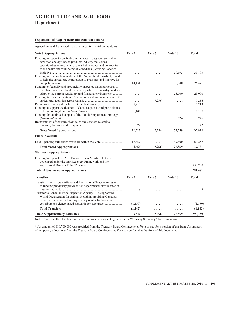## **AGRICULTURE AND AGRI-FOOD Department**

#### **Explanation of Requirements (thousands of dollars)**

Agriculture and Agri-Food requests funds for the following items:

| <b>Voted Appropriations</b>                                                                                                                                                                                                                                | Vote 1     | Vote 5     | Vote 10      | <b>Total</b>   |
|------------------------------------------------------------------------------------------------------------------------------------------------------------------------------------------------------------------------------------------------------------|------------|------------|--------------|----------------|
| Funding to support a profitable and innovative agriculture and an<br>agri-food and agri-based products industry that seizes<br>opportunities in responding to market demands and contributes<br>to the health and well-being of Canadians (Growing Forward |            |            |              |                |
| Funding for the implementation of the Agricultural Flexibility Fund<br>to help the agriculture sector adapt to pressures and improve its                                                                                                                   |            | .          | 39,193       | 39,193         |
| Funding to federally and provincially inspected slaughterhouses to<br>maintain domestic slaughter capacity while the industry works to                                                                                                                     | 14,131     |            | 12,340       | 26,471         |
| adapt to the current regulatory and financial environment*<br>Funding for the continuation of capital renewal and maintenance of                                                                                                                           | .          | .          | 23,000       | 23,000         |
| Funding to support the defence of Canada against third party claims                                                                                                                                                                                        | .<br>7,213 | 7,256<br>. | .<br>.       | 7,256<br>7,213 |
| Funding for continued support of the Youth Employment Strategy                                                                                                                                                                                             | 1,107      | .          | 1.111<br>726 | 1,107<br>726   |
| Reinvestment of revenues from sales and services related to                                                                                                                                                                                                | .<br>72    | .<br>.     | .            | 72             |
| Gross Voted Appropriations                                                                                                                                                                                                                                 | 22,523     | 7,256      | 75,259       | 105,038        |
| <b>Funds Available</b>                                                                                                                                                                                                                                     |            |            |              |                |
|                                                                                                                                                                                                                                                            | 17,857     | .          | 49,400       | 67,257         |
| <b>Total Voted Appropriations</b>                                                                                                                                                                                                                          | 4,666      | 7,256      | 25,859       | 37,781         |
| <b>Statutory Appropriations</b>                                                                                                                                                                                                                            |            |            |              |                |
| Funding to support the 2010 Prairie Excess Moisture Initiative<br>developed under the AgriRecovery Framework and the                                                                                                                                       |            |            |              | 253,700        |
| <b>Total Adjustments to Appropriations</b>                                                                                                                                                                                                                 |            |            |              | 291,481        |
| <b>Transfers</b>                                                                                                                                                                                                                                           | Vote 1     | Vote 5     | Vote 10      | <b>Total</b>   |
| Transfer from Foreign Affairs and International Trade - Adjustment<br>to funding previously provided for departmental staff located at                                                                                                                     | 8          |            |              | 8              |
| Transfer to Canadian Food Inspection Agency – To support the<br>World Organization for Animal Health in providing Canadian<br>expertise on capacity building and regional activities which                                                                 |            |            |              |                |
| contribute to science-based standards for safe trade                                                                                                                                                                                                       | (1,150)    | .          | .            | (1,150)        |
| <b>Total Transfers</b>                                                                                                                                                                                                                                     | (1,142)    | .          | .            | (1,142)        |
| <b>These Supplementary Estimates</b>                                                                                                                                                                                                                       | 3,524      | 7,256      | 25,859       | 290,339        |

Note: Figures in the "Explanation of Requirements" may not agree with the "Ministry Summary" due to rounding.

\* An amount of \$10,700,000 was provided from the Treasury Board Contingencies Vote to pay for a portion of this item. A summary of temporary allocations from the Treasury Board Contingencies Vote can be found at the front of this document.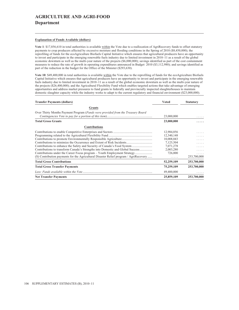## **AGRICULTURE AND AGRI-FOOD Department**

#### **Explanation of Funds Available (dollars)**

Vote 1: \$17,856,610 in total authorities is available within the Vote due to a reallocation of AgriRecovery funds to offset statutory payments to crop producers affected by excessive moisture and flooding conditions in the Spring of 2010 (\$8,450,000); the reprofiling of funds for the ecoAgriculture Biofuels Capital Initiative which ensures that agricultural producers have an opportunity to invest and participate in the emerging renewable fuels industry due to limited investment in 2010–11 as a result of the global economic downturn as well as the multi-year nature of the projects (\$6,000,000); savings identified as part of the cost containment measures to reduce the rate of growth in operating expenditures announced in Budget 2010 (\$3,112,980); and savings identified as part of the reduction in the budget for the Office of the Minister (\$293,630).

Vote 10: \$49,400,000 in total authorities is available within the Vote due to the reprofiling of funds for the ecoAgriculture Biofuels Capital Initiative which ensures that agricultural producers have an opportunity to invest and participate in the emerging renewable fuels industry due to limited investment in 2010–11 as a result of the global economic downturn as well as the multi-year nature of the projects (\$26,400,000); and the Agricultural Flexibility Fund which enables targeted actions that take advantage of emerging opportunities and address market pressures to fund grants to federally and provincially inspected slaughterhouses to maintain domestic slaughter capacity while the industry works to adapt to the current regulatory and financial environment (\$23,000,000).

| <b>Transfer Payments (dollars)</b>                                                    | <b>Voted</b> | <b>Statutory</b> |  |
|---------------------------------------------------------------------------------------|--------------|------------------|--|
| Grants                                                                                |              |                  |  |
| Over Thirty Months Payment Program (Funds were provided from the Treasury Board       | 23,000,000   |                  |  |
| <b>Total Gross Grants</b>                                                             | 23,000,000   |                  |  |
| <b>Contributions</b>                                                                  |              |                  |  |
|                                                                                       | 12,984,856   |                  |  |
|                                                                                       | 12,340,148   |                  |  |
|                                                                                       | 10,008,043   |                  |  |
|                                                                                       | 7,125,504    | $\cdots$         |  |
| Contributions to enhance the Safety and Security of Canada's Food System              | 7,071,278    | $\cdots$         |  |
| Contributions to transform Canada's Strengths into Domestic and Global Success        | 2,003,280    | $\cdots$         |  |
| Contributions under the Career Focus program – Youth Employment Strategy              | 726,000      | .                |  |
| (S) Contribution payments for the Agricultural Disaster Relief program / AgriRecovery | .            | 253,700,000      |  |
| <b>Total Gross Contributions</b>                                                      | 52,259,109   | 253,700,000      |  |
| <b>Total Gross Transfer Payments</b>                                                  | 75,259,109   | 253,700,000      |  |
|                                                                                       | 49,400,000   |                  |  |
| <b>Net Transfer Payments</b>                                                          | 25,859,109   | 253,700,000      |  |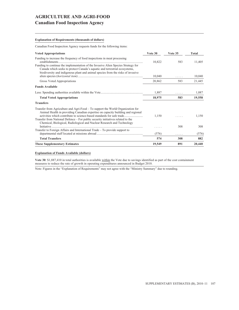## **AGRICULTURE AND AGRI-FOOD**

## **Canadian Food Inspection Agency**

#### **Explanation of Requirements (thousands of dollars)**

Canadian Food Inspection Agency requests funds for the following items:

| <b>Voted Appropriations</b>                                                                                                                                                                                                                        | Vote 30 | Vote 35 | Total  |
|----------------------------------------------------------------------------------------------------------------------------------------------------------------------------------------------------------------------------------------------------|---------|---------|--------|
| Funding to increase the frequency of food inspections in meat processing                                                                                                                                                                           | 10,822  | 583     | 11,405 |
| Funding to continue the implementation of the Invasive Alien Species Strategy for<br>Canada which seeks to protect Canada's aquatic and terrestrial ecosystems,<br>biodiversity and indigenous plant and animal species from the risks of invasive |         |         |        |
|                                                                                                                                                                                                                                                    | 10,040  | 1.1.1.1 | 10,040 |
| Gross Voted Appropriations                                                                                                                                                                                                                         | 20,862  | 583     | 21,445 |
| <b>Funds Available</b>                                                                                                                                                                                                                             |         |         |        |
|                                                                                                                                                                                                                                                    | 1,887   | .       | 1,887  |
| <b>Total Voted Appropriations</b>                                                                                                                                                                                                                  | 18,975  | 583     | 19,558 |
| <b>Transfers</b>                                                                                                                                                                                                                                   |         |         |        |
| Transfer from Agriculture and Agri-Food - To support the World Organization for<br>Animal Health in providing Canadian expertise on capacity building and regional<br>activities which contribute to science-based standards for safe trade        | 1,150   |         | 1,150  |
| Transfer from National Defence – For public security initiatives related to the<br>Chemical, Biological, Radiological and Nuclear Research and Technology                                                                                          |         |         |        |
|                                                                                                                                                                                                                                                    |         | 308     | 308    |
| Transfer to Foreign Affairs and International Trade – To provide support to                                                                                                                                                                        | (576)   | .       | (576)  |
| <b>Total Transfers</b>                                                                                                                                                                                                                             | 574     | 308     | 882    |
| <b>These Supplementary Estimates</b>                                                                                                                                                                                                               | 19,549  | 891     | 20,440 |

#### **Explanation of Funds Available (dollars)**

**Vote 30**: \$1,887,410 in total authorities is available within the Vote due to savings identified as part of the cost containment measures to reduce the rate of growth in operating expenditures announced in Budget 2010.

Note: Figures in the "Explanation of Requirements" may not agree with the "Ministry Summary" due to rounding.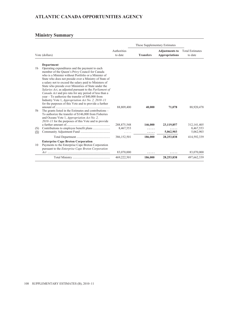## **ATLANTIC CANADA OPPORTUNITIES AGENCY**

## **Ministry Summary**

|                |                                                                                                                                                                                                                                                                                                                                                                                                                                                                                                                                                                                                                                      |                        | These Supplementary Estimates |                                                |                                   |
|----------------|--------------------------------------------------------------------------------------------------------------------------------------------------------------------------------------------------------------------------------------------------------------------------------------------------------------------------------------------------------------------------------------------------------------------------------------------------------------------------------------------------------------------------------------------------------------------------------------------------------------------------------------|------------------------|-------------------------------|------------------------------------------------|-----------------------------------|
|                | Vote (dollars)                                                                                                                                                                                                                                                                                                                                                                                                                                                                                                                                                                                                                       | Authorities<br>to date | <b>Transfers</b>              | <b>Adjustments to</b><br><b>Appropriations</b> | <b>Total Estimates</b><br>to date |
|                | Department                                                                                                                                                                                                                                                                                                                                                                                                                                                                                                                                                                                                                           |                        |                               |                                                |                                   |
| 1 <sub>b</sub> | Operating expenditures and the payment to each<br>member of the Queen's Privy Council for Canada<br>who is a Minister without Portfolio or a Minister of<br>State who does not preside over a Ministry of State of<br>a salary not to exceed the salary paid to Ministers of<br>State who preside over Ministries of State under the<br>Salaries Act, as adjusted pursuant to the Parliament of<br>Canada Act and pro rata for any period of less than a<br>$year - To authorize the transfer of $40,000 from$<br>Industry Vote 1, <i>Appropriation Act No. 2, 2010–11</i><br>for the purposes of this Vote and to provide a further | 88,809,400             | 40,000                        | 71,078                                         | 88,920,478                        |
| 5b             | The grants listed in the Estimates and contributions –<br>To authorize the transfer of \$146,000 from Fisheries<br>and Oceans Vote 1, Appropriation Act No. 2,<br>$2010 - 11$ for the purposes of this Vote and to provide                                                                                                                                                                                                                                                                                                                                                                                                           |                        |                               |                                                |                                   |
|                |                                                                                                                                                                                                                                                                                                                                                                                                                                                                                                                                                                                                                                      | 288,875,548            | 146,000                       | 23,119,857                                     | 312, 141, 405                     |
| (S)            |                                                                                                                                                                                                                                                                                                                                                                                                                                                                                                                                                                                                                                      | 8,467,553              |                               |                                                | 8,467,553                         |
| (S)            |                                                                                                                                                                                                                                                                                                                                                                                                                                                                                                                                                                                                                                      | .                      | .                             | 5,062,903                                      | 5,062,903                         |
|                |                                                                                                                                                                                                                                                                                                                                                                                                                                                                                                                                                                                                                                      | 386, 152, 501          | 186,000                       | 28,253,838                                     | 414,592,339                       |
| 10             | <b>Enterprise Cape Breton Corporation</b><br>Payments to the Enterprise Cape Breton Corporation<br>pursuant to the Enterprise Cape Breton Corporation                                                                                                                                                                                                                                                                                                                                                                                                                                                                                |                        |                               |                                                |                                   |
|                |                                                                                                                                                                                                                                                                                                                                                                                                                                                                                                                                                                                                                                      | 83,070,000             |                               |                                                | 83,070,000                        |
|                |                                                                                                                                                                                                                                                                                                                                                                                                                                                                                                                                                                                                                                      | 469,222,501            | 186,000                       | 28,253,838                                     | 497,662,339                       |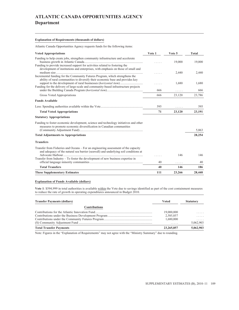## **ATLANTIC CANADA OPPORTUNITIES AGENCY Department**

#### **Explanation of Requirements (thousands of dollars)**

Atlantic Canada Opportunities Agency requests funds for the following items:

| <b>Voted Appropriations</b>                                                                                                                                               | Vote 1 | Vote 5 | <b>Total</b> |
|---------------------------------------------------------------------------------------------------------------------------------------------------------------------------|--------|--------|--------------|
| Funding to help create jobs, strengthen community infrastructure and accelerate                                                                                           |        | 19,000 | 19,000       |
| Funding to provide increased support for activities related to fostering the<br>development of institutions and enterprises, with emphasis on those of small and          |        | 2,440  | 2,440        |
| Incremental funding for the Community Futures Program, which strengthens the<br>ability of rural communities to diversify their economic base and provides key            |        |        |              |
| Funding for the delivery of large-scale and community-based infrastructure projects                                                                                       | .      | 1,680  | 1,680        |
|                                                                                                                                                                           | 666    | .      | 666          |
| Gross Voted Appropriations                                                                                                                                                | 666    | 23,120 | 23,786       |
| <b>Funds Available</b>                                                                                                                                                    |        |        |              |
|                                                                                                                                                                           | 595    | .      | 595          |
| <b>Total Voted Appropriations</b>                                                                                                                                         | 71     | 23,120 | 23,191       |
| <b>Statutory Appropriations</b>                                                                                                                                           |        |        |              |
| Funding to foster economic development, science and technology initiatives and other<br>measures to promote economic diversification in Canadian communities              |        |        | 5,063        |
| <b>Total Adjustments to Appropriations</b>                                                                                                                                |        |        | 28,254       |
| <b>Transfers</b>                                                                                                                                                          |        |        |              |
| Transfer from Fisheries and Oceans - For an engineering assessment of the capacity<br>and adequacy of the natural sea barrier (seawall) and underlying soil conditions at |        |        |              |
|                                                                                                                                                                           |        | 146    | 146          |
| Transfer from Industry $-$ To foster the development of new business expertise in                                                                                         | 40     | .      | 40           |
| <b>Total Transfers</b>                                                                                                                                                    | 40     | 146    | 186          |
| <b>These Supplementary Estimates</b>                                                                                                                                      | 111    | 23,266 | 28,440       |

#### **Explanation of Funds Available (dollars)**

**Vote 1**: \$594,999 in total authorities is available within the Vote due to savings identified as part of the cost containment measures to reduce the rate of growth in operating expenditures announced in Budget 2010.

| <b>Transfer Payments (dollars)</b> | Voted      | <b>Statutory</b> |
|------------------------------------|------------|------------------|
| <b>Contributions</b>               |            |                  |
|                                    | 19,000,000 | .                |
|                                    | 2,585,857  | .                |
|                                    | 1.680,000  | .                |
|                                    | .          | 5.062,903        |
| <b>Total Transfer Payments</b>     | 23,265,857 | 5,062,903        |

Note: Figures in the "Explanation of Requirements" may not agree with the "Ministry Summary" due to rounding.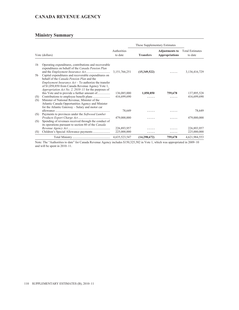## **CANADA REVENUE AGENCY**

### **Ministry Summary**

| Vote (dollars) |                                                                                                                                                                                                                                                                                                          |                        | These Supplementary Estimates |                                                |                                   |
|----------------|----------------------------------------------------------------------------------------------------------------------------------------------------------------------------------------------------------------------------------------------------------------------------------------------------------|------------------------|-------------------------------|------------------------------------------------|-----------------------------------|
|                |                                                                                                                                                                                                                                                                                                          | Authorities<br>to date | <b>Transfers</b>              | <b>Adjustments to</b><br><b>Appropriations</b> | <b>Total Estimates</b><br>to date |
| 1 <sub>b</sub> | Operating expenditures, contributions and recoverable<br>expenditures on behalf of the Canada Pension Plan                                                                                                                                                                                               | 3,151,766,251          | (15,349,522)                  |                                                | 3, 136, 416, 729                  |
| 5 <sub>b</sub> | Capital expenditures and recoverable expenditures on<br>behalf of the <i>Canada Pension Plan</i> and the<br><i>Employment Insurance <math>Act</math></i> – To authorize the transfer<br>of \$1,050,850 from Canada Revenue Agency Vote 1,<br><i>Appropriation Act No. 2, 2010–11</i> for the purposes of |                        |                               |                                                |                                   |
|                |                                                                                                                                                                                                                                                                                                          | 136,085,000            | 1,050,850                     | 759,678                                        | 137,895,528                       |
| (S)<br>(S)     | Minister of National Revenue, Minister of the<br>Atlantic Canada Opportunities Agency and Minister<br>for the Atlantic Gateway – Salary and motor car                                                                                                                                                    | 416,699,690            |                               |                                                | 416,699,690                       |
|                |                                                                                                                                                                                                                                                                                                          | 78,649                 |                               |                                                | 78,649                            |
| (S)            | Payments to provinces under the Softwood Lumber                                                                                                                                                                                                                                                          |                        |                               |                                                |                                   |
| (S)            | Spending of revenues received through the conduct of<br>its operations pursuant to section 60 of the Canada                                                                                                                                                                                              | 479,000,000            |                               |                                                | 479,000,000                       |
|                |                                                                                                                                                                                                                                                                                                          | 226,893,957            |                               |                                                | 226,893,957                       |
| (S)            |                                                                                                                                                                                                                                                                                                          | 225,000,000            | .                             | .                                              | 225,000,000                       |
|                |                                                                                                                                                                                                                                                                                                          | 4,635,523,547          | (14, 298, 672)                | 759,678                                        | 4,621,984,553                     |

Note: The "Authorities to date" for Canada Revenue Agency includes \$150,325,582 in Vote 1, which was appropriated in 2009–10 and will be spent in 2010–11.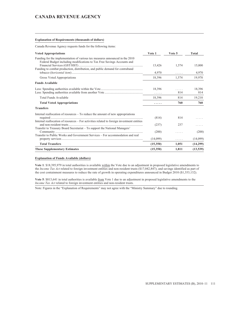### **CANADA REVENUE AGENCY**

#### **Explanation of Requirements (thousands of dollars)**

Canada Revenue Agency requests funds for the following items:

| <b>Voted Appropriations</b>                                                                                                                                                                                                             | Vote 1   | Vote 5 | Total     |
|-----------------------------------------------------------------------------------------------------------------------------------------------------------------------------------------------------------------------------------------|----------|--------|-----------|
| Funding for the implementation of various tax measures announced in the 2010<br>Federal Budget including modifications to Tax Free Savings Accounts and<br>Funding to combat production, distribution, and public demand for contraband | 13,426   | 1.574  | 15,000    |
|                                                                                                                                                                                                                                         | 4,970    | .      | 4,970     |
| Gross Voted Appropriations                                                                                                                                                                                                              | 18,396   | 1.574  | 19,970    |
| <b>Funds Available</b>                                                                                                                                                                                                                  |          |        |           |
|                                                                                                                                                                                                                                         | 18,396   | .      | 18,396    |
|                                                                                                                                                                                                                                         | .        | 814    | 814       |
| Total Funds Available                                                                                                                                                                                                                   | 18.396   | 814    | 19,210    |
| <b>Total Voted Appropriations</b>                                                                                                                                                                                                       | .        | 760    | 760       |
| <b>Transfers</b>                                                                                                                                                                                                                        |          |        |           |
| Internal reallocation of resources – To reduce the amount of new appropriations                                                                                                                                                         | (814)    | 814    |           |
| Internal reallocation of resources – For activities related to foreign investment entities                                                                                                                                              | (237)    | 237    |           |
| Transfer to Treasury Board Secretariat – To support the National Managers'                                                                                                                                                              | (200)    | .      | (200)     |
| Transfer to Public Works and Government Services – For accommodation and real                                                                                                                                                           | (14,099) | .      | (14,099)  |
| <b>Total Transfers</b>                                                                                                                                                                                                                  | (15,350) | 1,051  | (14,299)  |
| <b>These Supplementary Estimates</b>                                                                                                                                                                                                    | (15,350) | 1,811  | (13, 539) |

#### **Explanation of Funds Available (dollars)**

**Vote 1**: \$18,395,979 in total authorities is available within the Vote due to an adjustment in proposed legislative amendments to the *Income Tax Act* related to foreign investment entities and non-resident trusts (\$17,042,847); and savings identified as part of the cost containment measures to reduce the rate of growth in operating expenditures announced in Budget 2010 (\$1,353,132).

Vote 5: \$813,641 in total authorities is available from Vote 1 due to an adjustment in proposed legislative amendments to the *Income Tax Act* related to foreign investment entities and non-resident trusts.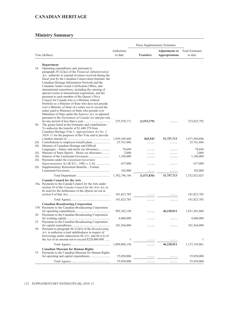|            |                                                                                                                |                        | These Supplementary Estimates |                                                |                                   |
|------------|----------------------------------------------------------------------------------------------------------------|------------------------|-------------------------------|------------------------------------------------|-----------------------------------|
|            | Vote (dollars)                                                                                                 | Authorities<br>to date | <b>Transfers</b>              | <b>Adjustments to</b><br><b>Appropriations</b> | <b>Total Estimates</b><br>to date |
|            | Department                                                                                                     |                        |                               |                                                |                                   |
| 1b         | Operating expenditures and, pursuant to                                                                        |                        |                               |                                                |                                   |
|            | paragraph $29.1(2)(a)$ of the Financial Administration                                                         |                        |                               |                                                |                                   |
|            | Act, authority to expend revenues received during the                                                          |                        |                               |                                                |                                   |
|            | fiscal year by the Canadian Conservation Institute, the                                                        |                        |                               |                                                |                                   |
|            | Canadian Heritage Information Network and the<br>Canadian Audio-visual Certification Office, and               |                        |                               |                                                |                                   |
|            | international expositions, including the catering of                                                           |                        |                               |                                                |                                   |
|            | special events at international expositions, and the                                                           |                        |                               |                                                |                                   |
|            | payment to each member of the Queen's Privy                                                                    |                        |                               |                                                |                                   |
|            | Council for Canada who is a Minister without                                                                   |                        |                               |                                                |                                   |
|            | Portfolio or a Minister of State who does not preside                                                          |                        |                               |                                                |                                   |
|            | over a Ministry of State of a salary not to exceed the<br>salary paid to Ministers of State who preside over   |                        |                               |                                                |                                   |
|            | Ministries of State under the Salaries Act, as adjusted                                                        |                        |                               |                                                |                                   |
|            | pursuant to the Parliament of Canada Act and pro rata                                                          |                        |                               |                                                |                                   |
|            |                                                                                                                | 235,539,171            | (2,515,379)                   |                                                | 233,023,792                       |
| 5b         | The grants listed in the Estimates and contributions -                                                         |                        |                               |                                                |                                   |
|            | To authorize the transfer of \$1,440,379 from                                                                  |                        |                               |                                                |                                   |
|            | Canadian Heritage Vote 1, Appropriation Act No. 2,<br>$2010 - 11$ for the purposes of this Vote and to provide |                        |                               |                                                |                                   |
|            |                                                                                                                | 1,039,349,440          | 843,543                       | 31,757,713                                     | 1,071,950,696                     |
| (S)        |                                                                                                                | 25,761,886             | .                             | .                                              | 25,761,886                        |
| (S)        | Minister of Canadian Heritage and Official                                                                     |                        |                               |                                                |                                   |
|            | Languages – Salary and motor car allowance                                                                     | 78,649                 |                               |                                                | 78,649                            |
| (S)        | Minister of State (Sport) – Motor car allowance                                                                | 2,000                  |                               |                                                | 2,000                             |
| (S)<br>(S) | Payments under the Lieutenant-Governors                                                                        | 1,196,000              | .                             | .                                              | 1,196,000                         |
|            | Superannuation Act (R.S.C., 1985, c. L-8)                                                                      | 637,000                | .                             | .                                              | 637,000                           |
| (S)        | Supplementary Retirement Benefits - Former                                                                     |                        |                               |                                                |                                   |
|            |                                                                                                                | 182,000                | .                             | .                                              | 182,000                           |
|            |                                                                                                                | 1,302,746,146          | (1,671,836)                   | 31,757,713                                     | 1,332,832,023                     |
|            | <b>Canada Council for the Arts</b>                                                                             |                        |                               |                                                |                                   |
|            | 10a Payments to the Canada Council for the Arts under<br>section 18 of the Canada Council for the Arts Act, to |                        |                               |                                                |                                   |
|            | be used for the furtherance of the objects set out in                                                          |                        |                               |                                                |                                   |
|            |                                                                                                                | 181,823,785            |                               |                                                | 181,823,785                       |
|            |                                                                                                                | 181,823,785            | .                             |                                                | 181,823,785                       |
|            | <b>Canadian Broadcasting Corporation</b>                                                                       |                        |                               |                                                |                                   |
|            | 15b Payments to the Canadian Broadcasting Corporation                                                          |                        |                               |                                                |                                   |
|            |                                                                                                                | 985,342,149            |                               | 46,238,911                                     | 1,031,581,060                     |
| 20         | Payments to the Canadian Broadcasting Corporation                                                              |                        |                               |                                                |                                   |
| 25         | Payments to the Canadian Broadcasting Corporation                                                              | 4,000,000              |                               |                                                | 4,000,000                         |
|            |                                                                                                                | 101,564,000            |                               |                                                | 101,564,000                       |
| 30         | Pursuant to paragraph $46.1(3)(b)$ of the <i>Broadcasting</i>                                                  |                        |                               |                                                |                                   |
|            | Act, to authorize a total indebtedness in respect of                                                           |                        |                               |                                                |                                   |
|            | borrowings under subsections $46.1(1)$ and $46.1(2)$ of                                                        |                        |                               |                                                |                                   |
|            | the Act of an amount not to exceed \$220,000,000                                                               | 1                      |                               |                                                | 1                                 |
|            |                                                                                                                | 1,090,906,150          | .                             | 46,238,911                                     | 1,137,145,061                     |
|            | <b>Canadian Museum for Human Rights</b>                                                                        |                        |                               |                                                |                                   |
| 35         | Payments to the Canadian Museum for Human Rights                                                               |                        |                               |                                                |                                   |
|            |                                                                                                                | 55,850,000             |                               |                                                | 55,850,000                        |
|            |                                                                                                                | 55,850,000             | .                             |                                                | 55,850,000                        |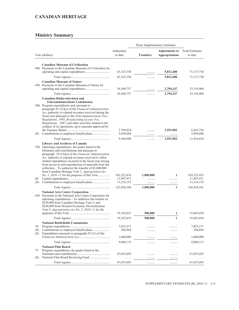|                  |                                                                                                                                                                                                                                                                                                                                                                                                                                                                                                                                                     |                                   | These Supplementary Estimates |                                                |                                   |
|------------------|-----------------------------------------------------------------------------------------------------------------------------------------------------------------------------------------------------------------------------------------------------------------------------------------------------------------------------------------------------------------------------------------------------------------------------------------------------------------------------------------------------------------------------------------------------|-----------------------------------|-------------------------------|------------------------------------------------|-----------------------------------|
|                  | Vote (dollars)                                                                                                                                                                                                                                                                                                                                                                                                                                                                                                                                      | Authorities<br>to date            | <b>Transfers</b>              | <b>Adjustments to</b><br><b>Appropriations</b> | <b>Total Estimates</b><br>to date |
|                  | <b>Canadian Museum of Civilization</b><br>40b Payments to the Canadian Museum of Civilization for                                                                                                                                                                                                                                                                                                                                                                                                                                                   | 65, 325, 330                      | .                             | 5,812,400                                      | 71,137,730                        |
|                  |                                                                                                                                                                                                                                                                                                                                                                                                                                                                                                                                                     | 65,325,330                        | .                             | 5,812,400                                      | 71,137,730                        |
|                  | <b>Canadian Museum of Nature</b><br>45b Payments to the Canadian Museum of Nature for                                                                                                                                                                                                                                                                                                                                                                                                                                                               | 30,360,757                        |                               | 2,794,147                                      | 33,154,904                        |
|                  |                                                                                                                                                                                                                                                                                                                                                                                                                                                                                                                                                     | 30,360,757                        |                               | 2,794,147                                      | 33,154,904                        |
|                  | <b>Canadian Radio-television and</b><br><b>Telecommunications Commission</b><br>50b Program expenditures and, pursuant to<br>paragraph $29.1(2)(a)$ of the <i>Financial Administration</i><br>Act, authority to expend revenues received during the<br>fiscal year pursuant to the Telecommunications Fees<br>Regulations, 1995, Broadcasting Licence Fee<br>Regulations, 1997, and other activities related to the<br>conduct of its operations, up to amounts approved by                                                                         |                                   |                               |                                                |                                   |
| (S)              |                                                                                                                                                                                                                                                                                                                                                                                                                                                                                                                                                     | 3,709,824<br>5,650,684            | .<br>.                        | 2,553,902<br>.                                 | 6,263,726<br>5,650,684            |
|                  |                                                                                                                                                                                                                                                                                                                                                                                                                                                                                                                                                     | 9,360,508                         | .                             | 2,553,902                                      | 11,914,410                        |
| 60               | <b>Library and Archives of Canada</b><br>55b Operating expenditures, the grants listed in the<br>Estimates and contributions and pursuant to<br>paragraph $29.1(2)(a)$ of the Financial Administration<br>Act, authority to expend revenues received to offset<br>related expenditures incurred in the fiscal year arising<br>from access to and reproduction of materials from the<br>collection – To authorize the transfer of $$1,000,000$<br>from Canadian Heritage Vote 1, Appropriation Act<br>$No. 2, 2010-11$ for the purposes of this Vote | 102,222,434<br>11,997,971         | 1,000,000<br>.                | 1<br>.                                         | 103,222,435<br>11,997,971         |
| (S)              |                                                                                                                                                                                                                                                                                                                                                                                                                                                                                                                                                     | 11,216,135                        | .                             | .                                              | 11,216,135                        |
|                  | <b>National Arts Centre Corporation</b><br>65b Payments to the National Arts Centre Corporation for<br>operating expenditures – To authorize the transfer of<br>\$250,000 from Canadian Heritage Vote 5, and<br>\$250,000 from Western Economic Diversification<br>Vote 5, Appropriation Act No. 2, 2010-11 for the                                                                                                                                                                                                                                 | 125,436,540<br>35,183,033         | 1,000,000<br>500,000          | 1<br>1                                         | 126,436,541<br>35,683,034         |
|                  |                                                                                                                                                                                                                                                                                                                                                                                                                                                                                                                                                     |                                   |                               |                                                |                                   |
|                  |                                                                                                                                                                                                                                                                                                                                                                                                                                                                                                                                                     | 35,183,033                        | 500,000                       | 1                                              | 35,683,034                        |
| 70<br>(S)<br>(S) | <b>National Battlefields Commission</b><br>Expenditures pursuant to paragraph $29.1(1)$ of the                                                                                                                                                                                                                                                                                                                                                                                                                                                      | 7,853,271<br>386,844<br>1,600,000 |                               |                                                | 7,853,271<br>386,844<br>1,600,000 |
|                  |                                                                                                                                                                                                                                                                                                                                                                                                                                                                                                                                                     | 9,840,115                         | .                             | .                                              | 9,840,115                         |
| 75               | <b>National Film Board</b><br>Program expenditures, the grants listed in the                                                                                                                                                                                                                                                                                                                                                                                                                                                                        |                                   |                               |                                                |                                   |
| (S)              |                                                                                                                                                                                                                                                                                                                                                                                                                                                                                                                                                     | 67,655,695                        | .                             | .                                              | 67,655,695                        |
|                  |                                                                                                                                                                                                                                                                                                                                                                                                                                                                                                                                                     | $\cdots$<br>67,655,695            |                               | .                                              | 67,655,695                        |
|                  |                                                                                                                                                                                                                                                                                                                                                                                                                                                                                                                                                     |                                   | .                             |                                                |                                   |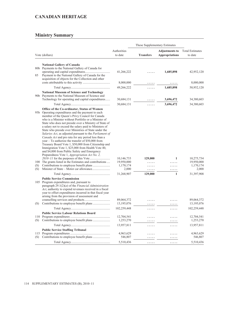|            |                                                                                                                                                                                                                                                                                                                                                                                                                                                                                                                                                                                                                                                                                                                                                                                                                                                                 |                                                | These Supplementary Estimates |                                                |                                                |
|------------|-----------------------------------------------------------------------------------------------------------------------------------------------------------------------------------------------------------------------------------------------------------------------------------------------------------------------------------------------------------------------------------------------------------------------------------------------------------------------------------------------------------------------------------------------------------------------------------------------------------------------------------------------------------------------------------------------------------------------------------------------------------------------------------------------------------------------------------------------------------------|------------------------------------------------|-------------------------------|------------------------------------------------|------------------------------------------------|
|            | Vote (dollars)                                                                                                                                                                                                                                                                                                                                                                                                                                                                                                                                                                                                                                                                                                                                                                                                                                                  | Authorities<br>to date                         | <b>Transfers</b>              | <b>Adjustments to</b><br><b>Appropriations</b> | <b>Total Estimates</b><br>to date              |
|            |                                                                                                                                                                                                                                                                                                                                                                                                                                                                                                                                                                                                                                                                                                                                                                                                                                                                 |                                                |                               |                                                |                                                |
| 85         | <b>National Gallery of Canada</b><br>80b Payments to the National Gallery of Canada for<br>Payment to the National Gallery of Canada for the<br>acquisition of objects for the Collection and other                                                                                                                                                                                                                                                                                                                                                                                                                                                                                                                                                                                                                                                             | 41,266,222<br>8,000,000                        |                               | 1,685,898                                      | 42,952,120<br>8,000,000                        |
|            |                                                                                                                                                                                                                                                                                                                                                                                                                                                                                                                                                                                                                                                                                                                                                                                                                                                                 | 49,266,222                                     | .                             | 1,685,898                                      | 50,952,120                                     |
|            | <b>National Museum of Science and Technology</b><br>90b Payments to the National Museum of Science and                                                                                                                                                                                                                                                                                                                                                                                                                                                                                                                                                                                                                                                                                                                                                          |                                                | .                             |                                                |                                                |
|            | Technology for operating and capital expenditures                                                                                                                                                                                                                                                                                                                                                                                                                                                                                                                                                                                                                                                                                                                                                                                                               | 30,684,131                                     | .                             | 3,696,472                                      | 34,380,603                                     |
|            |                                                                                                                                                                                                                                                                                                                                                                                                                                                                                                                                                                                                                                                                                                                                                                                                                                                                 | 30,684,131                                     |                               | 3,696,472                                      | 34,380,603                                     |
| (S)<br>(S) | Office of the Co-ordinator, Status of Women<br>95b Operating expenditures and the payment to each<br>member of the Queen's Privy Council for Canada<br>who is a Minister without Portfolio or a Minister of<br>State who does not preside over a Ministry of State of<br>a salary not to exceed the salary paid to Ministers of<br>State who preside over Ministries of State under the<br><i>Salaries Act</i> , as adjusted pursuant to the <i>Parliament of</i><br><i>Canada Act</i> and pro rata for any period less than a<br>year $-$ To authorize the transfer of \$50,000 from<br>Treasury Board Vote 1, \$50,000 from Citizenship and<br>Immigration Vote 1, \$25,000 from Health Vote 40,<br>and \$4,000 from Public Safety and Emergency<br>Preparedness Vote 1, Appropriation Act No. 2,<br>100 The grants listed in the Estimates and contributions | 10,146,733<br>19,950,000<br>1,170,174<br>2,000 | 129,000<br>.<br>.<br>.        | 1<br>.<br>.<br>.                               | 10,275,734<br>19,950,000<br>1,170,174<br>2,000 |
|            |                                                                                                                                                                                                                                                                                                                                                                                                                                                                                                                                                                                                                                                                                                                                                                                                                                                                 | 31,268,907                                     | 129,000                       | $\mathbf{1}$                                   | 31,397,908                                     |
| (S)        | <b>Public Service Commission</b><br>105 Program expenditures and, pursuant to<br>paragraph $29.1(2)(a)$ of the Financial Administration<br>Act, authority to expend revenues received in a fiscal<br>year to offset expenditures incurred in that fiscal year<br>arising from the provision of assessment and                                                                                                                                                                                                                                                                                                                                                                                                                                                                                                                                                   | 89,064,372<br>13,195,076                       | .                             | .                                              | 89,064,372<br>13,195,076                       |
|            |                                                                                                                                                                                                                                                                                                                                                                                                                                                                                                                                                                                                                                                                                                                                                                                                                                                                 | 102,259,448                                    | .                             | .                                              | 102,259,448                                    |
| (S)        | <b>Public Service Labour Relations Board</b>                                                                                                                                                                                                                                                                                                                                                                                                                                                                                                                                                                                                                                                                                                                                                                                                                    | 12,704,541<br>1,253,270                        | .<br>.                        | .<br>.                                         | 12,704,541<br>1,253,270                        |
|            |                                                                                                                                                                                                                                                                                                                                                                                                                                                                                                                                                                                                                                                                                                                                                                                                                                                                 | 13,957,811                                     | .                             | .                                              | 13,957,811                                     |
| 115<br>(S) | <b>Public Service Staffing Tribunal</b>                                                                                                                                                                                                                                                                                                                                                                                                                                                                                                                                                                                                                                                                                                                                                                                                                         | 4,963,629<br>546,807                           | .<br>.                        | .                                              | 4,963,629<br>546,807                           |
|            |                                                                                                                                                                                                                                                                                                                                                                                                                                                                                                                                                                                                                                                                                                                                                                                                                                                                 | 5,510,436                                      | .                             | .                                              | 5,510,436                                      |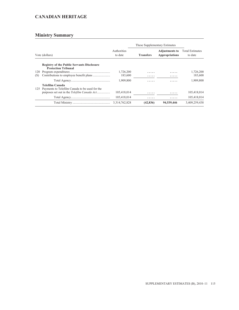|            |                                                                                                                             |                        | These Supplementary Estimates |                                         |                                   |
|------------|-----------------------------------------------------------------------------------------------------------------------------|------------------------|-------------------------------|-----------------------------------------|-----------------------------------|
|            | Vote (dollars)                                                                                                              | Authorities<br>to date | <b>Transfers</b>              | <b>Adjustments to</b><br>Appropriations | <b>Total Estimates</b><br>to date |
|            | <b>Registry of the Public Servants Disclosure</b><br><b>Protection Tribunal</b>                                             |                        |                               |                                         |                                   |
| 120<br>(S) |                                                                                                                             | 1,726,200<br>183,600   | .<br>.                        | .<br>.                                  | 1,726,200<br>183,600              |
|            |                                                                                                                             | 1,909,800              | .                             | .                                       | 1,909,800                         |
|            | Telefilm Canada<br>125 Payments to Telefilm Canada to be used for the<br>purposes set out in the <i>Telefilm Canada Act</i> | 105,418,014            | .                             | .                                       | 105,418,014                       |
|            |                                                                                                                             | 105,418,014            | .                             | .                                       | 105,418,014                       |
|            |                                                                                                                             | 3,314,762,828          | (42, 836)                     | 94,539,446                              | 3,409,259,438                     |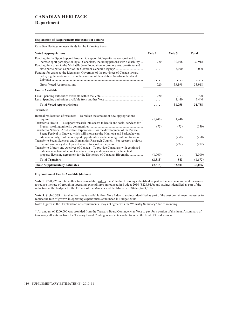#### **Department**

#### **Explanation of Requirements (thousands of dollars)**

Canadian Heritage requests funds for the following items:

| <b>Voted Appropriations</b>                                                                                                                                                                                                                                | Vote 1  | Vote 5 | <b>Total</b> |
|------------------------------------------------------------------------------------------------------------------------------------------------------------------------------------------------------------------------------------------------------------|---------|--------|--------------|
| Funding for the Sport Support Program to support high-performance sport and to<br>increase sport participation by all Canadians, including persons with a disability                                                                                       | 720     | 30,198 | 30,918       |
| Funding for a grant to the Michaëlle Jean Foundation to promote arts, creativity and<br>Funding for grants to the Lieutenant-Governors of the provinces of Canada toward<br>defraying the costs incurred in the exercise of their duties: Newfoundland and | .       | 3,000  | 3,000        |
|                                                                                                                                                                                                                                                            |         | .      |              |
| Gross Voted Appropriations                                                                                                                                                                                                                                 | 720     | 33,198 | 33,918       |
| <b>Funds Available</b>                                                                                                                                                                                                                                     |         |        |              |
|                                                                                                                                                                                                                                                            | 720     | .      | 720          |
|                                                                                                                                                                                                                                                            | .       | 1,440  | 1,440        |
| <b>Total Voted Appropriations</b>                                                                                                                                                                                                                          | .       | 31,758 | 31,758       |
| <b>Transfers</b>                                                                                                                                                                                                                                           |         |        |              |
| Internal reallocation of resources $-$ To reduce the amount of new appropriations                                                                                                                                                                          |         |        |              |
|                                                                                                                                                                                                                                                            | (1,440) | 1,440  |              |
| Transfer to Health – To support research into access to health and social services for                                                                                                                                                                     |         |        |              |
| Transfer to National Arts Centre Corporation – For the development of the Prairie                                                                                                                                                                          | (75)    | (75)   | (150)        |
| Scene Festival in Ottawa, which will showcase the Manitoba and Saskatchewan                                                                                                                                                                                |         |        |              |
| arts community, build new export opportunities and encourage cultural tourism                                                                                                                                                                              |         | (250)  | (250)        |
| Transfer to Social Sciences and Humanities Research Council – For research projects                                                                                                                                                                        |         |        |              |
| Transfer to Library and Archives of Canada – To provide Canadians with continued                                                                                                                                                                           | .       | (272)  | (272)        |
| online access to content on Canadian history and civics via an intellectual                                                                                                                                                                                |         |        |              |
| property licensing agreement for the Dictionary of Canadian Biography                                                                                                                                                                                      | (1,000) | .      | (1,000)      |
| <b>Total Transfers</b>                                                                                                                                                                                                                                     | (2,515) | 843    | (1,672)      |
| <b>These Supplementary Estimates</b>                                                                                                                                                                                                                       | (2,515) | 32,601 | 30,086       |

#### **Explanation of Funds Available (dollars)**

**Vote 1**: \$720,225 in total authorities is available within the Vote due to savings identified as part of the cost containment measures to reduce the rate of growth in operating expenditures announced in Budget 2010 (\$226,915); and savings identified as part of the reduction in the budgets for the Offices of the Minister and the Minister of State (\$493,310).

**Vote 5**: \$1,440,379 in total authorities is available from Vote 1 due to savings identified as part of the cost containment measures to reduce the rate of growth in operating expenditures announced in Budget 2010.

Note: Figures in the "Explanation of Requirements" may not agree with the "Ministry Summary" due to rounding.

\* An amount of \$200,000 was provided from the Treasury Board Contingencies Vote to pay for a portion of this item. A summary of temporary allocations from the Treasury Board Contingencies Vote can be found at the front of this document.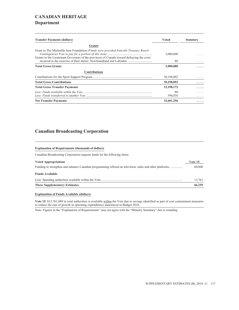### **CANADIAN HERITAGE Department**

| <b>Transfer Payments (dollars)</b>                                                                                                                                              | <b>Voted</b>  | <b>Statutory</b> |
|---------------------------------------------------------------------------------------------------------------------------------------------------------------------------------|---------------|------------------|
| <b>Grants</b>                                                                                                                                                                   |               |                  |
| Grant to The Michaëlle Jean Foundation (Funds were provided from the Treasury Board<br>Grants to the Lieutenant-Governors of the provinces of Canada toward defraying the costs | 3,000,000     |                  |
| incurred in the exercise of their duties: Newfoundland and Labrador                                                                                                             | 80            | .                |
| <b>Total Gross Grants</b>                                                                                                                                                       | 3,000,080     | .                |
| <b>Contributions</b>                                                                                                                                                            |               |                  |
|                                                                                                                                                                                 | 30,198,092    | .                |
| <b>Total Gross Contributions</b>                                                                                                                                                | 30,198,092    | .                |
| <b>Total Gross Transfer Payments</b>                                                                                                                                            | 33,198,172    | .                |
|                                                                                                                                                                                 | 80<br>596,836 | .                |
| <b>Net Transfer Payments</b>                                                                                                                                                    | 32,601,256    | .                |

### **Canadian Broadcasting Corporation**

#### **Explanation of Requirements (thousands of dollars)**

Canadian Broadcasting Corporation requests funds for the following items:

| <b>Voted Appropriations</b>          | Vote 15 |
|--------------------------------------|---------|
|                                      | 60,000  |
| <b>Funds Available</b>               |         |
|                                      | 13.761  |
| <b>These Supplementary Estimates</b> | 46,239  |

#### **Explanation of Funds Available (dollars)**

**Vote 15**: \$13,761,089 in total authorities is available within the Vote due to savings identified as part of cost containment measures to reduce the rate of growth in operating expenditures announced in Budget 2010.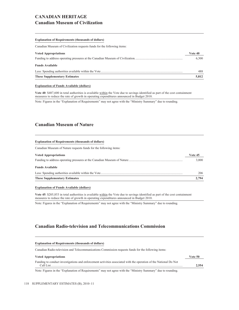### **CANADIAN HERITAGE Canadian Museum of Civilization**

#### **Explanation of Requirements (thousands of dollars)**

Canadian Museum of Civilization requests funds for the following items:

| <b>Voted Appropriations</b>          | Vote 40 |
|--------------------------------------|---------|
|                                      | 6.300   |
| <b>Funds Available</b>               |         |
|                                      | 488     |
| <b>These Supplementary Estimates</b> | 5.812   |

#### **Explanation of Funds Available (dollars)**

**Vote 40**: \$487,600 in total authorities is available within the Vote due to savings identified as part of the cost containment measures to reduce the rate of growth in operating expenditures announced in Budget 2010.

Note: Figures in the "Explanation of Requirements" may not agree with the "Ministry Summary" due to rounding.

#### **Canadian Museum of Nature**

#### **Explanation of Requirements (thousands of dollars)**

Canadian Museum of Nature requests funds for the following items:

| <b>Voted Appropriations</b>          | Vote 45 |
|--------------------------------------|---------|
|                                      | 3,000   |
| <b>Funds Available</b>               |         |
|                                      | 206     |
| <b>These Supplementary Estimates</b> | 2.794   |

#### **Explanation of Funds Available (dollars)**

Vote 45: \$205,853 in total authorities is available within the Vote due to savings identified as part of the cost containment measures to reduce the rate of growth in operating expenditures announced in Budget 2010.

Note: Figures in the "Explanation of Requirements" may not agree with the "Ministry Summary" due to rounding.

### **Canadian Radio-television and Telecommunications Commission**

| <b>Explanation of Requirements (thousands of dollars)</b>                                                                                                                                                                                                                                                   |         |
|-------------------------------------------------------------------------------------------------------------------------------------------------------------------------------------------------------------------------------------------------------------------------------------------------------------|---------|
| Canadian Radio-television and Telecommunications Commission requests funds for the following items:                                                                                                                                                                                                         |         |
| <b>Voted Appropriations</b>                                                                                                                                                                                                                                                                                 | Vote 50 |
| Funding to conduct investigations and enforcement activities associated with the operation of the National Do Not                                                                                                                                                                                           | 2,554   |
| $\mathbf{r}$ , $\mathbf{r}$ , $\mathbf{r}$ , $\mathbf{r}$ , $\mathbf{r}$ , $\mathbf{r}$ , $\mathbf{r}$ , $\mathbf{r}$ , $\mathbf{r}$ , $\mathbf{r}$ , $\mathbf{r}$ , $\mathbf{r}$ , $\mathbf{r}$ , $\mathbf{r}$ , $\mathbf{r}$ , $\mathbf{r}$ , $\mathbf{r}$ , $\mathbf{r}$ , $\mathbf{r}$ , $\mathbf{r}$ , |         |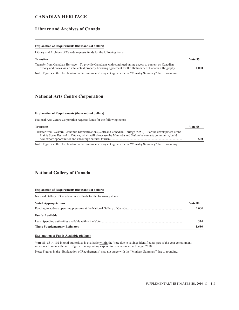### **Library and Archives of Canada**

#### **Explanation of Requirements (thousands of dollars)**

Library and Archives of Canada requests funds for the following items:

| 1.000 |
|-------|
|       |

Note: Figures in the "Explanation of Requirements" may not agree with the "Ministry Summary" due to rounding.

### **National Arts Centre Corporation**

#### **Explanation of Requirements (thousands of dollars)**

National Arts Centre Corporation requests funds for the following items:

| <b>Transfers</b>                                                                                                                                                                                                               | Vote 65 |
|--------------------------------------------------------------------------------------------------------------------------------------------------------------------------------------------------------------------------------|---------|
| Transfer from Western Economic Diversification (\$250) and Canadian Heritage (\$250) – For the development of the<br>Prairie Scene Festival in Ottawa, which will showcase the Manitoba and Saskatchewan arts community, build | 500     |
| Note: Figures in the "Explanation of Requirements" may not agree with the "Ministry Summary" due to rounding.                                                                                                                  |         |

### **National Gallery of Canada**

#### **Explanation of Requirements (thousands of dollars)**

National Gallery of Canada requests funds for the following items:

| <b>Voted Appropriations</b>          | Vote 80 |
|--------------------------------------|---------|
|                                      | 2.000   |
| <b>Funds Available</b>               |         |
|                                      | 314     |
| <b>These Supplementary Estimates</b> | 1.686   |

#### **Explanation of Funds Available (dollars)**

**Vote 80**: \$314,102 in total authorities is available within the Vote due to savings identified as part of the cost containment measures to reduce the rate of growth in operating expenditures announced in Budget 2010.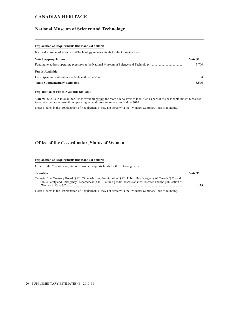### **National Museum of Science and Technology**

#### **Explanation of Requirements (thousands of dollars)**

National Museum of Science and Technology requests funds for the following items:

| <b>Voted Appropriations</b>          | Vote 90 |
|--------------------------------------|---------|
|                                      | 3.700   |
| <b>Funds Available</b>               |         |
|                                      |         |
| <b>These Supplementary Estimates</b> | 3.696   |

#### **Explanation of Funds Available (dollars)**

**Vote 90**: \$3,528 in total authorities is available within the Vote due to savings identified as part of the cost containment measures to reduce the rate of growth in operating expenditures announced in Budget 2010.

Note: Figures in the "Explanation of Requirements" may not agree with the "Ministry Summary" due to rounding.

### **Office of the Co-ordinator, Status of Women**

#### **Explanation of Requirements (thousands of dollars)**

Office of the Co-ordinator, Status of Women requests funds for the following items:

| <b>Transfers</b>                                                                                                                                                                                                                                               | Vote 95 |
|----------------------------------------------------------------------------------------------------------------------------------------------------------------------------------------------------------------------------------------------------------------|---------|
| Transfer from Treasury Board (\$50), Citizenship and Immigration (\$50), Public Health Agency of Canada (\$25) and<br>Public Safety and Emergency Preparedness $(\$4)$ – To fund gender-based statistical research and the publication of<br>"Women in Canada" | 129     |
|                                                                                                                                                                                                                                                                |         |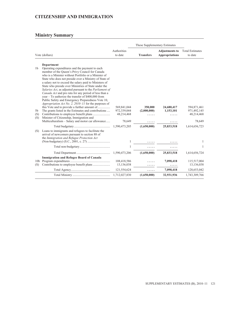# **CITIZENSHIP AND IMMIGRATION**

# **Ministry Summary**

|                                    |                                                                                                                                                                                                                                                                                                                                                                                                                                                                                                                                                                                                                                                                                                                                                                                                                                                      |                                                    | These Supplementary Estimates |                                                |                                                    |
|------------------------------------|------------------------------------------------------------------------------------------------------------------------------------------------------------------------------------------------------------------------------------------------------------------------------------------------------------------------------------------------------------------------------------------------------------------------------------------------------------------------------------------------------------------------------------------------------------------------------------------------------------------------------------------------------------------------------------------------------------------------------------------------------------------------------------------------------------------------------------------------------|----------------------------------------------------|-------------------------------|------------------------------------------------|----------------------------------------------------|
|                                    | Vote (dollars)                                                                                                                                                                                                                                                                                                                                                                                                                                                                                                                                                                                                                                                                                                                                                                                                                                       | Authorities<br>to date                             | <b>Transfers</b>              | <b>Adjustments to</b><br><b>Appropriations</b> | <b>Total Estimates</b><br>to date                  |
| 1 <sub>b</sub><br>5b<br>(S)<br>(S) | Department<br>Operating expenditures and the payment to each<br>member of the Queen's Privy Council for Canada<br>who is a Minister without Portfolio or a Minister of<br>State who does not preside over a Ministry of State of<br>a salary not to exceed the salary paid to Ministers of<br>State who preside over Ministries of State under the<br>Salaries Act, as adjusted pursuant to the Parliament of<br>Canada Act and pro rata for any period of less than a<br>year $-$ To authorize the transfer of \$400,000 from<br>Public Safety and Emergency Preparedness Vote 10,<br>Appropriation Act No. 2, 2010–11 for the purposes of<br>this Vote and to provide a further amount of<br>The grants listed in the Estimates and contributions<br>Minister of Citizenship, Immigration and<br>Multiculturalism – Salary and motor car allowance | 569,841,044<br>972,339,044<br>48,214,468<br>78,649 | 350,000<br>(2,000,000)        | 24,680,417<br>1,153,101                        | 594,871,461<br>971,492,145<br>48,214,468<br>78,649 |
| (S)                                | Loans to immigrants and refugees to facilitate the<br>arrival of newcomers pursuant to section 88 of<br>the Immigration and Refugee Protection Act                                                                                                                                                                                                                                                                                                                                                                                                                                                                                                                                                                                                                                                                                                   | 1,590,473,205<br>1                                 | (1,650,000)                   | 25,833,518                                     | 1,614,656,723<br>1                                 |
|                                    |                                                                                                                                                                                                                                                                                                                                                                                                                                                                                                                                                                                                                                                                                                                                                                                                                                                      |                                                    |                               |                                                |                                                    |
|                                    |                                                                                                                                                                                                                                                                                                                                                                                                                                                                                                                                                                                                                                                                                                                                                                                                                                                      | $\mathbf{1}$                                       |                               |                                                | $\mathbf{1}$                                       |
|                                    |                                                                                                                                                                                                                                                                                                                                                                                                                                                                                                                                                                                                                                                                                                                                                                                                                                                      | 1,590,473,206                                      | (1,650,000)                   | 25,833,518                                     | 1,614,656,724                                      |
| 10 <sub>b</sub><br>(S)             | <b>Immigration and Refugee Board of Canada</b>                                                                                                                                                                                                                                                                                                                                                                                                                                                                                                                                                                                                                                                                                                                                                                                                       | 108,418,586<br>13,136,038<br>121,554,624           | .                             | 7,098,418<br>7,098,418                         | 115,517,004<br>13,136,038<br>128,653,042           |
|                                    |                                                                                                                                                                                                                                                                                                                                                                                                                                                                                                                                                                                                                                                                                                                                                                                                                                                      | 1,712,027,830                                      | (1,650,000)                   | 32,931,936                                     | 1,743,309,766                                      |
|                                    |                                                                                                                                                                                                                                                                                                                                                                                                                                                                                                                                                                                                                                                                                                                                                                                                                                                      |                                                    |                               |                                                |                                                    |

<u> 1980 - Johann Barbara, martxa alemaniar amerikan basar da a</u>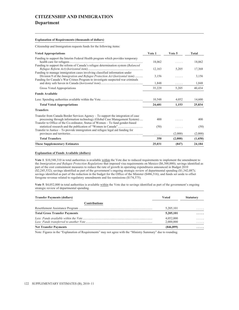# **CITIZENSHIP AND IMMIGRATION Department**

#### **Explanation of Requirements (thousands of dollars)**

Citizenship and Immigration requests funds for the following items:

| <b>Voted Appropriations</b>                                                                                                                                                                                                                     | Vote 1 | Vote 5  | Total   |
|-------------------------------------------------------------------------------------------------------------------------------------------------------------------------------------------------------------------------------------------------|--------|---------|---------|
| Funding to support the Interim Federal Health program which provides temporary                                                                                                                                                                  | 18,062 |         | 18,062  |
| Funding to support the reform of Canada's refugee determination system (Balanced<br>Funding to manage immigration cases involving classified information under                                                                                  | 12,163 | 5.205   | 17,368  |
| Division 9 of the <i>Immigration and Refugee Protection Act</i> ( <i>horizontal item</i> )<br>Funding for Canada's War Crimes Program to investigate suspected war criminals                                                                    | 3,156  | .       | 3,156   |
|                                                                                                                                                                                                                                                 | 1,848  | .       | 1,848   |
| Gross Voted Appropriations                                                                                                                                                                                                                      | 35,229 | 5,205   | 40,434  |
| <b>Funds Available</b>                                                                                                                                                                                                                          |        |         |         |
|                                                                                                                                                                                                                                                 | 10,548 | 4,052   | 14,600  |
| <b>Total Voted Appropriations</b>                                                                                                                                                                                                               | 24,681 | 1,153   | 25,834  |
| <b>Transfers</b>                                                                                                                                                                                                                                |        |         |         |
| Transfer from Canada Border Services Agency – To support the integration of case<br>processing through information technology (Global Case Management System)<br>Transfer to Office of the Co-ordinator, Status of Women – To fund gender-based | 400    | .       | 400     |
|                                                                                                                                                                                                                                                 | (50)   |         | (50)    |
| Transfer to Justice – To provide immigration and refugee legal aid funding for                                                                                                                                                                  | .      | (2,000) | (2,000) |
| <b>Total Transfers</b>                                                                                                                                                                                                                          | 350    | (2,000) | (1,650) |
| <b>These Supplementary Estimates</b>                                                                                                                                                                                                            | 25,031 | (847)   | 24,184  |

#### **Explanation of Funds Available (dollars)**

Vote 1: \$10,548,310 in total authorities is available within the Vote due to reduced requirements to implement the amendment to the *Immigration and Refugee Protection Regulations* that imposed visa requirements on Mexico (\$6,300,000); savings identified as part of the cost containment measures to reduce the rate of growth in operating expenditures announced in Budget 2010 (\$2,245,532); savings identified as part of the government's ongoing strategic review of departmental spending (\$1,342,087); savings identified as part of the reduction in the budget for the Office of the Minister (\$486,316); and funds set aside to offset foregone revenue related to regulatory amendments and fee remissions (\$174,375).

**Vote 5**: \$4,052,000 in total authorities is available within the Vote due to savings identified as part of the government's ongoing strategic review of departmental spending.

| <b>Transfer Payments (dollars)</b>   | Voted                  | <b>Statutory</b> |
|--------------------------------------|------------------------|------------------|
| <b>Contributions</b>                 |                        |                  |
|                                      | 5.205.101              | .                |
| <b>Total Gross Transfer Payments</b> | 5,205,101              | .                |
|                                      | 4.052.000<br>2,000,000 | .<br>.           |
| <b>Net Transfer Payments</b>         | (846,899)              | .                |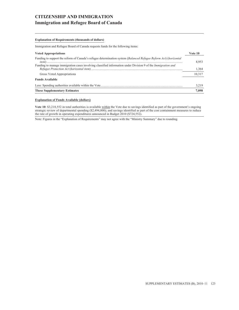# **CITIZENSHIP AND IMMIGRATION Immigration and Refugee Board of Canada**

#### **Explanation of Requirements (thousands of dollars)**

Immigration and Refugee Board of Canada requests funds for the following items:

| <b>Voted Appropriations</b>                                                                                      | Vote 10 |
|------------------------------------------------------------------------------------------------------------------|---------|
| Funding to support the reform of Canada's refugee determination system (Balanced Refugee Reform Act) (horizontal | 8.953   |
| Funding to manage immigration cases involving classified information under Division 9 of the Immigration and     | 1.364   |
| Gross Voted Appropriations                                                                                       | 10.317  |
| <b>Funds Available</b>                                                                                           |         |
|                                                                                                                  | 3.219   |
| <b>These Supplementary Estimates</b>                                                                             | 7.098   |

#### **Explanation of Funds Available (dollars)**

**Vote 10**: \$3,218,552 in total authorities is available within the Vote due to savings identified as part of the government's ongoing strategic review of departmental spending (\$2,494,000); and savings identified as part of the cost containment measures to reduce the rate of growth in operating expenditures announced in Budget 2010 (\$724,552).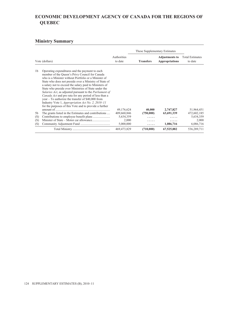# **ECONOMIC DEVELOPMENT AGENCY OF CANADA FOR THE REGIONS OF QUEBEC**

|                             |                                                                                                                                                                                                                                                                                                                                                                                                                                                                                                                                                                                                                                                                                                             |                                        | These Supplementary Estimates |                                         |                                        |
|-----------------------------|-------------------------------------------------------------------------------------------------------------------------------------------------------------------------------------------------------------------------------------------------------------------------------------------------------------------------------------------------------------------------------------------------------------------------------------------------------------------------------------------------------------------------------------------------------------------------------------------------------------------------------------------------------------------------------------------------------------|----------------------------------------|-------------------------------|-----------------------------------------|----------------------------------------|
| Vote (dollars)              |                                                                                                                                                                                                                                                                                                                                                                                                                                                                                                                                                                                                                                                                                                             | Authorities<br>to date                 | <b>Transfers</b>              | <b>Adjustments to</b><br>Appropriations | <b>Total Estimates</b><br>to date      |
| 1 <sub>b</sub><br>5b<br>(S) | Operating expenditures and the payment to each<br>member of the Queen's Privy Council for Canada<br>who is a Minister without Portfolio or a Minister of<br>State who does not preside over a Ministry of State of<br>a salary not to exceed the salary paid to Ministers of<br>State who preside over Ministries of State under the<br><i>Salaries Act</i> , as adjusted pursuant to the <i>Parliament of</i><br>Canada Act and pro rata for any period of less than a<br>$year - To authorize the transfer of $40,000 from$<br>Industry Vote 1, <i>Appropriation Act No. 2, 2010–11</i><br>for the purposes of this Vote and to provide a further<br>The grants listed in the Estimates and contributions | 49,176,624<br>409,660,846<br>5,634,359 | 40,000<br>(750,000)           | 2,747,827<br>63,691,339<br>.            | 51,964,451<br>472,602,185<br>5,634,359 |
| (S)<br>(S)                  |                                                                                                                                                                                                                                                                                                                                                                                                                                                                                                                                                                                                                                                                                                             | 2,000<br>5,000,000                     | .<br>.                        | .<br>1,086,716                          | 2,000<br>6,086,716                     |
|                             |                                                                                                                                                                                                                                                                                                                                                                                                                                                                                                                                                                                                                                                                                                             | 469, 473, 829                          | (710,000)                     | 67,525,882                              | 536,289,711                            |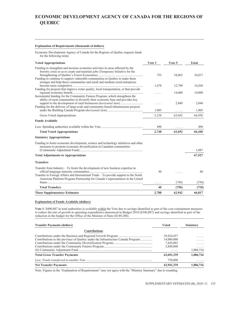# **ECONOMIC DEVELOPMENT AGENCY OF CANADA FOR THE REGIONS OF QUEBEC**

#### **Explanation of Requirements (thousands of dollars)**

Economic Development Agency of Canada for the Regions of Quebec requests funds for the following items:

| <b>Voted Appropriations</b>                                                                                                                                                                                                                                   | Vote 1 | Vote 5 | <b>Total</b> |
|---------------------------------------------------------------------------------------------------------------------------------------------------------------------------------------------------------------------------------------------------------------|--------|--------|--------------|
| Funding to strengthen and increase economic activities in areas affected by the<br>forestry crisis so as to create and maintain jobs (Temporary Initiative for the<br>Funding to continue to support vulnerable communities in Quebec to make them            | 755    | 34,062 | 34,817       |
| stronger and help these communities and small and medium sized entreprises<br>Funding for projects that improve water quality, local transportation, or that provide                                                                                          | 1,478  | 12,790 | 14,268       |
| Incremental funding for the Community Futures Program, which strengthens the                                                                                                                                                                                  | .      | 14,000 | 14,000       |
| ability of rural communities to diversify their economic base and provides key<br>Funding for the delivery of large-scale and community-based infrastructure projects                                                                                         | .      | 2,840  | 2,840        |
|                                                                                                                                                                                                                                                               | 1,005  | .      | 1,005        |
| Gross Voted Appropriations                                                                                                                                                                                                                                    | 3,238  | 63.692 | 66,930       |
| <b>Funds Available</b>                                                                                                                                                                                                                                        |        |        |              |
|                                                                                                                                                                                                                                                               | 490    | .      | 490          |
| <b>Total Voted Appropriations</b>                                                                                                                                                                                                                             | 2,748  | 63,692 | 66,440       |
| <b>Statutory Appropriations</b>                                                                                                                                                                                                                               |        |        |              |
| Funding to foster economic development, science and technology initiatives and other<br>measures to promote economic diversification in Canadian communities                                                                                                  |        |        | 1,087        |
| <b>Total Adjustments to Appropriations</b>                                                                                                                                                                                                                    |        |        | 67,527       |
| <b>Transfers</b>                                                                                                                                                                                                                                              |        |        |              |
| Transfer from Industry $-$ To foster the development of new business expertise in<br>Transfer to Foreign Affairs and International Trade – To provide support to the North<br>American Platform Program Partnership for Canada's representation in the United | 40     | .      | 40           |
|                                                                                                                                                                                                                                                               | .      | (750)  | (750)        |
| <b>Total Transfers</b>                                                                                                                                                                                                                                        | 40     | (750)  | (710)        |
| <b>These Supplementary Estimates</b>                                                                                                                                                                                                                          | 2,788  | 62,942 | 66,817       |

#### **Explanation of Funds Available (dollars)**

**Vote 1**: \$490,087 in total authorities is available within the Vote due to savings identified as part of the cost containment measures to reduce the rate of growth in operating expenditures announced in Budget 2010 (\$340,807) and savings identified as part of the reduction in the budget for the Office of the Minister of State (\$149,280).

| <b>Transfer Payments (dollars)</b>                                              | Voted      | <b>Statutory</b> |
|---------------------------------------------------------------------------------|------------|------------------|
| <b>Contributions</b>                                                            |            |                  |
|                                                                                 | 39,424,457 | .                |
| Contributions to the province of Quebec under the Infrastructure Canada Program | 14,000,000 | .                |
|                                                                                 | 7,426,882  | .                |
|                                                                                 | 2,840,000  | .                |
|                                                                                 | .          | 1,086,716        |
| <b>Total Gross Transfer Payments</b>                                            | 63,691,339 | 1,086,716        |
|                                                                                 | 750,000    | .                |
| <b>Net Transfer Payments</b>                                                    | 62,941,339 | 1,086,716        |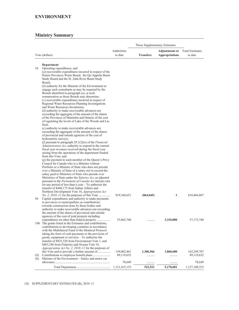|                |                                                                                                                  |                           | These Supplementary Estimates |                                                |                                   |  |
|----------------|------------------------------------------------------------------------------------------------------------------|---------------------------|-------------------------------|------------------------------------------------|-----------------------------------|--|
|                | Vote (dollars)                                                                                                   | Authorities<br>to date    | <b>Transfers</b>              | <b>Adjustments to</b><br><b>Appropriations</b> | <b>Total Estimates</b><br>to date |  |
|                |                                                                                                                  |                           |                               |                                                |                                   |  |
|                | Department                                                                                                       |                           |                               |                                                |                                   |  |
| 1 <sub>b</sub> | Operating expenditures, and                                                                                      |                           |                               |                                                |                                   |  |
|                | (a) recoverable expenditures incurred in respect of the<br>Prairie Provinces Water Board, the Qu'Appelle Basin   |                           |                               |                                                |                                   |  |
|                | Study Board and the St. John River Basin Study                                                                   |                           |                               |                                                |                                   |  |
|                | Board:                                                                                                           |                           |                               |                                                |                                   |  |
|                | $(b)$ authority for the Minister of the Environment to                                                           |                           |                               |                                                |                                   |  |
|                | engage such consultants as may be required by the<br>Boards identified in paragraph $(a)$ , at such              |                           |                               |                                                |                                   |  |
|                | remuneration as those Boards may determine;                                                                      |                           |                               |                                                |                                   |  |
|                | $(c)$ recoverable expenditures incurred in respect of                                                            |                           |                               |                                                |                                   |  |
|                | Regional Water Resources Planning Investigations                                                                 |                           |                               |                                                |                                   |  |
|                | and Water Resources Inventories;<br>$(d)$ authority to make recoverable advances not                             |                           |                               |                                                |                                   |  |
|                | exceeding the aggregate of the amount of the shares                                                              |                           |                               |                                                |                                   |  |
|                | of the Provinces of Manitoba and Ontario of the cost                                                             |                           |                               |                                                |                                   |  |
|                | of regulating the levels of Lake of the Woods and Lac                                                            |                           |                               |                                                |                                   |  |
|                | Seul;<br>(e) authority to make recoverable advances not                                                          |                           |                               |                                                |                                   |  |
|                | exceeding the aggregate of the amount of the shares                                                              |                           |                               |                                                |                                   |  |
|                | of provincial and outside agencies of the cost of                                                                |                           |                               |                                                |                                   |  |
|                | hydrometric surveys;<br>( <i>f</i> ) pursuant to paragraph 29.1(2)( <i>a</i> ) of the <i>Financial</i>           |                           |                               |                                                |                                   |  |
|                | Administration Act, authority to expend in the current                                                           |                           |                               |                                                |                                   |  |
|                | fiscal year revenues received during the fiscal year                                                             |                           |                               |                                                |                                   |  |
|                | arising from the operations of the department funded                                                             |                           |                               |                                                |                                   |  |
|                | from this Vote; and<br>$(g)$ the payment to each member of the Queen's Privy                                     |                           |                               |                                                |                                   |  |
|                | Council for Canada who is a Minister without                                                                     |                           |                               |                                                |                                   |  |
|                | Portfolio or a Minister of State who does not preside                                                            |                           |                               |                                                |                                   |  |
|                | over a Ministry of State of a salary not to exceed the                                                           |                           |                               |                                                |                                   |  |
|                | salary paid to Ministers of State who preside over                                                               |                           |                               |                                                |                                   |  |
|                | Ministries of State under the Salaries Act, as adjusted<br>pursuant to the Parliament of Canada Act and pro rata |                           |                               |                                                |                                   |  |
|                | for any period of less than a year $-$ To authorize the                                                          |                           |                               |                                                |                                   |  |
|                | transfer of \$448,175 from Indian Affairs and                                                                    |                           |                               |                                                |                                   |  |
|                | Northern Development Vote 10, Appropriation Act                                                                  |                           |                               |                                                |                                   |  |
| 5b             | $No. 2, 2010-11$ for the purposes of this Vote<br>Capital expenditures and authority to make payments            | 819,348,651               | (864, 045)                    | 1                                              | 818,484,607                       |  |
|                | to provinces or municipalities as contributions                                                                  |                           |                               |                                                |                                   |  |
|                | towards construction done by those bodies and                                                                    |                           |                               |                                                |                                   |  |
|                | authority to make recoverable advances not exceeding                                                             |                           |                               |                                                |                                   |  |
|                | the amount of the shares of provincial and outside<br>agencies of the cost of joint projects including           |                           |                               |                                                |                                   |  |
|                | expenditures on other than federal property                                                                      | 53,865,740                |                               | 3,310,000                                      | 57,175,740                        |  |
|                | 10b The grants listed in the Estimates and contributions,                                                        |                           |                               |                                                |                                   |  |
|                | contributions to developing countries in accordance                                                              |                           |                               |                                                |                                   |  |
|                | with the Multilateral Fund of the Montreal Protocol<br>taking the form of cash payments or the provision of      |                           |                               |                                                |                                   |  |
|                | goods, equipment or services – To authorize the                                                                  |                           |                               |                                                |                                   |  |
|                | transfer of \$923,320 from Environment Vote 1, and                                                               |                           |                               |                                                |                                   |  |
|                | \$463,246 from Fisheries and Oceans Vote 10,                                                                     |                           |                               |                                                |                                   |  |
|                | <i>Appropriation Act No. 2, 2010–11</i> for the purposes of<br>this Vote and to provide a further amount of      |                           |                               |                                                |                                   |  |
| (S)            |                                                                                                                  | 159,002,461<br>89,119,632 | 1,386,566<br>.                | 1,860,680<br>.                                 | 162,249,707<br>89,119,632         |  |
| (S)            | Minister of the Environment – Salary and motor car                                                               |                           |                               |                                                |                                   |  |
|                |                                                                                                                  | 78,649                    | .                             | .                                              | 78,649                            |  |
|                |                                                                                                                  | 1,121,415,133             | 522,521                       | 5,170,681                                      | 1,127,108,335                     |  |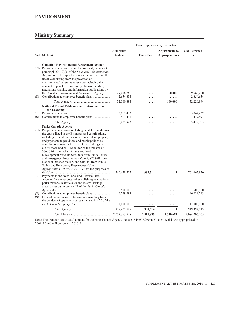### **ENVIRONMENT**

### **Ministry Summary**

|            |                                                                                                                                                                                                                                                                                                                                                                                                                                                                                                                                                                                                                                                                                         |                                       | These Supplementary Estimates |                                                |                                       |
|------------|-----------------------------------------------------------------------------------------------------------------------------------------------------------------------------------------------------------------------------------------------------------------------------------------------------------------------------------------------------------------------------------------------------------------------------------------------------------------------------------------------------------------------------------------------------------------------------------------------------------------------------------------------------------------------------------------|---------------------------------------|-------------------------------|------------------------------------------------|---------------------------------------|
|            | Vote (dollars)                                                                                                                                                                                                                                                                                                                                                                                                                                                                                                                                                                                                                                                                          | Authorities<br>to date                | <b>Transfers</b>              | <b>Adjustments to</b><br><b>Appropriations</b> | <b>Total Estimates</b><br>to date     |
| (S)        | <b>Canadian Environmental Assessment Agency</b><br>15b Program expenditures, contributions and, pursuant to<br>paragraph $29.1(2)(a)$ of the Financial Administration<br>Act, authority to expend revenues received during the<br>fiscal year arising from the provision of<br>environmental assessment services including the<br>conduct of panel reviews, comprehensive studies,<br>mediations, training and information publications by<br>the Canadian Environmental Assessment Agency                                                                                                                                                                                              | 29,406,260<br>2,654,634<br>32,060,894 | .                             | 160,000<br>.<br>160,000                        | 29,566,260<br>2,654,634<br>32,220,894 |
| 20<br>(S)  | <b>National Round Table on the Environment and</b><br>the Economy                                                                                                                                                                                                                                                                                                                                                                                                                                                                                                                                                                                                                       | 5,062,432<br>417,491                  |                               |                                                | 5,062,432<br>417,491                  |
|            |                                                                                                                                                                                                                                                                                                                                                                                                                                                                                                                                                                                                                                                                                         | 5,479,923                             | .                             | .                                              | 5,479,923                             |
|            | Parks Canada Agency<br>25b Program expenditures, including capital expenditures,<br>the grants listed in the Estimates and contributions,<br>including expenditures on other than federal property,<br>and payments to provinces and municipalities as<br>contributions towards the cost of undertakings carried<br>out by those bodies – To authorize the transfer of<br>\$763,344 from Indian Affairs and Northern<br>Development Vote 10, \$190,000 from Public Safety<br>and Emergency Preparedness Vote 5, \$25,970 from<br>National Defence Vote 5, and \$10,000 from Public<br>Safety and Emergency Preparedness Vote 1,<br>Appropriation Act No. 2, 2010–11 for the purposes of | 760,678,505                           | 989,314                       | 1                                              | 761,667,820                           |
| 30         | Payments to the New Parks and Historic Sites<br>Account for the purposes of establishing new national<br>parks, national historic sites and related heritage<br>areas, as set out in section 21 of the Parks Canada                                                                                                                                                                                                                                                                                                                                                                                                                                                                     |                                       |                               |                                                |                                       |
| (S)<br>(S) | Expenditures equivalent to revenues resulting from<br>the conduct of operations pursuant to section 20 of the                                                                                                                                                                                                                                                                                                                                                                                                                                                                                                                                                                           | 500,000<br>46,229,293                 | .                             | .                                              | 500,000<br>46,229,293                 |
|            |                                                                                                                                                                                                                                                                                                                                                                                                                                                                                                                                                                                                                                                                                         | 111,000,000                           | .                             | .                                              | 111,000,000                           |
|            |                                                                                                                                                                                                                                                                                                                                                                                                                                                                                                                                                                                                                                                                                         | 918,407,798                           | 989,314                       | $\mathbf{1}$                                   | 919,397,113                           |
|            |                                                                                                                                                                                                                                                                                                                                                                                                                                                                                                                                                                                                                                                                                         | 2,077,363,748                         | 1,511,835                     | 5,330,682                                      | 2,084,206,265                         |

Note: The "Authorities to date" amount for the Parks Canada Agency includes \$49,677,260 in Vote 25, which was appropriated in 2009–10 and will be spent in 2010–11.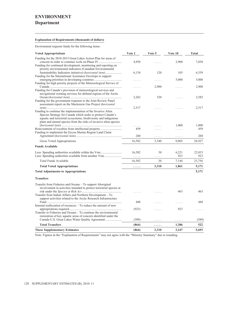#### **Explanation of Requirements (thousands of dollars)**

Environment requests funds for the following items:

| <b>Voted Appropriations</b>                                                                                                                                                                                                                                         | Vote 1             | Vote 5               | Vote 10      | <b>Total</b>  |
|---------------------------------------------------------------------------------------------------------------------------------------------------------------------------------------------------------------------------------------------------------------------|--------------------|----------------------|--------------|---------------|
| Funding for the 2010-2015 Great Lakes Action Plan for areas of<br>Funding for continued development, monitoring and reporting on                                                                                                                                    | 4,950              | .                    | 2,900        | 7,850         |
| priority environmental indicators (Canadian Environmental<br>Sustainability Indicators initiative) (horizontal item)<br>Funding for the International Assistance Envelope to support                                                                                | 6,134              | 120                  | 105          | 6,359         |
|                                                                                                                                                                                                                                                                     |                    | .                    | 5,000        | 5,000         |
| Funding for high priority projects of the Meteorological Service of                                                                                                                                                                                                 | .                  | 2,900                | .            | 2,900         |
| Funding for Canada's provision of meteorological services and<br>navigational warning services for defined regions of the Arctic                                                                                                                                    |                    |                      |              |               |
| Funding for the government response to the Joint Review Panel<br>assessment report on the Mackenzie Gas Project (horizontal                                                                                                                                         | 2,262              | 320                  | .            | 2,582         |
| Funding to continue the implementation of the Invasive Alien<br>Species Strategy for Canada which seeks to protect Canada's<br>aquatic and terrestrial ecosystems, biodiversity and indigenous<br>plant and animal species from the risks of invasive alien species | 2,517              |                      |              | 2,517         |
|                                                                                                                                                                                                                                                                     | .                  |                      | 1,000        | 1,000         |
| Funding to implement the Eeyou Marine Region Land Claim                                                                                                                                                                                                             | 459                | $\sim$ $\sim$ $\sim$ | .            | 459           |
|                                                                                                                                                                                                                                                                     | 260                | .                    | .            | 260           |
| Gross Voted Appropriations                                                                                                                                                                                                                                          | 16,582             | 3,340                | 9,005        | 28,927        |
| <b>Funds Available</b>                                                                                                                                                                                                                                              |                    |                      |              |               |
|                                                                                                                                                                                                                                                                     | 16,582<br>$\ldots$ | 30<br>.              | 6,221<br>923 | 22,833<br>923 |
| Total Funds Available                                                                                                                                                                                                                                               | 16,582             | 30                   | 7,144        | 23,756        |
| <b>Total Voted Appropriations</b>                                                                                                                                                                                                                                   | .                  | 3,310                | 1,861        | 5,171         |
| <b>Total Adjustments to Appropriations</b>                                                                                                                                                                                                                          |                    |                      |              | 5,171         |
| <b>Transfers</b>                                                                                                                                                                                                                                                    |                    |                      |              |               |
| Transfer from Fisheries and Oceans – To support Aboriginal<br>involvement in activities intended to protect terrestrial species at                                                                                                                                  |                    |                      | 463          | 463           |
| Transfer from Indian Affairs and Northern Development - To<br>support activities related to the Arctic Research Infrastructure                                                                                                                                      |                    |                      |              |               |
|                                                                                                                                                                                                                                                                     | 448                | .                    |              | 448           |
| Internal reallocation of resources – To reduce the amount of new                                                                                                                                                                                                    | (923)              |                      | 923          | .             |
| Transfer to Fisheries and Oceans – To continue the environmental<br>restoration of key aquatic areas of concern identified under the                                                                                                                                |                    |                      |              |               |
|                                                                                                                                                                                                                                                                     | (389)              | .                    | .            | (389)         |
| <b>Total Transfers</b>                                                                                                                                                                                                                                              | (864)              | .                    | 1,386        | 522           |
| <b>These Supplementary Estimates</b>                                                                                                                                                                                                                                | (864)              | 3,310                | 3,247        | 5,693         |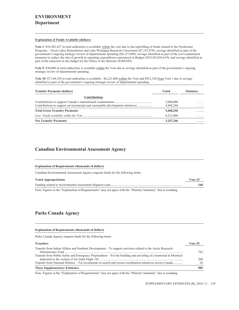#### **Explanation of Funds Available (dollars)**

**Vote 1**: \$16,582,427 in total authorities is available within the vote due to the reprofiling of funds related to the Freshwater Programs – Great Lakes Remediation and Lake Winnipeg Research Consortium (\$7,147,878); savings identified as part of the government's ongoing strategic review of departmental spending (\$6,127,080); savings identified as part of the cost containment measures to reduce the rate of growth in operating expenditures announced in Budget 2010 (\$3,026,619); and savings identified as part of the reduction in the budget for the Office of the Minister (\$280,850).

**Vote 5**: \$30,000 in total authorities is available within the Vote due to savings identified as part of the government's ongoing strategic review of departmental spending.

**Vote 10**: \$7,144,320 in total authorities is available : \$6,221,000 within the Vote and \$923,320 from Vote 1 due to savings identified as part of the government's ongoing strategic review of departmental spending.

| <b>Transfer Payments (dollars)</b>                                             | Voted                  | <b>Statutory</b> |  |
|--------------------------------------------------------------------------------|------------------------|------------------|--|
| <b>Contributions</b>                                                           |                        |                  |  |
| Contributions to support environmental and sustainable development initiatives | 5,000,000<br>4.468.246 | .<br>.           |  |
| <b>Total Gross Transfer Payments</b>                                           | 9,468,246              | .                |  |
|                                                                                | 6.221,000              | .                |  |
| <b>Net Transfer Payments</b>                                                   | 3,247,246              | .                |  |

#### **Canadian Environmental Assessment Agency**

#### **Explanation of Requirements (thousands of dollars)**

Canadian Environmental Assessment Agency requests funds for the following items:

| <b>Voted Appropriations</b>                                                                                                                       | Vote 15 |
|---------------------------------------------------------------------------------------------------------------------------------------------------|---------|
|                                                                                                                                                   | 160     |
| $\mathbf{M}$ , and $\mathbf{M}$ , and $\mathbf{M}$ , and $\mathbf{M}$ , and $\mathbf{M}$ , and $\mathbf{M}$ , and $\mathbf{M}$ , and $\mathbf{M}$ |         |

Note: Figures in the "Explanation of Requirements" may not agree with the "Ministry Summary" due to rounding.

### **Parks Canada Agency**

#### **Explanation of Requirements (thousands of dollars)**

Parks Canada Agency requests funds for the following items:

| <b>Transfers</b>                                                                                                                                                                                                                  | Vote 25   |
|-----------------------------------------------------------------------------------------------------------------------------------------------------------------------------------------------------------------------------------|-----------|
| Transfer from Indian Affairs and Northern Development – To support activities related to the Arctic Research                                                                                                                      | 763       |
| Transfer from Public Safety and Emergency Preparedness – For the building and unveiling of a memorial in Montreal<br>Transfer from National Defence – For investments in search and rescue coordination initiatives across Canada | 200<br>26 |
| <b>These Supplementary Estimates</b>                                                                                                                                                                                              | 989       |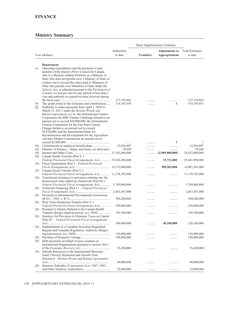|                            |                                                                                                                                                                                                                                                                                                                                                                                                                                                                                                                                                                                                                                                                                                                                                                                                                                                                                                                                                                                                                                                                                                                     |                              | These Supplementary Estimates |                                                |                                   |
|----------------------------|---------------------------------------------------------------------------------------------------------------------------------------------------------------------------------------------------------------------------------------------------------------------------------------------------------------------------------------------------------------------------------------------------------------------------------------------------------------------------------------------------------------------------------------------------------------------------------------------------------------------------------------------------------------------------------------------------------------------------------------------------------------------------------------------------------------------------------------------------------------------------------------------------------------------------------------------------------------------------------------------------------------------------------------------------------------------------------------------------------------------|------------------------------|-------------------------------|------------------------------------------------|-----------------------------------|
|                            | Vote (dollars)                                                                                                                                                                                                                                                                                                                                                                                                                                                                                                                                                                                                                                                                                                                                                                                                                                                                                                                                                                                                                                                                                                      | Authorities<br>to date       | <b>Transfers</b>              | <b>Adjustments to</b><br><b>Appropriations</b> | <b>Total Estimates</b><br>to date |
| 1a<br>5b<br>$\frac{7b}{2}$ | Department<br>Operating expenditures and the payment to each<br>member of the Queen's Privy Council for Canada<br>who is a Minister without Portfolio or a Minister of<br>State who does not preside over a Ministry of State of<br>a salary not to exceed the salary paid to Ministers of<br>State who preside over Ministries of State under the<br>Salaries Act, as adjusted pursuant to the Parliament of<br>Canada Act and pro rata for any period of less than a<br>year and authority to expend revenue received during<br>The grants listed in the Estimates and contributions<br>Authority to make payments from April 1, 2010 to<br>March 31, 2011, under the Bretton Woods and<br>Related Agreements Act to: the International Finance<br>Corporation for SME Finance Challenge Initiatives an<br>amount not to exceed \$20,000,000; the International<br>Finance Corporation for the Fast Start Climate<br>Change Initiative an amount not to exceed<br>\$5,830,000; and the International Bank for<br>Reconstruction and Development for the Agriculture<br>Advance Market Commitment an amount not to | 127, 195, 842<br>319,195,054 |                               | 1                                              | 127, 195, 842<br>319,195,055      |
| (S)                        |                                                                                                                                                                                                                                                                                                                                                                                                                                                                                                                                                                                                                                                                                                                                                                                                                                                                                                                                                                                                                                                                                                                     | .<br>12,836,097              |                               | 1<br>.                                         | 12,836,097                        |
| (S)                        | Minister of Finance - Salary and motor car allowance                                                                                                                                                                                                                                                                                                                                                                                                                                                                                                                                                                                                                                                                                                                                                                                                                                                                                                                                                                                                                                                                | 78,649                       |                               | .                                              | 78,649                            |
| (S)<br>(S)                 | Canada Health Transfer (Part V.1 -                                                                                                                                                                                                                                                                                                                                                                                                                                                                                                                                                                                                                                                                                                                                                                                                                                                                                                                                                                                                                                                                                  |                              |                               | (2,909,000,000)                                | 28,432,000,000                    |
| (S)                        | Federal-Provincial Fiscal Arrangements Act)  25,426,286,000<br>Fiscal Equalization (Part I - Federal-Provincial                                                                                                                                                                                                                                                                                                                                                                                                                                                                                                                                                                                                                                                                                                                                                                                                                                                                                                                                                                                                     |                              |                               | 15,712,000                                     | 25,441,998,000                    |
| (S)                        | Canada Social Transfer (Part V.1 -                                                                                                                                                                                                                                                                                                                                                                                                                                                                                                                                                                                                                                                                                                                                                                                                                                                                                                                                                                                                                                                                                  |                              |                               | 509,503,000                                    | 14,881,503,000                    |
| (S)                        | Federal-Provincial Fiscal Arrangements Act)  11,178,703,000<br>Transitional assistance to provinces entering into the<br>harmonized value-added tax framework (Part III.1 -                                                                                                                                                                                                                                                                                                                                                                                                                                                                                                                                                                                                                                                                                                                                                                                                                                                                                                                                         |                              |                               |                                                | 11,178,703,000                    |
| (S)                        | Federal-Provincial Fiscal Arrangements Act)<br>Territorial Financing (Part I.1 - Federal-Provincial                                                                                                                                                                                                                                                                                                                                                                                                                                                                                                                                                                                                                                                                                                                                                                                                                                                                                                                                                                                                                 | 3,769,000,000                |                               |                                                | 3,769,000,000                     |
| (S)                        | Payments to International Development Association                                                                                                                                                                                                                                                                                                                                                                                                                                                                                                                                                                                                                                                                                                                                                                                                                                                                                                                                                                                                                                                                   | 2,663,567,000                |                               |                                                | 2,663,567,000                     |
| (S)                        | Wait Times Reduction Transfer (Part V.1)                                                                                                                                                                                                                                                                                                                                                                                                                                                                                                                                                                                                                                                                                                                                                                                                                                                                                                                                                                                                                                                                            | 384,280,000                  |                               |                                                | 384,280,000                       |
| (S)                        | Federal-Provincial Fiscal Arrangements Act)<br>Payment to Ontario Related to the Canada Health                                                                                                                                                                                                                                                                                                                                                                                                                                                                                                                                                                                                                                                                                                                                                                                                                                                                                                                                                                                                                      | 250,000,000                  |                               |                                                | 250,000,000                       |
|                            | Transfer ( <i>Budget Implementation Act, 2009</i> )<br>(S) Incentive for Provinces to Eliminate Taxes on Capital<br>(Part IV - Federal-Provincial Fiscal Arrangements                                                                                                                                                                                                                                                                                                                                                                                                                                                                                                                                                                                                                                                                                                                                                                                                                                                                                                                                               | 195,300,000                  | .                             | .                                              | 195,300,000                       |
| (S)                        | Establishment of a Canadian Securities Regulation<br>Regime and Canadian Regulatory Authority (Budget                                                                                                                                                                                                                                                                                                                                                                                                                                                                                                                                                                                                                                                                                                                                                                                                                                                                                                                                                                                                               | 188,000,000                  |                               | 40,100,000                                     | 228,100,000                       |
|                            |                                                                                                                                                                                                                                                                                                                                                                                                                                                                                                                                                                                                                                                                                                                                                                                                                                                                                                                                                                                                                                                                                                                     | 150,000,000                  |                               |                                                | 150,000,000                       |
| (S)                        |                                                                                                                                                                                                                                                                                                                                                                                                                                                                                                                                                                                                                                                                                                                                                                                                                                                                                                                                                                                                                                                                                                                     | 140,000,000                  |                               |                                                | 140,000,000                       |
| (S)                        | Debt payments on behalf of poor countries to<br>International Organizations pursuant to section 18(1)                                                                                                                                                                                                                                                                                                                                                                                                                                                                                                                                                                                                                                                                                                                                                                                                                                                                                                                                                                                                               | 76,200,000                   |                               |                                                | 76,200,000                        |
| (S)                        | Subsidy Resources to the International Monetary<br>Fund's Poverty Reduction and Growth Trust<br>(Section 8 – Bretton Woods and Related Agreements                                                                                                                                                                                                                                                                                                                                                                                                                                                                                                                                                                                                                                                                                                                                                                                                                                                                                                                                                                   |                              |                               |                                                |                                   |
| (S)                        | Statutory Subsidies (Constitution Acts, 1867-1982,                                                                                                                                                                                                                                                                                                                                                                                                                                                                                                                                                                                                                                                                                                                                                                                                                                                                                                                                                                                                                                                                  | 40,000,000                   |                               |                                                | 40,000,000                        |
|                            |                                                                                                                                                                                                                                                                                                                                                                                                                                                                                                                                                                                                                                                                                                                                                                                                                                                                                                                                                                                                                                                                                                                     | 32,000,000                   | .                             | .                                              | 32,000,000                        |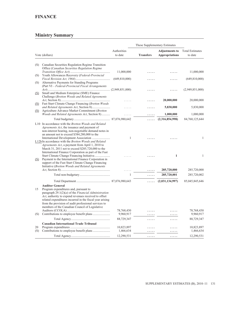# **FINANCE**

|     |                                                                                                           |                 | These Supplementary Estimates |                       |                        |
|-----|-----------------------------------------------------------------------------------------------------------|-----------------|-------------------------------|-----------------------|------------------------|
|     |                                                                                                           | Authorities     |                               | <b>Adjustments to</b> | <b>Total Estimates</b> |
|     | Vote (dollars)                                                                                            | to date         | <b>Transfers</b>              | <b>Appropriations</b> | to date                |
|     |                                                                                                           |                 |                               |                       |                        |
| (S) | Canadian Securities Regulation Regime Transition                                                          |                 |                               |                       |                        |
|     | Office (Canadian Securities Regulation Regime                                                             | 11,000,000      |                               |                       | 11,000,000             |
| (S) | Youth Allowances Recovery (Federal-Provincial                                                             |                 |                               |                       |                        |
|     |                                                                                                           | (649, 810, 000) |                               | .                     | (649, 810, 000)        |
| (S) | Alternative Payments for Standing Programs<br>(Part VI – Federal-Provincial Fiscal Arrangements)          |                 |                               |                       |                        |
|     |                                                                                                           |                 |                               |                       | (2,949,851,000)        |
| (S) | Small and Medium Enterprise (SME) Finance                                                                 |                 |                               |                       |                        |
|     | Challenge (Bretton Woods and Related Agreements                                                           |                 |                               |                       |                        |
| (S) | Fast Start Climate Change Financing (Bretton Woods                                                        |                 |                               | 20,000,000            | 20,000,000             |
|     |                                                                                                           |                 |                               | 5,830,000             | 5,830,000              |
| (S) | Agriculture Advance Market Commitment (Bretton                                                            |                 |                               |                       |                        |
|     | Woods and Related Agreements Act, Section 8)                                                              |                 |                               | 1,000,000             | 1,000,000              |
|     |                                                                                                           |                 |                               | (2,316,854,998)       | 84,760,125,644         |
|     | L10 In accordance with the Bretton Woods and Related                                                      |                 |                               |                       |                        |
|     | Agreements Act, the issuance and payment of<br>non-interest bearing, non-negotiable demand notes in       |                 |                               |                       |                        |
|     | an amount not to exceed \$384,280,000 to the                                                              |                 |                               |                       |                        |
|     |                                                                                                           | 1               |                               |                       | 1                      |
|     | L12b In accordance with the Bretton Woods and Related<br>Agreements Act, a payment from April 1, 2010 to  |                 |                               |                       |                        |
|     | March 31, 2011 not to exceed \$285,720,000 to the                                                         |                 |                               |                       |                        |
|     | International Finance Corporation as part of the Fast                                                     |                 |                               |                       |                        |
|     |                                                                                                           |                 |                               | 1                     | $\mathbf{1}$           |
| (S) | Payment to the International Finance Corporation in<br>support of the Fast Start Climate Change Financing |                 |                               |                       |                        |
|     | Initiative (Bretton Woods and Related Agreements                                                          |                 |                               |                       |                        |
|     |                                                                                                           |                 | .                             | 285,720,000           | 285,720,000            |
|     |                                                                                                           | $\mathbf{1}$    | .                             | 285,720,001           | 285,720,002            |
|     |                                                                                                           |                 | .                             | (2,031,134,997)       | 85,045,845,646         |
|     | <b>Auditor General</b>                                                                                    |                 |                               |                       |                        |
| 15  | Program expenditures and, pursuant to<br>paragraph $29.1(2)(a)$ of the <i>Financial Administration</i>    |                 |                               |                       |                        |
|     | Act, authority to expend revenues received to offset                                                      |                 |                               |                       |                        |
|     | related expenditures incurred in the fiscal year arising                                                  |                 |                               |                       |                        |
|     | from the provision of audit professional services to                                                      |                 |                               |                       |                        |
|     | members of the Canadian Council of Legislative                                                            | 78,768,430      |                               |                       | 78,768,430             |
| (S) |                                                                                                           | 9,960,917       | .                             |                       | 9,960,917              |
|     |                                                                                                           | 88,729,347      | .                             | .                     | 88,729,347             |
|     | <b>Canadian International Trade Tribunal</b>                                                              |                 |                               |                       |                        |
| 20  |                                                                                                           | 10,823,897      | .                             |                       | 10,823,897             |
| (S) |                                                                                                           | 1,466,634       | .                             | .                     | 1,466,634              |
|     |                                                                                                           | 12,290,531      | .                             | .                     | 12,290,531             |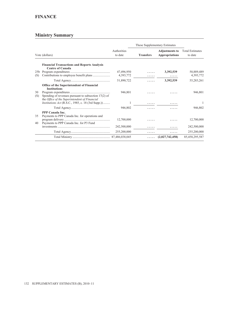### **FINANCE**

|                 |                                                                                                                                                                                                                                                 |                           | These Supplementary Estimates |                                         |                                   |
|-----------------|-------------------------------------------------------------------------------------------------------------------------------------------------------------------------------------------------------------------------------------------------|---------------------------|-------------------------------|-----------------------------------------|-----------------------------------|
|                 | Vote (dollars)                                                                                                                                                                                                                                  | Authorities<br>to date    | <b>Transfers</b>              | <b>Adjustments to</b><br>Appropriations | <b>Total Estimates</b><br>to date |
|                 | <b>Financial Transactions and Reports Analysis</b><br><b>Centre of Canada</b>                                                                                                                                                                   |                           |                               |                                         |                                   |
| 25 <sub>b</sub> |                                                                                                                                                                                                                                                 | 47,496,950                |                               | 3,392,539                               | 50,889,489                        |
| (S)             |                                                                                                                                                                                                                                                 | 4,393,772                 | .                             |                                         | 4,393,772                         |
|                 |                                                                                                                                                                                                                                                 | 51,890,722                |                               | 3,392,539                               | 55,283,261                        |
| 30<br>(S)       | <b>Office of the Superintendent of Financial</b><br><b>Institutions</b><br>Spending of revenues pursuant to subsection $17(2)$ of<br>the Office of the Superintendent of Financial<br><i>Institutions Act</i> (R.S.C., 1985, c. 18 (3rd Supp.)) | 946,801                   |                               |                                         | 946,801                           |
|                 |                                                                                                                                                                                                                                                 | 946,802                   |                               |                                         | 946,802                           |
| 35<br>40        | PPP Canada Inc.<br>Payments to PPP Canada Inc. for operations and<br>Payments to PPP Canada Inc. for P3 Fund                                                                                                                                    | 12,700,000<br>242,500,000 |                               |                                         | 12,700,000<br>242,500,000         |
|                 |                                                                                                                                                                                                                                                 |                           |                               |                                         |                                   |
|                 |                                                                                                                                                                                                                                                 | 255,200,000               | .                             |                                         | 255,200,000                       |
|                 |                                                                                                                                                                                                                                                 |                           |                               | (2,027,742,458)                         | 85,458,295,587                    |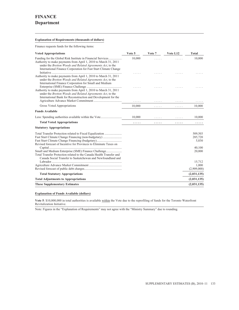#### **Explanation of Requirements (thousands of dollars)**

Finance requests funds for the following items:

| <b>Voted Appropriations</b>                                                                                                                                                                      | Vote 5 | Vote 7 | Vote L12 | Total                          |
|--------------------------------------------------------------------------------------------------------------------------------------------------------------------------------------------------|--------|--------|----------|--------------------------------|
| Authority to make payments from April 1, 2010 to March 31, 2011<br>under the Bretton Woods and Related Agreements Act, to the<br>International Finance Corporation for Fast Start Climate Change | 10,000 |        | .        | 10,000                         |
| Authority to make payments from April 1, 2010 to March 31, 2011<br>under the Bretton Woods and Related Agreements Act, to the<br>International Finance Corporation for Small and Medium          |        |        |          |                                |
| Authority to make payments from April 1, 2010 to March 31, 2011<br>under the Bretton Woods and Related Agreements Act, to the<br>International Bank for Reconstruction and Development for the   |        | .      | .        |                                |
| Gross Voted Appropriations                                                                                                                                                                       | 10,000 | .      | .        | 10,000                         |
| <b>Funds Available</b>                                                                                                                                                                           |        |        |          |                                |
|                                                                                                                                                                                                  | 10,000 | .      | .        | 10,000                         |
| <b>Total Voted Appropriations</b>                                                                                                                                                                | .      | .      | .        | .                              |
| <b>Statutory Appropriations</b>                                                                                                                                                                  |        |        |          |                                |
| Total Transfer Protection related to Fiscal Equalization<br>Revised forecast of Incentive for Provinces to Eliminate Taxes on                                                                    |        |        |          | 509,503<br>285,720<br>5,830    |
| Total Transfer Protection related to the Canada Health Transfer and<br>Canada Social Transfer to Saskatchewan and Newfoundland and                                                               |        |        |          | 40,100<br>20,000               |
|                                                                                                                                                                                                  |        |        |          | 15,712<br>1,000<br>(2,909,000) |
| <b>Total Statutory Appropriations</b>                                                                                                                                                            |        |        |          | (2,031,135)                    |
| <b>Total Adjustments to Appropriations</b>                                                                                                                                                       |        |        |          | (2,031,135)                    |
| <b>These Supplementary Estimates</b>                                                                                                                                                             |        |        |          | (2,031,135)                    |

#### **Explanation of Funds Available (dollars)**

Vote 5: \$10,000,000 in total authorities is available within the Vote due to the reprofiling of funds for the Toronto Waterfront Revitalization Initiative.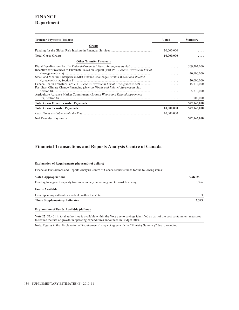# **FINANCE Department**

| <b>Transfer Payments (dollars)</b>                                                                                                                                      | <b>Voted</b> | <b>Statutory</b> |
|-------------------------------------------------------------------------------------------------------------------------------------------------------------------------|--------------|------------------|
| Grants                                                                                                                                                                  |              |                  |
|                                                                                                                                                                         | 10,000,000   |                  |
| <b>Total Gross Grants</b>                                                                                                                                               | 10,000,000   |                  |
| <b>Other Transfer Payments</b>                                                                                                                                          |              |                  |
| Fiscal Equalization (Part I – Federal-Provincial Fiscal Arrangements Act)<br>Incentive for Provinces to Eliminate Taxes on Capital (Part IV – Federal-Provincial Fiscal |              | 509,503,000      |
| Small and Medium Enterprise (SME) Finance Challenge (Bretton Woods and Related                                                                                          | .            | 40,100,000       |
|                                                                                                                                                                         |              | 20,000,000       |
| Canada Health Transfer (Part V.1 – Federal-Provincial Fiscal Arrangements Act)<br>Fast Start Climate Change Financing (Bretton Woods and Related Agreements Act,        |              | 15,712,000       |
| Agriculture Advance Market Commitment (Bretton Woods and Related Agreements                                                                                             |              | 5,830,000        |
|                                                                                                                                                                         | .            | 1,000,000        |
| <b>Total Gross Other Transfer Payments</b>                                                                                                                              | .            | 592,145,000      |
| <b>Total Gross Transfer Payments</b>                                                                                                                                    | 10,000,000   | 592,145,000      |
|                                                                                                                                                                         | 10,000,000   |                  |
| <b>Net Transfer Payments</b>                                                                                                                                            |              | 592,145,000      |

### **Financial Transactions and Reports Analysis Centre of Canada**

| <b>Explanation of Requirements (thousands of dollars)</b>                                            |                |
|------------------------------------------------------------------------------------------------------|----------------|
| Financial Transactions and Reports Analysis Centre of Canada requests funds for the following items: |                |
| <b>Voted Appropriations</b>                                                                          | <b>Vote 25</b> |
|                                                                                                      | 3.396          |
| <b>Funds Available</b>                                                                               |                |
|                                                                                                      | $\mathcal{F}$  |
| <b>These Supplementary Estimates</b>                                                                 | 3,393          |

#### **Explanation of Funds Available (dollars)**

**Vote 25**: \$3,461 in total authorities is available within the Vote due to savings identified as part of the cost containment measures to reduce the rate of growth in operating expenditures announced in Budget 2010.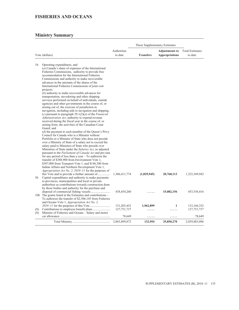### **FISHERIES AND OCEANS**

|                |                                                                                                                                                                                                                                                                                                                                                 |                            |                  | These Supplementary Estimates |                                   |  |
|----------------|-------------------------------------------------------------------------------------------------------------------------------------------------------------------------------------------------------------------------------------------------------------------------------------------------------------------------------------------------|----------------------------|------------------|-------------------------------|-----------------------------------|--|
|                |                                                                                                                                                                                                                                                                                                                                                 | Authorities<br>to date     | <b>Transfers</b> | <b>Adjustments to</b>         | <b>Total Estimates</b><br>to date |  |
|                | Vote (dollars)                                                                                                                                                                                                                                                                                                                                  |                            |                  | <b>Appropriations</b>         |                                   |  |
| 1 <sub>b</sub> | Operating expenditures, and<br>$(a)$ Canada's share of expenses of the International<br>Fisheries Commissions, authority to provide free<br>accommodation for the International Fisheries<br>Commissions and authority to make recoverable<br>advances in the amounts of the shares of the<br>International Fisheries Commissions of joint cost |                            |                  |                               |                                   |  |
|                | projects:<br>$(b)$ authority to make recoverable advances for<br>transportation, stevedoring and other shipping<br>services performed on behalf of individuals, outside<br>agencies and other governments in the course of, or<br>arising out of, the exercise of jurisdiction in                                                               |                            |                  |                               |                                   |  |
|                | navigation, including aids to navigation and shipping;<br>(c) pursuant to paragraph $29.1(2)(a)$ of the <i>Financial</i><br>Administration Act, authority to expend revenue<br>received during the fiscal year in the course of, or<br>arising from, the activities of the Canadian Coast<br>Guard; and                                         |                            |                  |                               |                                   |  |
|                | (d) the payment to each member of the Queen's Privy<br>Council for Canada who is a Minister without<br>Portfolio or a Minister of State who does not preside<br>over a Ministry of State of a salary not to exceed the                                                                                                                          |                            |                  |                               |                                   |  |
|                | salary paid to Ministers of State who preside over<br>Ministries of State under the Salaries Act, as adjusted<br>pursuant to the <i>Parliament of Canada Act</i> and pro rata<br>for any period of less than a year - To authorize the<br>transfer of \$388,900 from Environment Vote 1,                                                        |                            |                  |                               |                                   |  |
|                | \$387,000 from Transport Vote 1, and \$146,300 from<br>Indian Affairs and Northern Development Vote 1,<br>Appropriation Act No. 2, 2010–11 for the purposes of                                                                                                                                                                                  |                            |                  |                               |                                   |  |
| 5b             | this Vote and to provide a further amount of<br>Capital expenditures and authority to make payments<br>to provinces, municipalities and local or private<br>authorities as contributions towards construction done<br>by those bodies and authority for the purchase and                                                                        | 1,306,411,774              | (1,829,945)      | 20,768,113                    | 1,325,349,942                     |  |
|                | 10b The grants listed in the Estimates and contributions –<br>To authorize the transfer of \$2,506,145 from Fisheries<br>and Oceans Vote 1, <i>Appropriation Act No. 2</i> ,                                                                                                                                                                    | 438,454,260                |                  | 15,082,156                    | 453,536,416                       |  |
| (S)            |                                                                                                                                                                                                                                                                                                                                                 | 131,203,452<br>127,751,737 | 1,962,899<br>.   | 1<br>.                        | 133,166,352<br>127,751,737        |  |
| (S)            | Minister of Fisheries and Oceans – Salary and motor                                                                                                                                                                                                                                                                                             | 78,649                     | .                | .                             | 78,649                            |  |
|                |                                                                                                                                                                                                                                                                                                                                                 | 2,003,899,872              | 132,954          | 35,850,270                    | 2,039,883,096                     |  |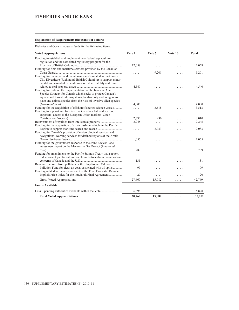### **FISHERIES AND OCEANS**

#### **Explanation of Requirements (thousands of dollars)**

Fisheries and Oceans requests funds for the following items:

| <b>Voted Appropriations</b>                                          | Vote 1 | Vote 5  | Vote 10              | Total  |
|----------------------------------------------------------------------|--------|---------|----------------------|--------|
| Funding to establish and implement new federal aquaculture           |        |         |                      |        |
| regulation and the associated regulatory program for the             |        |         |                      |        |
|                                                                      | 12,058 |         |                      | 12,058 |
| Funding for fleet and maritime services provided by the Canadian     |        |         |                      |        |
|                                                                      |        | 9,201   |                      | 9,201  |
| Funding for the repair and maintenance costs related to the Garden   |        |         |                      |        |
| City Divestiture (Richmond, British Columbia) to support minor       |        |         |                      |        |
| capital and essential expenditures to reduce liability and risks     |        |         |                      |        |
|                                                                      | 4,540  |         | 1.111                | 4,540  |
| Funding to continue the implementation of the Invasive Alien         |        |         |                      |        |
| Species Strategy for Canada which seeks to protect Canada's          |        |         |                      |        |
| aquatic and terrestrial ecosystems, biodiversity and indigenous      |        |         |                      |        |
| plant and animal species from the risks of invasive alien species    |        |         |                      |        |
|                                                                      | 4,000  | 1.1.1.1 |                      | 4,000  |
| Funding for the acquisition of offshore fisheries science vessels    | .      | 3,518   | .                    | 3,518  |
| Funding to support and facilitate the Canadian fish and seafood      |        |         |                      |        |
| exporters' access to the European Union markets (Catch               |        |         |                      |        |
|                                                                      | 2,730  | 280     | $\cdots$             | 3,010  |
| Reinvestment of royalties from intellectual property                 | 2,245  | .       |                      | 2,245  |
| Funding for the acquisition of an air cushion vehicle in the Pacific |        |         |                      |        |
| Region to support maritime search and rescue                         | .      | 2,083   |                      | 2,083  |
| Funding for Canada's provision of meteorological services and        |        |         |                      |        |
| navigational warning services for defined regions of the Arctic      |        |         |                      |        |
|                                                                      | 1,055  |         | $\sim$ $\sim$ $\sim$ | 1,055  |
| Funding for the government response to the Joint Review Panel        |        |         |                      |        |
| assessment report on the Mackenzie Gas Project (horizontal           |        |         |                      |        |
|                                                                      | 789    | .       | .                    | 789    |
| Funding for amendments to the Pacific Salmon Treaty that support     |        |         |                      |        |
| reductions of pacific salmon catch limits to address conservation    |        |         |                      |        |
|                                                                      | 131    |         |                      | 131    |
| Revenue received from polluters or the Ship-Source Oil Source        |        |         |                      |        |
| Pollution Fund for clean up costs associated with oil spills         | 99     | .       | $\cdots$             | 99     |
| Funding related to the reinstatement of the Final Domestic Demand    |        |         |                      |        |
|                                                                      | 20     | .       | .                    | 20     |
| Gross Voted Appropriations                                           | 27,667 | 15,082  | .                    | 42,749 |
| <b>Funds Available</b>                                               |        |         |                      |        |
|                                                                      | 6,898  | .       | .                    | 6,898  |
| <b>Total Voted Appropriations</b>                                    | 20,769 | 15,082  | .                    | 35,851 |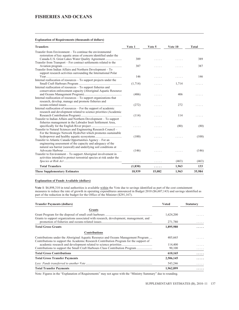### **FISHERIES AND OCEANS**

#### **Explanation of Requirements (thousands of dollars)**

| <b>Transfers</b>                                                     | Vote 1   | Vote 5 | Vote 10 | <b>Total</b> |
|----------------------------------------------------------------------|----------|--------|---------|--------------|
| Transfer from Environment – To continue the environmental            |          |        |         |              |
| restoration of key aquatic areas of concern identified under the     |          |        |         |              |
|                                                                      | 389      |        |         | 389          |
| Transfer from Transport – For contract settlements related to the    |          |        |         |              |
|                                                                      | 387      | .      |         | 387          |
| Transfer from Indian Affairs and Northern Development - To           |          |        |         |              |
| support research activities surrounding the International Polar      |          |        |         |              |
|                                                                      | 146      | .      | .       | 146          |
| Internal reallocation of resources – To support projects under the   |          |        |         |              |
|                                                                      | (1,714)  |        | 1,714   |              |
| Internal reallocation of resources – To support fisheries and        |          |        |         |              |
| conservation enforcement capacity (Aboriginal Aquatic Resource       |          |        |         |              |
|                                                                      | (406)    |        | 406     |              |
| Internal reallocation of resources – To support organizations that   |          |        |         |              |
| research, develop, manage and promote fisheries and                  |          |        |         |              |
|                                                                      | (272)    |        | 272     |              |
| Internal reallocation of resources - For the support of academic     |          |        |         |              |
| research and development related to science priorities (Academic     |          |        |         |              |
|                                                                      | (114)    |        | 114     |              |
| Transfer to Indian Affairs and Northern Development – To support     |          |        |         |              |
| fisheries management in the Labrador Inuit Settlement Area,          |          |        |         |              |
|                                                                      |          |        | (80)    | (80)         |
| Transfer to Natural Sciences and Engineering Research Council –      |          |        |         |              |
| For the Strategic Network HydroNet which promotes sustainable        |          |        |         |              |
|                                                                      | (100)    |        |         | (100)        |
| Transfer to Atlantic Canada Opportunities Agency – For an            |          |        |         |              |
| engineering assessment of the capacity and adequacy of the           |          |        |         |              |
| natural sea barrier (seawall) and underlying soil conditions at      |          |        |         |              |
|                                                                      | (146)    |        |         | (146)        |
| Transfer to Environment - To support Aboriginal involvement in       |          |        |         |              |
| activities intended to protect terrestrial species at risk under the |          |        |         |              |
|                                                                      | .        | .      | (463)   | (463)        |
| <b>Total Transfers</b>                                               | (1, 830) | .      | 1,963   | 133          |
| <b>These Supplementary Estimates</b>                                 | 18,939   | 15,082 | 1,963   | 35,984       |

#### **Explanation of Funds Available (dollars)**

**Vote 1**: \$6,898,310 in total authorities is available within the Vote due to savings identified as part of the cost containment measures to reduce the rate of growth in operating expenditures announced in Budget 2010 (\$6,607,143) and savings identified as part of the reduction in the budget for the Office of the Minister (\$291,167).

| <b>Transfer Payments (dollars)</b>                                                                                                                                          | <b>Voted</b> | <b>Statutory</b> |
|-----------------------------------------------------------------------------------------------------------------------------------------------------------------------------|--------------|------------------|
| Grants                                                                                                                                                                      |              |                  |
|                                                                                                                                                                             | 1,624,200    |                  |
| Grants to support organizations associated with research, development, management, and                                                                                      | 271,780      |                  |
| <b>Total Gross Grants</b>                                                                                                                                                   | 1,895,980    |                  |
| <b>Contributions</b>                                                                                                                                                        |              |                  |
| Contributions under the Aboriginal Aquatic Resource and Oceans Management Program<br>Contributions to support the Academic Research Contribution Program for the support of | 405,665      |                  |
|                                                                                                                                                                             | 114,400      |                  |
| Contributions to support the Small Craft Harbours Class Contribution Program                                                                                                | 90,100       | .                |
| <b>Total Gross Contributions</b>                                                                                                                                            | 610,165      | .                |
| <b>Total Gross Transfer Payments</b>                                                                                                                                        | 2,506,145    |                  |
|                                                                                                                                                                             | 543,246      |                  |
| <b>Total Transfer Payments</b>                                                                                                                                              | 1,962,899    | .                |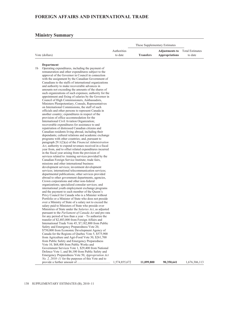### **Ministry Summary**

|                |                        | These Supplementary Estimates |                                                                |         |  |
|----------------|------------------------|-------------------------------|----------------------------------------------------------------|---------|--|
| Vote (dollars) | Authorities<br>to date | <b>Transfers</b>              | <b>Adjustments to</b> Total Estimates<br><b>Appropriations</b> | to date |  |

#### **Department**

| 1 <sub>b</sub> | Operating expenditures, including the payment of                |            |            |               |
|----------------|-----------------------------------------------------------------|------------|------------|---------------|
|                | remuneration and other expenditures subject to the              |            |            |               |
|                | approval of the Governor in Council in connection               |            |            |               |
|                | with the assignment by the Canadian Government of               |            |            |               |
|                | Canadians to the staffs of international organizations          |            |            |               |
|                | and authority to make recoverable advances in                   |            |            |               |
|                | amounts not exceeding the amounts of the shares of              |            |            |               |
|                | such organizations of such expenses; authority for the          |            |            |               |
|                | appointment and fixing of salaries by the Governor in           |            |            |               |
|                | Council of High Commissioners, Ambassadors,                     |            |            |               |
|                | Ministers Plenipotentiary, Consuls, Representatives             |            |            |               |
|                | on International Commissions, the staff of such                 |            |            |               |
|                | officials and other persons to represent Canada in              |            |            |               |
|                | another country; expenditures in respect of the                 |            |            |               |
|                | provision of office accommodation for the                       |            |            |               |
|                | International Civil Aviation Organization;                      |            |            |               |
|                | recoverable expenditures for assistance to and                  |            |            |               |
|                | repatriation of distressed Canadian citizens and                |            |            |               |
|                | Canadian residents living abroad, including their               |            |            |               |
|                | dependants; cultural relations and academic exchange            |            |            |               |
|                | programs with other countries; and, pursuant to                 |            |            |               |
|                | paragraph $29.1(2)(a)$ of the <i>Financial Administration</i>   |            |            |               |
|                | Act, authority to expend revenues received in a fiscal          |            |            |               |
|                | year from, and to offset related expenditures incurred          |            |            |               |
|                | in the fiscal year arising from the provision of                |            |            |               |
|                | services related to: training services provided by the          |            |            |               |
|                | Canadian Foreign Service Institute; trade fairs,                |            |            |               |
|                | missions and other international business                       |            |            |               |
|                | development services; investment development                    |            |            |               |
|                | services; international telecommunication services;             |            |            |               |
|                | departmental publications; other services provided              |            |            |               |
|                | abroad to other government departments, agencies,               |            |            |               |
|                | Crown corporations and other non-federal                        |            |            |               |
|                | organizations; specialized consular services; and               |            |            |               |
|                | international youth employment exchange programs                |            |            |               |
|                | and the payment to each member of the Queen's                   |            |            |               |
|                | Privy Council for Canada who is a Minister without              |            |            |               |
|                | Portfolio or a Minister of State who does not preside           |            |            |               |
|                | over a Ministry of State of a salary not to exceed the          |            |            |               |
|                | salary paid to Ministers of State who preside over              |            |            |               |
|                | Ministries of State under the <i>Salaries Act</i> , as adjusted |            |            |               |
|                | pursuant to the <i>Parliament of Canada Act</i> and pro rata    |            |            |               |
|                | for any period of less than a year $-$ To authorize the         |            |            |               |
|                | transfer of \$2,483,000 from Foreign Affairs and                |            |            |               |
|                | International Trade Vote 45, \$7,182,800 from Public            |            |            |               |
|                | Safety and Emergency Preparedness Vote 20,                      |            |            |               |
|                | \$750,000 from Economic Development Agency of                   |            |            |               |
|                | Canada for the Regions of Quebec Vote 5, \$575,900              |            |            |               |
|                | from Agriculture and Agri-Food Vote 30, \$261,700               |            |            |               |
|                | from Public Safety and Emergency Preparedness                   |            |            |               |
|                | Vote 10, \$68,400 from Public Works and                         |            |            |               |
|                | Government Services Vote 1, \$29,400 from National              |            |            |               |
|                | Defence Vote 1, and \$6,100 from Public Safety and              |            |            |               |
|                | Emergency Preparedness Vote 50, Appropriation Act               |            |            |               |
|                | $No. 2, 2010-11$ for the purposes of this Vote and to           |            |            |               |
|                |                                                                 | 11,099,800 | 90,350,641 | 1,676,306,113 |
|                |                                                                 |            |            |               |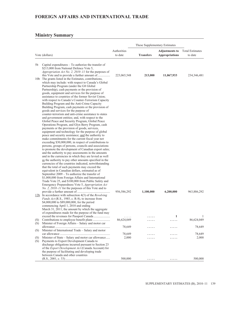### **Ministry Summary**

|     |                                                                                                                      |                        | These Supplementary Estimates |                                                |                                   |
|-----|----------------------------------------------------------------------------------------------------------------------|------------------------|-------------------------------|------------------------------------------------|-----------------------------------|
|     | Vote (dollars)                                                                                                       | Authorities<br>to date | <b>Transfers</b>              | <b>Adjustments to</b><br><b>Appropriations</b> | <b>Total Estimates</b><br>to date |
|     |                                                                                                                      |                        |                               |                                                |                                   |
| 5b  | Capital expenditures – To authorize the transfer of                                                                  |                        |                               |                                                |                                   |
|     | \$213,000 from National Defence Vote 5,                                                                              |                        |                               |                                                |                                   |
|     | Appropriation Act No. 2, 2010–11 for the purposes of<br>this Vote and to provide a further amount of                 | 223,065,548            | 213,000                       | 11,067,933                                     | 234,346,481                       |
|     | 10b The grants listed in the Estimates, contributions,                                                               |                        |                               |                                                |                                   |
|     | which may include: with respect to Canada's Global                                                                   |                        |                               |                                                |                                   |
|     | Partnership Program (under the G8 Global                                                                             |                        |                               |                                                |                                   |
|     | Partnership), cash payments or the provision of                                                                      |                        |                               |                                                |                                   |
|     | goods, equipment and services for the purpose of                                                                     |                        |                               |                                                |                                   |
|     | assistance to countries of the former Soviet Union;                                                                  |                        |                               |                                                |                                   |
|     | with respect to Canada's Counter-Terrorism Capacity                                                                  |                        |                               |                                                |                                   |
|     | Building Program and the Anti-Crime Capacity<br>Building Program, cash payments or the provision of                  |                        |                               |                                                |                                   |
|     | goods and services for the purpose of                                                                                |                        |                               |                                                |                                   |
|     | counter-terrorism and anti-crime assistance to states                                                                |                        |                               |                                                |                                   |
|     | and government entities; and, with respect to the                                                                    |                        |                               |                                                |                                   |
|     | Global Peace and Security Program, Global Peace                                                                      |                        |                               |                                                |                                   |
|     | Operations Program, and Glyn Berry Program, cash                                                                     |                        |                               |                                                |                                   |
|     | payments or the provision of goods, services,                                                                        |                        |                               |                                                |                                   |
|     | equipment and technology for the purpose of global<br>peace and security assistance; and the authority to            |                        |                               |                                                |                                   |
|     | make commitments for the current fiscal year not                                                                     |                        |                               |                                                |                                   |
|     | exceeding \$30,000,000, in respect of contributions to                                                               |                        |                               |                                                |                                   |
|     | persons, groups of persons, councils and associations                                                                |                        |                               |                                                |                                   |
|     | to promote the development of Canadian export sales;                                                                 |                        |                               |                                                |                                   |
|     | and the authority to pay assessments in the amounts                                                                  |                        |                               |                                                |                                   |
|     | and in the currencies in which they are levied as well                                                               |                        |                               |                                                |                                   |
|     | as the authority to pay other amounts specified in the                                                               |                        |                               |                                                |                                   |
|     | currencies of the countries indicated, notwithstanding                                                               |                        |                               |                                                |                                   |
|     | that the total of such payments may exceed the<br>equivalent in Canadian dollars, estimated as of                    |                        |                               |                                                |                                   |
|     | September 2009 – To authorize the transfer of                                                                        |                        |                               |                                                |                                   |
|     | \$1,000,000 from Foreign Affairs and International                                                                   |                        |                               |                                                |                                   |
|     | Trade Vote 25, and \$100,000 from Public Safety and                                                                  |                        |                               |                                                |                                   |
|     | Emergency Preparedness Vote 5, Appropriation Act                                                                     |                        |                               |                                                |                                   |
|     | No. 2, 2010–11 for the purposes of this Vote and to                                                                  |                        |                               |                                                |                                   |
|     |                                                                                                                      | 956,586,292            | 1,100,000                     | 6,200,000                                      | 963,886,292                       |
|     | $12b$ In accordance with subsection 4(3) of the <i>Revolving</i><br>Funds Act (R.S., 1985, c. R-8), to increase from |                        |                               |                                                |                                   |
|     | \$4,000,000 to \$89,000,000, for the period                                                                          |                        |                               |                                                |                                   |
|     | commencing April 1, 2010 and ending                                                                                  |                        |                               |                                                |                                   |
|     | March 31, 2011, the amount by which the aggregate                                                                    |                        |                               |                                                |                                   |
|     | of expenditures made for the purpose of the fund may                                                                 |                        |                               |                                                |                                   |
|     | exceed the revenues for Passport Canada                                                                              |                        |                               |                                                |                                   |
| (S) |                                                                                                                      | 86,624,049             | .                             |                                                | 86,624,049                        |
| (S) | Minister of Foreign Affairs - Salary and motor car                                                                   |                        |                               |                                                | 78,649                            |
| (S) | Minister of International Trade - Salary and motor                                                                   | 78,649                 | .                             |                                                |                                   |
|     |                                                                                                                      | 78,649                 |                               |                                                | 78,649                            |
| (S) | Minister of State – Salary and motor car allowance                                                                   | 2,000                  |                               |                                                | 2,000                             |
| (S) | Payments to Export Development Canada to                                                                             |                        |                               |                                                |                                   |
|     | discharge obligations incurred pursuant to Section 23                                                                |                        |                               |                                                |                                   |
|     | of the Export Development Act (Canada Account) for                                                                   |                        |                               |                                                |                                   |
|     | the purpose of facilitating and developing trade                                                                     |                        |                               |                                                |                                   |
|     | between Canada and other countries                                                                                   | 500,000                |                               |                                                | 500,000                           |
|     |                                                                                                                      |                        |                               | .                                              |                                   |

<u> 1980 - Johann Barbara, martxa alemaniar amerikan basar da a</u>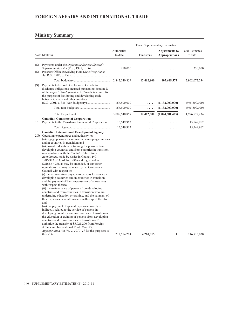### **Ministry Summary**

|     |                                                                                                                                                                                                                                                                                                                                                                                                                                                                                                                                                                                                                                                                                                                                                                                                                                                                                                                                                                                                                                                                                                                                                                                                                                                                                                                                                                                                                                |                        | These Supplementary Estimates |                                                |                                   |
|-----|--------------------------------------------------------------------------------------------------------------------------------------------------------------------------------------------------------------------------------------------------------------------------------------------------------------------------------------------------------------------------------------------------------------------------------------------------------------------------------------------------------------------------------------------------------------------------------------------------------------------------------------------------------------------------------------------------------------------------------------------------------------------------------------------------------------------------------------------------------------------------------------------------------------------------------------------------------------------------------------------------------------------------------------------------------------------------------------------------------------------------------------------------------------------------------------------------------------------------------------------------------------------------------------------------------------------------------------------------------------------------------------------------------------------------------|------------------------|-------------------------------|------------------------------------------------|-----------------------------------|
|     | Vote (dollars)                                                                                                                                                                                                                                                                                                                                                                                                                                                                                                                                                                                                                                                                                                                                                                                                                                                                                                                                                                                                                                                                                                                                                                                                                                                                                                                                                                                                                 | Authorities<br>to date | <b>Transfers</b>              | <b>Adjustments to</b><br><b>Appropriations</b> | <b>Total Estimates</b><br>to date |
| (S) | Payments under the Diplomatic Service (Special)                                                                                                                                                                                                                                                                                                                                                                                                                                                                                                                                                                                                                                                                                                                                                                                                                                                                                                                                                                                                                                                                                                                                                                                                                                                                                                                                                                                |                        |                               |                                                |                                   |
| (S) | Passport Office Revolving Fund (Revolving Funds                                                                                                                                                                                                                                                                                                                                                                                                                                                                                                                                                                                                                                                                                                                                                                                                                                                                                                                                                                                                                                                                                                                                                                                                                                                                                                                                                                                | 250,000                | .                             | .                                              | 250,000                           |
|     |                                                                                                                                                                                                                                                                                                                                                                                                                                                                                                                                                                                                                                                                                                                                                                                                                                                                                                                                                                                                                                                                                                                                                                                                                                                                                                                                                                                                                                | 2,842,040,859          | 12,412,800                    | 107,618,575                                    | 2,962,072,234                     |
| (S) | Payments to Export Development Canada to<br>discharge obligations incurred pursuant to Section 23<br>of the Export Development Act (Canada Account) for<br>the purpose of facilitating and developing trade<br>between Canada and other countries                                                                                                                                                                                                                                                                                                                                                                                                                                                                                                                                                                                                                                                                                                                                                                                                                                                                                                                                                                                                                                                                                                                                                                              |                        |                               |                                                |                                   |
|     |                                                                                                                                                                                                                                                                                                                                                                                                                                                                                                                                                                                                                                                                                                                                                                                                                                                                                                                                                                                                                                                                                                                                                                                                                                                                                                                                                                                                                                | 166,500,000            |                               | (1,132,000,000)                                | (965,500,000)                     |
|     |                                                                                                                                                                                                                                                                                                                                                                                                                                                                                                                                                                                                                                                                                                                                                                                                                                                                                                                                                                                                                                                                                                                                                                                                                                                                                                                                                                                                                                | 166,500,000            | .                             | (1,132,000,000)                                | (965,500,000)                     |
|     |                                                                                                                                                                                                                                                                                                                                                                                                                                                                                                                                                                                                                                                                                                                                                                                                                                                                                                                                                                                                                                                                                                                                                                                                                                                                                                                                                                                                                                | 3,008,540,859          | 12,412,800                    | (1,024,381,425)                                | 1,996,572,234                     |
| 15  | <b>Canadian Commercial Corporation</b><br>Payments to the Canadian Commercial Corporation                                                                                                                                                                                                                                                                                                                                                                                                                                                                                                                                                                                                                                                                                                                                                                                                                                                                                                                                                                                                                                                                                                                                                                                                                                                                                                                                      | 15,549,962             |                               |                                                | 15,549,962                        |
|     |                                                                                                                                                                                                                                                                                                                                                                                                                                                                                                                                                                                                                                                                                                                                                                                                                                                                                                                                                                                                                                                                                                                                                                                                                                                                                                                                                                                                                                | 15,549,962             | .                             | .                                              | 15,549,962                        |
|     | 20b Operating expenditures and authority to:<br>( <i>a</i> ) engage persons for service in developing countries<br>and in countries in transition; and<br>$(b)$ provide education or training for persons from<br>developing countries and from countries in transition,<br>in accordance with the Technical Assistance<br>Regulations, made by Order in Council P.C.<br>1986-993 of April 24, 1986 (and registered as<br>SOR/86-475), as may be amended, or any other<br>regulations that may be made by the Governor in<br>Council with respect to:<br>(i) the remuneration payable to persons for service in<br>developing countries and in countries in transition,<br>and the payment of their expenses or of allowances<br>with respect thereto,<br>(ii) the maintenance of persons from developing<br>countries and from countries in transition who are<br>undergoing education or training, and the payment of<br>their expenses or of allowances with respect thereto,<br>and<br>(iii) the payment of special expenses directly or<br>indirectly related to the service of persons in<br>developing countries and in countries in transition or<br>the education or training of persons from developing<br>countries and from countries in transition - To<br>authorize the transfer of \$5,921,200 from Foreign<br>Affairs and International Trade Vote 25,<br>Appropriation Act No. 2, 2010–11 for the purposes of | 212,554,204            | 4,260,815                     | 1                                              | 216,815,020                       |

<u> 1989 - Johann Barn, mars eta bainar eta baina eta baina eta baina eta baina eta baina eta baina eta baina e</u>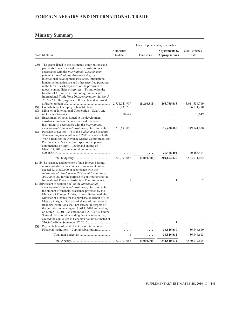### **Ministry Summary**

| These Supplementary Estimates |                                                                                                                                                                                                                                                                                                                                                                                                                                                                                                                                                                                                                                           |                             |                  |                                                |                                   |
|-------------------------------|-------------------------------------------------------------------------------------------------------------------------------------------------------------------------------------------------------------------------------------------------------------------------------------------------------------------------------------------------------------------------------------------------------------------------------------------------------------------------------------------------------------------------------------------------------------------------------------------------------------------------------------------|-----------------------------|------------------|------------------------------------------------|-----------------------------------|
|                               | Vote (dollars)                                                                                                                                                                                                                                                                                                                                                                                                                                                                                                                                                                                                                            | Authorities<br>to date      | <b>Transfers</b> | <b>Adjustments to</b><br><b>Appropriations</b> | <b>Total Estimates</b><br>to date |
|                               | 25b The grants listed in the Estimates, contributions and<br>payments to international financial institutions in<br>accordance with the International Development<br>(Financial Institutions) Assistance Act, for<br>international development assistance, international<br>humanitarian assistance and other specified purposes,<br>in the form of cash payments or the provision of<br>goods, commodities or services – To authorize the<br>transfer of \$1,660,385 from Foreign Affairs and<br>International Trade Vote 20, Appropriation Act No. 2,<br>$2010 - 11$ for the purposes of this Vote and to provide                       |                             |                  |                                                |                                   |
| (S)<br>(S)                    | Minister of International Cooperation - Salary and                                                                                                                                                                                                                                                                                                                                                                                                                                                                                                                                                                                        | 2,751,041,919<br>26,031,290 | (5,260,815)      | 265, 755, 615                                  | 3,011,536,719<br>26,031,290       |
| (S)                           | Encashment of notes issued to the development<br>assistance funds of the international financial<br>institutions in accordance with the International                                                                                                                                                                                                                                                                                                                                                                                                                                                                                     | 78,649                      |                  |                                                | 78,649                            |
| (S)                           | Development (Financial Institutions) Assistance Act<br>Pursuant to Section 144 of the Budget and Economic<br>Statement Implementation Act, 2007 a payment to the<br>World Bank for the Advance Market Commitment for<br>Pneumococcal Vaccines in respect of the period<br>commencing on April 1, 2010 and ending on<br>March 31, 2011, in an amount not to exceed                                                                                                                                                                                                                                                                         | 230,691,000                 |                  | 18,450,000                                     | 249,141,000                       |
|                               |                                                                                                                                                                                                                                                                                                                                                                                                                                                                                                                                                                                                                                           |                             |                  | 20,468,404                                     | 20,468,404                        |
|                               |                                                                                                                                                                                                                                                                                                                                                                                                                                                                                                                                                                                                                                           | 3,220,397,062               | (1,000,000)      | 304,674,020                                    | 3,524,071,082                     |
|                               | L30b The issuance and payment of non-interest bearing,<br>non-negotiable demand notes in an amount not to<br>exceed \$245,482,000 in accordance with the<br>International Development (Financial Institutions)<br><i>Assistance Act</i> for the purpose of contributions to the<br>International Financial Institution Fund Accounts                                                                                                                                                                                                                                                                                                      | 1                           |                  | 1                                              | $\mathfrak{2}$                    |
|                               | L32b Pursuant to section 3 (c) of the <i>International</i><br>Development (Financial Institutions) Assistance Act,<br>the amount of financial assistance provided by the<br>Minister of Foreign Affairs, in consultation with the<br>Minister of Finance for the purchase on behalf of Her<br>Majesty in right of Canada of shares of international<br>financial institutions shall not exceed, in respect of<br>the period commencing on April 1, 2010 and ending<br>on March 31, 2011, an amount of \$35,724,849 United<br>States dollars notwithstanding that the amount may<br>exceed the equivalent in Canadian dollars estimated at |                             |                  | 1                                              | 1                                 |
| (S)                           | Payments (encashment of notes) to International                                                                                                                                                                                                                                                                                                                                                                                                                                                                                                                                                                                           |                             |                  |                                                |                                   |
|                               | Financial Institutions – Capital subscriptions                                                                                                                                                                                                                                                                                                                                                                                                                                                                                                                                                                                            |                             |                  | 36,846,610                                     | 36,846,610                        |
|                               |                                                                                                                                                                                                                                                                                                                                                                                                                                                                                                                                                                                                                                           | 1                           | .                | 36,846,612                                     | 36,846,613                        |
|                               |                                                                                                                                                                                                                                                                                                                                                                                                                                                                                                                                                                                                                                           | 3,220,397,063               | (1,000,000)      | 341,520,632                                    | 3,560,917,695                     |

<u> 1989 - Johann Stoff, fransk politik (d. 1989)</u>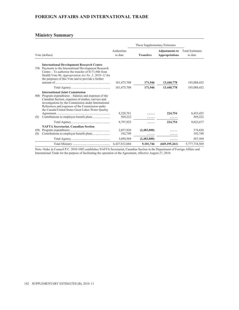### **Ministry Summary**

|                 |                                                                                                                                                                                                                                                                                                                     |                            | These Supplementary Estimates |                                                |                                   |
|-----------------|---------------------------------------------------------------------------------------------------------------------------------------------------------------------------------------------------------------------------------------------------------------------------------------------------------------------|----------------------------|-------------------------------|------------------------------------------------|-----------------------------------|
|                 | Vote (dollars)                                                                                                                                                                                                                                                                                                      | Authorities<br>to date     | <b>Transfers</b>              | <b>Adjustments to</b><br><b>Appropriations</b> | <b>Total Estimates</b><br>to date |
|                 | <b>International Development Research Centre</b><br>35b Payments to the International Development Research<br>Centre – To authorize the transfer of \$171,946 from<br>Health Vote 40, <i>Appropriation Act No. 2, 2010–11</i> for<br>the purposes of this Vote and to provide a further                             | 181,475,708<br>181,475,708 | 171,946<br>171,946            | 13,440,778<br>13,440,778                       | 195,088,432<br>195,088,432        |
| 40 <sub>b</sub> | <b>International Joint Commission</b><br>Program expenditures – Salaries and expenses of the<br>Canadian Section, expenses of studies, surveys and<br>investigations by the Commission under International<br>References and expenses of the Commission under<br>the Canada/United States Great Lakes Water Quality |                            |                               |                                                |                                   |
| (S)             |                                                                                                                                                                                                                                                                                                                     | 8,228,701<br>569,222       |                               | 224,754                                        | 8,453,455<br>569,222              |
|                 |                                                                                                                                                                                                                                                                                                                     | 8,797,923                  | .                             | 224,754                                        | 9,022,677                         |
| 45b<br>(S)      | <b>NAFTA Secretariat, Canadian Section</b>                                                                                                                                                                                                                                                                          | 2,857,820<br>192,749       | (2,483,000)                   |                                                | 374,820<br>192,749                |
|                 |                                                                                                                                                                                                                                                                                                                     | 3,050,569<br>6,437,812,084 | (2,483,000)<br>9,101,746      | .<br>(669, 195, 261)                           | 567,569<br>5,777,718,569          |

Note: Order in Council P.C. 2010-1083 establishes NAFTA Secretariat, Canadian Section in the Department of Foreign Affairs and International Trade for the purpose of facilitating the operation of the Agreement, effective August 27, 2010.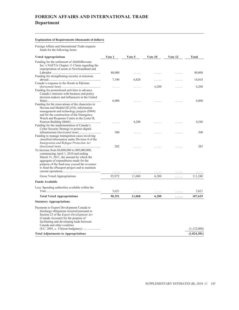# **FOREIGN AFFAIRS AND INTERNATIONAL TRADE Department**

#### **Explanation of Requirements (thousands of dollars)**

Foreign Affairs and International Trade requests funds for the following items:

| <b>Voted Appropriations</b>                                                                                                                                                                                                                                               | Vote 1   | Vote 5 | Vote 10 | Vote 12                                    | Total       |
|---------------------------------------------------------------------------------------------------------------------------------------------------------------------------------------------------------------------------------------------------------------------------|----------|--------|---------|--------------------------------------------|-------------|
| Funding for the settlement of AbitibiBowater<br>Inc.'s NAFTA Chapter 11 Claim regarding the<br>expropriation of assets in Newfoundland and                                                                                                                                | 80,000   |        |         |                                            | 80,000      |
| Funding for strengthening security at missions                                                                                                                                                                                                                            |          |        |         |                                            |             |
|                                                                                                                                                                                                                                                                           | 7,190    | 6,828  | .       | .                                          | 14,018      |
| Canada's response to the floods in Pakistan                                                                                                                                                                                                                               |          |        |         |                                            |             |
|                                                                                                                                                                                                                                                                           | .        | .      | 6,200   | .                                          | 6,200       |
| Funding for promotional activities to advance<br>Canada's interests with business and policy<br>decision makers and influencers in the United                                                                                                                             | 6,000    |        |         |                                            | 6,000       |
| Funding for the renovations of the chanceries in<br>Havana and Madrid (\$2,610), information<br>management and technology projects (\$964)<br>and for the construction of the Emergency<br>Watch and Response Centre in the Lester B.                                     |          | .      | .       |                                            |             |
|                                                                                                                                                                                                                                                                           |          | 4,240  |         |                                            | 4,240       |
| Funding for the implementation of Canada's<br>Cyber Security Strategy to protect digital                                                                                                                                                                                  | 500      |        |         |                                            | 500         |
| Funding to manage immigration cases involving<br>classified information under Division 9 of the<br>Immigration and Refugee Protection Act                                                                                                                                 |          | .      | .       |                                            |             |
| To increase from \$4,000,000 to \$89,000,000,<br>commencing April 1, 2010 and ending<br>March 31, 2011, the amount by which the<br>aggregate of expenditures made for the<br>purpose of the fund may exceed the revenues<br>to fund the ePassport project and to maintain | 282<br>. | .      | .       | .                                          | 282         |
| Gross Voted Appropriations                                                                                                                                                                                                                                                | 93,972   | 11,068 | 6,200   |                                            | 111,240     |
|                                                                                                                                                                                                                                                                           |          |        |         | $\mathbb{Z}^2$ . The set of $\mathbb{Z}^2$ |             |
| <b>Funds Available</b>                                                                                                                                                                                                                                                    |          |        |         |                                            |             |
| Less: Spending authorities available within the                                                                                                                                                                                                                           | 3,621    |        |         |                                            | 3,621       |
| <b>Total Voted Appropriations</b>                                                                                                                                                                                                                                         | 90,351   | 11,068 | 6,200   | .                                          | 107,619     |
| <b>Statutory Appropriations</b>                                                                                                                                                                                                                                           |          |        |         |                                            |             |
|                                                                                                                                                                                                                                                                           |          |        |         |                                            |             |
| Payments to Export Development Canada to<br>discharge obligations incurred pursuant to<br>Section 23 of the <i>Export Development Act</i><br>(Canada Account) for the purpose of<br>facilitating and developing trade between<br>Canada and other countries               |          |        |         |                                            |             |
|                                                                                                                                                                                                                                                                           |          |        |         |                                            | (1,132,000) |
| <b>Total Adjustments to Appropriations</b>                                                                                                                                                                                                                                |          |        |         |                                            | (1,024,381) |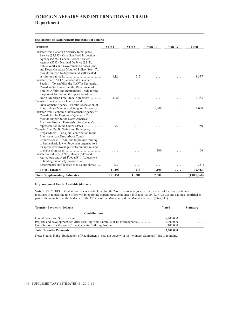# **FOREIGN AFFAIRS AND INTERNATIONAL TRADE Department**

**Explanation of Requirements (thousands of dollars)**

| <b>Transfers</b>                                                                                                                                                                                                                                                                                                                   | Vote 1  | Vote 5 | Vote 10 | Vote 12 | Total       |
|------------------------------------------------------------------------------------------------------------------------------------------------------------------------------------------------------------------------------------------------------------------------------------------------------------------------------------|---------|--------|---------|---------|-------------|
| Transfer from Canadian Security Intelligence<br>Service (\$7,183), Canadian Food Inspection<br>Agency (\$576), Canada Border Services<br>Agency (\$262), National Defence (\$242),<br>Public Works and Government Services (\$68)<br>and Royal Canadian Mounted Police (\$6) – To<br>provide support to departmental staff located |         |        |         |         |             |
| Transfer from NAFTA Secretariat, Canadian<br>Section – To establish the NAFTA Secretariat,<br>Canadian Section within the Department of<br>Foreign Affairs and International Trade for the<br>purpose of facilitating the operation of the                                                                                         | 8,124   | 213    |         |         | 8,337       |
| North American Free Trade Agreement                                                                                                                                                                                                                                                                                                | 2,483   |        |         |         | 2,483       |
| Transfer from Canadian International                                                                                                                                                                                                                                                                                               |         |        |         |         |             |
| Development Agency - For the Association of                                                                                                                                                                                                                                                                                        |         |        |         |         |             |
| Francophone Mayors and Senghor University<br>Transfer from Economic Development Agency of<br>Canada for the Regions of Quebec $-$ To<br>provide support to the North American<br>Platform Program Partnership for Canada's                                                                                                         |         |        | 1,000   |         | 1,000       |
| Transfer from Public Safety and Emergency<br>Preparedness – For a joint contribution to the<br>Inter-American Drug Abuse Control<br>Commission (CICAD) and to provide training<br>to hemispheric law enforcement organizations                                                                                                     | 750     |        |         |         | 750         |
| on specialized investigative techniques related<br>Transfer to Industry (\$200), Health (\$49) and<br>Agriculture and Agri-Food (\$8) – Adjustment<br>to funding previously provided for                                                                                                                                           |         |        | 100     | 1.1.1   | 100         |
| departmental staff located at missions abroad                                                                                                                                                                                                                                                                                      | (257)   | .      | .       | .       | (257)       |
| <b>Total Transfers</b>                                                                                                                                                                                                                                                                                                             | 11,100  | 213    | 1,100   | .       | 12,413      |
| <b>These Supplementary Estimates</b>                                                                                                                                                                                                                                                                                               | 101,451 | 11,281 | 7,300   | .       | (1,011,968) |

#### **Explanation of Funds Available (dollars)**

**Vote 1**: \$3,620,819 in total authorities is available within the Vote due to savings identified as part of the cost containment measures to reduce the rate of growth in operating expenditures announced in Budget 2010 (\$2,772,578) and savings identified as part of the reduction in the budgets for the Offices of the Ministers and the Minister of State (\$848,241).

| <b>Transfer Payments (dollars)</b>                                            | Voted     | <b>Statutory</b> |
|-------------------------------------------------------------------------------|-----------|------------------|
| <b>Contributions</b>                                                          |           |                  |
|                                                                               | 6,200,000 | .                |
| Projects and development activities resulting from Summits of La Francophonie | 1,000,000 | .                |
|                                                                               | 100,000   | .                |
| <b>Total Transfer Payments</b>                                                | 7.300.000 | .                |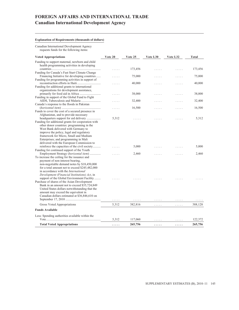# **FOREIGN AFFAIRS AND INTERNATIONAL TRADE Canadian International Development Agency**

#### **Explanation of Requirements (thousands of dollars)**

Canadian International Development Agency requests funds for the following items:

| <b>Voted Appropriations</b>                                                                   | Vote 20 | Vote 25 | Vote L30 | Vote L32 | <b>Total</b> |
|-----------------------------------------------------------------------------------------------|---------|---------|----------|----------|--------------|
| Funding to support maternal, newborn and child<br>health programming activities in developing |         |         |          |          |              |
|                                                                                               | .       | 173,456 |          | .        | 173,456      |
| Funding for Canada's Fast Start Climate Change                                                |         |         |          |          |              |
| Financing Initiative for developing countries                                                 |         | 75,000  |          |          | 75,000       |
| Funding for programming activities in support of                                              |         |         |          |          |              |
|                                                                                               | .       | 40,000  | .        | .        | 40,000       |
| Funding for additional grants to international                                                |         |         |          |          |              |
| organizations for development assistance,                                                     |         |         |          |          |              |
|                                                                                               | .       | 38,000  | .        | .        | 38,000       |
| Funding in support of the Global Fund to Fight                                                |         |         |          |          |              |
|                                                                                               | .       | 32,400  | .        | .        | 32,400       |
| Canada's response to the floods in Pakistan                                                   |         |         |          |          | 16,500       |
| Funds to cover the cost of a secured presence in                                              | .       | 16,500  | .        | .        |              |
| Afghanistan, and to provide necessary                                                         |         |         |          |          |              |
| headquarters support for aid delivery                                                         | 5,312   |         |          |          | 5,312        |
| Funding for additional grants for cooperation with                                            |         |         |          |          |              |
| other donor countries: programming in the                                                     |         |         |          |          |              |
| West Bank delivered with Germany to                                                           |         |         |          |          |              |
| improve the policy, legal and regulatory                                                      |         |         |          |          |              |
| framework for Micro, Small and Medium                                                         |         |         |          |          |              |
| Enterprises; and programming in Mali                                                          |         |         |          |          |              |
| delivered with the European Commission to                                                     |         |         |          |          |              |
| reinforce the capacities of the civil society                                                 |         | 5,000   |          |          | 5,000        |
| Funding for continued support of the Youth                                                    |         |         |          |          |              |
| Employment Strategy (horizontal item)                                                         |         | 2,460   |          |          | 2,460        |
| To increase the ceiling for the issuance and                                                  |         |         |          |          |              |
| payment of non-interest bearing,                                                              |         |         |          |          |              |
| non-negotiable demand notes by \$18,450,000                                                   |         |         |          |          |              |
| for a total amount not to exceed \$245,482,000                                                |         |         |          |          |              |
| in accordance with the International                                                          |         |         |          |          |              |
| Development (Financial Institutions) Act, in                                                  |         |         |          |          |              |
| support of the Global Environment Facility                                                    |         |         |          |          |              |
| Purchase of shares of the Asian Development                                                   |         |         |          |          |              |
| Bank in an amount not to exceed \$35,724,849                                                  |         |         |          |          |              |
| United States dollars notwithstanding that the                                                |         |         |          |          |              |
| amount may exceed the equivalent in                                                           |         |         |          |          |              |
| Canadian dollars estimated at \$36,846,610 on                                                 |         |         |          |          |              |
|                                                                                               | .       |         |          |          |              |
| Gross Voted Appropriations                                                                    | 5,312   | 382,816 | .        | .        | 388,128      |
| <b>Funds Available</b>                                                                        |         |         |          |          |              |
| Less: Spending authorities available within the                                               |         |         |          |          |              |
|                                                                                               | 5,312   | 117,060 |          |          | 122,372      |
| <b>Total Voted Appropriations</b>                                                             | .       | 265,756 | .        | .        | 265,756      |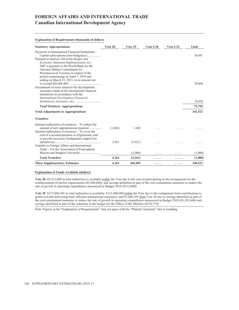# **FOREIGN AFFAIRS AND INTERNATIONAL TRADE Canadian International Development Agency**

| <b>Explanation of Requirements (thousands of dollars)</b>                                                                                                                                                                                                                                                          |         |         |          |          |                  |
|--------------------------------------------------------------------------------------------------------------------------------------------------------------------------------------------------------------------------------------------------------------------------------------------------------------------|---------|---------|----------|----------|------------------|
| <b>Statutory Appropriations</b>                                                                                                                                                                                                                                                                                    | Vote 20 | Vote 25 | Vote L30 | Vote L32 | <b>Total</b>     |
| Payments to International Financial Institutions -<br>Pursuant to Section 144 of the <i>Budget and</i><br>Economic Statement Implementation Act,<br>2007 a payment to the World Bank for the<br>Advance Market Commitment for<br>Pneumococcal Vaccines in respect of the<br>period commencing on April 1, 2010 and |         |         |          |          | 36,847           |
| ending on March 31, 2011, in an amount not<br>Encashment of notes issued to the development<br>assistance funds of the international financial<br>institutions in accordance with the<br>International Development (Financial                                                                                      |         |         |          |          | 20,468<br>18,450 |
| <b>Total Statutory Appropriations</b>                                                                                                                                                                                                                                                                              |         |         |          |          | 75,765           |
| <b>Total Adjustments to Appropriations</b>                                                                                                                                                                                                                                                                         |         |         |          |          | 341,521          |
| <b>Transfers</b>                                                                                                                                                                                                                                                                                                   |         |         |          |          |                  |
| Internal reallocation of resources – To reduce the<br>Internal reallocation of resources – To cover the<br>cost of a secured presence in Afghanistan, and                                                                                                                                                          | (1,660) | 1,660   |          |          |                  |
| to provide necessary headquarters support for                                                                                                                                                                                                                                                                      | 5,921   | (5,921) |          |          |                  |
| Transfer to Foreign Affairs and International<br>Trade – For the Association of Francophone                                                                                                                                                                                                                        |         |         |          |          |                  |
|                                                                                                                                                                                                                                                                                                                    | .       | (1,000) | .        | .        | (1,000)          |
| <b>Total Transfers</b>                                                                                                                                                                                                                                                                                             | 4,261   | (5,261) | .        | .        | (1,000)          |
| <b>These Supplementary Estimates</b>                                                                                                                                                                                                                                                                               | 4,261   | 260,495 | .        | .        | 340,521          |

#### **Explanation of Funds Available (dollars)**

**Vote 20**: \$5,312,000 in total authorities is available within the Vote due to the cost of participating in the arrangement for the reimbursement of paylist requirements (\$5,200,000); and savings identified as part of the cost containment measures to reduce the rate of growth in operating expenditures announced in Budget 2010 (\$112,000).

**Vote 25**: \$117,060,385 in total authorities is available: \$115,400,000 within the Vote due to the realignment from contributions to grants towards delivering more efficient international assistance; and \$1,660,385 from Vote 20 due to savings identified as part of the cost containment measures to reduce the rate of growth in operating expenditures announced in Budget  $\tilde{2}010$  (\$1,283,606) and savings identified as part of the reduction in the budget for the Office of the Minister (\$376,779).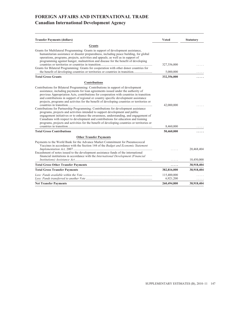# **FOREIGN AFFAIRS AND INTERNATIONAL TRADE Canadian International Development Agency**

| <b>Transfer Payments (dollars)</b>                                                                                                                                                                                                                                                                                                                                                                                                                                                                                                                                                                                                                                                                                                                                                                                                                                                                        | <b>Voted</b>             | <b>Statutory</b> |
|-----------------------------------------------------------------------------------------------------------------------------------------------------------------------------------------------------------------------------------------------------------------------------------------------------------------------------------------------------------------------------------------------------------------------------------------------------------------------------------------------------------------------------------------------------------------------------------------------------------------------------------------------------------------------------------------------------------------------------------------------------------------------------------------------------------------------------------------------------------------------------------------------------------|--------------------------|------------------|
| <b>Grants</b>                                                                                                                                                                                                                                                                                                                                                                                                                                                                                                                                                                                                                                                                                                                                                                                                                                                                                             |                          |                  |
| Grants for Multilateral Programming: Grants in support of development assistance,<br>humanitarian assistance or disaster preparedness, including peace building, for global<br>operations, programs, projects, activities and appeals; as well as in support of<br>programming against hunger, malnutrition and disease for the benefit of developing                                                                                                                                                                                                                                                                                                                                                                                                                                                                                                                                                     | 327,356,000              |                  |
| Grants for Bilateral Programming: Grants for cooperation with other donor countries for<br>the benefit of developing countries or territories or countries in transition                                                                                                                                                                                                                                                                                                                                                                                                                                                                                                                                                                                                                                                                                                                                  | 5,000,000                |                  |
| <b>Total Gross Grants</b>                                                                                                                                                                                                                                                                                                                                                                                                                                                                                                                                                                                                                                                                                                                                                                                                                                                                                 | 332,356,000              |                  |
| <b>Contributions</b>                                                                                                                                                                                                                                                                                                                                                                                                                                                                                                                                                                                                                                                                                                                                                                                                                                                                                      |                          |                  |
| Contributions for Bilateral Programming: Contributions in support of development<br>assistance, including payments for loan agreements issued under the authority of<br>previous Appropriation Acts, contributions for cooperation with countries in transition<br>and contributions in support of regional or country specific development assistance<br>projects, programs and activities for the benefit of developing countries or territories or<br>Contributions for Partnership Programming: Contributions for development assistance<br>programs, projects and activities intended to support development and public<br>engagement initiatives or to enhance the awareness, understanding, and engagement of<br>Canadians with respect to development and contributions for education and training<br>programs, projects and activities for the benefit of developing countries or territories or | 42,000,000<br>8,460,000  |                  |
| <b>Total Gross Contributions</b>                                                                                                                                                                                                                                                                                                                                                                                                                                                                                                                                                                                                                                                                                                                                                                                                                                                                          | 50,460,000               |                  |
| <b>Other Transfer Payments</b>                                                                                                                                                                                                                                                                                                                                                                                                                                                                                                                                                                                                                                                                                                                                                                                                                                                                            |                          |                  |
| Payments to the World Bank for the Advance Market Commitment for Pneumococcal<br>Vaccines in accordance with the Section 144 of the Budget and Economic Statement<br>Encashment of notes issued to the development assistance funds of the international<br>financial institutions in accordance with the <i>International Development (Financial</i>                                                                                                                                                                                                                                                                                                                                                                                                                                                                                                                                                     |                          | 20,468,404       |
|                                                                                                                                                                                                                                                                                                                                                                                                                                                                                                                                                                                                                                                                                                                                                                                                                                                                                                           | .                        | 18,450,000       |
| <b>Total Gross Other Transfer Payments</b>                                                                                                                                                                                                                                                                                                                                                                                                                                                                                                                                                                                                                                                                                                                                                                                                                                                                | .                        | 38,918,404       |
| <b>Total Gross Transfer Payments</b>                                                                                                                                                                                                                                                                                                                                                                                                                                                                                                                                                                                                                                                                                                                                                                                                                                                                      | 382,816,000              | 38,918,404       |
|                                                                                                                                                                                                                                                                                                                                                                                                                                                                                                                                                                                                                                                                                                                                                                                                                                                                                                           | 115,400,000<br>6,921,200 | .                |
| <b>Net Transfer Payments</b>                                                                                                                                                                                                                                                                                                                                                                                                                                                                                                                                                                                                                                                                                                                                                                                                                                                                              | 260,494,800              | 38,918,404       |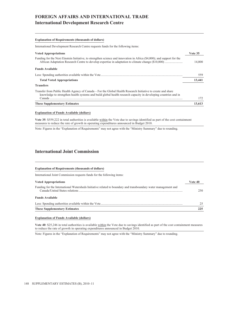# **FOREIGN AFFAIRS AND INTERNATIONAL TRADE International Development Research Centre**

#### **Explanation of Requirements (thousands of dollars)**

International Development Research Centre requests funds for the following items:

| <b>Voted Appropriations</b>                                                                                                                                                                                                     | Vote 35 |
|---------------------------------------------------------------------------------------------------------------------------------------------------------------------------------------------------------------------------------|---------|
| Funding for the Next Einstein Initiative, to strengthen science and innovation in Africa (\$4,000); and support for the                                                                                                         | 14,000  |
| <b>Funds Available</b>                                                                                                                                                                                                          |         |
|                                                                                                                                                                                                                                 | 559     |
| <b>Total Voted Appropriations</b>                                                                                                                                                                                               | 13,441  |
| <b>Transfers</b>                                                                                                                                                                                                                |         |
| Transfer from Public Health Agency of Canada – For the Global Health Research Initiative to create and share<br>knowledge to strengthen health systems and build global health research capacity in developing countries and in |         |
| Canada                                                                                                                                                                                                                          | 172     |
| <b>These Supplementary Estimates</b>                                                                                                                                                                                            | 13.613  |

#### **Explanation of Funds Available (dollars)**

**Vote 35**: \$559,222 in total authorities is available within the Vote due to savings identified as part of the cost containment measures to reduce the rate of growth in operating expenditures announced in Budget 2010.

Note: Figures in the "Explanation of Requirements" may not agree with the "Ministry Summary" due to rounding.

### **International Joint Commission**

| <b>Explanation of Requirements (thousands of dollars)</b> |  |
|-----------------------------------------------------------|--|
|-----------------------------------------------------------|--|

International Joint Commission requests funds for the following items:

| <b>Voted Appropriations</b>                                                                                    | Vote 40 |
|----------------------------------------------------------------------------------------------------------------|---------|
| Funding for the International Watersheds Initiative related to boundary and transboundary water management and | 250     |
| <b>Funds Available</b>                                                                                         |         |
|                                                                                                                | 25      |
| <b>These Supplementary Estimates</b>                                                                           | 225     |

#### **Explanation of Funds Available (dollars)**

**Vote 40**: \$25,246 in total authorities is available within the Vote due to savings identified as part of the cost containment measures to reduce the rate of growth in operating expenditures announced in Budget 2010.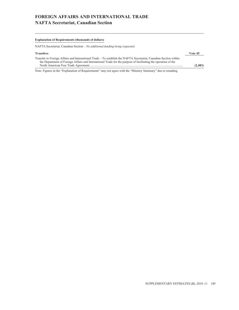# **FOREIGN AFFAIRS AND INTERNATIONAL TRADE NAFTA Secretariat, Canadian Section**

### **Explanation of Requirements (thousands of dollars)**

NAFTA Secretariat, Canadian Section – *No additional funding being requested*

| <b>Transfers</b>                                                                                                  | Vote 45 |
|-------------------------------------------------------------------------------------------------------------------|---------|
| Transfer to Foreign Affairs and International Trade – To establish the NAFTA Secretariat, Canadian Section within |         |
| the Department of Foreign Affairs and International Trade for the purpose of facilitating the operation of the    |         |
|                                                                                                                   | (2.483) |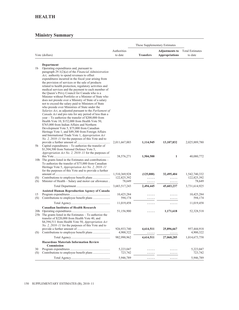|            | These Supplementary Estimates                                                                                                                                                                                                                                                                                                                                                                                                                                                                                                                                                                                                                                                                                                                                                                                                                                                                                                                       |                            |                  |                       |                          |  |
|------------|-----------------------------------------------------------------------------------------------------------------------------------------------------------------------------------------------------------------------------------------------------------------------------------------------------------------------------------------------------------------------------------------------------------------------------------------------------------------------------------------------------------------------------------------------------------------------------------------------------------------------------------------------------------------------------------------------------------------------------------------------------------------------------------------------------------------------------------------------------------------------------------------------------------------------------------------------------|----------------------------|------------------|-----------------------|--------------------------|--|
|            |                                                                                                                                                                                                                                                                                                                                                                                                                                                                                                                                                                                                                                                                                                                                                                                                                                                                                                                                                     | Authorities                |                  | <b>Adjustments to</b> | <b>Total Estimates</b>   |  |
|            | Vote (dollars)                                                                                                                                                                                                                                                                                                                                                                                                                                                                                                                                                                                                                                                                                                                                                                                                                                                                                                                                      | to date                    | <b>Transfers</b> | <b>Appropriations</b> | to date                  |  |
| 1b         | Department<br>Operating expenditures and, pursuant to<br>paragraph $29.1(2)(a)$ of the Financial Administration<br>Act, authority to spend revenues to offset<br>expenditures incurred in the fiscal year arising from<br>the provision of services or the sale of products<br>related to health protection, regulatory activities and<br>medical services and the payment to each member of<br>the Queen's Privy Council for Canada who is a<br>Minister without Portfolio or a Minister of State who<br>does not preside over a Ministry of State of a salary<br>not to exceed the salary paid to Ministers of State<br>who preside over Ministries of State under the<br>Salaries Act, as adjusted pursuant to the Parliament of<br>Canada Act and pro rata for any period of less than a<br>$year - To authorize the transfer of $200,000 from$<br>Health Vote 10, \$152,000 from Health Vote 50,<br>\$765,000 from Indian Affairs and Northern |                            |                  |                       |                          |  |
|            | Development Vote 5, \$75,000 from Canadian<br>Heritage Vote 1, and \$49,300 from Foreign Affairs<br>and International Trade Vote 1, Appropriation Act<br>No. 2, 2010–11 for the purposes of this Vote and to                                                                                                                                                                                                                                                                                                                                                                                                                                                                                                                                                                                                                                                                                                                                        | 2,011,667,003              | 1,114,945        | 13,107,832            | 2,025,889,780            |  |
| 5b         | Capital expenditures – To authorize the transfer of<br>\$1,504,500 from National Defence Vote 5,<br>Appropriation Act No. 2, 2010–11 for the purposes of                                                                                                                                                                                                                                                                                                                                                                                                                                                                                                                                                                                                                                                                                                                                                                                            | 38,576,271                 | 1,504,500        | 1                     | 40,080,772               |  |
|            | 10b The grants listed in the Estimates and contributions –<br>To authorize the transfer of \$75,000 from Canadian<br>Heritage Vote 5, Appropriation Act No. 2, 2010-11<br>for the purposes of this Vote and to provide a further                                                                                                                                                                                                                                                                                                                                                                                                                                                                                                                                                                                                                                                                                                                    |                            |                  |                       |                          |  |
|            |                                                                                                                                                                                                                                                                                                                                                                                                                                                                                                                                                                                                                                                                                                                                                                                                                                                                                                                                                     | 1,510,369,928              | (125,000)        | 32,495,404            | 1,542,740,332            |  |
| (S)<br>(S) | Minister of Health - Salary and motor car allowance                                                                                                                                                                                                                                                                                                                                                                                                                                                                                                                                                                                                                                                                                                                                                                                                                                                                                                 | 122,825,392<br>78,649      | .                | .                     | 122,825,392<br>78,649    |  |
|            |                                                                                                                                                                                                                                                                                                                                                                                                                                                                                                                                                                                                                                                                                                                                                                                                                                                                                                                                                     |                            | .<br>2,494,445   | .                     |                          |  |
|            |                                                                                                                                                                                                                                                                                                                                                                                                                                                                                                                                                                                                                                                                                                                                                                                                                                                                                                                                                     | 3,683,517,243              |                  | 45,603,237            | 3,731,614,925            |  |
| 15         | <b>Assisted Human Reproduction Agency of Canada</b>                                                                                                                                                                                                                                                                                                                                                                                                                                                                                                                                                                                                                                                                                                                                                                                                                                                                                                 | 10,425,284                 |                  |                       | 10,425,284               |  |
| (S)        |                                                                                                                                                                                                                                                                                                                                                                                                                                                                                                                                                                                                                                                                                                                                                                                                                                                                                                                                                     | 594,174                    | .                |                       | 594,174                  |  |
|            |                                                                                                                                                                                                                                                                                                                                                                                                                                                                                                                                                                                                                                                                                                                                                                                                                                                                                                                                                     | 11,019,458                 | .                | .                     | 11,019,458               |  |
|            | <b>Canadian Institutes of Health Research</b>                                                                                                                                                                                                                                                                                                                                                                                                                                                                                                                                                                                                                                                                                                                                                                                                                                                                                                       |                            |                  |                       |                          |  |
|            | 25b The grants listed in the Estimates – To authorize the<br>transfer of \$220,000 from Health Vote 40, and<br>\$4,394,511 from Health Vote 50, Appropriation Act                                                                                                                                                                                                                                                                                                                                                                                                                                                                                                                                                                                                                                                                                                                                                                                   | 51,156,900                 |                  | 1,171,618             | 52,328,518               |  |
| (S)        | No. 2, 2010-11 for the purposes of this Vote and to                                                                                                                                                                                                                                                                                                                                                                                                                                                                                                                                                                                                                                                                                                                                                                                                                                                                                                 | 926, 933, 740<br>4,900,322 | 4,614,511<br>.   | 25,896,667<br>.       | 957,444,918<br>4,900,322 |  |
|            |                                                                                                                                                                                                                                                                                                                                                                                                                                                                                                                                                                                                                                                                                                                                                                                                                                                                                                                                                     | 982,990,962                | 4,614,511        | 27,068,285            | 1,014,673,758            |  |
|            | <b>Hazardous Materials Information Review</b><br><b>Commission</b>                                                                                                                                                                                                                                                                                                                                                                                                                                                                                                                                                                                                                                                                                                                                                                                                                                                                                  |                            |                  |                       |                          |  |
| 30         |                                                                                                                                                                                                                                                                                                                                                                                                                                                                                                                                                                                                                                                                                                                                                                                                                                                                                                                                                     | 5,223,047                  |                  |                       | 5,223,047                |  |
| (S)        |                                                                                                                                                                                                                                                                                                                                                                                                                                                                                                                                                                                                                                                                                                                                                                                                                                                                                                                                                     | 723,742                    | .                |                       | 723,742                  |  |
|            |                                                                                                                                                                                                                                                                                                                                                                                                                                                                                                                                                                                                                                                                                                                                                                                                                                                                                                                                                     | 5,946,789                  | .                | .                     | 5,946,789                |  |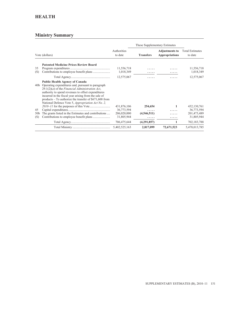### **HEALTH**

|                 |                                                                                                                                                                                                                                                                                                                                                                                               |                         | These Supplementary Estimates |                                                |                                   |
|-----------------|-----------------------------------------------------------------------------------------------------------------------------------------------------------------------------------------------------------------------------------------------------------------------------------------------------------------------------------------------------------------------------------------------|-------------------------|-------------------------------|------------------------------------------------|-----------------------------------|
|                 | Vote (dollars)                                                                                                                                                                                                                                                                                                                                                                                | Authorities<br>to date  | <b>Transfers</b>              | <b>Adjustments to</b><br><b>Appropriations</b> | <b>Total Estimates</b><br>to date |
| 35<br>(S)       | <b>Patented Medicine Prices Review Board</b>                                                                                                                                                                                                                                                                                                                                                  | 11,556,718<br>1,018,349 | .                             |                                                | 11,556,718<br>1,018,349           |
|                 |                                                                                                                                                                                                                                                                                                                                                                                               | 12,575,067              |                               |                                                | 12,575,067                        |
| 40 <sub>b</sub> | <b>Public Health Agency of Canada</b><br>Operating expenditures and, pursuant to paragraph<br>$29.1(2)(a)$ of the <i>Financial Administration Act</i> ,<br>authority to spend revenues to offset expenditures<br>incurred in the fiscal year arising from the sale of<br>products – To authorize the transfer of $$671,600$ from<br>National Defence Vote 5, <i>Appropriation Act No. 2</i> , |                         |                               |                                                |                                   |
|                 |                                                                                                                                                                                                                                                                                                                                                                                               | 431,876,106             | 254,654                       |                                                | 432, 130, 761                     |
| 45              |                                                                                                                                                                                                                                                                                                                                                                                               | 36,773,594              | .                             |                                                | 36,773,594                        |
| 50 <sub>b</sub> | The grants listed in the Estimates and contributions                                                                                                                                                                                                                                                                                                                                          | 206,020,000             | (4,546,511)                   |                                                | 201,473,489                       |
| (S)             | Contributions to employee benefit plans                                                                                                                                                                                                                                                                                                                                                       | 31,805,944              | .                             | .                                              | 31,805,944                        |
|                 |                                                                                                                                                                                                                                                                                                                                                                                               | 706,475,644             | (4,291,857)                   | 1                                              | 702,183,788                       |
|                 |                                                                                                                                                                                                                                                                                                                                                                                               | 5,402,525,163           | 2,817,099                     | 72,671,523                                     | 5.478.013.785                     |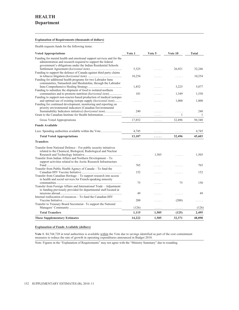#### **Explanation of Requirements (thousands of dollars)**

Health requests funds for the following items:

| <b>Voted Appropriations</b>                                                                                                                                                                           | Vote 1 | Vote 5     | Vote 10    | <b>Total</b> |
|-------------------------------------------------------------------------------------------------------------------------------------------------------------------------------------------------------|--------|------------|------------|--------------|
| Funding for mental health and emotional support services and for the<br>administration and research required to support the federal<br>government's obligations under the Indian Residential Schools  |        |            |            |              |
|                                                                                                                                                                                                       | 5,325  | .          | 26,921     | 32,246       |
| Funding to support the defence of Canada against third party claims                                                                                                                                   | 10,254 |            | .          | 10,254       |
| Funding for additional health programs for two Labrador Innu<br>communities, Natuashish and Sheshatshiu, through the Labrador                                                                         |        |            |            |              |
| Funding to subsidize the shipment of food to isolated northern                                                                                                                                        | 1,852  | .          | 3,225      | 5,077        |
| communities and to promote nutrition ( <i>horizontal item</i> )                                                                                                                                       | 181    | .          | 1,349      | 1,530        |
| Funding to support non-reactor-based production of medical isotopes<br>and optimal use of existing isotope supply (horizontal item)<br>Funding for continued development, monitoring and reporting on | .      |            | 1,000      | 1,000        |
| priority environmental indicators (Canadian Environmental<br>Sustainability Indicators initiative) (horizontal item)                                                                                  | 240    | .          | .          | 240          |
| Grant to the Canadian Institute for Health Information                                                                                                                                                | .      | .          | 1          | 1            |
| Gross Voted Appropriations                                                                                                                                                                            | 17,852 | .          | 32,496     | 50,348       |
| <b>Funds Available</b>                                                                                                                                                                                |        |            |            |              |
| Less: Spending authorities available within the Vote                                                                                                                                                  | 4,745  | .          | .          | 4,745        |
| <b>Total Voted Appropriations</b>                                                                                                                                                                     | 13,107 | .          | 32,496     | 45,603       |
| <b>Transfers</b>                                                                                                                                                                                      |        |            |            |              |
| Transfer from National Defence – For public security initiatives<br>related to the Chemical, Biological, Radiological and Nuclear                                                                     |        | 1,505      |            | 1,505        |
| Transfer from Indian Affairs and Northern Development - To<br>support activities related to the Arctic Research Infrastructure                                                                        |        |            |            |              |
| Transfer from Public Health Agency of Canada – To fund the                                                                                                                                            | 765    | .          | $\cdots$   | 765          |
| Transfer from Canadian Heritage – To support research into access                                                                                                                                     | 152    | .          |            | 152          |
| to health and social services for French-speaking minority<br>Transfer from Foreign Affairs and International Trade - Adjustment                                                                      | 75     | .          | 75         | 150          |
| to funding previously provided for departmental staff located at                                                                                                                                      | 49     |            | .          | 49           |
| Internal reallocation of resources – To fund the Canadian HIV                                                                                                                                         | 200    | .          | (200)      | .            |
| Transfer to Treasury Board Secretariat-To support the National                                                                                                                                        | (126)  |            |            | (126)        |
| <b>Total Transfers</b>                                                                                                                                                                                | 1,115  | .<br>1,505 | .<br>(125) | 2,495        |
| <b>These Supplementary Estimates</b>                                                                                                                                                                  | 14,222 | 1,505      | 32,371     | 48,098       |
|                                                                                                                                                                                                       |        |            |            |              |

#### **Explanation of Funds Available (dollars)**

**Vote 1**: \$4,744,728 in total authorities is available within the Vote due to savings identified as part of the cost containment measures to reduce the rate of growth in operating expenditures announced in Budget 2010.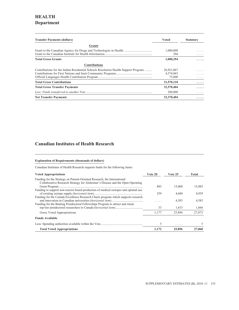## **HEALTH Department**

| <b>Transfer Payments (dollars)</b>                                                 | <b>Voted</b>                      | <b>Statutory</b> |
|------------------------------------------------------------------------------------|-----------------------------------|------------------|
| <b>Grants</b>                                                                      |                                   |                  |
|                                                                                    | 1,000,000<br>294                  | .                |
| <b>Total Gross Grants</b>                                                          | 1,000,294                         |                  |
| <b>Contributions</b>                                                               |                                   |                  |
| Contributions for the Indian Residential Schools Resolution Health Support Program | 26,921,067<br>4,574,043<br>75,000 | .<br>.<br>.      |
| <b>Total Gross Contributions</b>                                                   | 31,570,110                        | .                |
| <b>Total Gross Transfer Payments</b>                                               | 32,570,404                        | .                |
|                                                                                    | 200,000                           | .                |
| <b>Net Transfer Payments</b>                                                       | 32,370,404                        | .                |

### **Canadian Institutes of Health Research**

### **Explanation of Requirements (thousands of dollars)**

Canadian Institutes of Health Research requests funds for the following items:

| <b>Voted Appropriations</b>                                                                                                                                         | Vote 20 | Vote 25 | Total  |
|---------------------------------------------------------------------------------------------------------------------------------------------------------------------|---------|---------|--------|
| Funding for the Strategy on Patient-Oriented Research, the International<br>Collaborative Research Strategy for Alzheimer's Disease and the Open Operating          |         |         |        |
|                                                                                                                                                                     | 885     | 15,000  | 15,885 |
| Funding to support non-reactor-based production of medical isotopes and optimal use                                                                                 | 259     | 4.680   | 4.939  |
| Funding for the Canada Excellence Research Chairs program which supports research<br>Funding for the Banting Postdoctoral Fellowships Program to attract and retain |         | 4,583   | 4.583  |
|                                                                                                                                                                     | 33      | 1.633   | 1.666  |
| Gross Voted Appropriations                                                                                                                                          | 1,177   | 25,896  | 27,073 |
| <b>Funds Available</b>                                                                                                                                              |         |         |        |
|                                                                                                                                                                     | 5       | .       | 5.     |
| <b>Total Voted Appropriations</b>                                                                                                                                   | 1.172   | 25,896  | 27,068 |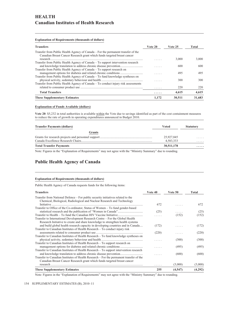### **HEALTH Canadian Institutes of Health Research**

#### **Explanation of Requirements (thousands of dollars)**

| <b>Transfers</b>                                                                  | Vote 20 | Vote 25 | Total  |
|-----------------------------------------------------------------------------------|---------|---------|--------|
| Transfer from Public Health Agency of Canada – For the permanent transfer of the  |         |         |        |
| Canadian Breast Cancer Research grant which funds targeted breast cancer          |         |         |        |
|                                                                                   |         | 3,000   | 3.000  |
| Transfer from Public Health Agency of Canada – To support intervention research   |         |         |        |
|                                                                                   |         | 600     | 600    |
| Transfer from Public Health Agency of Canada – To support research on             |         |         |        |
|                                                                                   |         | 495     | 495    |
| Transfer from Public Health Agency of Canada – To fund knowledge syntheses on     |         |         |        |
|                                                                                   |         | 300     | 300    |
| Transfer from Public Health Agency of Canada – To conduct injury risk assessments |         |         |        |
|                                                                                   | .       | 220     | 220    |
| <b>Total Transfers</b>                                                            | .       | 4.615   | 4.615  |
| <b>These Supplementary Estimates</b>                                              | 1.172   | 30,511  | 31,683 |

#### **Explanation of Funds Available (dollars)**

**Vote 20**: \$5,232 in total authorities is available within the Vote due to savings identified as part of the cost containment measures to reduce the rate of growth in operating expenditures announced in Budget 2010.

| <b>Transfer Payments (dollars)</b> | Voted      | <b>Statutory</b> |
|------------------------------------|------------|------------------|
| Grants                             |            |                  |
|                                    | 25,927,845 | .                |
|                                    | 4.583.333  | .                |
| <b>Total Transfer Payments</b>     | 30,511,178 | .                |

Note: Figures in the "Explanation of Requirements" may not agree with the "Ministry Summary" due to rounding.

### **Public Health Agency of Canada**

#### **Explanation of Requirements (thousands of dollars)**

Public Health Agency of Canada requests funds for the following items:

| <b>Transfers</b>                                                                                                                                                | Vote 40 | Vote 50 | Total   |
|-----------------------------------------------------------------------------------------------------------------------------------------------------------------|---------|---------|---------|
| Transfer from National Defence – For public security initiatives related to the<br>Chemical, Biological, Radiological and Nuclear Research and Technology       |         |         |         |
|                                                                                                                                                                 | 672     |         | 672     |
| Transfer to Office of the Co-ordinator, Status of Women – To fund gender-based                                                                                  |         |         |         |
|                                                                                                                                                                 | (25)    | .       | (25)    |
|                                                                                                                                                                 |         | (152)   | (152)   |
| Transfer to International Development Research Centre - For the Global Health<br>Research Initiative to create and share knowledge to strengthen health systems |         |         |         |
| and build global health research capacity in developing countries and in Canada                                                                                 | (172)   |         | (172)   |
| Transfer to Canadian Institutes of Health Research – To conduct injury risk                                                                                     | (220)   |         | (220)   |
| Transfer to Canadian Institutes of Health Research – To fund knowledge syntheses on                                                                             |         |         |         |
|                                                                                                                                                                 |         | (300)   | (300)   |
| Transfer to Canadian Institutes of Health Research – To support research on                                                                                     |         |         |         |
|                                                                                                                                                                 |         | (495)   | (495)   |
| Transfer to Canadian Institutes of Health Research – To support intervention research                                                                           |         | (600)   | (600)   |
| Transfer to Canadian Institutes of Health Research – For the permanent transfer of the                                                                          |         |         |         |
| Canadian Breast Cancer Research grant which funds targeted breast cancer                                                                                        |         |         |         |
|                                                                                                                                                                 |         | (3,000) | (3,000) |
| <b>These Supplementary Estimates</b>                                                                                                                            | 255     | (4,547) | (4,292) |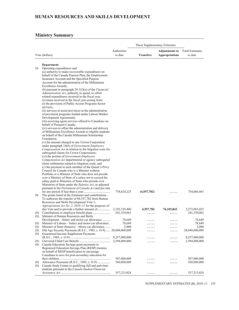### **HUMAN RESOURCES AND SKILLS DEVELOPMENT**

### **Ministry Summary**

|     |                                                                                                        |                              | These Supplementary Estimates |                                                |                                   |  |
|-----|--------------------------------------------------------------------------------------------------------|------------------------------|-------------------------------|------------------------------------------------|-----------------------------------|--|
|     | Vote (dollars)                                                                                         | Authorities<br>to date       | <b>Transfers</b>              | <b>Adjustments to</b><br><b>Appropriations</b> | <b>Total Estimates</b><br>to date |  |
|     | Department                                                                                             |                              |                               |                                                |                                   |  |
| 1b  | Operating expenditures and                                                                             |                              |                               |                                                |                                   |  |
|     | $(a)$ authority to make recoverable expenditures on                                                    |                              |                               |                                                |                                   |  |
|     | behalf of the Canada Pension Plan, the Employment                                                      |                              |                               |                                                |                                   |  |
|     | Insurance Account and the Specified Purpose                                                            |                              |                               |                                                |                                   |  |
|     | Account for the administration of the Millennium                                                       |                              |                               |                                                |                                   |  |
|     | Excellence Awards;                                                                                     |                              |                               |                                                |                                   |  |
|     | (b) pursuant to paragraph $29.1(2)(a)$ of the <i>Financial</i>                                         |                              |                               |                                                |                                   |  |
|     | Administration Act, authority to spend, to offset<br>related expenditures incurred in the fiscal year, |                              |                               |                                                |                                   |  |
|     | revenues received in the fiscal year arising from:                                                     |                              |                               |                                                |                                   |  |
|     | (i) the provision of Public Access Programs Sector                                                     |                              |                               |                                                |                                   |  |
|     | services;                                                                                              |                              |                               |                                                |                                   |  |
|     | (ii) services to assist provinces in the administration                                                |                              |                               |                                                |                                   |  |
|     | of provincial programs funded under Labour Market                                                      |                              |                               |                                                |                                   |  |
|     | Development Agreements;                                                                                |                              |                               |                                                |                                   |  |
|     | (iii) receiving agent services offered to Canadians on                                                 |                              |                               |                                                |                                   |  |
|     | behalf of Passport Canada;                                                                             |                              |                               |                                                |                                   |  |
|     | (iv) services to offset the administration and delivery                                                |                              |                               |                                                |                                   |  |
|     | of Millennium Excellence Awards to eligible students                                                   |                              |                               |                                                |                                   |  |
|     | on behalf of the Canada Millennium Scholarship<br>Foundation;                                          |                              |                               |                                                |                                   |  |
|     | (v) the amount charged to any Crown Corporation                                                        |                              |                               |                                                |                                   |  |
|     | under paragraph $14(b)$ of Government Employees                                                        |                              |                               |                                                |                                   |  |
|     | Compensation Act in relation to the litigation costs for                                               |                              |                               |                                                |                                   |  |
|     | subrogated claims for Crown Corporations;                                                              |                              |                               |                                                |                                   |  |
|     | (vi) the portion of Government Employees                                                               |                              |                               |                                                |                                   |  |
|     | Compensation Act departmental or agency subrogated                                                     |                              |                               |                                                |                                   |  |
|     | claim settlements related to litigation costs; and                                                     |                              |                               |                                                |                                   |  |
|     | $(c)$ the payment to each member of the Queen's Privy                                                  |                              |                               |                                                |                                   |  |
|     | Council for Canada who is a Minister without<br>Portfolio or a Minister of State who does not preside  |                              |                               |                                                |                                   |  |
|     | over a Ministry of State of a salary not to exceed the                                                 |                              |                               |                                                |                                   |  |
|     | salary paid to Ministers of State who preside over                                                     |                              |                               |                                                |                                   |  |
|     | Ministries of State under the Salaries Act, as adjusted                                                |                              |                               |                                                |                                   |  |
|     | pursuant to the Parliament of Canada Act and pro rata                                                  |                              |                               |                                                |                                   |  |
|     |                                                                                                        | 758,624,225                  | (4, 557, 782)                 |                                                | 754,066,443                       |  |
| 5b  | The grants listed in the Estimates and contributions -                                                 |                              |                               |                                                |                                   |  |
|     | To authorize the transfer of \$4,557,782 from Human                                                    |                              |                               |                                                |                                   |  |
|     | Resources and Skills Development Vote 1,                                                               |                              |                               |                                                |                                   |  |
|     | Appropriation Act No. 2, 2010-11 for the purposes of<br>this Vote and to provide a further amount of   |                              |                               |                                                |                                   |  |
| (S) |                                                                                                        | 2,192,339,400<br>241,339,063 | 4,557,782                     | 76,105,843                                     | 2,273,003,025<br>241,339,063      |  |
| (S) | Minister of Human Resources and Skills                                                                 |                              | .                             | .                                              |                                   |  |
|     | Development – Salary and motor car allowance                                                           | 78,649                       |                               |                                                | 78,649                            |  |
| (S) | Minister of Labour - Salary and motor car allowance.                                                   | 78,649                       |                               |                                                | 78,649                            |  |
| (S) | Minister of State (Seniors) – Motor car allowance                                                      | 2,000                        |                               | .                                              | 2,000                             |  |
| (S) | Old Age Security Payments (R.S.C., 1985, c. O-9) 28,048,000,000                                        |                              |                               | .                                              | 28,048,000,000                    |  |
| (S) | Guaranteed Income Supplement Payments                                                                  |                              |                               |                                                |                                   |  |
|     |                                                                                                        | 8,257,000,000                |                               | $\cdots$                                       | 8,257,000,000                     |  |
| (S) |                                                                                                        | 2,594,000,000                |                               |                                                | 2,594,000,000                     |  |
| (S) | Canada Education Savings grant payments to<br>Registered Education Savings Plan (RESP) trustees        |                              |                               |                                                |                                   |  |
|     | on behalf of RESP beneficiaries to encourage                                                           |                              |                               |                                                |                                   |  |
|     | Canadians to save for post-secondary education for                                                     |                              |                               |                                                |                                   |  |
|     |                                                                                                        | 587,000,000                  |                               |                                                | 587,000,000                       |  |
| (S) | Allowance Payments (R.S.C., 1985, c. O-9)                                                              | 560,000,000                  |                               |                                                | 560,000,000                       |  |
| (S) | Canada Study Grants to qualifying full and part-time                                                   |                              |                               |                                                |                                   |  |
|     | students pursuant to the Canada Student Financial                                                      |                              |                               |                                                |                                   |  |
|     |                                                                                                        | 557,213,024                  |                               |                                                | 557,213,024                       |  |

<u> 1980 - Johann Barbara, martxa alemaniar amerikan basar da a</u>

SUPPLEMENTARY ESTIMATES (B), 2010–11 155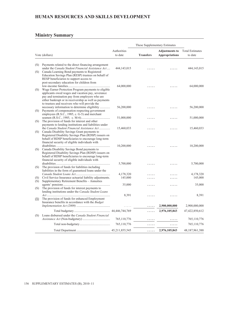### **HUMAN RESOURCES AND SKILLS DEVELOPMENT**

|            |                                                                                                                                                                                                                                                                        |                        | These Supplementary Estimates |                                                |                                   |  |  |
|------------|------------------------------------------------------------------------------------------------------------------------------------------------------------------------------------------------------------------------------------------------------------------------|------------------------|-------------------------------|------------------------------------------------|-----------------------------------|--|--|
|            | Vote (dollars)                                                                                                                                                                                                                                                         | Authorities<br>to date | <b>Transfers</b>              | <b>Adjustments to</b><br><b>Appropriations</b> | <b>Total Estimates</b><br>to date |  |  |
|            |                                                                                                                                                                                                                                                                        |                        |                               |                                                |                                   |  |  |
| (S)<br>(S) | Payments related to the direct financing arrangement<br>under the Canada Student Financial Assistance Act<br>Canada Learning Bond payments to Registered<br>Education Savings Plan (RESP) trustees on behalf of                                                        | 444, 143, 015          |                               |                                                | 444, 143, 015                     |  |  |
|            | RESP beneficiaries to support access to<br>post-secondary education for children from                                                                                                                                                                                  | 64,000,000             |                               |                                                | 64,000,000                        |  |  |
| (S)        | Wage Earner Protection Program payments to eligible<br>applicants owed wages and vacation pay, severance<br>pay and termination pay from employers who are<br>either bankrupt or in receivership as well as payments<br>to trustees and receivers who will provide the |                        |                               |                                                |                                   |  |  |
| (S)        | necessary information to determine eligibility<br>Payments of compensation respecting government<br>employees (R.S.C., 1985, c. G-5) and merchant                                                                                                                      | 56,200,000             |                               |                                                | 56,200,000                        |  |  |
| (S)        | The provision of funds for interest and other<br>payments to lending institutions and liabilities under                                                                                                                                                                | 51,000,000             |                               |                                                | 51,000,000                        |  |  |
| (S)        | the Canada Student Financial Assistance Act<br>Canada Disability Savings Grant payments to<br>Registered Disability Savings Plan (RDSP) issuers on                                                                                                                     | 15,460,033             |                               |                                                | 15,460,033                        |  |  |
| (S)        | behalf of RDSP beneficiaries to encourage long-term<br>financial security of eligible individuals with<br>Canada Disability Savings Bond payments to<br>Registered Disability Savings Plan (RDSP) issuers on<br>behalf of RDSP beneficiaries to encourage long-term    | 10,200,000             |                               |                                                | 10,200,000                        |  |  |
| (S)        | financial security of eligible individuals with<br>The provision of funds for liabilities including                                                                                                                                                                    | 5,700,000              |                               |                                                | 5,700,000                         |  |  |
|            | liabilities in the form of guaranteed loans under the                                                                                                                                                                                                                  | 4,178,320              |                               |                                                | 4,178,320                         |  |  |
| (S)<br>(S) | Civil Service Insurance actuarial liability adjustments.<br>Supplementary Retirement Benefits - Annuities                                                                                                                                                              | 145,000                | .                             | .                                              | 145,000                           |  |  |
| (S)        | The provision of funds for interest payments to<br>lending institutions under the Canada Student Loans                                                                                                                                                                 | 35,000                 | .                             | .                                              | 35,000                            |  |  |
| (S)        | The provision of funds for enhanced Employment<br>Insurance benefits in accordance with the Budget                                                                                                                                                                     | 8,391                  |                               |                                                | 8,391                             |  |  |
|            |                                                                                                                                                                                                                                                                        |                        | .                             | 2,900,000,000                                  | 2,900,000,000                     |  |  |
|            |                                                                                                                                                                                                                                                                        |                        | .                             | 2,976,105,843                                  | 47, 422, 850, 612                 |  |  |
| (S)        | Loans disbursed under the Canada Student Financial                                                                                                                                                                                                                     | 765,110,776            | .                             | .                                              | 765,110,776                       |  |  |
|            |                                                                                                                                                                                                                                                                        | 765,110,776            | .                             | .                                              | 765,110,776                       |  |  |
|            |                                                                                                                                                                                                                                                                        |                        | .                             | 2,976,105,843                                  | 48, 187, 961, 388                 |  |  |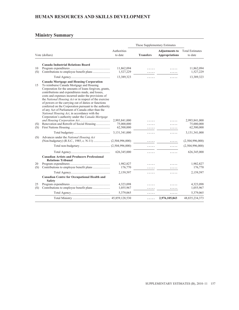### **HUMAN RESOURCES AND SKILLS DEVELOPMENT**

### **Ministry Summary**

| Authorities<br><b>Total Estimates</b><br><b>Adjustments to</b><br><b>Transfers</b><br>Vote (dollars)<br>to date<br><b>Appropriations</b><br>to date<br><b>Canada Industrial Relations Board</b><br>11,862,094<br>11,862,094<br>10<br>1,527,229<br>1,527,229<br>(S)<br>13,389,323<br>13,389,323<br>.<br>.<br><b>Canada Mortgage and Housing Corporation</b><br>To reimburse Canada Mortgage and Housing<br>15<br>Corporation for the amounts of loans forgiven, grants,<br>contributions and expenditures made, and losses,<br>costs and expenses incurred under the provisions of<br>the National Housing Act or in respect of the exercise<br>of powers or the carrying out of duties or functions<br>conferred on the Corporation pursuant to the authority<br>of any Act of Parliament of Canada other than the<br>National Housing Act, in accordance with the<br>Corporation's authority under the Canada Mortgage<br>2,993,841,000<br>2,993,841,000<br>75,000,000<br>Renovation and Retrofit of Social Housing<br>(S)<br>75,000,000<br>62,500,000<br>62,500,000<br>(S)<br>.<br>.<br>3,131,341,000<br>3,131,341,000<br>.<br>.<br>Advances under the National Housing Act<br>(S)<br>(2,504,996,000)<br>.<br>(2,504,996,000)<br>.<br>.<br>626, 345, 000<br>626,345,000<br>.<br><b>Canadian Artists and Producers Professional</b><br><b>Relations Tribunal</b><br>1,982,827<br>20<br>1,982,827<br>176,770<br>176,770<br>(S)<br>2,159,597<br>2,159,597<br>.<br>.<br>Canadian Centre for Occupational Health and<br><b>Safety</b><br>4,323,098<br>25<br>4,323,098<br>(S)<br>1,055,967<br>1,055,967<br>.<br>5,379,065<br>5,379,065<br>.<br>. | These Supplementary Estimates |  |  |   |               |                |
|----------------------------------------------------------------------------------------------------------------------------------------------------------------------------------------------------------------------------------------------------------------------------------------------------------------------------------------------------------------------------------------------------------------------------------------------------------------------------------------------------------------------------------------------------------------------------------------------------------------------------------------------------------------------------------------------------------------------------------------------------------------------------------------------------------------------------------------------------------------------------------------------------------------------------------------------------------------------------------------------------------------------------------------------------------------------------------------------------------------------------------------------------------------------------------------------------------------------------------------------------------------------------------------------------------------------------------------------------------------------------------------------------------------------------------------------------------------------------------------------------------------------------------------------------------------------------------------------------------------------------------------------|-------------------------------|--|--|---|---------------|----------------|
|                                                                                                                                                                                                                                                                                                                                                                                                                                                                                                                                                                                                                                                                                                                                                                                                                                                                                                                                                                                                                                                                                                                                                                                                                                                                                                                                                                                                                                                                                                                                                                                                                                              |                               |  |  |   |               |                |
|                                                                                                                                                                                                                                                                                                                                                                                                                                                                                                                                                                                                                                                                                                                                                                                                                                                                                                                                                                                                                                                                                                                                                                                                                                                                                                                                                                                                                                                                                                                                                                                                                                              |                               |  |  |   |               |                |
|                                                                                                                                                                                                                                                                                                                                                                                                                                                                                                                                                                                                                                                                                                                                                                                                                                                                                                                                                                                                                                                                                                                                                                                                                                                                                                                                                                                                                                                                                                                                                                                                                                              |                               |  |  |   |               |                |
|                                                                                                                                                                                                                                                                                                                                                                                                                                                                                                                                                                                                                                                                                                                                                                                                                                                                                                                                                                                                                                                                                                                                                                                                                                                                                                                                                                                                                                                                                                                                                                                                                                              |                               |  |  |   |               |                |
|                                                                                                                                                                                                                                                                                                                                                                                                                                                                                                                                                                                                                                                                                                                                                                                                                                                                                                                                                                                                                                                                                                                                                                                                                                                                                                                                                                                                                                                                                                                                                                                                                                              |                               |  |  |   |               |                |
|                                                                                                                                                                                                                                                                                                                                                                                                                                                                                                                                                                                                                                                                                                                                                                                                                                                                                                                                                                                                                                                                                                                                                                                                                                                                                                                                                                                                                                                                                                                                                                                                                                              |                               |  |  |   |               |                |
|                                                                                                                                                                                                                                                                                                                                                                                                                                                                                                                                                                                                                                                                                                                                                                                                                                                                                                                                                                                                                                                                                                                                                                                                                                                                                                                                                                                                                                                                                                                                                                                                                                              |                               |  |  |   |               |                |
|                                                                                                                                                                                                                                                                                                                                                                                                                                                                                                                                                                                                                                                                                                                                                                                                                                                                                                                                                                                                                                                                                                                                                                                                                                                                                                                                                                                                                                                                                                                                                                                                                                              |                               |  |  |   |               |                |
|                                                                                                                                                                                                                                                                                                                                                                                                                                                                                                                                                                                                                                                                                                                                                                                                                                                                                                                                                                                                                                                                                                                                                                                                                                                                                                                                                                                                                                                                                                                                                                                                                                              |                               |  |  |   |               |                |
|                                                                                                                                                                                                                                                                                                                                                                                                                                                                                                                                                                                                                                                                                                                                                                                                                                                                                                                                                                                                                                                                                                                                                                                                                                                                                                                                                                                                                                                                                                                                                                                                                                              |                               |  |  |   |               |                |
|                                                                                                                                                                                                                                                                                                                                                                                                                                                                                                                                                                                                                                                                                                                                                                                                                                                                                                                                                                                                                                                                                                                                                                                                                                                                                                                                                                                                                                                                                                                                                                                                                                              |                               |  |  |   |               |                |
|                                                                                                                                                                                                                                                                                                                                                                                                                                                                                                                                                                                                                                                                                                                                                                                                                                                                                                                                                                                                                                                                                                                                                                                                                                                                                                                                                                                                                                                                                                                                                                                                                                              |                               |  |  |   |               |                |
|                                                                                                                                                                                                                                                                                                                                                                                                                                                                                                                                                                                                                                                                                                                                                                                                                                                                                                                                                                                                                                                                                                                                                                                                                                                                                                                                                                                                                                                                                                                                                                                                                                              |                               |  |  |   |               |                |
|                                                                                                                                                                                                                                                                                                                                                                                                                                                                                                                                                                                                                                                                                                                                                                                                                                                                                                                                                                                                                                                                                                                                                                                                                                                                                                                                                                                                                                                                                                                                                                                                                                              |                               |  |  |   |               |                |
|                                                                                                                                                                                                                                                                                                                                                                                                                                                                                                                                                                                                                                                                                                                                                                                                                                                                                                                                                                                                                                                                                                                                                                                                                                                                                                                                                                                                                                                                                                                                                                                                                                              |                               |  |  |   |               |                |
|                                                                                                                                                                                                                                                                                                                                                                                                                                                                                                                                                                                                                                                                                                                                                                                                                                                                                                                                                                                                                                                                                                                                                                                                                                                                                                                                                                                                                                                                                                                                                                                                                                              |                               |  |  |   |               |                |
|                                                                                                                                                                                                                                                                                                                                                                                                                                                                                                                                                                                                                                                                                                                                                                                                                                                                                                                                                                                                                                                                                                                                                                                                                                                                                                                                                                                                                                                                                                                                                                                                                                              |                               |  |  |   |               |                |
|                                                                                                                                                                                                                                                                                                                                                                                                                                                                                                                                                                                                                                                                                                                                                                                                                                                                                                                                                                                                                                                                                                                                                                                                                                                                                                                                                                                                                                                                                                                                                                                                                                              |                               |  |  |   |               |                |
|                                                                                                                                                                                                                                                                                                                                                                                                                                                                                                                                                                                                                                                                                                                                                                                                                                                                                                                                                                                                                                                                                                                                                                                                                                                                                                                                                                                                                                                                                                                                                                                                                                              |                               |  |  | . | 2,976,105,843 | 48,835,234,373 |

<u> 1989 - Johann Barbara, martxa alemaniar a</u>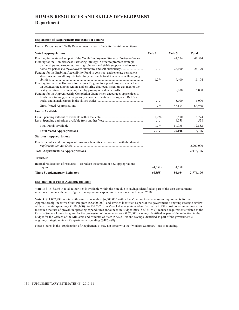## **HUMAN RESOURCES AND SKILLS DEVELOPMENT Department**

#### **Explanation of Requirements (thousands of dollars)**

Human Resources and Skills Development requests funds for the following items:

| <b>Voted Appropriations</b>                                                                                                                                                                                                                                      | Vote 1  | Vote 5 | <b>Total</b> |
|------------------------------------------------------------------------------------------------------------------------------------------------------------------------------------------------------------------------------------------------------------------|---------|--------|--------------|
| Funding for continued support of the Youth Employment Strategy ( <i>horizontal item</i> )<br>Funding for the Homelessness Partnering Strategy in order to promote strategic<br>partnerships and structures, housing solutions and stable supports; and to assist | .       | 41,574 | 41,574       |
| Funding for the Enabling Accessibility Fund to construct and renovate permanent                                                                                                                                                                                  | .       | 26,190 | 26,190       |
| structures and small projects to be fully accessible to all Canadians with varying<br>Funding for the New Horizons for Seniors Program to support projects which focus                                                                                           | 1,774   | 9,400  | 11,174       |
| on volunteering among seniors and ensuring that today's seniors can mentor the<br>Funding for the Apprenticeship Completion Grant which encourages apprentices to<br>finish their training, receive journeyperson certification in designated Red Seal           | .       | 5,000  | 5,000        |
|                                                                                                                                                                                                                                                                  | .       | 5,000  | 5,000        |
| Gross Voted Appropriations                                                                                                                                                                                                                                       | 1.774   | 87,164 | 88,938       |
| <b>Funds Available</b>                                                                                                                                                                                                                                           |         |        |              |
|                                                                                                                                                                                                                                                                  | 1,774   | 6,500  | 8,274        |
|                                                                                                                                                                                                                                                                  |         | 4,558  | 4,558        |
| <b>Total Funds Available</b>                                                                                                                                                                                                                                     | 1.774   | 11,058 | 12,832       |
| <b>Total Voted Appropriations</b>                                                                                                                                                                                                                                | .       | 76,106 | 76,106       |
| <b>Statutory Appropriations</b>                                                                                                                                                                                                                                  |         |        |              |
| Funds for enhanced Employment Insurance benefits in accordance with the <i>Budget</i>                                                                                                                                                                            |         |        | 2,900,000    |
| <b>Total Adjustments to Appropriations</b>                                                                                                                                                                                                                       |         |        | 2,976,106    |
| <b>Transfers</b>                                                                                                                                                                                                                                                 |         |        |              |
| Internal reallocation of resources – To reduce the amount of new appropriations                                                                                                                                                                                  | (4,558) | 4,558  |              |
| <b>These Supplementary Estimates</b>                                                                                                                                                                                                                             | (4,558) | 80,664 | 2,976,106    |

#### **Explanation of Funds Available (dollars)**

**Vote 1**: \$1,773,866 in total authorities is available within the vote due to savings identified as part of the cost containment measures to reduce the rate of growth in operating expenditures announced in Budget 2010.

Vote 5: \$11,057,782 in total authorities is available: \$6,500,000 within the Vote due to a decrease in requirements for the Apprenticeship Incentive Grant Program (\$5,000,000); and savings identified as part of the government's ongoing strategic review of departmental spending (\$1,500,000). \$4,557,782 from Vote 1 due to savings identified as part of the cost containment measures to reduce the rate of growth in operating expenditures announced in Budget 2010 (\$2,381,747); reduced requirements related to the Canada Student Loans Program for the processing of documentation (\$862,000); savings identified as part of the reduction in the budget for the Offices of the Ministers and Minister of State (\$827,547); and savings identified as part of the government's ongoing strategic review of departmental spending (\$486,488).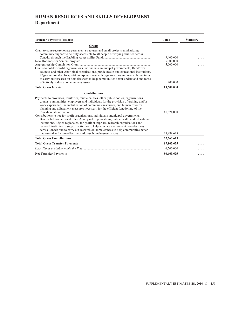# **HUMAN RESOURCES AND SKILLS DEVELOPMENT Department**

| <b>Transfer Payments (dollars)</b>                                                                                                                                                                                                                                                                                                                                                                                                                                                                                                                                                                                                                                                                                                                                                                     | <b>Voted</b>                        | <b>Statutory</b> |
|--------------------------------------------------------------------------------------------------------------------------------------------------------------------------------------------------------------------------------------------------------------------------------------------------------------------------------------------------------------------------------------------------------------------------------------------------------------------------------------------------------------------------------------------------------------------------------------------------------------------------------------------------------------------------------------------------------------------------------------------------------------------------------------------------------|-------------------------------------|------------------|
| <b>Grants</b>                                                                                                                                                                                                                                                                                                                                                                                                                                                                                                                                                                                                                                                                                                                                                                                          |                                     |                  |
| Grant to construct/renovate permanent structures and small projects emphasizing<br>community support to be fully accessible to all people of varying abilities across                                                                                                                                                                                                                                                                                                                                                                                                                                                                                                                                                                                                                                  | 9,400,000<br>5,000,000<br>5,000,000 |                  |
| Grants to not-for-profit organizations, individuals, municipal governments, Band/tribal<br>councils and other Aboriginal organizations, public health and educational institutions,<br>Régies régionales, for-profit enterprises, research organizations and research institutes<br>to carry out research on homelessness to help communities better understand and more                                                                                                                                                                                                                                                                                                                                                                                                                               | 200,000                             |                  |
| <b>Total Gross Grants</b>                                                                                                                                                                                                                                                                                                                                                                                                                                                                                                                                                                                                                                                                                                                                                                              | 19,600,000                          |                  |
| <b>Contributions</b>                                                                                                                                                                                                                                                                                                                                                                                                                                                                                                                                                                                                                                                                                                                                                                                   |                                     |                  |
| Payments to provinces, territories, municipalities, other public bodies, organizations,<br>groups, communities, employers and individuals for the provision of training and/or<br>work experience, the mobilization of community resources, and human resource<br>planning and adjustment measures necessary for the efficient functioning of the<br>Contributions to not-for-profit organizations, individuals, municipal governments,<br>Band/tribal councils and other Aboriginal organizations, public health and educational<br>institutions, Régies régionales, for-profit enterprises, research organizations and<br>research institutes to support activities to help alleviate and prevent homelessness<br>across Canada and to carry out research on homelessness to help communities better | 41,574,000<br>25,989,625            |                  |
| <b>Total Gross Contributions</b>                                                                                                                                                                                                                                                                                                                                                                                                                                                                                                                                                                                                                                                                                                                                                                       | 67,563,625                          | .                |
| <b>Total Gross Transfer Payments</b>                                                                                                                                                                                                                                                                                                                                                                                                                                                                                                                                                                                                                                                                                                                                                                   | 87,163,625                          |                  |
|                                                                                                                                                                                                                                                                                                                                                                                                                                                                                                                                                                                                                                                                                                                                                                                                        | 6,500,000                           |                  |
| <b>Net Transfer Payments</b>                                                                                                                                                                                                                                                                                                                                                                                                                                                                                                                                                                                                                                                                                                                                                                           | 80,663,625                          |                  |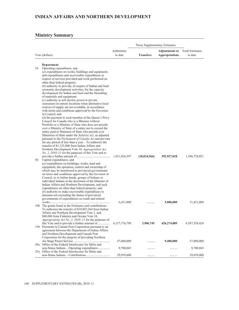### **INDIAN AFFAIRS AND NORTHERN DEVELOPMENT**

|    | Vote (dollars)                                                                                               | Authorities<br>to date | <b>Transfers</b> | <b>Adjustments to</b><br><b>Appropriations</b> | <b>Total Estimates</b><br>to date |
|----|--------------------------------------------------------------------------------------------------------------|------------------------|------------------|------------------------------------------------|-----------------------------------|
|    |                                                                                                              |                        |                  |                                                |                                   |
|    | Department                                                                                                   |                        |                  |                                                |                                   |
| 1b | Operating expenditures, and                                                                                  |                        |                  |                                                |                                   |
|    | $(a)$ expenditures on works, buildings and equipment;                                                        |                        |                  |                                                |                                   |
|    | and expenditures and recoverable expenditures in                                                             |                        |                  |                                                |                                   |
|    | respect of services provided and work performed on                                                           |                        |                  |                                                |                                   |
|    | other than federal property;<br>$(b)$ authority to provide, in respect of Indian and Inuit                   |                        |                  |                                                |                                   |
|    | economic development activities, for the capacity                                                            |                        |                  |                                                |                                   |
|    | development for Indian and Inuit and the furnishing                                                          |                        |                  |                                                |                                   |
|    | of materials and equipment;                                                                                  |                        |                  |                                                |                                   |
|    | (c) authority to sell electric power to private                                                              |                        |                  |                                                |                                   |
|    | consumers in remote locations when alternative local                                                         |                        |                  |                                                |                                   |
|    | sources of supply are not available, in accordance                                                           |                        |                  |                                                |                                   |
|    | with terms and conditions approved by the Governor                                                           |                        |                  |                                                |                                   |
|    | in Council; and                                                                                              |                        |                  |                                                |                                   |
|    | (d) the payment to each member of the Queen's Privy<br>Council for Canada who is a Minister without          |                        |                  |                                                |                                   |
|    | Portfolio or a Minister of State who does not preside                                                        |                        |                  |                                                |                                   |
|    | over a Ministry of State of a salary not to exceed the                                                       |                        |                  |                                                |                                   |
|    | salary paid to Ministers of State who preside over                                                           |                        |                  |                                                |                                   |
|    | Ministries of State under the Salaries Act, as adjusted                                                      |                        |                  |                                                |                                   |
|    | pursuant to the Parliament of Canada Act and pro rata                                                        |                        |                  |                                                |                                   |
|    | for any period of less than a year $-$ To authorize the                                                      |                        |                  |                                                |                                   |
|    | transfer of \$1,125,000 from Indian Affairs and<br>Northern Development Vote 10, Appropriation Act           |                        |                  |                                                |                                   |
|    | No. 2, $2010 - 11$ for the purposes of this Vote and to                                                      |                        |                  |                                                |                                   |
|    |                                                                                                              | 1,021,826,597          | (18, 024, 564)   | 392,927,018                                    | 1,396,729,051                     |
| 5b | Capital expenditures, and                                                                                    |                        |                  |                                                |                                   |
|    | $(a)$ expenditures on buildings, works, land and                                                             |                        |                  |                                                |                                   |
|    | equipment, the operation, control and ownership of                                                           |                        |                  |                                                |                                   |
|    | which may be transferred to provincial governments                                                           |                        |                  |                                                |                                   |
|    | on terms and conditions approved by the Governor in                                                          |                        |                  |                                                |                                   |
|    | Council, or to Indian bands, groups of Indians or<br>individual Indians at the discretion of the Minister of |                        |                  |                                                |                                   |
|    | Indian Affairs and Northern Development, and such                                                            |                        |                  |                                                |                                   |
|    | expenditures on other than federal property; and                                                             |                        |                  |                                                |                                   |
|    | $(b)$ authority to make recoverable expenditures in                                                          |                        |                  |                                                |                                   |
|    | amounts not exceeding the shares of provincial                                                               |                        |                  |                                                |                                   |
|    | governments of expenditures on roads and related                                                             |                        |                  |                                                |                                   |
|    | 10b The grants listed in the Estimates and contributions –                                                   | 6,431,000              |                  | 5,000,000                                      | 11,431,000                        |
|    | To authorize the transfer of \$18,803,264 from Indian                                                        |                        |                  |                                                |                                   |
|    | Affairs and Northern Development Vote 1, and                                                                 |                        |                  |                                                |                                   |
|    | \$80,000 from Fisheries and Oceans Vote 10,                                                                  |                        |                  |                                                |                                   |
|    | Appropriation Act No. 2, 2010–11 for the purposes of                                                         |                        |                  |                                                |                                   |
|    | this Vote and to provide a further amount of                                                                 | 6, 157, 176, 790       | 3,906,745        | 426,274,889                                    | 6,587,358,424                     |
|    | 15b Payments to Canada Post Corporation pursuant to an                                                       |                        |                  |                                                |                                   |
|    | agreement between the Department of Indian Affairs                                                           |                        |                  |                                                |                                   |
|    | and Northern Development and Canada Post<br>Corporation for the purpose of providing Northern                |                        |                  |                                                |                                   |
|    |                                                                                                              | 47,600,000             |                  | 9,400,000                                      | 57,000,000                        |
|    | 20a Office of the Federal Interlocutor for Métis and                                                         |                        |                  |                                                |                                   |
|    | non-Status Indians – Operating expenditures                                                                  | 9,700,043              |                  |                                                | 9,700,043                         |
|    | 25a Office of the Federal Interlocutor for Métis and                                                         |                        |                  |                                                |                                   |
|    |                                                                                                              | 29,939,000             |                  |                                                | 29,939,000                        |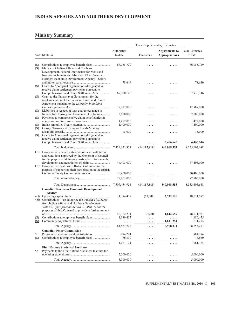### **INDIAN AFFAIRS AND NORTHERN DEVELOPMENT**

### **Ministry Summary**

|            | These Supplementary Estimates                                                                                                                                                                                                                                                                 |                          |                  |                       |                                   |
|------------|-----------------------------------------------------------------------------------------------------------------------------------------------------------------------------------------------------------------------------------------------------------------------------------------------|--------------------------|------------------|-----------------------|-----------------------------------|
|            |                                                                                                                                                                                                                                                                                               | Authorities              | <b>Transfers</b> | <b>Adjustments to</b> | <b>Total Estimates</b><br>to date |
|            | Vote (dollars)                                                                                                                                                                                                                                                                                | to date                  |                  | <b>Appropriations</b> |                                   |
| (S)<br>(S) | Minister of Indian Affairs and Northern<br>Development, Federal Interlocutor for Métis and<br>Non-Status Indians and Minister of the Canadian                                                                                                                                                 | 66,055,729               |                  |                       | 66,055,729                        |
| (S)        | Northern Economic Development Agency - Salary<br>Grants to Aboriginal organizations designated to<br>receive claim settlement payments pursuant to                                                                                                                                            | 78,649                   |                  |                       | 78,649                            |
| (S)        | Comprehensive Land Claim Settlement Acts<br>Grant to the Nunatsiavut Government for the<br>implementation of the Labrador Inuit Land Claims<br>Agreement pursuant to the <i>Labrador Inuit Land</i>                                                                                           | 67,970,146               |                  |                       | 67,970,146                        |
| (S)        | Liabilities in respect of loan guarantees made to                                                                                                                                                                                                                                             | 17,987,000               |                  |                       | 17,987,000                        |
| (S)        | Indians for Housing and Economic Development<br>Payments to comprehensive claim beneficiaries in                                                                                                                                                                                              | 2,000,000                |                  |                       | 2,000,000                         |
| (S)        |                                                                                                                                                                                                                                                                                               | 1,472,000<br>1,400,000   |                  |                       | 1,472,000<br>1,400,000            |
| (S)<br>(S) | Grassy Narrows and Islington Bands Mercury<br>Grants to Aboriginal organizations designated to<br>receive claim settlement payments pursuant to                                                                                                                                               | 15,000                   |                  |                       | 15,000                            |
|            | Comprehensive Land Claim Settlement Acts                                                                                                                                                                                                                                                      |                          |                  | 6,466,646             | 6,466,646                         |
|            |                                                                                                                                                                                                                                                                                               | 7,429,651,954            | (14, 117, 819)   | 840,068,553           | 8,255,602,688                     |
|            | L30 Loans to native claimants in accordance with terms<br>and conditions approved by the Governor in Council<br>for the purpose of defraying costs related to research,<br>L35 Loans to First Nations in British Columbia for the<br>purpose of supporting their participation in the British | 47,403,000<br>30,400,000 |                  |                       | 47,403,000<br>30,400,000          |
|            |                                                                                                                                                                                                                                                                                               | 77,803,000               | .                | .                     | 77,803,000                        |
|            |                                                                                                                                                                                                                                                                                               | 7,507,454,954            | (14, 117, 819)   | 840,068,553           | 8, 333, 405, 688                  |
|            | <b>Canadian Northern Economic Development</b>                                                                                                                                                                                                                                                 |                          |                  |                       |                                   |
| 40b        | Agency<br>45b Contributions – To authorize the transfer of $$75,000$<br>from Indian Affairs and Northern Development<br>Vote 40, Appropriation Act No. 2, 2010-11 for the<br>purposes of this Vote and to provide a further amount                                                            | 14,394,477               | (75,000)         | 3,712,120             | 18,031,597                        |
|            |                                                                                                                                                                                                                                                                                               | 46,312,294               | 75,000           | 1,644,657             | 48,031,951                        |
| (S)        |                                                                                                                                                                                                                                                                                               | 1,180,455                |                  | $\cdots$              | 1,180,455                         |
| (S)        |                                                                                                                                                                                                                                                                                               | $\cdots$                 | .                | 1,611,254             | 1,611,254                         |
|            |                                                                                                                                                                                                                                                                                               | 61,887,226               | .                | 6,968,031             | 68,855,257                        |
| 50<br>(S)  | <b>Canadian Polar Commission</b>                                                                                                                                                                                                                                                              | 984,294<br>76,830        | .<br>.           | .                     | 984,294<br>76,830                 |
|            |                                                                                                                                                                                                                                                                                               | 1,061,124                | .                | .                     | 1,061,124                         |
| 55         | <b>First Nations Statistical Institute</b><br>Payments to the First Nations Statistical Institute for                                                                                                                                                                                         |                          |                  |                       |                                   |
|            |                                                                                                                                                                                                                                                                                               | 5,000,000                | .                | $\cdots\cdots$        | 5,000,000                         |
|            |                                                                                                                                                                                                                                                                                               | 5,000,000                | .                | .                     | 5,000,000                         |

<u> 1989 - Johann Stein, marwolaethau a bhann an t-Amhainn an t-Amhainn an t-Amhainn an t-Amhainn an t-Amhainn a</u>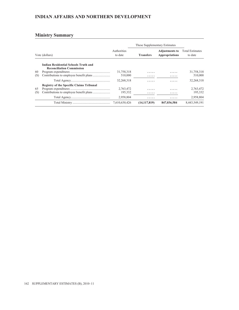### **INDIAN AFFAIRS AND NORTHERN DEVELOPMENT**

### **Ministry Summary**

|                |                                                                                 |                        | These Supplementary Estimates |                                         |                                   |  |
|----------------|---------------------------------------------------------------------------------|------------------------|-------------------------------|-----------------------------------------|-----------------------------------|--|
| Vote (dollars) |                                                                                 | Authorities<br>to date | <b>Transfers</b>              | <b>Adjustments to</b><br>Appropriations | <b>Total Estimates</b><br>to date |  |
|                | <b>Indian Residential Schools Truth and</b><br><b>Reconciliation Commission</b> |                        |                               |                                         |                                   |  |
| 60<br>(S)      |                                                                                 | 31,758,318<br>510,000  | .<br>.                        | .<br>.                                  | 31,758,318<br>510,000             |  |
|                |                                                                                 | 32,268,318             | .                             | .                                       | 32,268,318                        |  |
| 65<br>(S)      | <b>Registry of the Specific Claims Tribunal</b>                                 | 2,763,472<br>195.332   | .<br>.                        | .<br>.                                  | 2,763,472<br>195,332              |  |
|                |                                                                                 | 2,958,804              | .                             | .                                       | 2,958,804                         |  |
|                |                                                                                 | 7.610.630.426          | (14, 117, 819)                | 847,036,584                             | 8.443.549.191                     |  |

<u> 1980 - Johann Barbara, martxa alemaniar arg</u>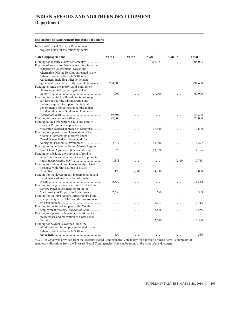## **INDIAN AFFAIRS AND NORTHERN DEVELOPMENT Department**

#### **Explanation of Requirements (thousands of dollars)**

Indian Affairs and Northern Development requests funds for the following items:

| <b>Voted Appropriations</b>                                                                                                                                                                                                                                            | Vote 1  | Vote 5                                 | Vote 10 | Vote 15  | <b>Total</b> |
|------------------------------------------------------------------------------------------------------------------------------------------------------------------------------------------------------------------------------------------------------------------------|---------|----------------------------------------|---------|----------|--------------|
| Funding for specific claims settlements*<br>Funding of awards to claimants resulting from the<br>Independent Assessment Process and<br>Alternative Dispute Resolution related to the<br>Indian Residential Schools Settlement<br>Agreement, including other settlement | .       | .                                      | 308,023 | .        | 308,023      |
| agreement costs that directly benefit claimants<br>Funding to settle the Treaty Land Entitlement<br>claims submitted by the Bigstone Cree                                                                                                                              | 294,600 | .                                      | .       | .        | 294,600      |
| Funding for mental health and emotional support<br>services and for the administration and<br>research required to support the federal<br>government's obligations under the Indian<br>Residential Schools Settlement Agreement                                        | 1,000   | .                                      | 59,000  | .        | 60,000       |
|                                                                                                                                                                                                                                                                        | 59,806  |                                        |         |          | 59,806       |
| Funding to the First Nations Child and Family<br>Services Program to implement a                                                                                                                                                                                       | 27,000  | .                                      |         |          | 27,000       |
| prevention-focused approach in Manitoba<br>Funding to support the implementation of the<br>Strategic Partnerships Initiative under<br>Canada's new Federal Framework for                                                                                               | .       | .                                      | 17,600  | .        | 17,600       |
| Aboriginal Economic Development<br>Funding to implement the Eeyou Marine Region                                                                                                                                                                                        | 2,677   | .                                      | 13,600  | .        | 16,277       |
| Land Claim Agreement (horizontal item)<br>Funding to subsidize the shipment of food to<br>isolated northern communities and to promote                                                                                                                                 | 320     | .                                      | 13,876  | .        | 14,196       |
| Funding to continue to implement treaty-related<br>measures with First Nations in British                                                                                                                                                                              | 1,383   | .                                      | .       | 9,400    | 10,783       |
| Funding for the development, implementation and<br>maintenance of an education information                                                                                                                                                                             | 120     | 5,000                                  | 4,880   | .        | 10,000       |
| Funding for the government response to the Joint<br>Review Panel assessment report on the                                                                                                                                                                              | 6,352   | .                                      | .       | .        | 6,352        |
| Mackenzie Gas Project (horizontal item)<br>Funding for the First Nations Infrastructure Fund<br>to improve quality of life and the environment                                                                                                                         | 2,653   | .                                      | 650     | .        | 3,303        |
| Funding for continued support of the Youth                                                                                                                                                                                                                             | .       | .                                      | 2,713   | .        | 2,713        |
| Employment Strategy (horizontal item)<br>Funding to support the Nunavut Sivuniksavut in<br>the purchase and renovation of a new school                                                                                                                                 |         | .                                      | 2,556   | $\cdots$ | 2,556        |
| Funding for payments awarded under the<br>adjudicated resolution process related to the<br>Indian Residential Schools Settlement                                                                                                                                       | .       | $\mathbb{Z}^2$ . In the $\mathbb{Z}^2$ | 2,500   | .        | 2,500        |
|                                                                                                                                                                                                                                                                        | 550     | .                                      | .       | .        | 550          |

\* \$207,359,800 was provided from the Treasury Board Contingencies Vote to pay for a portion of these items. A summary of temporary allocations from the Treasury Board Contingencies Vote can be found at the front of this document.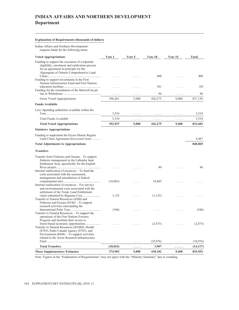## **INDIAN AFFAIRS AND NORTHERN DEVELOPMENT Department**

#### **Explanation of Requirements (thousands of dollars)**

Indian Affairs and Northern Development requests funds for the following items:

| <b>Voted Appropriations</b>                                                                                                                                                                                                    | Vote 1    | Vote 5 | Vote 10   | Vote 15    | <b>Total</b> |
|--------------------------------------------------------------------------------------------------------------------------------------------------------------------------------------------------------------------------------|-----------|--------|-----------|------------|--------------|
| Funding to support the execution of a tripartite<br>eligibility, enrolment and ratification process<br>for an agreement in principle for the<br>Algonquins of Ontario Comprehensive Land                                       |           |        | 400       |            | 400          |
| Funding to support investments in the First<br>Nations Infrastructure Fund and First Nations                                                                                                                                   |           | .      | 381       | $\cdots$   | 381          |
| Funding for the remediation of the Marwell tar pit                                                                                                                                                                             |           |        | 96        | .          | 96           |
| Gross Voted Appropriations                                                                                                                                                                                                     | 396,461   | 5,000  | 426,275   | 9,400      | 837,136      |
| <b>Funds Available</b>                                                                                                                                                                                                         |           |        |           |            |              |
| Less: Spending authorities available within the                                                                                                                                                                                |           |        |           |            |              |
|                                                                                                                                                                                                                                | 3,534     |        |           |            | 3,534        |
| Total Funds Available                                                                                                                                                                                                          | 3,534     | .      | .         | .          | 3,534        |
| <b>Total Voted Appropriations</b>                                                                                                                                                                                              | 392,927   | 5,000  | 426,275   | 9,400      | 833,602      |
| <b>Statutory Appropriations</b>                                                                                                                                                                                                |           |        |           |            |              |
| Funding to implement the Eeyou Marine Region                                                                                                                                                                                   |           |        |           |            |              |
| Land Claim Agreement (horizontal item)                                                                                                                                                                                         |           |        |           |            | 6,467        |
| <b>Total Adjustments to Appropriations</b>                                                                                                                                                                                     |           |        |           |            | 840,069      |
| <b>Transfers</b>                                                                                                                                                                                                               |           |        |           |            |              |
| Transfer from Fisheries and Oceans - To support<br>fisheries management in the Labrador Inuit<br>Settlement Area, specifically for the English                                                                                 |           |        |           |            |              |
| Internal reallocation of resources – To fund the<br>costs associated with the assessment,<br>management and remediation of federal                                                                                             |           |        | 80        |            | 80           |
| Internal reallocation of resources – For surveys<br>and environmental costs associated with the<br>settlement of the Treaty Land Entitlement                                                                                   | (18, 803) | .      | 18,803    |            |              |
| Transfer to Natural Resources (\$200) and<br>Fisheries and Oceans $(\$146)$ – To support<br>research activities surrounding the                                                                                                | 1,125     |        | (1,125)   |            |              |
| Transfer to Natural Resources – To support the<br>operations of the First Nations Forestry                                                                                                                                     | (346)     | .      |           | $\ldots$ . | (346)        |
| Program and facilitate their access to<br>forest-based economic opportunities<br>Transfer to Natural Resources (\$9,000), Health<br>(\$765), Parks Canada Agency (\$763), and<br>Environment $(\$448)$ – To support activities |           |        | (2,875)   |            | (2,875)      |
| related to the Arctic Research Infrastructure                                                                                                                                                                                  | $\cdots$  | .      | (10, 976) | .          | (10, 976)    |
| <b>Total Transfers</b>                                                                                                                                                                                                         | (18, 024) | .      | 3,907     | .          | (14, 117)    |
| <b>These Supplementary Estimates</b>                                                                                                                                                                                           | 374,903   | 5,000  | 430,182   | 9,400      | 825,952      |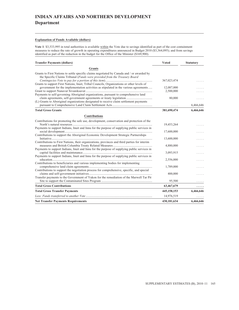## **INDIAN AFFAIRS AND NORTHERN DEVELOPMENT Department**

#### **Explanation of Funds Available (dollars)**

**Vote 1**: \$3,533,995 in total authorities is available within the Vote due to savings identified as part of the cost containment measures to reduce the rate of growth in operating expenditures announced in Budget 2010 (\$3,364,095); and from savings identified as part of the reduction in the budget for the Office of the Minister (\$169,900).

| <b>Transfer Payments (dollars)</b>                                                                                                                                                                                                                                   | <b>Voted</b>  | <b>Statutory</b> |
|----------------------------------------------------------------------------------------------------------------------------------------------------------------------------------------------------------------------------------------------------------------------|---------------|------------------|
| <b>Grants</b>                                                                                                                                                                                                                                                        |               |                  |
| Grants to First Nations to settle specific claims negotiated by Canada and / or awarded by<br>the Specific Claims Tribunal (Funds were provided from the Treasury Board<br>Grants to support First Nations, Inuit, Tribal Councils, Organizations or other levels of | 367,023,474   |                  |
| government for the implementation activities as stipulated in the various agreements                                                                                                                                                                                 | 12,087,000    |                  |
|                                                                                                                                                                                                                                                                      | 2,500,000     |                  |
| Payments to self-governing Aboriginal organizations, pursuant to comprehensive land<br>(L) Grants to Aboriginal organizations designated to receive claim settlement payments                                                                                        | 80,000        |                  |
|                                                                                                                                                                                                                                                                      |               | 6,466,646        |
| <b>Total Gross Grants</b>                                                                                                                                                                                                                                            | 381,690,474   | 6,466,646        |
| <b>Contributions</b>                                                                                                                                                                                                                                                 |               |                  |
| Contributions for promoting the safe use, development, conservation and protection of the<br>Payments to support Indians, Inuit and Innu for the purpose of supplying public services in                                                                             | 19,453,264    |                  |
|                                                                                                                                                                                                                                                                      | 17,600,000    |                  |
| Contributions to support the Aboriginal Economic Development Strategic Partnerships                                                                                                                                                                                  | 13,600,000    |                  |
| Contributions to First Nations, their organizations, provinces and third parties for interim                                                                                                                                                                         | 4,880,000     |                  |
| Payments to support Indians, Inuit and Innu for the purpose of supplying public services in<br>Payments to support Indians, Inuit and Innu for the purpose of supplying public services in                                                                           | 3,093,915     |                  |
| Contributions to beneficiaries and various implementing bodies for implementing                                                                                                                                                                                      | 2,556,000     |                  |
|                                                                                                                                                                                                                                                                      | 1,789,000     |                  |
| Contributions to support the negotiation process for comprehensive, specific, and special                                                                                                                                                                            | 400,000       |                  |
| Transfer payments to the Government of Yukon for the remediation of the Marwell Tar Pit                                                                                                                                                                              | 95,500        |                  |
| <b>Total Gross Contributions</b>                                                                                                                                                                                                                                     | 63,467,679    | .                |
| <b>Total Gross Transfer Payments</b>                                                                                                                                                                                                                                 | 445, 158, 153 | 6,466,646        |
|                                                                                                                                                                                                                                                                      | 14,976,519    | .                |
| <b>Net Transfer Payments Requirements</b>                                                                                                                                                                                                                            | 430,181,634   | 6,466,646        |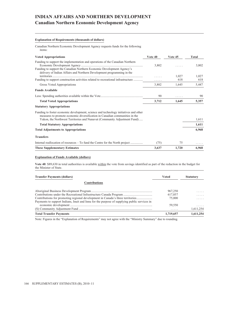# **INDIAN AFFAIRS AND NORTHERN DEVELOPMENT Canadian Northern Economic Development Agency**

#### **Explanation of Requirements (thousands of dollars)**

Canadian Northern Economic Development Agency requests funds for the following items:

| <b>Voted Appropriations</b>                                                                                                                                                                                                                     | Vote 40 | Vote 45 | Total |
|-------------------------------------------------------------------------------------------------------------------------------------------------------------------------------------------------------------------------------------------------|---------|---------|-------|
| Funding to support the implementation and operations of the Canadian Northern<br>Funding to support the Canadian Northern Economic Development Agency's                                                                                         | 3,802   |         | 3,802 |
| delivery of Indian Affairs and Northern Development programming in the                                                                                                                                                                          |         | 1,027   | 1,027 |
| Funding to support construction activities related to recreational infrastructure                                                                                                                                                               |         | 618     | 618   |
| Gross Voted Appropriations                                                                                                                                                                                                                      | 3,802   | 1,645   | 5,447 |
| <b>Funds Available</b>                                                                                                                                                                                                                          |         |         |       |
|                                                                                                                                                                                                                                                 | 90      | .       | 90    |
| <b>Total Voted Appropriations</b>                                                                                                                                                                                                               | 3,712   | 1,645   | 5,357 |
| <b>Statutory Appropriations</b>                                                                                                                                                                                                                 |         |         |       |
| Funding to foster economic development, science and technology initiatives and other<br>measures to promote economic diversification in Canadian communities in the<br>Yukon, the Northwest Territories and Nunavut (Community Adjustment Fund) |         |         | 1,611 |
| <b>Total Statutory Appropriations</b>                                                                                                                                                                                                           |         |         | 1,611 |
| <b>Total Adjustments to Appropriations</b>                                                                                                                                                                                                      |         |         | 6,968 |
| <b>Transfers</b>                                                                                                                                                                                                                                |         |         |       |
| Internal reallocation of resources – To fund the Centre for the North project                                                                                                                                                                   | (75)    | 75      | .     |
| <b>These Supplementary Estimates</b>                                                                                                                                                                                                            | 3,637   | 1,720   | 6,968 |

#### **Explanation of Funds Available (dollars)**

**Vote 40**: \$89,630 in total authorities is available within the vote from savings identified as part of the reduction in the budget for the Minister of State.

| <b>Transfer Payments (dollars)</b>                                                          | <b>Voted</b> | <b>Statutory</b> |
|---------------------------------------------------------------------------------------------|--------------|------------------|
| <b>Contributions</b>                                                                        |              |                  |
|                                                                                             | 967,250      | .                |
|                                                                                             | 617,857      | .                |
| Contributions for promoting regional development in Canada's three territories              | 75,000       | .                |
| Payments to support Indians, Inuit and Innu for the purpose of supplying public services in |              |                  |
|                                                                                             | 59,550       | .                |
|                                                                                             | .            | 1,611,254        |
| <b>Total Transfer Payments</b>                                                              | 1,719,657    | 1.611.254        |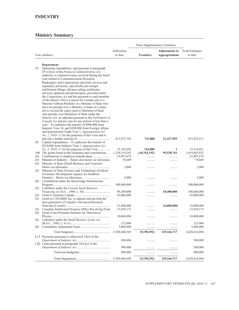|                 |                                                                                                                |                        | These Supplementary Estimates |                                                |                                   |
|-----------------|----------------------------------------------------------------------------------------------------------------|------------------------|-------------------------------|------------------------------------------------|-----------------------------------|
|                 | Vote (dollars)                                                                                                 | Authorities<br>to date | <b>Transfers</b>              | <b>Adjustments to</b><br><b>Appropriations</b> | <b>Total Estimates</b><br>to date |
|                 |                                                                                                                |                        |                               |                                                |                                   |
|                 | Department                                                                                                     |                        |                               |                                                |                                   |
| 1b              | Operating expenditures, and pursuant to paragraph                                                              |                        |                               |                                                |                                   |
|                 | $29.1(2)(a)$ of the Financial Administration Act,                                                              |                        |                               |                                                |                                   |
|                 | authority to expend revenue received during the fiscal                                                         |                        |                               |                                                |                                   |
|                 | year related to Communications Research,<br>Bankruptcy and Corporations and from services and                  |                        |                               |                                                |                                   |
|                 | regulatory processes, specifically pre-merger                                                                  |                        |                               |                                                |                                   |
|                 | notification filings, advance ruling certificates,                                                             |                        |                               |                                                |                                   |
|                 | advisory opinions and photocopies, provided under                                                              |                        |                               |                                                |                                   |
|                 | the Competition Act and the payment to each member                                                             |                        |                               |                                                |                                   |
|                 | of the Queen's Privy Council for Canada who is a                                                               |                        |                               |                                                |                                   |
|                 | Minister without Portfolio or a Minister of State who<br>does not preside over a Ministry of State of a salary |                        |                               |                                                |                                   |
|                 | not to exceed the salary paid to Ministers of State                                                            |                        |                               |                                                |                                   |
|                 | who preside over Ministries of State under the                                                                 |                        |                               |                                                |                                   |
|                 | Salaries Act, as adjusted pursuant to the Parliament of                                                        |                        |                               |                                                |                                   |
|                 | Canada Act and pro rata for any period of less than a                                                          |                        |                               |                                                |                                   |
|                 | $year - To authorize the transfer of $990,000 from$                                                            |                        |                               |                                                |                                   |
|                 | Industry Vote 10, and \$200,000 from Foreign Affairs                                                           |                        |                               |                                                |                                   |
|                 | and International Trade Vote 1, Appropriation Act<br>No. 2, 2010–11 for the purposes of this Vote and to       |                        |                               |                                                |                                   |
|                 |                                                                                                                | 411,872,756            | 731,800                       | 21, 227, 955                                   | 433,832,511                       |
| 5b              | Capital expenditures – To authorize the transfer of                                                            |                        |                               |                                                |                                   |
|                 | \$324,000 from Industry Vote 1, Appropriation Act                                                              |                        |                               |                                                |                                   |
|                 | $No. 2, 2010-11$ for the purposes of this Vote                                                                 | 15,192,050             | 324,000                       | 1                                              | 15,516,051                        |
| 10 <sub>b</sub> | The grants listed in the Estimates and contributions                                                           | 1,334,519,263          | (10, 254, 192)                | 95,538,761                                     | 1,419,803,832                     |
| (S)             |                                                                                                                | 53,997,679             | .                             |                                                | 53,997,679                        |
| (S)<br>(S)      | Minister of Industry - Salary and motor car allowance<br>Minister of State (Small Business and Tourism) –      | 78,649                 | .                             | .                                              | 78,649                            |
|                 |                                                                                                                | 2,000                  | .                             | .                                              | 2,000                             |
| (S)             | Minister of State (Science and Technology) (Federal                                                            |                        |                               |                                                |                                   |
|                 | Economic Development Agency for Southern                                                                       |                        |                               |                                                |                                   |
|                 |                                                                                                                | 2,000                  |                               |                                                | 2,000                             |
| (S)             | Contribution under the Knowledge Infrastructure                                                                |                        |                               |                                                |                                   |
|                 |                                                                                                                | 500,000,000            |                               | .                                              | 500,000,000                       |
| (S)             | Liabilities under the Canada Small Business                                                                    | 90,200,000             |                               | 18,400,000                                     | 108,600,000                       |
| (S)             |                                                                                                                | 43,000,000             | .<br>.                        | .                                              | 43,000,000                        |
| (S)             | Grant to CANARIE Inc. to operate and develop the                                                               |                        |                               |                                                |                                   |
|                 | next generation of Canada's Advanced Research                                                                  |                        |                               |                                                |                                   |
|                 |                                                                                                                | 31,000,000             |                               | (6,000,000)                                    | 25,000,000                        |
| (S)             | Canadian Intellectual Property Office Revolving Fund                                                           | 13,659,172             |                               | .                                              | 13,659,172                        |
| (S)             | Grant to the Perimeter Institute for Theoretical                                                               | 10,000,000             |                               |                                                | 10,000,000                        |
| (S)             | Liabilities under the <i>Small Business Loans Act</i>                                                          |                        | .                             |                                                |                                   |
|                 |                                                                                                                | 125,000                | .                             | .                                              | 125,000                           |
| (S)             |                                                                                                                | 5,000,000              |                               |                                                | 5,000,000                         |
|                 |                                                                                                                | 2,508,648,569          | (9, 198, 392)                 | 129,166,717                                    | 2,628,616,894                     |
|                 | L15 Payments pursuant to subsection $14(2)$ of the                                                             |                        |                               |                                                |                                   |
|                 |                                                                                                                | 300,000                | .                             | .                                              | 300,000                           |
|                 | L20 Loans pursuant to paragraph $14(1)(a)$ of the                                                              |                        |                               |                                                |                                   |
|                 |                                                                                                                | 500,000                | .                             | .                                              | 500,000                           |
|                 |                                                                                                                | 800,000                | .                             | .                                              | 800,000                           |
|                 |                                                                                                                | 2,509,448,569          | (9,198,392)                   | 129, 166, 717                                  | 2,629,416,894                     |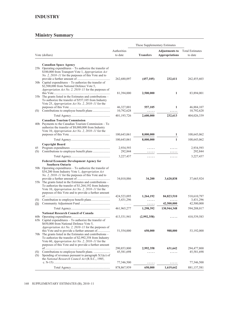|            |                                                                                                                                                                                                                                                                                                                                                                                                                                                                                         |                          | These Supplementary Estimates |                                                |                                   |
|------------|-----------------------------------------------------------------------------------------------------------------------------------------------------------------------------------------------------------------------------------------------------------------------------------------------------------------------------------------------------------------------------------------------------------------------------------------------------------------------------------------|--------------------------|-------------------------------|------------------------------------------------|-----------------------------------|
|            | Vote (dollars)                                                                                                                                                                                                                                                                                                                                                                                                                                                                          | Authorities<br>to date   | <b>Transfers</b>              | <b>Adjustments to</b><br><b>Appropriations</b> | <b>Total Estimates</b><br>to date |
|            | <b>Canadian Space Agency</b><br>25b Operating expenditures – To authorize the transfer of<br>\$100,000 from Transport Vote 1, Appropriation Act<br>No. 2, 2010–11 for the purposes of this Vote and to                                                                                                                                                                                                                                                                                  |                          |                               |                                                |                                   |
|            | 30b Capital expenditures – To authorize the transfer of<br>\$2,500,000 from National Defence Vote 5,<br>Appropriation Act No. 2, 2010–11 for the purposes of                                                                                                                                                                                                                                                                                                                            | 262,680,097              | (457, 105)                    | 232,611                                        | 262,455,603                       |
|            | 35b The grants listed in the Estimates and contributions –<br>To authorize the transfer of \$557,105 from Industry<br>Vote 25, Appropriation Act No. 2, 2010-11 for the                                                                                                                                                                                                                                                                                                                 | 81,394,000               | 2,500,000                     | 1                                              | 83,894,001                        |
| (S)        |                                                                                                                                                                                                                                                                                                                                                                                                                                                                                         | 46,327,001<br>10,792,628 | 557,105<br>.                  | 1<br>.                                         | 46,884,107<br>10,792,628          |
|            |                                                                                                                                                                                                                                                                                                                                                                                                                                                                                         | 401, 193, 726            | 2,600,000                     | 232,613                                        | 404,026,339                       |
|            | <b>Canadian Tourism Commission</b><br>40b Payments to the Canadian Tourism Commission – To<br>authorize the transfer of \$8,000,000 from Industry<br>Vote 10, Appropriation Act No. 2, 2010-11 for the                                                                                                                                                                                                                                                                                  | 100,643,061              |                               | 1                                              |                                   |
|            |                                                                                                                                                                                                                                                                                                                                                                                                                                                                                         |                          | 8,000,000                     |                                                | 108,643,062                       |
|            |                                                                                                                                                                                                                                                                                                                                                                                                                                                                                         | 100,643,061              | 8,000,000                     | $\mathbf{1}$                                   | 108,643,062                       |
| 45<br>(S)  | <b>Copyright Board</b>                                                                                                                                                                                                                                                                                                                                                                                                                                                                  | 2,934,593<br>292,844     | .                             | .                                              | 2,934,593<br>292,844              |
|            |                                                                                                                                                                                                                                                                                                                                                                                                                                                                                         | 3,227,437                | .                             | .                                              | 3,227,437                         |
|            | <b>Federal Economic Development Agency for</b><br><b>Southern Ontario</b><br>50b Operating expenditures – To authorize the transfer of<br>\$34,200 from Industry Vote 1, Appropriation Act<br>No. 2, 2010–11 for the purposes of this Vote and to<br>55b The grants listed in the Estimates and contributions –<br>To authorize the transfer of \$1,264,192 from Industry<br>Vote 10, Appropriation Act No. 2, 2010-11 for the<br>purposes of this Vote and to provide a further amount | 34,010,886               | 34,200                        | 3,620,838                                      | 37,665,924                        |
|            |                                                                                                                                                                                                                                                                                                                                                                                                                                                                                         | 424,523,095              | 1,264,192                     | 84,823,510                                     | 510,610,797                       |
| (S)<br>(S) |                                                                                                                                                                                                                                                                                                                                                                                                                                                                                         | 3,431,296<br>.           | .<br>.                        | .<br>42,500,000                                | 3,431,296<br>42,500,000           |
|            |                                                                                                                                                                                                                                                                                                                                                                                                                                                                                         | 461,965,277              | 1,298,392                     | 130,944,348                                    | 594,208,017                       |
|            | <b>National Research Council of Canada</b><br>$65b$ Capital expenditures – To authorize the transfer of<br>\$650,000 from National Defence Vote 5,                                                                                                                                                                                                                                                                                                                                      | 413,531,941              | (2,992,358)                   |                                                | 410,539,583                       |
|            | <i>Appropriation Act No. 2, 2010–11</i> for the purposes of<br>this Vote and to provide a further amount of<br>70b The grants listed in the Estimates and contributions –<br>To authorize the transfer of \$2,992,358 from Industry<br>Vote 60, <i>Appropriation Act No. 2, 2010–11</i> for the                                                                                                                                                                                         | 51,554,000               | 650,000                       | 988,000                                        | 53,192,000                        |
|            | purposes of this Vote and to provide a further amount                                                                                                                                                                                                                                                                                                                                                                                                                                   | 290,853,800              | 2,992,358                     | 631,642                                        | 294,477,800                       |
| (S)<br>(S) | Spending of revenues pursuant to paragraph $5(1)(e)$ of<br>the National Research Council Act (R.S.C., 1985,                                                                                                                                                                                                                                                                                                                                                                             | 45,581,698               | .                             | .                                              | 45,581,698                        |
|            |                                                                                                                                                                                                                                                                                                                                                                                                                                                                                         | 77,346,500               | .                             | .                                              | 77,346,500                        |
|            |                                                                                                                                                                                                                                                                                                                                                                                                                                                                                         | 878,867,939              | 650,000                       | 1,619,642                                      | 881, 137, 581                     |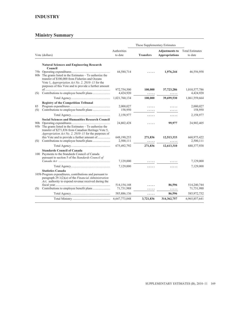### **INDUSTRY**

|     |                                                                                                                                                                                                                                  |                            | These Supplementary Estimates |                                                |                                   |
|-----|----------------------------------------------------------------------------------------------------------------------------------------------------------------------------------------------------------------------------------|----------------------------|-------------------------------|------------------------------------------------|-----------------------------------|
|     | Vote (dollars)                                                                                                                                                                                                                   | Authorities<br>to date     | <b>Transfers</b>              | <b>Adjustments to</b><br><b>Appropriations</b> | <b>Total Estimates</b><br>to date |
|     | <b>Natural Sciences and Engineering Research</b><br>Council                                                                                                                                                                      |                            |                               |                                                |                                   |
|     | 80b The grants listed in the Estimates – To authorize the<br>transfer of \$100,000 from Fisheries and Oceans<br>Vote 1, <i>Appropriation Act No. 2, 2010–11</i> for the<br>purposes of this Vote and to provide a further amount | 44,580,714                 |                               | 1,976,244                                      | 46,556,958                        |
|     |                                                                                                                                                                                                                                  | 972,754,500                | 100,000                       | 37,723,286                                     | 1,010,577,786                     |
| (S) |                                                                                                                                                                                                                                  | 4,424,920                  | .                             | .                                              | 4,424,920                         |
|     |                                                                                                                                                                                                                                  | 1,021,760,134              | 100,000                       | 39,699,530                                     | 1,061,559,664                     |
|     | <b>Registry of the Competition Tribunal</b>                                                                                                                                                                                      |                            |                               |                                                |                                   |
| 85  |                                                                                                                                                                                                                                  | 2,000,027<br>158,950       |                               |                                                | 2,000,027<br>158,950              |
| (S) |                                                                                                                                                                                                                                  |                            | .                             | .                                              |                                   |
|     |                                                                                                                                                                                                                                  | 2,158,977                  | .                             | .                                              | 2,158,977                         |
| 90b | <b>Social Sciences and Humanities Research Council</b><br>95b The grants listed in the Estimates - To authorize the<br>transfer of \$271,836 from Canadian Heritage Vote 5,                                                      | 24,802,428                 | .                             | 99,977                                         | 24,902,405                        |
|     | Appropriation Act No. 2, 2010–11 for the purposes of                                                                                                                                                                             |                            |                               |                                                |                                   |
| (S) | this Vote and to provide a further amount of                                                                                                                                                                                     | 648, 190, 253<br>2,500,111 | 271,836<br>.                  | 12,513,333<br>.                                | 660,975,422<br>2,500,111          |
|     |                                                                                                                                                                                                                                  | 675,492,792                | 271,836                       | 12,613,310                                     | 688, 377, 938                     |
|     | <b>Standards Council of Canada</b><br>100 Payments to the Standards Council of Canada<br>pursuant to section 5 of the Standards Council of                                                                                       | 7,129,000                  | .                             |                                                | 7,129,000                         |
|     |                                                                                                                                                                                                                                  | 7,129,000                  | .                             | .                                              | 7,129,000                         |
|     | <b>Statistics Canada</b><br>105b Program expenditures, contributions and pursuant to<br>paragraph $29.1(2)(a)$ of the <i>Financial Administration</i><br>Act, authority to expend revenue received during the                    |                            |                               |                                                |                                   |
|     |                                                                                                                                                                                                                                  | 514,154,148                |                               | 86,596                                         | 514,240,744                       |
| (S) |                                                                                                                                                                                                                                  | 71,731,988                 | .                             | $\cdots$ .                                     | 71,731,988                        |
|     |                                                                                                                                                                                                                                  | 585,886,136                | .                             | 86,596                                         | 585,972,732                       |
|     |                                                                                                                                                                                                                                  | 6,647,773,048              | 3,721,836                     | 314, 362, 757                                  | 6,965,857,641                     |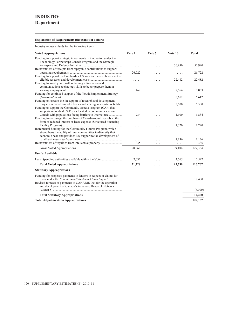### **Explanation of Requirements (thousands of dollars)**

Industry requests funds for the following items:

| <b>Voted Appropriations</b>                                                                                                            | Vote 1 | Vote 5 | Vote 10 | <b>Total</b> |
|----------------------------------------------------------------------------------------------------------------------------------------|--------|--------|---------|--------------|
| Funding to support strategic investments in innovation under the<br>Technology Partnerships Canada Program and the Strategic           |        |        |         |              |
|                                                                                                                                        |        |        | 50,990  | 50,990       |
| Reinvestment of receipts from repayable contributions to support                                                                       |        |        |         |              |
|                                                                                                                                        | 26,722 |        | .       | 26,722       |
| Funding to support the Bombardier CSeries for the reimbursement of                                                                     |        |        | 22,482  | 22,482       |
| Funding to assist youth with obtaining information and                                                                                 | .      | .      |         |              |
| communications technology skills to better prepare them in                                                                             |        |        |         |              |
|                                                                                                                                        | 469    | .      | 9,564   | 10,033       |
| Funding for continued support of the Youth Employment Strategy                                                                         |        |        |         |              |
|                                                                                                                                        | .      | .      | 6,612   | 6,612        |
| Funding to Precarn Inc. in support of research and development                                                                         |        |        |         |              |
| projects in the advanced robotics and intelligence systems fields                                                                      |        | .      | 5,500   | 5,500        |
| Funding to support the Community Access Program (CAP) that                                                                             |        |        |         |              |
| supports individual CAP sites located in communities across                                                                            |        |        |         |              |
| Canada with populations facing barriers to Internet use                                                                                | 734    | .      | 1,100   | 1,834        |
| Funding to encourage the purchase of Canadian-built vessels in the<br>form of reduced interest or lease expense (Structured Financing) |        |        |         |              |
|                                                                                                                                        |        |        | 1,720   | 1,720        |
| Incremental funding for the Community Futures Program, which                                                                           |        | .      |         |              |
| strengthens the ability of rural communities to diversify their                                                                        |        |        |         |              |
| economic base and provides key support to the development of                                                                           |        |        |         |              |
|                                                                                                                                        | .      |        | 1,136   | 1,136        |
|                                                                                                                                        | 335    |        | .       | 335          |
| Gross Voted Appropriations                                                                                                             | 28,260 | .      | 99,104  | 127,364      |
| <b>Funds Available</b>                                                                                                                 |        |        |         |              |
|                                                                                                                                        | 7,032  | .      | 3,565   | 10,597       |
| <b>Total Voted Appropriations</b>                                                                                                      | 21,228 | .      | 95,539  | 116,767      |
| <b>Statutory Appropriations</b>                                                                                                        |        |        |         |              |
| Funding for proposed payments to lenders in respect of claims for                                                                      |        |        |         |              |
| loans under the Canada Small Business Financing Act                                                                                    |        |        |         | 18,400       |
| Revised forecast of payments to CANARIE Inc. for the operation                                                                         |        |        |         |              |
| and development of Canada's Advanced Research Network                                                                                  |        |        |         |              |
|                                                                                                                                        |        |        |         | (6,000)      |
| <b>Total Statutory Appropriations</b>                                                                                                  |        |        |         | 12,400       |
| <b>Total Adjustments to Appropriations</b>                                                                                             |        |        |         | 129,167      |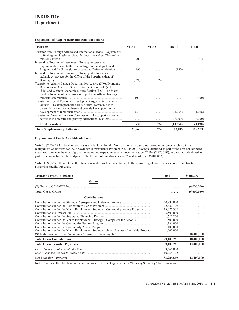### **INDUSTRY Department**

**Explanation of Requirements (thousands of dollars)**

| <b>Transfers</b>                                                                                                                                                                                                                                                    | Vote 1   | Vote 5   | Vote 10            | Total              |
|---------------------------------------------------------------------------------------------------------------------------------------------------------------------------------------------------------------------------------------------------------------------|----------|----------|--------------------|--------------------|
| Transfer from Foreign Affairs and International Trade – Adjustment<br>to funding previously provided for departmental staff located at                                                                                                                              | 200      |          |                    | 200                |
| Internal reallocation of resources – To support operating<br>requirements related to the Technology Partnerships Canada                                                                                                                                             |          |          |                    |                    |
| Program and the Strategic Aerospace and Defence Initiative<br>Internal reallocation of resources – To support information                                                                                                                                           | 990      |          | (990)              |                    |
| technology projects for the Office of the Superintendent of                                                                                                                                                                                                         | (324)    | 324      |                    |                    |
| Transfer to Atlantic Canada Opportunities Agency (\$40), Economic<br>Development Agency of Canada for the Regions of Quebec<br>$(\$40)$ and Western Economic Diversification $(\$20)$ – To foster<br>the development of new business expertise in official language | (100)    | .        | .                  | (100)              |
| Transfer to Federal Economic Development Agency for Southern<br>Ontario – To strengthen the ability of rural communities to<br>diversify their economic base and provide key support to the                                                                         |          |          |                    |                    |
| Transfer to Canadian Tourism Commission - To support marketing                                                                                                                                                                                                      | (34)     | .        | (1,264)<br>(8,000) | (1,298)<br>(8,000) |
| <b>Total Transfers</b>                                                                                                                                                                                                                                              | .<br>732 | .<br>324 | (10, 254)          | (9,198)            |
| <b>These Supplementary Estimates</b>                                                                                                                                                                                                                                | 21,960   | 324      | 85,285             | 119,969            |

#### **Explanation of Funds Available (dollars)**

**Vote 1**: \$7,032,223 in total authorities is available within the Vote due to the reduced operating requirements related to the realignment of activites for the Knowledge Infrastructure Program (\$3,700,000); savings identified as part of the cost containment measures to reduce the rate of growth in operating expenditures announced in Budget 2010 (\$2,927,370); and savings identified as part of the reduction in the budgets for the Offices of the Minister and Ministers of State (\$404,853).

**Vote 10**: \$3,565,000 in total authorities is available within the Vote due to the reprofiling of contributions under the Structure Financing Facility Program.

| <b>Transfer Payments (dollars)</b>                                                     | <b>Voted</b> | <b>Statutory</b> |
|----------------------------------------------------------------------------------------|--------------|------------------|
| Grants                                                                                 |              |                  |
|                                                                                        | .            | (6,000,000)      |
| <b>Total Gross Grants</b>                                                              |              | (6,000,000)      |
| <b>Contributions</b>                                                                   |              |                  |
|                                                                                        | 50,990,000   |                  |
|                                                                                        | 22,482,199   |                  |
| Contributions under the Youth Employment Strategy – Community Access Program           | 13,675,362   |                  |
|                                                                                        | 5,500,000    |                  |
|                                                                                        | 1,720,200    | .                |
| Contributions under the Youth Employment Strategy – Computers for Schools              | 1,500,000    |                  |
|                                                                                        | 1,136,000    | .                |
|                                                                                        | 1,100,000    | .                |
| Contributions under the Youth Employment Strategy – Small Business Internship Program. | 1,000,000    | .                |
|                                                                                        | .            | 18,400,000       |
| <b>Total Gross Contributions</b>                                                       | 99, 103, 761 | 18,400,000       |
| <b>Total Gross Transfer Payments</b>                                                   | 99, 103, 761 | 12,400,000       |
|                                                                                        | 3,565,000    |                  |
|                                                                                        | 10,254,192   | .                |
| <b>Net Transfer Payments</b>                                                           | 85,284,569   | 12,400,000       |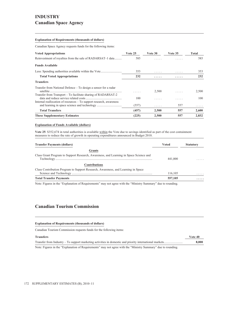### **INDUSTRY Canadian Space Agency**

#### **Explanation of Requirements (thousands of dollars)**

Canadian Space Agency requests funds for the following items:

| <b>Voted Appropriations</b>                                                                                                      | Vote 25 | Vote 30 | Vote 35 | Total |
|----------------------------------------------------------------------------------------------------------------------------------|---------|---------|---------|-------|
| Reinvestment of royalties from the sale of RADARSAT-1 data                                                                       | 585     | .       | .       | 585   |
| <b>Funds Available</b>                                                                                                           |         |         |         |       |
|                                                                                                                                  | 353     | .       | .       | 353   |
| <b>Total Voted Appropriations</b>                                                                                                | 232     | .       | .       | 232   |
| <b>Transfers</b>                                                                                                                 |         |         |         |       |
| Transfer from National Defence – To design a sensor for a radar<br>Transfer from Transport – To facilitate sharing of RADARSAT-2 |         | 2,500   | .       | 2,500 |
| Internal reallocation of resources – To support research, awareness                                                              | 100     | .       | .       | 100   |
|                                                                                                                                  | (557)   | .       | 557     | .     |
| <b>Total Transfers</b>                                                                                                           | (457)   | 2,500   | 557     | 2,600 |
| <b>These Supplementary Estimates</b>                                                                                             | (225)   | 2,500   | 557     | 2,832 |

#### **Explanation of Funds Available (dollars)**

**Vote 25**: \$352,674 in total authorities is available within the Vote due to savings identified as part of the cost containment measures to reduce the rate of growth in operating expenditures announced in Budget 2010.

| Voted   | <b>Statutory</b> |
|---------|------------------|
|         |                  |
| 441,000 | .                |
|         |                  |
| 116.105 | .                |
| 557,105 | .                |
|         |                  |

Note: Figures in the "Explanation of Requirements" may not agree with the "Ministry Summary" due to rounding.

### **Canadian Tourism Commission**

#### **Explanation of Requirements (thousands of dollars)**

Canadian Tourism Commission requests funds for the following items:

| <b>Transfers</b>                                                                                              | Vote 40 |
|---------------------------------------------------------------------------------------------------------------|---------|
|                                                                                                               | 8.000   |
| Note: Figures in the "Explanation of Requirements" may not agree with the "Ministry Summary" due to rounding. |         |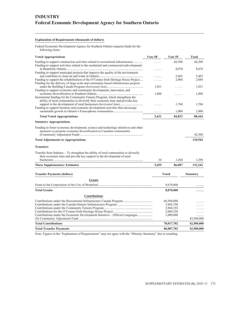#### **Explanation of Requirements (thousands of dollars)**

Federal Economic Development Agency for Southern Ontario requests funds for the following items:

| <b>Voted Appropriations</b>                                                                                                                                                                                                              | Vote 50 | Vote 55         | <b>Total</b>             |
|------------------------------------------------------------------------------------------------------------------------------------------------------------------------------------------------------------------------------------------|---------|-----------------|--------------------------|
| Funding to support construction activities related to recreational infrastructure<br>Funding to support activities related to the residential and commercial redevelopment                                                               | .       | 66,500          | 66,500                   |
| Funding to support municipal projects that improve the quality of the environment                                                                                                                                                        | .       | 8,070           | 8,070                    |
|                                                                                                                                                                                                                                          | .       | 5,465           | 5,465                    |
| Funding to support the rehabilitiation of the O'Connor Irish Heritage House Project                                                                                                                                                      | .       | 2,084           | 2,084                    |
| Funding for the delivery of large-scale and community-based infrastructure projects                                                                                                                                                      | 1,821   | .               | 1,821                    |
| Funding to support economic and community development, innovation, and<br>Incremental funding for the Community Futures Program, which strengthens the<br>ability of rural communities to diversify their economic base and provides key | 1,800   | .               | 1,800                    |
| Funding to support business and economic development activities that encourage                                                                                                                                                           | .       | 1,704           | 1,704                    |
|                                                                                                                                                                                                                                          | .       | 1,000           | 1,000                    |
| <b>Total Voted Appropriations</b>                                                                                                                                                                                                        | 3,621   | 84,823          | 88,444                   |
| <b>Statutory Appropriations</b>                                                                                                                                                                                                          |         |                 |                          |
| Funding to foster economic development, science and technology initiatives and other<br>measures to promote economic diversification in Canadian communities                                                                             |         |                 |                          |
|                                                                                                                                                                                                                                          |         |                 | 42,500                   |
| <b>Total Adjustments to Appropriations</b>                                                                                                                                                                                               |         |                 | 130,944                  |
| <b>Transfers</b>                                                                                                                                                                                                                         |         |                 |                          |
| Transfer from Industry - To strengthen the ability of rural communities to diversify<br>their economic base and provide key support to the development of rural                                                                          |         |                 |                          |
|                                                                                                                                                                                                                                          | 34      | 1,264           | 1,298                    |
| <b>These Supplementary Estimates</b>                                                                                                                                                                                                     | 3,655   | 86,087          | 132,242                  |
| <b>Transfer Payments (dollars)</b>                                                                                                                                                                                                       |         | <b>Voted</b>    | <b>Statutory</b>         |
| Grants                                                                                                                                                                                                                                   |         |                 |                          |
|                                                                                                                                                                                                                                          |         | 8,070,000       |                          |
| <b>Total Grants</b>                                                                                                                                                                                                                      |         | 8,070,000       | .                        |
| <b>Contributions</b>                                                                                                                                                                                                                     |         |                 |                          |
|                                                                                                                                                                                                                                          |         | 66,500,000      |                          |
|                                                                                                                                                                                                                                          |         | 5,465,190       |                          |
|                                                                                                                                                                                                                                          |         | 2,968,192       |                          |
|                                                                                                                                                                                                                                          |         | 2,084,320       |                          |
| Contributions under the Economic Development Initiative – Official Languages                                                                                                                                                             |         | 1,000,000       | .                        |
| <b>Total Contributions</b>                                                                                                                                                                                                               |         | .<br>78,017,702 | 42,500,000<br>42,500,000 |
|                                                                                                                                                                                                                                          |         |                 |                          |
| <b>Total Transfer Payments</b>                                                                                                                                                                                                           |         | 86,087,702      | 42,500,000               |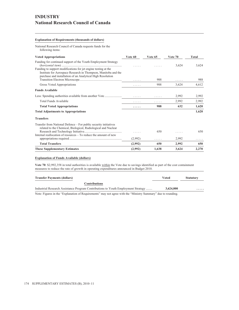### **INDUSTRY National Research Council of Canada**

#### **Explanation of Requirements (thousands of dollars)**

National Research Council of Canada requests funds for the following items:

| <b>Voted Appropriations</b>                                                                                                                                                                    | Vote 60 | Vote 65 | Vote 70 | Total |
|------------------------------------------------------------------------------------------------------------------------------------------------------------------------------------------------|---------|---------|---------|-------|
| Funding for continued support of the Youth Employment Strategy                                                                                                                                 |         |         | 3,624   | 3,624 |
| Funding to support modifications for jet engine testing at the<br>Institute for Aerospace Research in Thompson, Manitoba and the<br>purchase and installation of an Analytical High Resolution |         |         |         |       |
|                                                                                                                                                                                                |         | 988     | .       | 988   |
| Gross Voted Appropriations                                                                                                                                                                     | .       | 988     | 3,624   | 4,612 |
| <b>Funds Available</b>                                                                                                                                                                         |         |         |         |       |
|                                                                                                                                                                                                |         | .       | 2,992   | 2,992 |
| Total Funds Available                                                                                                                                                                          | .       | .       | 2,992   | 2,992 |
| <b>Total Voted Appropriations</b>                                                                                                                                                              | .       | 988     | 632     | 1,620 |
| <b>Total Adjustments to Appropriations</b>                                                                                                                                                     |         |         |         | 1,620 |
| <b>Transfers</b>                                                                                                                                                                               |         |         |         |       |
| Transfer from National Defence – For public security initiatives<br>related to the Chemical, Biological, Radiological and Nuclear                                                              |         |         |         |       |
|                                                                                                                                                                                                |         | 650     | .       | 650   |
| Internal reallocation of resources – To reduce the amount of new                                                                                                                               | (2,992) | .       | 2,992   | .     |
| <b>Total Transfers</b>                                                                                                                                                                         | (2,992) | 650     | 2,992   | 650   |
| <b>These Supplementary Estimates</b>                                                                                                                                                           | (2,992) | 1,638   | 3,624   | 2,270 |

#### **Explanation of Funds Available (dollars)**

**Vote 70**: \$2,992,358 in total authorities is available within the Vote due to savings identified as part of the cost containment measures to reduce the rate of growth in operating expenditures announced in Budget 2010.

| <b>Transfer Payments (dollars)</b>                                                | Voted     | <b>Statutory</b> |
|-----------------------------------------------------------------------------------|-----------|------------------|
| <b>Contributions</b>                                                              |           |                  |
| Industrial Research Assistance Program Contributions to Youth Employment Strategy | 3.624,000 | .                |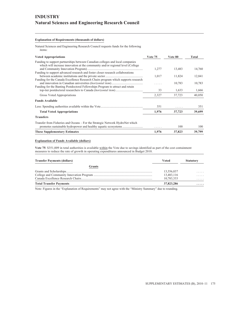### **INDUSTRY Natural Sciences and Engineering Research Council**

#### **Explanation of Requirements (thousands of dollars)**

Natural Sciences and Engineering Research Council requests funds for the following items:

| <b>Voted Appropriations</b>                                                                                                                                         | Vote 75 | Vote 80 | Total  |
|---------------------------------------------------------------------------------------------------------------------------------------------------------------------|---------|---------|--------|
| Funding to support partnerships between Canadian colleges and local companies<br>which will increase innovation at the community and/or regional level (College     |         |         |        |
| Funding to support advanced research and foster closer research collaborations                                                                                      | 1,277   | 13,483  | 14,760 |
|                                                                                                                                                                     | 1,017   | 11,824  | 12,841 |
| Funding for the Canada Excellence Research Chairs program which supports research<br>Funding for the Banting Postdoctoral Fellowships Program to attract and retain | .       | 10,783  | 10,783 |
|                                                                                                                                                                     | 33      | 1,633   | 1,666  |
| Gross Voted Appropriations                                                                                                                                          | 2,327   | 37,723  | 40,050 |
| <b>Funds Available</b>                                                                                                                                              |         |         |        |
|                                                                                                                                                                     | 351     | .       | 351    |
| <b>Total Voted Appropriations</b>                                                                                                                                   | 1,976   | 37,723  | 39,699 |
| <b>Transfers</b>                                                                                                                                                    |         |         |        |
| Transfer from Fisheries and Oceans – For the Strategic Network HydroNet which                                                                                       | .       | 100     | 100    |
| <b>These Supplementary Estimates</b>                                                                                                                                | 1,976   | 37,823  | 39,799 |

#### **Explanation of Funds Available (dollars)**

**Vote 75**: \$351,009 in total authorities is available within the Vote due to savings identified as part of the cost containment measures to reduce the rate of growth in operating expenditures announced in Budget 2010.

| <b>Transfer Payments (dollars)</b> |  |
|------------------------------------|--|
|                                    |  |

| <b>Transfer Payments (dollars)</b> | Voted      | <b>Statutory</b> |
|------------------------------------|------------|------------------|
| <b>Grants</b>                      |            |                  |
|                                    | 13.556.837 | .                |
|                                    | 13.483.116 | .                |
|                                    | 10.783.333 | .                |
| <b>Total Transfer Payments</b>     | 37,823,286 | .                |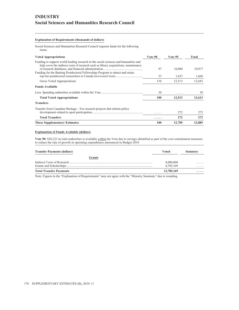#### **Explanation of Requirements (thousands of dollars)**

Social Sciences and Humanities Research Council requests funds for the following items:

| <b>Voted Appropriations</b>                                                                                                                                                                                                                                  | Vote 90 | Vote 95 | Total  |
|--------------------------------------------------------------------------------------------------------------------------------------------------------------------------------------------------------------------------------------------------------------|---------|---------|--------|
| Funding to support world-leading research in the social sciences and humanities and<br>help cover the indirect costs of research such as library acquisitions, maintenance<br>Funding for the Banting Postdoctoral Fellowships Program to attract and retain | 97      | 10.880  | 10,977 |
|                                                                                                                                                                                                                                                              | 33      | 1,633   | 1,666  |
| Gross Voted Appropriations                                                                                                                                                                                                                                   | 130     | 12,513  | 12,643 |
| <b>Funds Available</b>                                                                                                                                                                                                                                       |         |         |        |
|                                                                                                                                                                                                                                                              | 30      | .       | 30     |
| <b>Total Voted Appropriations</b>                                                                                                                                                                                                                            | 100     | 12,513  | 12,613 |
| <b>Transfers</b>                                                                                                                                                                                                                                             |         |         |        |
| Transfer from Canadian Heritage – For research projects that inform policy                                                                                                                                                                                   |         | 272     | 272    |
| <b>Total Transfers</b>                                                                                                                                                                                                                                       | .       | 272     | 272    |
| <b>These Supplementary Estimates</b>                                                                                                                                                                                                                         | 100     | 12,785  | 12,885 |

### **Explanation of Funds Available (dollars)**

**Vote 90**: \$30,223 in total authorities is available within the Vote due to savings identified as part of the cost containment measures to reduce the rate of growth in operating expenditures announced in Budget 2010

| <b>Transfer Payments (dollars)</b> | Voted      | <b>Statutory</b> |
|------------------------------------|------------|------------------|
| Grants                             |            |                  |
|                                    | 8,000,000  | .                |
|                                    | 4.785.169  | .                |
| <b>Total Transfer Payments</b>     | 12,785,169 | .                |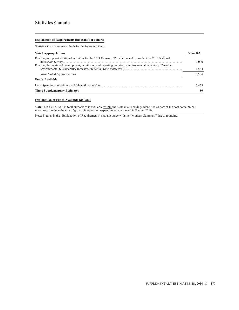#### **Explanation of Requirements (thousands of dollars)**

Statistics Canada requests funds for the following items:

| <b>Voted Appropriations</b>                                                                                 | <b>Vote 105</b> |
|-------------------------------------------------------------------------------------------------------------|-----------------|
| Funding to support additional activities for the 2011 Census of Population and to conduct the 2011 National | 2.000           |
| Funding for continued development, monitoring and reporting on priority environmental indicators (Canadian  | 1.564           |
| Gross Voted Appropriations                                                                                  | 3.564           |
| <b>Funds Available</b>                                                                                      |                 |
|                                                                                                             | 3.478           |
| <b>These Supplementary Estimates</b>                                                                        | 86              |

#### **Explanation of Funds Available (dollars)**

**Vote 105**: \$3,477,566 in total authorities is available within the Vote due to savings identified as part of the cost containment measures to reduce the rate of growth in operating expenditures announced in Budget 2010.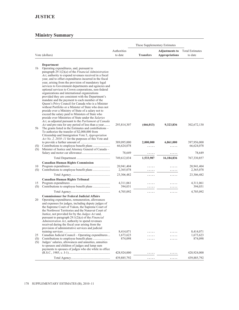|                |                                                                                                                   |                        | These Supplementary Estimates |                                                |                                   |
|----------------|-------------------------------------------------------------------------------------------------------------------|------------------------|-------------------------------|------------------------------------------------|-----------------------------------|
|                | Vote (dollars)                                                                                                    | Authorities<br>to date | <b>Transfers</b>              | <b>Adjustments to</b><br><b>Appropriations</b> | <b>Total Estimates</b><br>to date |
|                |                                                                                                                   |                        |                               |                                                |                                   |
|                | Department                                                                                                        |                        |                               |                                                |                                   |
| 1 <sub>b</sub> | Operating expenditures, and, pursuant to                                                                          |                        |                               |                                                |                                   |
|                | paragraph $29.1(2)(a)$ of the <i>Financial Administration</i>                                                     |                        |                               |                                                |                                   |
|                | Act, authority to expend revenues received in a fiscal<br>year, and to offset expenditures incurred in the fiscal |                        |                               |                                                |                                   |
|                | year, arising from the provision of mandatory legal                                                               |                        |                               |                                                |                                   |
|                | services to Government departments and agencies and                                                               |                        |                               |                                                |                                   |
|                | optional services to Crown corporations, non-federal                                                              |                        |                               |                                                |                                   |
|                | organizations and international organizations                                                                     |                        |                               |                                                |                                   |
|                | provided they are consistent with the Department's<br>mandate and the payment to each member of the               |                        |                               |                                                |                                   |
|                | Queen's Privy Council for Canada who is a Minister                                                                |                        |                               |                                                |                                   |
|                | without Portfolio or a Minister of State who does not                                                             |                        |                               |                                                |                                   |
|                | preside over a Ministry of State of a salary not to                                                               |                        |                               |                                                |                                   |
|                | exceed the salary paid to Ministers of State who                                                                  |                        |                               |                                                |                                   |
|                | preside over Ministries of State under the Salaries<br>Act, as adjusted pursuant to the Parliament of Canada      |                        |                               |                                                |                                   |
|                | Act and pro rata for any period of less than a year                                                               | 293,814,307            | (466, 013)                    | 9,323,836                                      | 302,672,130                       |
| 5b             | The grants listed in the Estimates and contributions –                                                            |                        |                               |                                                |                                   |
|                | To authorize the transfer of \$2,000,000 from                                                                     |                        |                               |                                                |                                   |
|                | Citizenship and Immigration Vote 5, Appropriation                                                                 |                        |                               |                                                |                                   |
|                | Act No. 2, 2010–11 for the purposes of this Vote and                                                              | 389,095,000            | 2,000,000                     | 6,861,000                                      | 397,956,000                       |
| (S)            |                                                                                                                   | 66,624,078             | .                             | .                                              | 66,624,078                        |
| (S)            | Minister of Justice and Attorney General of Canada -                                                              |                        |                               |                                                |                                   |
|                |                                                                                                                   | 78,649                 | .                             | .                                              | 78,649                            |
|                |                                                                                                                   | 749,612,034            | 1,533,987                     | 16,184,836                                     | 767,330,857                       |
|                | <b>Canadian Human Rights Commission</b>                                                                           |                        |                               |                                                |                                   |
| 10             |                                                                                                                   | 20,941,404             | .                             |                                                | 20,941,404                        |
| (S)            |                                                                                                                   | 2,365,078              | .                             |                                                | 2,365,078                         |
|                |                                                                                                                   | 23,306,482             | .                             | .                                              | 23,306,482                        |
| 15             | <b>Canadian Human Rights Tribunal</b>                                                                             | 4,311,061              |                               |                                                | 4,311,061                         |
| (S)            |                                                                                                                   | 394,031                | .<br>.                        | .<br>.                                         | 394,031                           |
|                |                                                                                                                   | 4,705,092              | .                             | .                                              | 4,705,092                         |
|                | <b>Commissioner for Federal Judicial Affairs</b>                                                                  |                        |                               |                                                |                                   |
| 20             | Operating expenditures, remuneration, allowances                                                                  |                        |                               |                                                |                                   |
|                | and expenses for judges, including deputy judges of                                                               |                        |                               |                                                |                                   |
|                | the Supreme Court of Yukon, the Supreme Court of                                                                  |                        |                               |                                                |                                   |
|                | the Northwest Territories and the Nunavut Court of<br>Justice, not provided for by the Judges Act and,            |                        |                               |                                                |                                   |
|                | pursuant to paragraph $29.1(2)(a)$ of the <i>Financial</i>                                                        |                        |                               |                                                |                                   |
|                | Administration Act, authority to spend revenues                                                                   |                        |                               |                                                |                                   |
|                | received during the fiscal year arising from the                                                                  |                        |                               |                                                |                                   |
|                | provision of administrative services and judicial                                                                 |                        |                               |                                                |                                   |
| 25             | Canadian Judicial Council - Operating expenditures                                                                | 8,414,071<br>1,673,623 |                               |                                                | 8,414,071<br>1,673,623            |
| (S)            |                                                                                                                   | 874,098                |                               | .                                              | 874,098                           |
| (S)            | Judges' salaries, allowances and annuities, annuities                                                             |                        |                               |                                                |                                   |
|                | to spouses and children of judges and lump sum                                                                    |                        |                               |                                                |                                   |
|                | payments to spouses of judges who die while in office                                                             |                        |                               |                                                |                                   |
|                |                                                                                                                   | 428,924,000            |                               |                                                | 428,924,000                       |
|                |                                                                                                                   | 439,885,792            |                               |                                                | 439,885,792                       |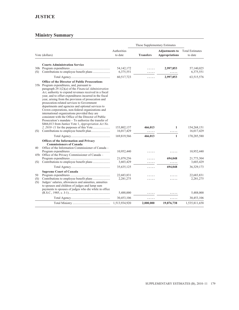### **JUSTICE**

|                  |                                                                                                                                                                                                                                                                                                                                                                                                                                                                                                                                                                                                                                                                                                                                    |                           | These Supplementary Estimates |                                                |                                   |
|------------------|------------------------------------------------------------------------------------------------------------------------------------------------------------------------------------------------------------------------------------------------------------------------------------------------------------------------------------------------------------------------------------------------------------------------------------------------------------------------------------------------------------------------------------------------------------------------------------------------------------------------------------------------------------------------------------------------------------------------------------|---------------------------|-------------------------------|------------------------------------------------|-----------------------------------|
|                  | Vote (dollars)                                                                                                                                                                                                                                                                                                                                                                                                                                                                                                                                                                                                                                                                                                                     | Authorities<br>to date    | <b>Transfers</b>              | <b>Adjustments to</b><br><b>Appropriations</b> | <b>Total Estimates</b><br>to date |
|                  | <b>Courts Administration Service</b>                                                                                                                                                                                                                                                                                                                                                                                                                                                                                                                                                                                                                                                                                               |                           |                               |                                                |                                   |
| (S)              |                                                                                                                                                                                                                                                                                                                                                                                                                                                                                                                                                                                                                                                                                                                                    | 54, 142, 172<br>6,375,551 | .                             | 2,997,853                                      | 57,140,025<br>6,375,551           |
|                  |                                                                                                                                                                                                                                                                                                                                                                                                                                                                                                                                                                                                                                                                                                                                    | 60,517,723                | .                             | 2,997,853                                      | 63,515,576                        |
|                  | <b>Office of the Director of Public Prosecutions</b><br>35b Program expenditures, and, pursuant to<br>paragraph $29.1(2)(a)$ of the <i>Financial Administration</i><br>Act, authority to expend revenues received in a fiscal<br>year, and to offset expenditures incurred in the fiscal<br>year, arising from the provision of prosecution and<br>prosecution-related services to Government<br>departments and agencies and optional services to<br>Crown corporations, non-federal organizations and<br>international organizations provided they are<br>consistent with the Office of the Director of Public<br>Prosecution's mandate $-$ To authorize the transfer of<br>\$466,013 from Justice Vote 1, Appropriation Act No. | 153,802,137<br>16,017,429 | 466,013                       | 1                                              | 154,268,151<br>16,017,429         |
| (S)              |                                                                                                                                                                                                                                                                                                                                                                                                                                                                                                                                                                                                                                                                                                                                    | 169,819,566               | .<br>466,013                  | .<br>1                                         | 170,285,580                       |
| 40               | Offices of the Information and Privacy<br><b>Commissioners of Canada</b><br>Office of the Information Commissioner of Canada -<br>45b Office of the Privacy Commissioner of Canada -                                                                                                                                                                                                                                                                                                                                                                                                                                                                                                                                               | 10,952,440                |                               |                                                | 10,952,440                        |
| (S)              |                                                                                                                                                                                                                                                                                                                                                                                                                                                                                                                                                                                                                                                                                                                                    | 21,079,256<br>3,603,429   |                               | 694,048<br>.                                   | 21,773,304<br>3,603,429           |
|                  |                                                                                                                                                                                                                                                                                                                                                                                                                                                                                                                                                                                                                                                                                                                                    | 35, 635, 125              | .                             | 694,048                                        | 36,329,173                        |
| 50<br>(S)<br>(S) | <b>Supreme Court of Canada</b><br>Judges' salaries, allowances and annuities, annuities<br>to spouses and children of judges and lump sum<br>payments to spouses of judges who die while in office                                                                                                                                                                                                                                                                                                                                                                                                                                                                                                                                 | 22,683,831<br>2,281,275   |                               | $\cdots$                                       | 22,683,831<br>2,281,275           |
|                  |                                                                                                                                                                                                                                                                                                                                                                                                                                                                                                                                                                                                                                                                                                                                    | 5,488,000                 |                               |                                                | 5,488,000                         |
|                  |                                                                                                                                                                                                                                                                                                                                                                                                                                                                                                                                                                                                                                                                                                                                    | 30,453,106                | .                             | .                                              | 30,453,106                        |
|                  |                                                                                                                                                                                                                                                                                                                                                                                                                                                                                                                                                                                                                                                                                                                                    | 1,513,934,920             | 2,000,000                     | 19,876,738                                     | 1,535,811,658                     |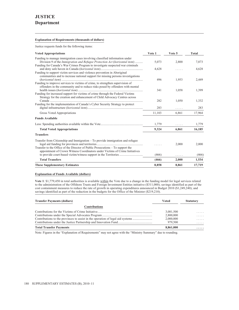#### **Explanation of Requirements (thousands of dollars)**

Justice requests funds for the following items:

| <b>Voted Appropriations</b>                                                                                                                                              | Vote 1 | Vote 5 | <b>Total</b> |
|--------------------------------------------------------------------------------------------------------------------------------------------------------------------------|--------|--------|--------------|
| Funding to manage immigration cases involving classified information under<br>Division 9 of the <i>Immigration and Refugee Protection Act</i> ( <i>horizontal item</i> ) | 5,073  | 2,800  | 7,873        |
| Funding for Canada's War Crimes Program to investigate suspected war criminals                                                                                           | 4,628  | .      | 4,628        |
| Funding to support victim services and violence prevention in Aboriginal<br>communities and to increase national support for missing persons investigations              | 496    | 1,953  | 2,449        |
| Funding to improve services to victims of crime, to strengthen supervision of<br>offenders in the community and to reduce risks posed by offenders with mental           |        |        |              |
| Funding for increased support for victims of crime through the Federal Victims                                                                                           | 341    | 1,058  | 1,399        |
| Strategy for the creation and enhancement of Child Advocacy Centres across                                                                                               | 282    | 1,050  | 1,332        |
| Funding for the implementation of Canada's Cyber Security Strategy to protect                                                                                            | 283    | .      | 283          |
| Gross Voted Appropriations                                                                                                                                               | 11,103 | 6,861  | 17,964       |
| <b>Funds Available</b>                                                                                                                                                   |        |        |              |
|                                                                                                                                                                          | 1,779  | .      | 1,779        |
| <b>Total Voted Appropriations</b>                                                                                                                                        | 9.324  | 6.861  | 16,185       |
| <b>Transfers</b>                                                                                                                                                         |        |        |              |
| Transfer from Citizenship and Immigration – To provide immigration and refugee                                                                                           |        | 2,000  | 2,000        |
| Transfer to the Office of the Director of Public Prosecutions – To support the<br>appointment of Crown Witness Coordinators under Victims of Crime Initiatives           |        |        |              |
| to provide court-based victim/witness support in the Territories                                                                                                         | (466)  | .      | (466)        |
| <b>Total Transfers</b>                                                                                                                                                   | (466)  | 2,000  | 1,534        |
| <b>These Supplementary Estimates</b>                                                                                                                                     | 8,858  | 8,861  | 17,719       |

#### **Explanation of Funds Available (dollars)**

**Vote 1**: \$1,779,450 in total authorities is available within the Vote due to a change in the funding model for legal services related to the administration of the Offshore Trusts and Foreign Investment Entities initiative (\$311,000); savings identified as part of the cost containment measures to reduce the rate of growth in operating expenditures announced in Budget 2010 (\$1,249,240); and savings identified as part of the reduction in the budgets for the Office of the Minister (\$219,210).

| <b>Transfer Payments (dollars)</b>                                             | Voted     | <b>Statutory</b> |
|--------------------------------------------------------------------------------|-----------|------------------|
| <b>Contributions</b>                                                           |           |                  |
|                                                                                | 3,081,500 | .                |
|                                                                                | 2,800,000 | .                |
| Contributions to the provinces to assist in the operation of legal aid systems | 2,000,000 | .                |
|                                                                                | 979.500   | .                |
| <b>Total Transfer Payments</b>                                                 | 8,861,000 | .                |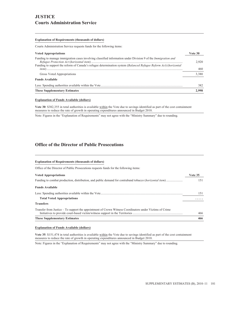### **JUSTICE Courts Administration Service**

#### **Explanation of Requirements (thousands of dollars)**

Courts Administration Service requests funds for the following items:

| <b>Voted Appropriations</b>                                                                                         | Vote 30 |
|---------------------------------------------------------------------------------------------------------------------|---------|
| Funding to manage immigration cases involving classified information under Division 9 of the <i>Immigration and</i> | 2.920   |
| Funding to support the reform of Canada's refugee determination system (Balanced Refugee Reform Act) (horizontal    | 460     |
| Gross Voted Appropriations                                                                                          | 3.380   |
| <b>Funds Available</b>                                                                                              |         |
|                                                                                                                     | 382     |
| <b>These Supplementary Estimates</b>                                                                                | 2.998   |

#### **Explanation of Funds Available (dollars)**

**Vote 30**: \$382,355 in total authorities is available within the Vote due to savings identified as part of the cost containment measures to reduce the rate of growth in operating expenditures announced in Budget 2010.

Note: Figures in the "Explanation of Requirements" may not agree with the "Ministry Summary" due to rounding.

### **Office of the Director of Public Prosecutions**

#### **Explanation of Requirements (thousands of dollars)**

Office of the Director of Public Prosecutions requests funds for the following items:

| <b>Voted Appropriations</b>                                                                             | Vote 35 |
|---------------------------------------------------------------------------------------------------------|---------|
|                                                                                                         | 151     |
| <b>Funds Available</b>                                                                                  |         |
|                                                                                                         | 151     |
| <b>Total Voted Appropriations</b>                                                                       |         |
| <b>Transfers</b>                                                                                        |         |
| Transfer from Justice – To support the appointment of Crown Witness Coordinators under Victims of Crime | 466     |
| <b>These Supplementary Estimates</b>                                                                    | 466     |

#### **Explanation of Funds Available (dollars)**

**Vote 35**: \$151,474 in total authorities is available within the Vote due to savings identified as part of the cost containment measures to reduce the rate of growth in operating expenditures announced in Budget 2010.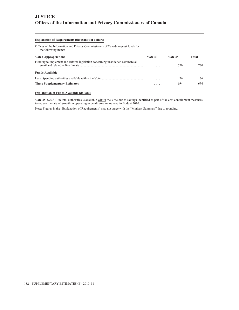#### **Explanation of Requirements (thousands of dollars)**

Offices of the Information and Privacy Commissioners of Canada request funds for the following items:

| <b>Voted Appropriations</b>                                                    | Vote 40 | Vote 45 | Total |
|--------------------------------------------------------------------------------|---------|---------|-------|
| Funding to implement and enforce legislation concerning unsolicited commercial | .       | 770     | 770   |
| <b>Funds Available</b>                                                         |         |         |       |
|                                                                                | .       | 76      | 76    |
| <b>These Supplementary Estimates</b>                                           | .       | 694     | 694   |

#### **Explanation of Funds Available (dollars)**

**Vote 45**: \$75,813 in total authorities is available within the Vote due to savings identified as part of the cost containment measures to reduce the rate of growth in operating expenditures announced in Budget 2010.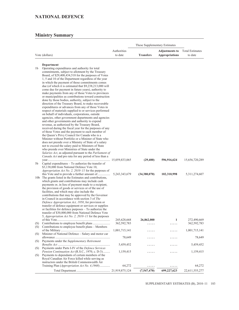# **NATIONAL DEFENCE**

|            |                                                                                                                                                                                                                                                                                                                                                                                                                                                                                                                                                                                                                                                                                                                                                                                                                                                                                                                                                                                                                                                                                                                                                                                                                                                                                                                                                           |                            |                  | These Supplementary Estimates                  |                                   |  |
|------------|-----------------------------------------------------------------------------------------------------------------------------------------------------------------------------------------------------------------------------------------------------------------------------------------------------------------------------------------------------------------------------------------------------------------------------------------------------------------------------------------------------------------------------------------------------------------------------------------------------------------------------------------------------------------------------------------------------------------------------------------------------------------------------------------------------------------------------------------------------------------------------------------------------------------------------------------------------------------------------------------------------------------------------------------------------------------------------------------------------------------------------------------------------------------------------------------------------------------------------------------------------------------------------------------------------------------------------------------------------------|----------------------------|------------------|------------------------------------------------|-----------------------------------|--|
|            | Vote (dollars)                                                                                                                                                                                                                                                                                                                                                                                                                                                                                                                                                                                                                                                                                                                                                                                                                                                                                                                                                                                                                                                                                                                                                                                                                                                                                                                                            | Authorities<br>to date     | <b>Transfers</b> | <b>Adjustments to</b><br><b>Appropriations</b> | <b>Total Estimates</b><br>to date |  |
| 1b         | Department<br>Operating expenditures and authority for total<br>commitments, subject to allotment by the Treasury<br>Board, of \$29,408,434,518 for the purposes of Votes<br>1, 5 and 10 of the Department regardless of the year<br>in which the payment of those commitments comes<br>due (of which it is estimated that \$9,238,213,000 will<br>come due for payment in future years), authority to<br>make payments from any of those Votes to provinces<br>or municipalities as contributions toward construction<br>done by those bodies, authority, subject to the<br>direction of the Treasury Board, to make recoverable<br>expenditures or advances from any of those Votes in<br>respect of materials supplied to or services performed<br>on behalf of individuals, corporations, outside<br>agencies, other government departments and agencies<br>and other governments and authority to expend<br>revenue, as authorized by the Treasury Board,<br>received during the fiscal year for the purposes of any<br>of those Votes and the payment to each member of<br>the Queen's Privy Council for Canada who is a<br>Minister without Portfolio or a Minister of State who<br>does not preside over a Ministry of State of a salary<br>not to exceed the salary paid to Ministers of State<br>who preside over Ministries of State under the |                            |                  |                                                |                                   |  |
| 5b         | Salaries Act, as adjusted pursuant to the Parliament of<br>Canada Act and pro rata for any period of less than a<br>Capital expenditures - To authorize the transfer of<br>\$3,138,000 from National Defence Vote 10,                                                                                                                                                                                                                                                                                                                                                                                                                                                                                                                                                                                                                                                                                                                                                                                                                                                                                                                                                                                                                                                                                                                                     |                            | (29, 400)        | 596,916,624                                    | 15,656,720,289                    |  |
|            | <i>Appropriation Act No. 2, 2010–11</i> for the purposes of<br>this Vote and to provide a further amount of<br>10b The grants listed in the Estimates and contributions,<br>which grants and contributions may include cash<br>payments or, in lieu of payment made to a recipient,<br>the provision of goods or services or of the use of<br>facilities, and which may also include the<br>contributions that may be approved by the Governor<br>in Council in accordance with section 3 of The<br>Defence Appropriation Act, 1950, for provision or<br>transfer of defence equipment or services or supplies<br>or facilities for defence purposes - To authorize the<br>transfer of \$30,000,000 from National Defence Vote<br>5, Appropriation Act No. 2, 2010-11 for the purposes                                                                                                                                                                                                                                                                                                                                                                                                                                                                                                                                                                    | 5,243,343,679              | (34,380,070)     | 102,310,998                                    | 5,311,274,607                     |  |
| (S)<br>(S) | Contributions to employee benefit plans - Members                                                                                                                                                                                                                                                                                                                                                                                                                                                                                                                                                                                                                                                                                                                                                                                                                                                                                                                                                                                                                                                                                                                                                                                                                                                                                                         | 245,628,668<br>362,592,783 | 26,862,000<br>.  | $\mathbf{1}$<br>.                              | 272,490,669<br>362, 592, 783      |  |
| (S)        | Minister of National Defence - Salary and motor car                                                                                                                                                                                                                                                                                                                                                                                                                                                                                                                                                                                                                                                                                                                                                                                                                                                                                                                                                                                                                                                                                                                                                                                                                                                                                                       | 1,001,715,141              | .                | . <b>.</b>                                     | 1,001,715,141                     |  |
| (S)        | Payments under the Supplementary Retirement                                                                                                                                                                                                                                                                                                                                                                                                                                                                                                                                                                                                                                                                                                                                                                                                                                                                                                                                                                                                                                                                                                                                                                                                                                                                                                               | 78,649                     | .                | .                                              | 78,649                            |  |
|            |                                                                                                                                                                                                                                                                                                                                                                                                                                                                                                                                                                                                                                                                                                                                                                                                                                                                                                                                                                                                                                                                                                                                                                                                                                                                                                                                                           | 5,459,452                  |                  | .                                              | 5,459,452                         |  |
| (S)<br>(S) | Payments under Parts I-IV of the Defence Services<br>Pension Continuation Act (R.S.C., 1970, c. D-3)<br>Payments to dependants of certain members of the<br>Royal Canadian Air Force killed while serving as<br>instructors under the British Commonwealth Air                                                                                                                                                                                                                                                                                                                                                                                                                                                                                                                                                                                                                                                                                                                                                                                                                                                                                                                                                                                                                                                                                            | 1,159,415                  |                  |                                                | 1,159,415                         |  |
|            | Training Plan (Appropriation Act No. 4,1968)                                                                                                                                                                                                                                                                                                                                                                                                                                                                                                                                                                                                                                                                                                                                                                                                                                                                                                                                                                                                                                                                                                                                                                                                                                                                                                              | 64,272                     |                  |                                                | 64,272                            |  |
|            |                                                                                                                                                                                                                                                                                                                                                                                                                                                                                                                                                                                                                                                                                                                                                                                                                                                                                                                                                                                                                                                                                                                                                                                                                                                                                                                                                           |                            | (7,547,470)      | 699,227,623                                    | 22,611,555,277                    |  |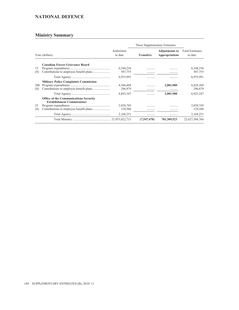# **NATIONAL DEFENCE**

|                 |                                                                                   |                        | These Supplementary Estimates |                                                |                                   |  |
|-----------------|-----------------------------------------------------------------------------------|------------------------|-------------------------------|------------------------------------------------|-----------------------------------|--|
| Vote (dollars)  |                                                                                   | Authorities<br>to date | <b>Transfers</b>              | <b>Adjustments to</b><br><b>Appropriations</b> | <b>Total Estimates</b><br>to date |  |
|                 | <b>Canadian Forces Grievance Board</b>                                            |                        |                               |                                                |                                   |  |
| 15<br>(S)       |                                                                                   | 6,348,236<br>587,755   | .                             |                                                | 6,348,236<br>587,755              |  |
|                 |                                                                                   | 6,935,991              | .                             |                                                | 6,935,991                         |  |
|                 | <b>Military Police Complaints Commission</b>                                      |                        |                               |                                                |                                   |  |
| 20 <sub>b</sub> |                                                                                   | 4,546,468              |                               | 2,081,900                                      | 6,628,368                         |  |
| (S)             |                                                                                   | 296,879                | .                             | .                                              | 296,879                           |  |
|                 |                                                                                   | 4,843,347              |                               | 2,081,900                                      | 6,925,247                         |  |
|                 | <b>Office of the Communications Security</b><br><b>Establishment Commissioner</b> |                        |                               |                                                |                                   |  |
| 25              |                                                                                   | 2,038,745              |                               |                                                | 2,038,745                         |  |
| (S)             |                                                                                   | 129,506                | .                             |                                                | 129,506                           |  |
|                 |                                                                                   | 2,168,251              | .                             | .                                              | 2,168,251                         |  |
|                 |                                                                                   |                        | (7,547,470)                   | 701,309,523                                    | 22,627,584,766                    |  |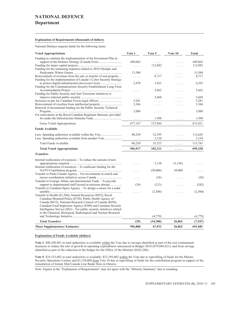# **NATIONAL DEFENCE**

### **Department**

#### **Explanation of Requirements (thousands of dollars)**

National Defence requests funds for the following items:

| <b>Voted Appropriations</b>                                           | Vote 1   | Vote 5    | Vote 10                                   | <b>Total</b> |
|-----------------------------------------------------------------------|----------|-----------|-------------------------------------------|--------------|
| Funding to continue the implementation of the Investment Plan in      |          |           |                                           |              |
|                                                                       | 649,062  | .         | .                                         | 649,062      |
|                                                                       | .        | 112,882   | $\cdots$                                  | 112,882      |
| Funding for the remaining expenses related to 2010 Olympic and        |          |           |                                           |              |
|                                                                       | 13,500   | .         |                                           | 13,500       |
| Reinvestment of revenues from the sale or transfer of real property   | .        | 8,717     |                                           | 8,717        |
| Funding for the implementation of Canada's Cyber Security Strategy    |          |           |                                           |              |
| to protect digital infrastructure <i>(horizontal item)</i>            | 2,870    | 3,423     | .                                         | 6,293        |
| Funding for the Communications Security Establishment Long-Term       |          |           |                                           |              |
|                                                                       | .        | 5,662     | .                                         | 5,662        |
| Funding for Public Security and Anti-Terrorism initiatives to         |          |           |                                           |              |
|                                                                       | .        | 5,660     | .                                         | 5,660        |
|                                                                       | 5,281    | .         | .                                         | 5,281        |
|                                                                       | 3,366    |           | .                                         | 3,366        |
| Renewal of incremental funding for the Public Security Technical      |          |           |                                           |              |
|                                                                       | 3,088    | .         | .                                         | 3,088        |
| For renovations at the Royal Canadian Regiment Museum, provided       |          |           |                                           |              |
|                                                                       | .        | 1,500     | $\cdots$                                  | 1,500        |
| Gross Voted Appropriations                                            | 677,167  | 137,844   | .                                         | 815,011      |
| <b>Funds Available</b>                                                |          |           |                                           |              |
|                                                                       |          |           |                                           |              |
|                                                                       | 80,250   | 32,395    | .                                         | 112,645      |
| Less: Spending authorities available from another Vote                | $\ldots$ | 3,138     | .                                         | 3,138        |
| Total Funds Available                                                 | 80,250   | 35,533    | $\ldots$                                  | 115,783      |
| <b>Total Voted Appropriations</b>                                     | 596,917  | 102,311   | .                                         | 699,228      |
| <b>Transfers</b>                                                      |          |           |                                           |              |
| Internal reallocation of resources – To reduce the amount of new      |          |           |                                           |              |
|                                                                       |          | 3,138     | (3,138)                                   |              |
| Internal reallocation of resources – To reallocate funding for the    |          |           |                                           |              |
|                                                                       | .        | (30,000)  | 30,000                                    |              |
| Transfer to Parks Canada Agency - For investments in search and       |          |           |                                           |              |
|                                                                       |          | (26)      | .                                         | (26)         |
| Transfer to Foreign Affairs and International Trade - To provide      |          |           |                                           |              |
| support to departmental staff located at missions abroad              | (29)     | (213)     | .                                         | (242)        |
| Transfer to Canadian Space Agency – To design a sensor for a radar    |          |           |                                           |              |
|                                                                       | .        | (2,500)   | $\sim$ $\sim$ $\sim$                      | (2,500)      |
| Transfer to Health (\$1,504), Natural Resources (\$852), Royal        |          |           |                                           |              |
| Canadian Mounted Police (\$730), Public Health Agency of              |          |           |                                           |              |
| Canada (\$672), National Research Council of Canada (\$650),          |          |           |                                           |              |
| Canadian Food Inspection Agency (\$308) and Canadian Security         |          |           |                                           |              |
| Intelligence Service (\$63) – For public security initiatives related |          |           |                                           |              |
| to the Chemical, Biological, Radiological and Nuclear Research        |          |           |                                           |              |
|                                                                       | .        | (4,779)   | $\alpha$ , $\alpha$ , $\alpha$ , $\alpha$ | (4,779)      |
| <b>Total Transfers</b>                                                | (29)     | (34, 380) | 26,862                                    | (7, 547)     |
| <b>These Supplementary Estimates</b>                                  | 596,888  | 67,931    | 26,862                                    | 691,681      |

#### **Explanation of Funds Available (dollars)**

**Vote 1**: \$80,249,901 in total authorities is available within the Vote due to savings identified as part of the cost containment measures to reduce the rate of growth in operating expenditures announced in Budget 2010 (\$79,884,621); and from savings identified as part of the reduction in the budget for the Office of the Minister (\$365,280).

**Vote 5**: \$35,533,082 in total authorities is available: \$32,395,082 within the Vote due to reprofiling of funds for the Marine Security Operations Centres and \$3,138,000 from Vote 10 due to reprofiling of funds for the contribution program in support of the remediation of former Mid-Canada Line Radar Sites in Ontario.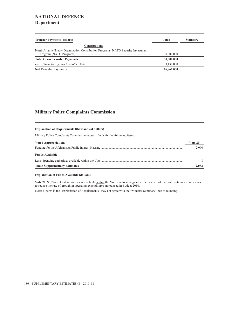# **NATIONAL DEFENCE Department**

| <b>Transfer Payments (dollars)</b>                                                 | Voted      | <b>Statutory</b> |
|------------------------------------------------------------------------------------|------------|------------------|
| <b>Contributions</b>                                                               |            |                  |
| North Atlantic Treaty Organization Contribution Programs: NATO Security Investment | 30,000,000 | .                |
| <b>Total Gross Transfer Payments</b>                                               | 30,000,000 | .                |
|                                                                                    | 3,138,000  | .                |
| <b>Net Transfer Payments</b>                                                       | 26,862,000 | .                |

### **Military Police Complaints Commission**

#### **Explanation of Requirements (thousands of dollars)**

Military Police Complaints Commission requests funds for the following items:

| <b>Voted Appropriations</b>          | Vote 20      |
|--------------------------------------|--------------|
|                                      | 2.090        |
| <b>Funds Available</b>               |              |
|                                      | $\mathbf{R}$ |
| <b>These Supplementary Estimates</b> | 2.082        |

#### **Explanation of Funds Available (dollars)**

**Vote 20**: \$8,276 in total authorities is available within the Vote due to savings identified as part of the cost containment measures to reduce the rate of growth in operating expenditures announced in Budget 2010.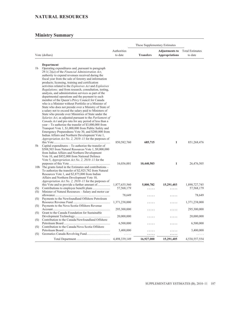# **NATURAL RESOURCES**

|                |                                                                                                                |               | These Supplementary Estimates |                       |                        |  |
|----------------|----------------------------------------------------------------------------------------------------------------|---------------|-------------------------------|-----------------------|------------------------|--|
|                |                                                                                                                | Authorities   |                               | <b>Adjustments to</b> | <b>Total Estimates</b> |  |
|                | Vote (dollars)                                                                                                 | to date       | <b>Transfers</b>              | <b>Appropriations</b> | to date                |  |
|                |                                                                                                                |               |                               |                       |                        |  |
|                | Department                                                                                                     |               |                               |                       |                        |  |
| 1 <sub>b</sub> | Operating expenditures and, pursuant to paragraph<br>$29.1(2)(a)$ of the Financial Administration Act,         |               |                               |                       |                        |  |
|                | authority to expend revenues received during the                                                               |               |                               |                       |                        |  |
|                | fiscal year from the sale of forestry and information                                                          |               |                               |                       |                        |  |
|                | products; licensing, training and certification                                                                |               |                               |                       |                        |  |
|                | activities related to the <i>Explosives Act</i> and <i>Explosives</i>                                          |               |                               |                       |                        |  |
|                | <i>Regulations</i> ; and from research, consultation, testing,                                                 |               |                               |                       |                        |  |
|                | analysis, and administration services as part of the                                                           |               |                               |                       |                        |  |
|                | departmental operations and the payment to each                                                                |               |                               |                       |                        |  |
|                | member of the Queen's Privy Council for Canada                                                                 |               |                               |                       |                        |  |
|                | who is a Minister without Portfolio or a Minister of                                                           |               |                               |                       |                        |  |
|                | State who does not preside over a Ministry of State of                                                         |               |                               |                       |                        |  |
|                | a salary not to exceed the salary paid to Ministers of<br>State who preside over Ministries of State under the |               |                               |                       |                        |  |
|                | <i>Salaries Act</i> , as adjusted pursuant to the <i>Parliament of</i>                                         |               |                               |                       |                        |  |
|                | Canada Act and pro rata for any period of less than a                                                          |               |                               |                       |                        |  |
|                | year $-$ To authorize the transfer of \$3,000,000 from                                                         |               |                               |                       |                        |  |
|                | Transport Vote 1, \$1,000,000 from Public Safety and                                                           |               |                               |                       |                        |  |
|                | Emergency Preparedness Vote 30, and \$200,000 from                                                             |               |                               |                       |                        |  |
|                | Indian Affairs and Northern Development Vote 1,                                                                |               |                               |                       |                        |  |
|                | Appropriation Act No. 2, 2010–11 for the purposes of                                                           |               |                               |                       |                        |  |
| 5b             | Capital expenditures – To authorize the transfer of                                                            | 850,582,760   | 685,715                       | 1                     | 851,268,476            |  |
|                | \$588,503 from Natural Resources Vote 1, \$9,000,000                                                           |               |                               |                       |                        |  |
|                | from Indian Affairs and Northern Development                                                                   |               |                               |                       |                        |  |
|                | Vote 10, and \$852,000 from National Defence                                                                   |               |                               |                       |                        |  |
|                | Vote 5, <i>Appropriation Act No. 2, 2010–11</i> for the                                                        |               |                               |                       |                        |  |
|                |                                                                                                                | 16,036,001    | 10,440,503                    | $\mathbf{1}$          | 26,476,505             |  |
|                | 10b The grants listed in the Estimates and contributions –                                                     |               |                               |                       |                        |  |
|                | To authorize the transfer of \$2,925,782 from Natural                                                          |               |                               |                       |                        |  |
|                | Resources Vote 1, and \$2,875,000 from Indian                                                                  |               |                               |                       |                        |  |
|                | Affairs and Northern Development Vote 10,                                                                      |               |                               |                       |                        |  |
|                | Appropriation Act No. 2, 2010–11 for the purposes of<br>this Vote and to provide a further amount of           | 1,877,635,560 | 5,800,782                     | 15,291,403            | 1,898,727,745          |  |
| (S)            |                                                                                                                | 57,568,179    | .                             | .                     | 57,568,179             |  |
| (S)            | Minister of Natural Resources – Salary and motor car                                                           |               |                               |                       |                        |  |
|                |                                                                                                                | 78,649        | .                             | .                     | 78,649                 |  |
| (S)            | Payments to the Newfoundland Offshore Petroleum                                                                |               |                               |                       |                        |  |
|                |                                                                                                                | 1,371,238,000 | .                             | .                     | 1,371,238,000          |  |
| (S)            | Payments to the Nova Scotia Offshore Revenue                                                                   |               |                               |                       |                        |  |
|                | Grant to the Canada Foundation for Sustainable                                                                 | 295,300,000   | .                             | .                     | 295,300,000            |  |
| (S)            |                                                                                                                | 20,000,000    | .                             | .                     | 20,000,000             |  |
| (S)            | Contribution to the Canada/Newfoundland Offshore                                                               |               |                               |                       |                        |  |
|                |                                                                                                                | 6,500,000     | .                             | .                     | 6,500,000              |  |
| (S)            | Contribution to the Canada/Nova Scotia Offshore                                                                |               |                               |                       |                        |  |
|                |                                                                                                                | 3,400,000     | .                             | .                     | 3,400,000              |  |
| (S)            |                                                                                                                | .             | .                             | .                     |                        |  |
|                |                                                                                                                | 4,498,339,149 | 16,927,000                    | 15,291,405            | 4,530,557,554          |  |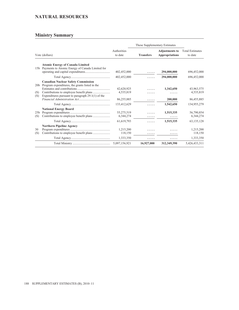# **NATURAL RESOURCES**

|                        |                                                                                             |                         | These Supplementary Estimates |                                                |                                   |
|------------------------|---------------------------------------------------------------------------------------------|-------------------------|-------------------------------|------------------------------------------------|-----------------------------------|
| Vote (dollars)         |                                                                                             | Authorities<br>to date  | <b>Transfers</b>              | <b>Adjustments to</b><br><b>Appropriations</b> | <b>Total Estimates</b><br>to date |
| 15b                    | <b>Atomic Energy of Canada Limited</b><br>Payments to Atomic Energy of Canada Limited for   | 402,452,000             | .                             | 294,000,000                                    | 696,452,000                       |
|                        |                                                                                             | 402,452,000             |                               | 294,000,000                                    | 696,452,000                       |
| 20 <sub>b</sub>        | <b>Canadian Nuclear Safety Commission</b><br>Program expenditures, the grants listed in the | 42,620,925              |                               | 1,342,650                                      | 43,963,575                        |
| (S)<br>(S)             | Expenditures pursuant to paragraph $29.1(1)$ of the                                         | 4,535,819<br>86,255,885 | .                             | 200,000                                        | 4,535,819<br>86,455,885           |
|                        |                                                                                             | 133,412,629             |                               | 1,542,650                                      | 134,955,279                       |
| 25 <sub>b</sub><br>(S) | <b>National Energy Board</b>                                                                | 55,275,519<br>6,344,274 |                               | 1,515,335                                      | 56,790,854<br>6,344,274           |
|                        |                                                                                             | 61,619,793              |                               | 1,515,335                                      | 63, 135, 128                      |
| 30<br>(S)              | <b>Northern Pipeline Agency</b>                                                             | 1,215,200<br>118,150    |                               |                                                | 1,215,200<br>118,150              |
|                        |                                                                                             | 1,333,350               | .                             | .                                              | 1,333,350                         |
|                        |                                                                                             | 5,097,156,921           | 16,927,000                    | 312,349,390                                    | 5,426,433,311                     |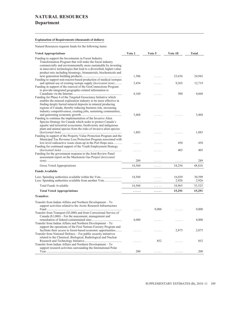# **NATURAL RESOURCES Department**

#### **Explanation of Requirements (thousands of dollars)**

Natural Resources requests funds for the following items:

| <b>Voted Appropriations</b>                                                                                                                                                                                                                                                | Vote 1      | Vote 5 | Vote 10         | <b>Total</b>    |
|----------------------------------------------------------------------------------------------------------------------------------------------------------------------------------------------------------------------------------------------------------------------------|-------------|--------|-----------------|-----------------|
| Funding to support the Investments in Forest Industry<br>Transformation Program that will make the forest industry<br>commercially and environmentally more sustainable by investing<br>in innovative technologies that lead to a diversified, higher-value                |             |        |                 |                 |
| product mix including bioenergy, biomaterials, biochemicals and                                                                                                                                                                                                            | 1,306       | .      | 23,636          | 24,942          |
| Funding to support non-reactor-based production of medical isotopes<br>and optimal use of existing isotope supply (horizontal item)<br>Funding in support of the renewal of the GeoConnections Program                                                                     | 3,454       | .      | 9,265           | 12,719          |
| to provide integrated geographic-related information to<br>Funding for Phase 4 of the Targeted Geoscience Initiative which<br>enables the mineral exploration industry to be more effective in                                                                             | 4,160       | .      | 500             | 4,660           |
| finding deeply buried mineral deposits in mineral producing<br>regions of Canada, thereby reducing business risk, increasing<br>industry competitiveness, creating jobs, sustaining communities,<br>Funding to continue the implementation of the Invasive Alien           | 3,468       |        |                 | 3,468           |
| Species Strategy for Canada which seeks to protect Canada's<br>aquatic and terrestrial ecosystems, biodiversity and indigenous<br>plant and animal species from the risks of invasive alien species<br>Funding in support of the Property Value Protection Program and the | 1,883       |        |                 | 1,883           |
| Municipal Tax Revenue Loss Protection Program associated with<br>low-level radioactive waste clean-up in the Port Hope area<br>Funding for continued support of the Youth Employment Strategy                                                                              | .           | .      | 450             | 450             |
| Funding for the government response to the Joint Review Panel<br>assessment report on the Mackenzie Gas Project (horizontal                                                                                                                                                |             |        | 405             | 405             |
|                                                                                                                                                                                                                                                                            | 289         | .      | $\cdots$        | 289             |
| Gross Voted Appropriations                                                                                                                                                                                                                                                 | 14,560      | .      | 34,256          | 48,816          |
| <b>Funds Available</b>                                                                                                                                                                                                                                                     |             |        |                 |                 |
|                                                                                                                                                                                                                                                                            | 14,560<br>. | .<br>. | 16,039<br>2,926 | 30,599<br>2,926 |
| Total Funds Available                                                                                                                                                                                                                                                      | 14,560      | .      | 18,965          | 33,525          |
| <b>Total Voted Appropriations</b>                                                                                                                                                                                                                                          | .           | .      | 15,291          | 15,291          |
| <b>Transfers</b>                                                                                                                                                                                                                                                           |             |        |                 |                 |
| Transfer from Indian Affairs and Northern Development – To<br>support activities related to the Arctic Research Infrastructure                                                                                                                                             |             | 9,000  |                 | 9,000           |
| Transfer from Transport (\$3,000) and from Correctional Service of<br>Canada $(\$1,000)$ – For the assessment, management and                                                                                                                                              |             |        |                 |                 |
| Transfer from Indian Affairs and Northern Development - To<br>support the operations of the First Nations Forestry Program and                                                                                                                                             | 4,000       | .      |                 | 4,000           |
| facilitate their access to forest-based economic opportunities<br>Transfer from National Defence - For public security initiatives<br>related to the Chemical, Biological, Radiological and Nuclear                                                                        |             |        | 2,875           | 2,875           |
| Transfer from Indian Affairs and Northern Development – To<br>support research activities surrounding the International Polar                                                                                                                                              | .           | 852    | $\cdots$        | 852             |
|                                                                                                                                                                                                                                                                            | 200         | .      |                 | 200             |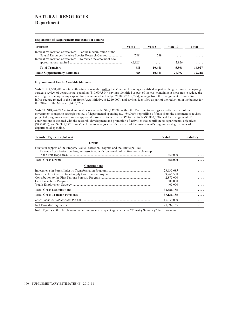# **NATURAL RESOURCES Department**

#### **Explanation of Requirements (thousands of dollars)**

| <b>Transfers</b>                                                                                                                      | Vote 1  | Vote 5 | Vote 10 | Total  |
|---------------------------------------------------------------------------------------------------------------------------------------|---------|--------|---------|--------|
| Internal reallocation of resources – For the modernization of the<br>Internal reallocation of resources – To reduce the amount of new | (589)   | 589    | .       | .      |
|                                                                                                                                       | (2.926) | .      | 2.926   | .      |
| <b>Total Transfers</b>                                                                                                                | 685     | 10.441 | 5.801   | 16.927 |
| <b>These Supplementary Estimates</b>                                                                                                  | 685     | 10.441 | 21,092  | 32,218 |

#### **Explanation of Funds Available (dollars)**

**Vote 1**: \$14,560,200 in total authorities is available within the Vote due to savings identified as part of the government's ongoing strategic review of departmental spending (\$10,699,884); savings identified as part of the cost containment measures to reduce the rate of growth in operating expenditures announced in Budget 2010 (\$2,219,795); savings from the realignment of funds for infrastructure related to the Port Hope Area Initiative (\$1,210,000); and savings identified as part of the reduction in the budget for the Office of the Minister (\$430,521).

**Vote 10**: \$18,964,782 in total authorities is available: \$16,039,000 within the Vote due to savings identified as part of the government's ongoing strategic review of departmental spending (\$7,789,000); reprofiling of funds from the alignment of revised projected program expenditures to approved resources for ecoENERGY for Biofuels (\$7,800,000); and the realignment of contributions associated with the research, development and promotion of activities that contribute to departmental objectives (\$450,000); and \$2,925,782 from Vote 1 due to savings identified as part of the government's ongoing strategic review of departmental spending.

| <b>Transfer Payments (dollars)</b>                                                                                                                                       | Voted        | <b>Statutory</b> |
|--------------------------------------------------------------------------------------------------------------------------------------------------------------------------|--------------|------------------|
| Grants                                                                                                                                                                   |              |                  |
| Grants in support of the Property Value Protection Program and the Municipal Tax<br>Revenue Loss Protection Program associated with low-level radioactive waste clean-up | 450,000      |                  |
| <b>Total Gross Grants</b>                                                                                                                                                | 450,000      |                  |
| <b>Contributions</b>                                                                                                                                                     |              |                  |
|                                                                                                                                                                          | 23,635,685   |                  |
|                                                                                                                                                                          | 9,265,500    | 1.1.1            |
|                                                                                                                                                                          | 2,875,000    | 1.1.1.1          |
|                                                                                                                                                                          | 500,000      | .                |
|                                                                                                                                                                          | 405,000      | .                |
| <b>Total Gross Contributions</b>                                                                                                                                         | 36,681,185   | .                |
| <b>Total Gross Transfer Payments</b>                                                                                                                                     | 37, 131, 185 |                  |
|                                                                                                                                                                          | 16,039,000   |                  |
| <b>Net Transfer Payments</b>                                                                                                                                             | 21,092,185   | .                |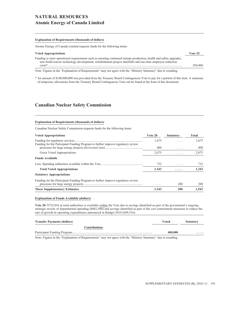# **NATURAL RESOURCES Atomic Energy of Canada Limited**

#### **Explanation of Requirements (thousands of dollars)**

Atomic Energy of Canada Limited requests funds for the following items:

#### **Voted Appropriations Vote 15**

| Funding to meet operational requirements such as ensuring continued isotope production, health and safety upgrades, |         |
|---------------------------------------------------------------------------------------------------------------------|---------|
| new-build reactor technology development, refurbishment project shortfalls and one-time employee reduction          |         |
| $costs^*$ .                                                                                                         | 294,000 |

Note: Figures in the "Explanation of Requirements" may not agree with the "Ministry Summary" due to rounding.

\* An amount of \$100,000,000 was provided from the Treasury Board Contingencies Vote to pay for a portion of this item. A summary of temporary allocations from the Treasury Board Contingencies Vote can be found at the front of this document.

### **Canadian Nuclear Safety Commission**

#### **Explanation of Requirements (thousands of dollars)**

Canadian Nuclear Safety Commission requests funds for the following items:

| <b>Voted Appropriations</b>                                                      | Vote 20 | <b>Statutory</b> | Total |
|----------------------------------------------------------------------------------|---------|------------------|-------|
| Funding for the Participant Funding Program to further improve regulatory review | 1,675   | .                | 1.675 |
|                                                                                  | 400     | .                | 400   |
| Gross Voted Appropriations                                                       | 2,075   | .                | 2,075 |
| <b>Funds Available</b>                                                           |         |                  |       |
|                                                                                  | 732     | .                | 732   |
| <b>Total Voted Appropriations</b>                                                | 1,343   | .                | 1,343 |
| <b>Statutory Appropriations</b>                                                  |         |                  |       |
| Funding for the Participant Funding Program to further improve regulatory review | .       | 200              | 200   |
| <b>These Supplementary Estimates</b>                                             | 1,343   | <b>200</b>       | 1,543 |

#### **Explanation of Funds Available (dollars)**

**Vote 20**: \$732,016 in total authorities is available within the Vote due to savings identified as part of the government's ongoing strategic review of departmental spending (\$682,500) and savings identified as part of the cost containment measures to reduce the rate of growth in operating expenditures announced in Budget 2010 (\$49,516).

| <b>Transfer Payments (dollars)</b> | <b>Voted</b> | <b>Statutory</b> |
|------------------------------------|--------------|------------------|
| <b>Contributions</b>               |              |                  |
|                                    | 400,000      | .                |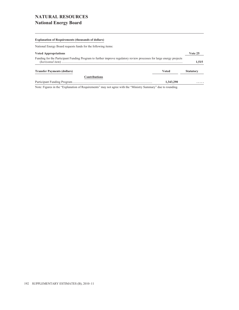# **NATURAL RESOURCES National Energy Board**

#### **Explanation of Requirements (thousands of dollars)**

National Energy Board requests funds for the following items:

| <b>Voted Appropriations</b>                                                                                          |           |                  |  |  |
|----------------------------------------------------------------------------------------------------------------------|-----------|------------------|--|--|
| Funding for the Participant Funding Program to further improve regulatory review processes for large energy projects |           |                  |  |  |
| <b>Transfer Payments (dollars)</b>                                                                                   | Voted     | <b>Statutory</b> |  |  |
| <b>Contributions</b>                                                                                                 |           |                  |  |  |
|                                                                                                                      | 1.343.290 | .                |  |  |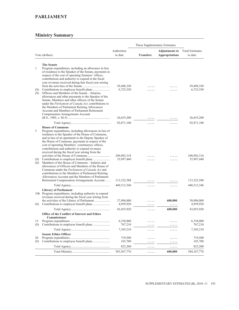# **PARLIAMENT**

| These Supplementary Estimates |                                                                                                                                                                                                                                                                                                                                                                                                                      |                           |                  |                       |                           |
|-------------------------------|----------------------------------------------------------------------------------------------------------------------------------------------------------------------------------------------------------------------------------------------------------------------------------------------------------------------------------------------------------------------------------------------------------------------|---------------------------|------------------|-----------------------|---------------------------|
|                               |                                                                                                                                                                                                                                                                                                                                                                                                                      | Authorities               |                  | <b>Adjustments to</b> | <b>Total Estimates</b>    |
|                               | Vote (dollars)                                                                                                                                                                                                                                                                                                                                                                                                       | to date                   | <b>Transfers</b> | <b>Appropriations</b> | to date                   |
| 1<br>(S)<br>(S)               | <b>The Senate</b><br>Program expenditures, including an allowance in lieu<br>of residence to the Speaker of the Senate, payments in<br>respect of the cost of operating Senators' offices,<br>contributions and authority to expend in the fiscal<br>year revenues received during that fiscal year arising<br>Officers and Members of the Senate – Salaries,<br>allowances and other payments to the Speaker of the | 59,490,350<br>6,725,550   |                  |                       | 59,490,350<br>6,725,550   |
|                               | Senate, Members and other officers of the Senate<br>under the <i>Parliament of Canada Act</i> ; contributions to<br>the Members of Parliament Retiring Allowances<br>Account and Members of Parliament Retirement<br>Compensation Arrangements Account                                                                                                                                                               | 26,655,200                |                  |                       | 26,655,200                |
|                               |                                                                                                                                                                                                                                                                                                                                                                                                                      | 92,871,100                | .                | .                     | 92,871,100                |
| 5                             | <b>House of Commons</b><br>Program expenditures, including allowances in lieu of<br>residence to the Speaker of the House of Commons,<br>and in lieu of an apartment to the Deputy Speaker of<br>the House of Commons, payments in respect of the<br>cost of operating Members' constituency offices,<br>contributions and authority to expend revenues                                                              |                           |                  |                       |                           |
| (S)<br>(S)                    | received during the fiscal year arising from the<br>Members of the House of Commons – Salaries and<br>allowances of Officers and Members of the House of<br>Commons under the Parliament of Canada Act and<br>contributions to the Members of Parliament Retiring<br>Allowances Account and the Members of Parliament                                                                                                | 290,992,318<br>35,997,440 |                  |                       | 290,992,318<br>35,997,440 |
|                               | Retirement Compensation Arrangements Account                                                                                                                                                                                                                                                                                                                                                                         | 113,322,588               |                  |                       | 113,322,588               |
|                               |                                                                                                                                                                                                                                                                                                                                                                                                                      | 440,312,346               |                  | .                     | 440,312,346               |
| (S)                           | <b>Library of Parliament</b><br>10b Program expenditures, including authority to expend<br>revenues received during the fiscal year arising from<br>the activities of the Library of Parliament                                                                                                                                                                                                                      | 37,496,000<br>4,959,920   | .                | 600,000<br>.          | 38,096,000<br>4,959,920   |
|                               |                                                                                                                                                                                                                                                                                                                                                                                                                      | 42,455,920                | .                | 600,000               | 43,055,920                |
|                               | <b>Office of the Conflict of Interest and Ethics</b><br>Commissioner                                                                                                                                                                                                                                                                                                                                                 |                           |                  |                       |                           |
| 15<br>(S)                     |                                                                                                                                                                                                                                                                                                                                                                                                                      | 6,338,000<br>767,210      | .<br>.           | .                     | 6,338,000<br>767,210      |
|                               |                                                                                                                                                                                                                                                                                                                                                                                                                      | 7,105,210                 | .                | .                     | 7,105,210                 |
| 20<br>(S)                     | <b>Senate Ethics Officer</b>                                                                                                                                                                                                                                                                                                                                                                                         | 719,500<br>103,700        | .<br>.           | .<br>.                | 719,500<br>103,700        |
|                               |                                                                                                                                                                                                                                                                                                                                                                                                                      | 823,200                   | .                | .                     | 823,200                   |
|                               |                                                                                                                                                                                                                                                                                                                                                                                                                      | 583, 567, 776             | .                | 600,000               | 584, 167, 776             |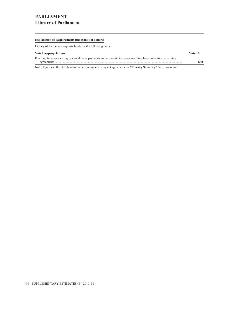# **PARLIAMENT Library of Parliament**

#### **Explanation of Requirements (thousands of dollars)**

Library of Parliament requests funds for the following items:

#### **Voted Appropriations Vote 10**

| Funding for severance pay, parental leave payments and economic increases resulting from collective bargaining |     |
|----------------------------------------------------------------------------------------------------------------|-----|
|                                                                                                                | 600 |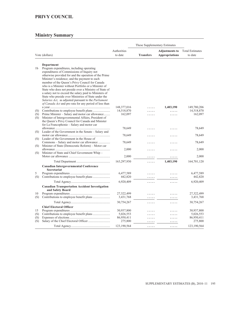# **PRIVY COUNCIL**

|                |                                                                                                                                                                                                                                                                                                                                                                                                                                                                                                                                                               |               | These Supplementary Estimates |                       |                        |
|----------------|---------------------------------------------------------------------------------------------------------------------------------------------------------------------------------------------------------------------------------------------------------------------------------------------------------------------------------------------------------------------------------------------------------------------------------------------------------------------------------------------------------------------------------------------------------------|---------------|-------------------------------|-----------------------|------------------------|
|                |                                                                                                                                                                                                                                                                                                                                                                                                                                                                                                                                                               | Authorities   |                               | <b>Adjustments to</b> | <b>Total Estimates</b> |
|                | Vote (dollars)                                                                                                                                                                                                                                                                                                                                                                                                                                                                                                                                                | to date       | <b>Transfers</b>              | <b>Appropriations</b> | to date                |
|                |                                                                                                                                                                                                                                                                                                                                                                                                                                                                                                                                                               |               |                               |                       |                        |
| 1 <sub>b</sub> | Department<br>Program expenditures, including operating<br>expenditures of Commissions of Inquiry not<br>otherwise provided for and the operation of the Prime<br>Minister's residence; and the payment to each<br>member of the Queen's Privy Council for Canada<br>who is a Minister without Portfolio or a Minister of<br>State who does not preside over a Ministry of State of<br>a salary not to exceed the salary paid to Ministers of<br>State who preside over Ministries of State under the<br>Salaries Act, as adjusted pursuant to the Parliament |               |                               |                       |                        |
|                | of Canada Act and pro rata for any period of less than                                                                                                                                                                                                                                                                                                                                                                                                                                                                                                        |               |                               |                       |                        |
|                |                                                                                                                                                                                                                                                                                                                                                                                                                                                                                                                                                               | 148, 377, 016 |                               | 1,403,190             | 149,780,206            |
| (S)            |                                                                                                                                                                                                                                                                                                                                                                                                                                                                                                                                                               | 14,518,870    | .                             | .                     | 14,518,870             |
| (S)<br>(S)     | Prime Minister - Salary and motor car allowance<br>Minister of Intergovernmental Affairs, President of<br>the Queen's Privy Council for Canada and Minister<br>for La Francophonie – Salary and motor car                                                                                                                                                                                                                                                                                                                                                     | 162,097       | .                             | .                     | 162,097                |
| (S)            | Leader of the Government in the Senate - Salary and                                                                                                                                                                                                                                                                                                                                                                                                                                                                                                           | 78,649        | .                             | .                     | 78,649                 |
| (S)            | Leader of the Government in the House of                                                                                                                                                                                                                                                                                                                                                                                                                                                                                                                      | 78,649        | .                             | .                     | 78,649                 |
| (S)            | Commons – Salary and motor car allowance<br>Minister of State (Democratic Reform) - Motor car                                                                                                                                                                                                                                                                                                                                                                                                                                                                 | 78,649        |                               |                       | 78,649                 |
| (S)            | Minister of State and Chief Government Whip -                                                                                                                                                                                                                                                                                                                                                                                                                                                                                                                 | 2,000         | .                             | .                     | 2,000                  |
|                |                                                                                                                                                                                                                                                                                                                                                                                                                                                                                                                                                               | 2,000         | .                             | .                     | 2,000                  |
|                | <b>Canadian Intergovernmental Conference</b>                                                                                                                                                                                                                                                                                                                                                                                                                                                                                                                  | 163,297,930   | .                             | 1,403,190             | 164,701,120            |
|                | <b>Secretariat</b>                                                                                                                                                                                                                                                                                                                                                                                                                                                                                                                                            |               |                               |                       |                        |
| 5              |                                                                                                                                                                                                                                                                                                                                                                                                                                                                                                                                                               | 6,477,589     | .                             | .                     | 6,477,589              |
| (S)            |                                                                                                                                                                                                                                                                                                                                                                                                                                                                                                                                                               | 442,820       | .                             |                       | 442,820                |
|                |                                                                                                                                                                                                                                                                                                                                                                                                                                                                                                                                                               | 6,920,409     | .                             | .                     | 6,920,409              |
|                | <b>Canadian Transportation Accident Investigation</b><br>and Safety Board                                                                                                                                                                                                                                                                                                                                                                                                                                                                                     |               |                               |                       |                        |
| 10             |                                                                                                                                                                                                                                                                                                                                                                                                                                                                                                                                                               | 27,322,499    | .                             | .                     | 27,322,499             |
| (S)            |                                                                                                                                                                                                                                                                                                                                                                                                                                                                                                                                                               | 3,431,768     | .                             | .                     | 3,431,768              |
|                |                                                                                                                                                                                                                                                                                                                                                                                                                                                                                                                                                               | 30,754,267    | .                             | .                     | 30,754,267             |
|                | <b>Chief Electoral Officer</b>                                                                                                                                                                                                                                                                                                                                                                                                                                                                                                                                |               |                               |                       |                        |
| 15             |                                                                                                                                                                                                                                                                                                                                                                                                                                                                                                                                                               | 30,937,800    | .                             | .                     | 30,937,800             |
| (S)            | Contributions to employee benefit plans                                                                                                                                                                                                                                                                                                                                                                                                                                                                                                                       | 5,026,553     | .                             | .                     | 5,026,553              |
| (S)            |                                                                                                                                                                                                                                                                                                                                                                                                                                                                                                                                                               | 86,950,411    | .                             |                       | 86,950,411             |
| (S)            |                                                                                                                                                                                                                                                                                                                                                                                                                                                                                                                                                               | 275,800       | .                             | .                     | 275,800                |
|                |                                                                                                                                                                                                                                                                                                                                                                                                                                                                                                                                                               | 123,190,564   | .                             | .                     | 123,190,564            |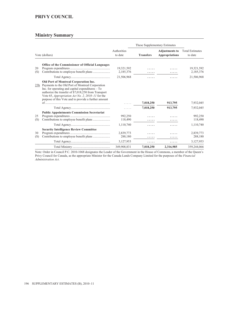# **PRIVY COUNCIL**

### **Ministry Summary**

|                 |                                                                                                                                                                                                                                                                                                                             |                         | These Supplementary Estimates |                                                |                                   |
|-----------------|-----------------------------------------------------------------------------------------------------------------------------------------------------------------------------------------------------------------------------------------------------------------------------------------------------------------------------|-------------------------|-------------------------------|------------------------------------------------|-----------------------------------|
|                 | Vote (dollars)                                                                                                                                                                                                                                                                                                              | Authorities<br>to date  | <b>Transfers</b>              | <b>Adjustments to</b><br><b>Appropriations</b> | <b>Total Estimates</b><br>to date |
| 20              | Office of the Commissioner of Official Languages                                                                                                                                                                                                                                                                            | 19,321,592              |                               |                                                | 19,321,592                        |
| (S)             |                                                                                                                                                                                                                                                                                                                             | 2,185,376<br>21,506,968 |                               |                                                | 2,185,376<br>21,506,968           |
| 23 <sub>b</sub> | Old Port of Montreal Corporation Inc.<br>Payments to the Old Port of Montreal Corporation<br>Inc. for operating and capital expenditures $-$ To<br>authorize the transfer of \$7,018,250 from Transport<br>Vote 65, <i>Appropriation Act No. 2, 2010–11</i> for the<br>purpose of this Vote and to provide a further amount |                         |                               |                                                |                                   |
|                 |                                                                                                                                                                                                                                                                                                                             |                         | 7,018,250                     | 913,795                                        | 7,932,045                         |
|                 |                                                                                                                                                                                                                                                                                                                             |                         | 7,018,250                     | 913,795                                        | 7,932,045                         |
| 25<br>(S)       | <b>Public Appointments Commission Secretariat</b><br>Contributions to employee benefit plans                                                                                                                                                                                                                                | 992,250<br>118,490      |                               |                                                | 992,250<br>118,490                |
|                 |                                                                                                                                                                                                                                                                                                                             | 1,110,740               | .                             |                                                | 1,110,740                         |
| 30<br>(S)       | <b>Security Intelligence Review Committee</b><br>Contributions to employee benefit plans                                                                                                                                                                                                                                    | 2,839,773<br>288,180    |                               |                                                | 2,839,773<br>288,180              |
|                 |                                                                                                                                                                                                                                                                                                                             | 3,127,953               | .                             | .                                              | 3,127,953                         |
|                 |                                                                                                                                                                                                                                                                                                                             | 349,908,831             | 7,018,250                     | 2,316,985                                      | 359,244,066                       |

Note: Order in Council P.C. 2010-1068 designates the Leader of the Government in the House of Commons, a member of the Queen's Privy Council for Canada, as the appropriate Minister for the Canada Lands Company Limited for the purposes of the *Financial Administration Act*.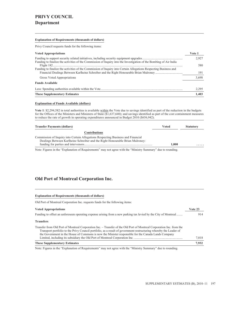# **PRIVY COUNCIL Department**

#### **Explanation of Requirements (thousands of dollars)**

Privy Council requests funds for the following items:

| <b>Voted Appropriations</b>                                                                                        | Vote 1 |
|--------------------------------------------------------------------------------------------------------------------|--------|
|                                                                                                                    | 2.927  |
| Funding to finalize the activities of the Commission of Inquiry into the Investigation of the Bombing of Air India | 580    |
| Funding to finalize the activities of the Commission of Inquiry into Certain Allegations Respecting Business and   |        |
|                                                                                                                    | 191    |
| Gross Voted Appropriations                                                                                         | 3.698  |
| <b>Funds Available</b>                                                                                             |        |
|                                                                                                                    | 2.295  |
| <b>These Supplementary Estimates</b>                                                                               | 1.403  |

#### **Explanation of Funds Available (dollars)**

**Vote 1**: \$2,294,582 in total authorities is available within the Vote due to savings identified as part of the reduction in the budgets for the Offices of the Ministers and Ministers of State (\$1,637,640); and savings identified as part of the cost containment measures to reduce the rate of growth in operating expenditures announced in Budget 2010 (\$656,942).

| <b>Transfer Payments (dollars)</b>                                                                                                                                | Voted | <b>Statutory</b> |
|-------------------------------------------------------------------------------------------------------------------------------------------------------------------|-------|------------------|
| <b>Contributions</b>                                                                                                                                              |       |                  |
| Commission of Inquiry into Certain Allegations Respecting Business and Financial<br>Dealings Between Karlheinz Schreiber and the Right Honourable Brian Mulroney: |       |                  |
|                                                                                                                                                                   | 1.000 | .                |

Note: Figures in the "Explanation of Requirements" may not agree with the "Ministry Summary" due to rounding.

# **Old Port of Montreal Corporation Inc.**

#### **Explanation of Requirements (thousands of dollars)**

Old Port of Montreal Corporation Inc. requests funds for the following items:

| <b>Voted Appropriations</b>                                                                                                                                                                                                                                                                                                                      | Vote 23 |
|--------------------------------------------------------------------------------------------------------------------------------------------------------------------------------------------------------------------------------------------------------------------------------------------------------------------------------------------------|---------|
| Funding to offset an unforeseen operating expense arising from a new parking tax levied by the City of Montreal                                                                                                                                                                                                                                  | 914     |
| <b>Transfers</b>                                                                                                                                                                                                                                                                                                                                 |         |
| Transfer from Old Port of Montreal Corporation Inc. – Transfer of the Old Port of Montreal Corporation Inc. from the<br>Transport portfolio to the Privy Council portfolio, as a result of government restructuring whereby the Leader of<br>the Government in the House of Commons is now the Minister responsible for the Canada Lands Company | 7.018   |
| <b>These Supplementary Estimates</b>                                                                                                                                                                                                                                                                                                             | 7,932   |
|                                                                                                                                                                                                                                                                                                                                                  |         |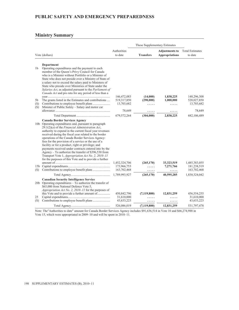# **Ministry Summary**

|                |                                                                                                                                                                                                                                                                                                                                                                                                                                                                                                                                                                                                                                                                          |                                                              | These Supplementary Estimates      |                                                |                                                              |
|----------------|--------------------------------------------------------------------------------------------------------------------------------------------------------------------------------------------------------------------------------------------------------------------------------------------------------------------------------------------------------------------------------------------------------------------------------------------------------------------------------------------------------------------------------------------------------------------------------------------------------------------------------------------------------------------------|--------------------------------------------------------------|------------------------------------|------------------------------------------------|--------------------------------------------------------------|
|                | Vote (dollars)                                                                                                                                                                                                                                                                                                                                                                                                                                                                                                                                                                                                                                                           | Authorities<br>to date                                       | <b>Transfers</b>                   | <b>Adjustments to</b><br><b>Appropriations</b> | <b>Total Estimates</b><br>to date                            |
| 1 <sub>b</sub> | Department<br>Operating expenditures and the payment to each<br>member of the Queen's Privy Council for Canada<br>who is a Minister without Portfolio or a Minister of<br>State who does not preside over a Ministry of State of<br>a salary not to exceed the salary paid to Ministers of<br>State who preside over Ministries of State under the<br>Salaries Act, as adjusted pursuant to the Parliament of<br>Canada Act and pro rata for any period of less than a                                                                                                                                                                                                   | 146, 472, 083                                                | (14,000)                           | 1,838,225                                      | 148,296,308                                                  |
| 5b             | The grants listed in the Estimates and contributions                                                                                                                                                                                                                                                                                                                                                                                                                                                                                                                                                                                                                     | 519,317,850                                                  | (290,000)                          | 1,000,000                                      | 520,027,850                                                  |
| (S)<br>(S)     | Minister of Public Safety - Salary and motor car                                                                                                                                                                                                                                                                                                                                                                                                                                                                                                                                                                                                                         | 13,703,682                                                   | .                                  | .                                              | 13,703,682                                                   |
|                |                                                                                                                                                                                                                                                                                                                                                                                                                                                                                                                                                                                                                                                                          | 78,649                                                       | .                                  | .                                              | 78,649                                                       |
|                |                                                                                                                                                                                                                                                                                                                                                                                                                                                                                                                                                                                                                                                                          | 679,572,264                                                  | (304,000)                          | 2,838,225                                      | 682,106,489                                                  |
| (S)            | <b>Canada Border Services Agency</b><br>10b Operating expenditures and, pursuant to paragraph<br>$29.1(2)(a)$ of the Financial Administration Act,<br>authority to expend in the current fiscal year revenues<br>received during the fiscal year related to the border<br>operations of the Canada Border Services Agency:<br>fees for the provision of a service or the use of a<br>facility or for a product, right or privilege; and<br>payments received under contracts entered into by the<br>Agency – To authorize the transfer of \$396,530 from<br>Transport Vote 1, Appropriation Act No. 2, 2010-11<br>for the purposes of this Vote and to provide a further | 1,452,324,706<br>173,966,753<br>163,702,468<br>1,789,993,927 | (265, 170)<br>.<br>.<br>(265, 170) | 33,323,519<br>7,271,766<br>40,595,285          | 1,485,383,055<br>181,238,519<br>163,702,468<br>1,830,324,042 |
|                |                                                                                                                                                                                                                                                                                                                                                                                                                                                                                                                                                                                                                                                                          |                                                              |                                    |                                                |                                                              |
|                | <b>Canadian Security Intelligence Service</b><br>20b Operating expenditures – To authorize the transfer of<br>\$63,000 from National Defence Vote 5,<br>Appropriation Act No. 2, 2010–11 for the purposes of                                                                                                                                                                                                                                                                                                                                                                                                                                                             |                                                              |                                    |                                                |                                                              |
| 25             | this Vote and to provide a further amount of                                                                                                                                                                                                                                                                                                                                                                                                                                                                                                                                                                                                                             | 450,842,796<br>31,610,000                                    | (7, 119, 800)                      | 12,831,259                                     | 456,554,255<br>31,610,000                                    |
| (S)            |                                                                                                                                                                                                                                                                                                                                                                                                                                                                                                                                                                                                                                                                          | 43,633,223                                                   | .                                  | .                                              | 43,633,223                                                   |
|                |                                                                                                                                                                                                                                                                                                                                                                                                                                                                                                                                                                                                                                                                          | 526,086,019                                                  | (7, 119, 800)                      | 12,831,259                                     | 531,797,478                                                  |

Note: The"Authorities to date" amount for Canada Border Services Agency includes \$91,636,514 in Vote 10 and \$66,274,988 in Vote 15, which were appropriated in 2009–10 and will be spent in 2010–11.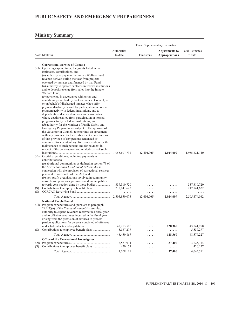# **PUBLIC SAFETY AND EMERGENCY PREPAREDNESS**

# **Ministry Summary**

|            |                                                                                                                                                                                                                                                                                                                                                                                                                                                                                                                                                                                      | These Supplementary Estimates     |                  |                                                |                                   |
|------------|--------------------------------------------------------------------------------------------------------------------------------------------------------------------------------------------------------------------------------------------------------------------------------------------------------------------------------------------------------------------------------------------------------------------------------------------------------------------------------------------------------------------------------------------------------------------------------------|-----------------------------------|------------------|------------------------------------------------|-----------------------------------|
|            | Vote (dollars)                                                                                                                                                                                                                                                                                                                                                                                                                                                                                                                                                                       | Authorities<br>to date            | <b>Transfers</b> | <b>Adjustments to</b><br><b>Appropriations</b> | <b>Total Estimates</b><br>to date |
|            |                                                                                                                                                                                                                                                                                                                                                                                                                                                                                                                                                                                      |                                   |                  |                                                |                                   |
|            | <b>Correctional Service of Canada</b><br>30b Operating expenditures, the grants listed in the<br>Estimates, contributions, and<br>(a) authority to pay into the Inmate Welfare Fund<br>revenue derived during the year from projects<br>operated by inmates and financed by that Fund;<br>$(b)$ authority to operate canteens in federal institutions<br>and to deposit revenue from sales into the Inmate<br>Welfare Fund:<br>$(c)$ payments, in accordance with terms and<br>conditions prescribed by the Governor in Council, to<br>or on behalf of discharged inmates who suffer |                                   |                  |                                                |                                   |
|            | physical disability caused by participation in normal<br>program activity in federal institutions, and to<br>dependants of deceased inmates and ex-inmates<br>whose death resulted from participation in normal<br>program activity in federal institutions; and<br>(d) authority for the Minister of Public Safety and                                                                                                                                                                                                                                                              |                                   |                  |                                                |                                   |
|            | Emergency Preparedness, subject to the approval of<br>the Governor in Council, to enter into an agreement<br>with any province for the confinement in institutions<br>of that province of any persons sentenced or<br>committed to a penitentiary, for compensation for the<br>maintenance of such persons and for payment in<br>respect of the construction and related costs of such                                                                                                                                                                                               |                                   |                  |                                                |                                   |
|            | 35a Capital expenditures, including payments as<br>contributions to<br>$(a)$ aboriginal communities as defined in section 79 of<br>the Corrections and Conditional Release Act in<br>connection with the provision of correctional services<br>pursuant to section 81 of that Act; and<br>$(b)$ non-profit organizations involved in community<br>corrections operations, provinces and municipalities                                                                                                                                                                               | 1,955,697,731                     | (2,400,000)      | 2,024,009                                      | 1,955,321,740                     |
| (S)<br>(S) | towards construction done by those bodies                                                                                                                                                                                                                                                                                                                                                                                                                                                                                                                                            | 337, 310, 720<br>212,841,622<br>. | .                | .                                              | 337,310,720<br>212,841,622        |
|            |                                                                                                                                                                                                                                                                                                                                                                                                                                                                                                                                                                                      | 2,505,850,073                     | (2,400,000)      | 2,024,009                                      | 2,505,474,082                     |
|            | <b>National Parole Board</b><br>40b Program expenditures and, pursuant to paragraph<br>$29.1(2)(a)$ of the Financial Administration Act,<br>authority to expend revenues received in a fiscal year,<br>and to offset expenditures incurred in the fiscal year<br>arising from the provision of services to process<br>pardon applications for persons convicted of offences                                                                                                                                                                                                          |                                   |                  |                                                |                                   |
|            |                                                                                                                                                                                                                                                                                                                                                                                                                                                                                                                                                                                      | 42,913,590                        | .                | 128,360                                        | 43,041,950<br>5,537,277           |
| (S)        |                                                                                                                                                                                                                                                                                                                                                                                                                                                                                                                                                                                      | 5,537,277<br>48,450,867           | .<br>.           | .<br>128,360                                   | 48,579,227                        |
|            | Office of the Correctional Investigator                                                                                                                                                                                                                                                                                                                                                                                                                                                                                                                                              |                                   |                  |                                                |                                   |
|            |                                                                                                                                                                                                                                                                                                                                                                                                                                                                                                                                                                                      | 3,587,934                         | .                | 37,400                                         | 3,625,334                         |
| (S)        |                                                                                                                                                                                                                                                                                                                                                                                                                                                                                                                                                                                      | 420,177<br>4,008,111              | .                | .<br>37,400                                    | 420,177<br>4,045,511              |
|            |                                                                                                                                                                                                                                                                                                                                                                                                                                                                                                                                                                                      |                                   | .                |                                                |                                   |

<u> 1980 - Johann Barbara, martxa alemaniar amerikan basar da a</u>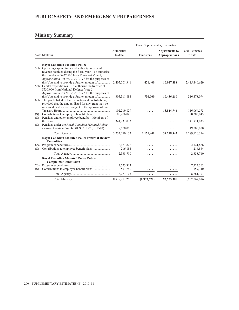# **PUBLIC SAFETY AND EMERGENCY PREPAREDNESS**

# **Ministry Summary**

|                 |                                                                                                                                                                                                                            |                        | These Supplementary Estimates |                                                |                                   |
|-----------------|----------------------------------------------------------------------------------------------------------------------------------------------------------------------------------------------------------------------------|------------------------|-------------------------------|------------------------------------------------|-----------------------------------|
|                 | Vote (dollars)                                                                                                                                                                                                             | Authorities<br>to date | <b>Transfers</b>              | <b>Adjustments to</b><br><b>Appropriations</b> | <b>Total Estimates</b><br>to date |
|                 | <b>Royal Canadian Mounted Police</b>                                                                                                                                                                                       |                        |                               |                                                |                                   |
| 50 <sub>b</sub> | Operating expenditures and authority to expend<br>revenue received during the fiscal year - To authorize<br>the transfer of \$427,500 from Transport Vote 1,<br>Appropriation Act No. 2, 2010–11 for the purposes of       |                        |                               |                                                |                                   |
|                 | 55b Capital expenditures – To authorize the transfer of<br>\$730,000 from National Defence Vote 5,<br>Appropriation Act No. 2, 2010–11 for the purposes of                                                                 | 2,405,001,341          | 421,400                       | 10,017,888                                     | 2,415,440,629                     |
|                 | this Vote and to provide a further amount of<br>60b The grants listed in the Estimates and contributions,<br>provided that the amount listed for any grant may be<br>increased or decreased subject to the approval of the | 305,311,884            | 730,000                       | 10,436,210                                     | 316,478,094                       |
|                 |                                                                                                                                                                                                                            | 102,219,829            |                               | 13,844,744                                     | 116,064,573                       |
| (S)<br>(S)      | Contributions to employee benefit plans<br>Pensions and other employee benefits - Members of                                                                                                                               | 80,206,045             |                               |                                                | 80,206,045                        |
| (S)             | Pensions under the Royal Canadian Mounted Police                                                                                                                                                                           | 341,931,033            |                               |                                                | 341,931,033                       |
|                 | Pension Continuation Act (R.S.C., 1970, c. R-10)                                                                                                                                                                           | 19,000,000             | .                             |                                                | 19,000,000                        |
|                 |                                                                                                                                                                                                                            | 3,253,670,132          | 1,151,400                     | 34,298,842                                     | 3,289,120,374                     |
|                 | <b>Royal Canadian Mounted Police External Review</b><br>Committee                                                                                                                                                          |                        |                               |                                                |                                   |
|                 |                                                                                                                                                                                                                            | 2,121,826              |                               |                                                | 2,121,826                         |
| (S)             |                                                                                                                                                                                                                            | 216,884                |                               |                                                | 216,884                           |
|                 |                                                                                                                                                                                                                            | 2,338,710              |                               |                                                | 2,338,710                         |
|                 | <b>Royal Canadian Mounted Police Public</b><br><b>Complaints Commission</b>                                                                                                                                                |                        |                               |                                                |                                   |
| 70a             |                                                                                                                                                                                                                            | 7,723,363              |                               |                                                | 7,723,363                         |
| (S)             |                                                                                                                                                                                                                            | 557,740                |                               |                                                | 557,740                           |
|                 |                                                                                                                                                                                                                            | 8,281,103              | .                             | .                                              | 8,281,103                         |
|                 |                                                                                                                                                                                                                            | 8,818,251,206          | (8,937,570)                   | 92,753,380                                     | 8,902,067,016                     |

<u> 1989 - Johann Barbara, martxa alemaniar a</u>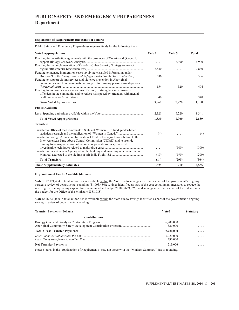# **PUBLIC SAFETY AND EMERGENCY PREPAREDNESS Department**

#### **Explanation of Requirements (thousands of dollars)**

Public Safety and Emergency Preparedness requests funds for the following items:

| <b>Voted Appropriations</b>                                                                                                                                                                                                                          | Vote 1 | Vote 5 | <b>Total</b> |
|------------------------------------------------------------------------------------------------------------------------------------------------------------------------------------------------------------------------------------------------------|--------|--------|--------------|
| Funding for contribution agreements with the provinces of Ontario and Quebec to                                                                                                                                                                      |        | 6,900  | 6,900        |
| Funding for the implementation of Canada's Cyber Security Strategy to protect                                                                                                                                                                        | 2,880  | .      | 2,880        |
| Funding to manage immigration cases involving classified information under<br>Division 9 of the <i>Immigration and Refugee Protection Act</i> ( <i>horizontal item</i> )<br>Funding to support victim services and violence prevention in Aboriginal | 586    | .      | 586          |
| communities and to increase national support for missing persons investigations                                                                                                                                                                      | 154    | 320    | 474          |
| Funding to improve services to victims of crime, to strengthen supervision of<br>offenders in the community and to reduce risks posed by offenders with mental                                                                                       | 340    | .      | 340          |
| Gross Voted Appropriations                                                                                                                                                                                                                           | 3,960  | 7,220  | 11,180       |
| <b>Funds Available</b>                                                                                                                                                                                                                               |        |        |              |
|                                                                                                                                                                                                                                                      | 2,121  | 6,220  | 8,341        |
| <b>Total Voted Appropriations</b>                                                                                                                                                                                                                    | 1,839  | 1,000  | 2,839        |
| <b>Transfers</b>                                                                                                                                                                                                                                     |        |        |              |
| Transfer to Office of the Co-ordinator, Status of Women – To fund gender-based<br>Transfer to Foreign Affairs and International Trade – For a joint contribution to the<br>Inter-American Drug Abuse Control Commission (CICAD) and to provide       | (4)    |        | (4)          |
| training to hemispheric law enforcement organizations on specialized                                                                                                                                                                                 |        | (100)  | (100)        |
| Transfer to Parks Canada Agency – For the building and unveiling of a memorial in                                                                                                                                                                    | (10)   | (190)  | (200)        |
| <b>Total Transfers</b>                                                                                                                                                                                                                               | (14)   | (290)  | (304)        |
| <b>These Supplementary Estimates</b>                                                                                                                                                                                                                 | 1,825  | 710    | 2,535        |

#### **Explanation of Funds Available (dollars)**

Vote 1: \$2,121,494 in total authorities is available within the Vote due to savings identified as part of the government's ongoing strategic review of departmental spending (\$1,093,480); savings identified as part of the cost containment measures to reduce the rate of growth in operating expenditures announced in Budget 2010 (\$639,926); and savings identified as part of the reduction in the budget for the Office of the Minister (\$388,088).

**Vote 5**: \$6,220,000 in total authorities is available within the Vote due to savings identified as part of the government's ongoing strategic review of departmental spending.

| <b>Transfer Payments (dollars)</b>   | Voted                | <b>Statutory</b> |
|--------------------------------------|----------------------|------------------|
| <b>Contributions</b>                 |                      |                  |
|                                      | 6,900,000<br>320,000 | .<br>.           |
| <b>Total Gross Transfer Payments</b> | 7,220,000            | .                |
|                                      | 6.220,000<br>290,000 | .<br>.           |
| <b>Net Transfer Payments</b>         | 710.000              | .                |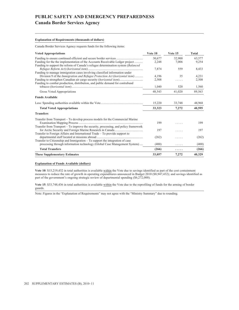# **PUBLIC SAFETY AND EMERGENCY PREPAREDNESS Canada Border Services Agency**

#### **Explanation of Requirements (thousands of dollars)**

Canada Border Services Agency requests funds for the following items:

| <b>Voted Appropriations</b>                                                                                                                                              | Vote 10 | Vote 15 | Total  |
|--------------------------------------------------------------------------------------------------------------------------------------------------------------------------|---------|---------|--------|
| Funding to ensure continued efficient and secure border services                                                                                                         | 30,677  | 32,900  | 63,577 |
| Funding for the the implementation of the Accounts Receivable Ledger project                                                                                             | 2,248   | 7,006   | 9,254  |
| Funding to support the reform of Canada's refugee determination system (Balanced                                                                                         |         |         |        |
|                                                                                                                                                                          | 7,874   | 559     | 8,433  |
| Funding to manage immigration cases involving classified information under                                                                                               |         | 35      |        |
| Division 9 of the <i>Immigration and Refugee Protection Act</i> ( <i>horizontal item</i> )<br>Funding to strengthen Canadian air cargo security <i>(horizontal item)</i> | 4.196   |         | 4,231  |
| Funding to combat production, distribution, and public demand for contraband                                                                                             | 2,508   | .       | 2,508  |
|                                                                                                                                                                          | 1,040   | 520     | 1,560  |
| Gross Voted Appropriations                                                                                                                                               | 48,543  | 41,020  | 89,563 |
| <b>Funds Available</b>                                                                                                                                                   |         |         |        |
|                                                                                                                                                                          | 15,220  | 33,748  | 48,968 |
| <b>Total Voted Appropriations</b>                                                                                                                                        | 33,323  | 7,272   | 40,595 |
| <b>Transfers</b>                                                                                                                                                         |         |         |        |
| Transfer from Transport – To develop process models for the Commercial Marine                                                                                            |         |         |        |
|                                                                                                                                                                          | 199     | .       | 199    |
| Transfer from Transport – To improve the security, processing, and policy framework                                                                                      |         |         |        |
|                                                                                                                                                                          | 197     | .       | 197    |
| Transfer to Foreign Affairs and International Trade - To provide support to                                                                                              |         |         |        |
|                                                                                                                                                                          | (262)   | .       | (262)  |
| Transfer to Citizenship and Immigration – To support the integration of case                                                                                             |         |         |        |
| processing through information technology (Global Case Management System)                                                                                                | (400)   | .       | (400)  |
| <b>Total Transfers</b>                                                                                                                                                   | (266)   |         | (266)  |
| <b>These Supplementary Estimates</b>                                                                                                                                     | 33,057  | 7,272   | 40,329 |

#### **Explanation of Funds Available (dollars)**

**Vote 10**: \$15,219,432 in total authorities is available within the Vote due to savings identified as part of the cost containment measures to reduce the rate of growth in operating expenditures announced in Budget 2010 (\$8,947,432); and savings identified as part of the government's ongoing strategic review of departmental spending (\$6,272,000).

**Vote 15**: \$33,748,436 in total authorities is available within the Vote due to the reprofiling of funds for the arming of border guards.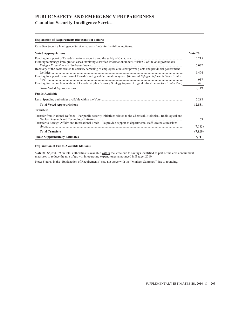# **PUBLIC SAFETY AND EMERGENCY PREPAREDNESS**

# **Canadian Security Intelligence Service**

#### **Explanation of Requirements (thousands of dollars)**

Canadian Security Intelligence Service requests funds for the following items:

| <b>Voted Appropriations</b>                                                                                            | Vote 20 |
|------------------------------------------------------------------------------------------------------------------------|---------|
|                                                                                                                        | 10,215  |
| Funding to manage immigration cases involving classified information under Division 9 of the Immigration and           | 5,072   |
| Recovery of the costs related to security screening of employees at nuclear power plants and provincial government     | 1,474   |
| Funding to support the reform of Canada's refugee determination system (Balanced Refugee Reform Act) (horizontal       | 937     |
| Funding for the implementation of Canada's Cyber Security Strategy to protect digital infrastructure (horizontal item) | 421     |
| Gross Voted Appropriations                                                                                             | 18,119  |
| <b>Funds Available</b>                                                                                                 |         |
|                                                                                                                        | 5,288   |
| <b>Total Voted Appropriations</b>                                                                                      | 12,831  |
| <b>Transfers</b>                                                                                                       |         |
| Transfer from National Defence – For public security initiatives related to the Chemical, Biological, Radiological and | 63      |
| Transfer to Foreign Affairs and International Trade – To provide support to departmental staff located at missions     | (7,183) |
| <b>Total Transfers</b>                                                                                                 | (7,120) |
|                                                                                                                        |         |
| <b>These Supplementary Estimates</b>                                                                                   | 5,711   |

#### **Explanation of Funds Available (dollars)**

**Vote 20**: \$5,288,076 in total authorities is available within the Vote due to savings identified as part of the cost containment measures to reduce the rate of growth in operating expenditures announced in Budget 2010.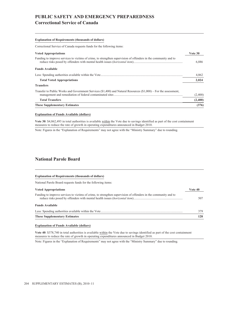# **PUBLIC SAFETY AND EMERGENCY PREPAREDNESS Correctional Service of Canada**

#### **Explanation of Requirements (thousands of dollars)**

Correctional Service of Canada requests funds for the following items:

| <b>Voted Appropriations</b>                                                                                      | Vote 30 |
|------------------------------------------------------------------------------------------------------------------|---------|
| Funding to improve services to victims of crime, to strengthen supervision of offenders in the community and to  | 6.886   |
| <b>Funds Available</b>                                                                                           |         |
|                                                                                                                  | 4,862   |
| <b>Total Voted Appropriations</b>                                                                                | 2.024   |
| <b>Transfers</b>                                                                                                 |         |
| Transfer to Public Works and Government Services $(1,400)$ and Natural Resources $(1,000)$ – For the assessment, | (2,400) |
| <b>Total Transfers</b>                                                                                           | (2,400) |
| <b>These Supplementary Estimates</b>                                                                             | (376)   |

#### **Explanation of Funds Available (dollars)**

**Vote 30**: \$4,862,493 in total authorities is available within the Vote due to savings identified as part of the cost containment measures to reduce the rate of growth in operating expenditures announced in Budget 2010.

Note: Figures in the "Explanation of Requirements" may not agree with the "Ministry Summary" due to rounding.

### **National Parole Board**

#### **Explanation of Requirements (thousands of dollars)**

National Parole Board requests funds for the following items:

| <b>Voted Appropriations</b>                                                                                     | Vote 40 |
|-----------------------------------------------------------------------------------------------------------------|---------|
| Funding to improve services to victims of crime, to strengthen supervision of offenders in the community and to | 507     |
| <b>Funds Available</b>                                                                                          |         |
|                                                                                                                 | 379     |
| <b>These Supplementary Estimates</b>                                                                            | 128     |

#### **Explanation of Funds Available (dollars)**

**Vote 40**: \$378,740 in total authorities is available within the Vote due to savings identified as part of the cost containment measures to reduce the rate of growth in operating expenditures announced in Budget 2010.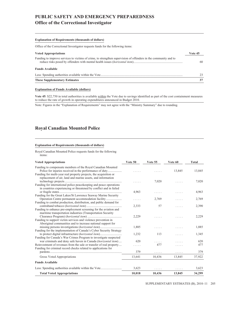# **PUBLIC SAFETY AND EMERGENCY PREPAREDNESS Office of the Correctional Investigator**

#### **Explanation of Requirements (thousands of dollars)**

Office of the Correctional Investigator requests funds for the following items:

| <b>Voted Appropriations</b>                                                                                     | Vote 45 |
|-----------------------------------------------------------------------------------------------------------------|---------|
| Funding to improve services to victims of crime, to strengthen supervision of offenders in the community and to | 60      |
| <b>Funds Available</b>                                                                                          |         |
|                                                                                                                 | 23      |
| <b>These Supplementary Estimates</b>                                                                            | 37      |

#### **Explanation of Funds Available (dollars)**

Vote 45: \$22,750 in total authorities is available within the Vote due to savings identified as part of the cost containment measures to reduce the rate of growth in operating expenditures announced in Budget 2010.

Note: Figures in the "Explanation of Requirements" may not agree with the "Ministry Summary" due to rounding.

### **Royal Canadian Mounted Police**

#### **Explanation of Requirements (thousands of dollars)**

Royal Canadian Mounted Police requests funds for the following items:

| <b>Voted Appropriations</b>                                         | Vote 50 | Vote 55 | Vote 60 | Total  |
|---------------------------------------------------------------------|---------|---------|---------|--------|
| Funding to compensate members of the Royal Canadian Mounted         |         |         | 13,845  | 13,845 |
| Funding for multi-year real property projects, the acquisition or   |         |         |         |        |
| replacement of air, land and marine assets, and information         |         | 7,020   |         | 7,020  |
| Funding for international police peacekeeping and peace operations  |         |         |         |        |
| in countries experiencing or threatened by conflict and in failed   |         |         |         |        |
|                                                                     | 4,963   | .       | .       | 4,963  |
| Funding for the Great Lakes/St Lawrence Seaway Marine Security      |         |         |         |        |
|                                                                     | .       | 2,769   | .       | 2,769  |
| Funding to combat production, distribution, and public demand for   |         |         |         |        |
|                                                                     | 2,333   | 57      | .       | 2,390  |
| Funding to enhance pre-employment screening for the aviation and    |         |         |         |        |
| maritime transportation industries (Transportation Security         |         |         |         |        |
| Funding to support victim services and violence prevention in       | 2,229   |         |         | 2,229  |
| Aboriginal communities and to increase national support for         |         |         |         |        |
|                                                                     | 1,885   |         |         | 1,885  |
| Funding for the implementation of Canada's Cyber Security Strategy  |         |         |         |        |
| to protect digital infrastructure (horizontal item)                 | 1,232   | 113     |         | 1,345  |
| Funding for Canada's War Crimes Program to investigate suspected    |         |         | .       |        |
| war criminals and deny safe haven in Canada (horizontal item)       | 620     | .       |         | 620    |
| Reinvestment of revenues from the sale or transfer of real property | .       | 477     | .       | 477    |
| Funding for criminal record checks related to applications for      |         |         |         |        |
|                                                                     | 379     | .       | .       | 379    |
| Gross Voted Appropriations                                          | 13,641  | 10,436  | 13,845  | 37,922 |
| <b>Funds Available</b>                                              |         |         |         |        |
|                                                                     | 3,623   | .       | .       | 3,623  |
| <b>Total Voted Appropriations</b>                                   | 10,018  | 10,436  | 13,845  | 34,299 |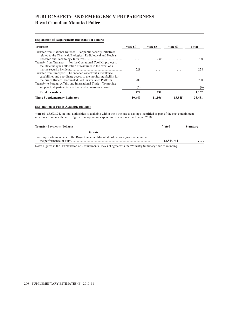# **PUBLIC SAFETY AND EMERGENCY PREPAREDNESS Royal Canadian Mounted Police**

#### **Explanation of Requirements (thousands of dollars)**

| <b>Transfers</b>                                                  | Vote 50 | Vote 55 | Vote 60 | Total  |
|-------------------------------------------------------------------|---------|---------|---------|--------|
| Transfer from National Defence – For public security initiatives  |         |         |         |        |
| related to the Chemical, Biological, Radiological and Nuclear     |         |         |         |        |
|                                                                   |         | 730     | .       | 730.   |
| Transfer from Transport – For the Operational Tool Kit project to |         |         |         |        |
| facilitate the quick allocation of resources in the event of a    |         |         |         |        |
|                                                                   | 228     |         |         | 228    |
| Transfer from Transport – To enhance waterfront surveillance      |         |         |         |        |
| capabilities and coordinate access to the monitoring facility for |         |         |         |        |
| the Prince Rupert Coordinated Port Surveillance Platform          | 200     |         | .       | 200    |
| Transfer to Foreign Affairs and International Trade – To provide  |         |         |         |        |
| support to departmental staff located at missions abroad          | (6)     | .       | .       | (6)    |
| <b>Total Transfers</b>                                            | 422     | 730     | .       | 1,152  |
| <b>These Supplementary Estimates</b>                              | 10.440  | 11.166  | 13,845  | 35,451 |

#### **Explanation of Funds Available (dollars)**

**Vote 50**: \$3,623,242 in total authorities is available within the Vote due to savings identified as part of the cost containment measures to reduce the rate of growth in operating expenditures announced in Budget 2010.

| <b>Transfer Payments (dollars)</b>                                                  | Voted      | <b>Statutory</b> |
|-------------------------------------------------------------------------------------|------------|------------------|
| <b>Grants</b>                                                                       |            |                  |
| To compensate members of the Royal Canadian Mounted Police for injuries received in |            |                  |
|                                                                                     | 13,844,744 | .                |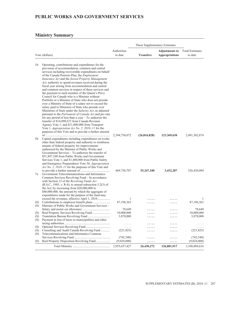# **PUBLIC WORKS AND GOVERNMENT SERVICES**

# **Ministry Summary**

|                   |                                                                                                                                                                                                                                                                                                                                                                                                                                                                                                                                                                                                                                                                                                                                                                                                                                                                                                                                                                                                                                                              |                                   | These Supplementary Estimates |                                                |                                   |
|-------------------|--------------------------------------------------------------------------------------------------------------------------------------------------------------------------------------------------------------------------------------------------------------------------------------------------------------------------------------------------------------------------------------------------------------------------------------------------------------------------------------------------------------------------------------------------------------------------------------------------------------------------------------------------------------------------------------------------------------------------------------------------------------------------------------------------------------------------------------------------------------------------------------------------------------------------------------------------------------------------------------------------------------------------------------------------------------|-----------------------------------|-------------------------------|------------------------------------------------|-----------------------------------|
|                   | Vote (dollars)                                                                                                                                                                                                                                                                                                                                                                                                                                                                                                                                                                                                                                                                                                                                                                                                                                                                                                                                                                                                                                               | Authorities<br>to date            | <b>Transfers</b>              | <b>Adjustments to</b><br><b>Appropriations</b> | <b>Total Estimates</b><br>to date |
| 1b                | Operating, contributions and expenditures for the<br>provision of accommodation, common and central<br>services including recoverable expenditures on behalf<br>of the Canada Pension Plan, the Employment<br>Insurance Act and the Seized Property Management<br>Act; authority to spend revenues received during the<br>fiscal year arising from accommodation and central<br>and common services in respect of these services and<br>the payment to each member of the Queen's Privy<br>Council for Canada who is a Minister without<br>Portfolio or a Minister of State who does not preside<br>over a Ministry of State of a salary not to exceed the<br>salary paid to Ministers of State who preside over<br>Ministries of State under the Salaries Act, as adjusted<br>pursuant to the Parliament of Canada Act and pro rata<br>for any period of less than a year $-$ To authorize the<br>transfer of \$14,098,672 from Canada Revenue<br>Agency Vote 1, and \$11,000,000 from Transport<br>Vote 1, <i>Appropriation Act No. 2, 2010–11</i> for the |                                   |                               |                                                |                                   |
| 5b                | purposes of this Vote and to provide a further amount<br>Capital expenditures including expenditures on works<br>other than federal property and authority to reimburse<br>tenants of federal property for improvements<br>authorized by the Minister of Public Works and<br>Government Services – To authorize the transfer of<br>\$51,847,100 from Public Works and Government<br>Services Vote 1, and \$1,400,000 from Public Safety<br>and Emergency Preparedness Vote 30, Appropriation<br>Act No. 2, 2010–11 for the purposes of this Vote and                                                                                                                                                                                                                                                                                                                                                                                                                                                                                                         | 2,394,750,072                     | (26,816,828)                  | 123,369,630                                    | 2,491,302,874                     |
| 7a                | Government Telecommunications and Informatics<br>Common Services Revolving Fund - In accordance<br>with Section 12 of the Revolving Funds Act<br>(R.S.C., 1985, c. R-8), to amend subsection 5.2(3) of<br>the Act, by increasing from \$20,000,000 to<br>\$40,000,000, the amount by which the aggregate of<br>expenditures made for the purpose of the fund may<br>exceed the revenues, effective April 1, 2010                                                                                                                                                                                                                                                                                                                                                                                                                                                                                                                                                                                                                                             | 469,750,707<br>1                  | 53,247,100                    | 3,432,287                                      | 526,430,094                       |
| (S)<br>(S)        | Minister of Public Works and Government Services -                                                                                                                                                                                                                                                                                                                                                                                                                                                                                                                                                                                                                                                                                                                                                                                                                                                                                                                                                                                                           | 87,196,363                        |                               |                                                | 87,196,363                        |
| (S)<br>(S)<br>(S) | Payment in lieu of taxes to municipalities and other                                                                                                                                                                                                                                                                                                                                                                                                                                                                                                                                                                                                                                                                                                                                                                                                                                                                                                                                                                                                         | 78,649<br>10,000,000<br>3,870,000 | .<br>.                        | .<br>.                                         | 78,649<br>10,000,000<br>3,870,000 |
|                   |                                                                                                                                                                                                                                                                                                                                                                                                                                                                                                                                                                                                                                                                                                                                                                                                                                                                                                                                                                                                                                                              | .                                 |                               |                                                | .                                 |
| (S)<br>(S)        | Consulting and Audit Canada Revolving Fund                                                                                                                                                                                                                                                                                                                                                                                                                                                                                                                                                                                                                                                                                                                                                                                                                                                                                                                                                                                                                   | .<br>(221, 825)                   |                               |                                                | .<br>(221, 825)                   |
| (S)<br>(S)        | Telecommunications and Informatics Common<br>Real Property Disposition Revolving Fund                                                                                                                                                                                                                                                                                                                                                                                                                                                                                                                                                                                                                                                                                                                                                                                                                                                                                                                                                                        | (742, 540)<br>(9,024,000)         | .<br>.                        | .<br>.                                         | (742, 540)<br>(9,024,000)         |
|                   |                                                                                                                                                                                                                                                                                                                                                                                                                                                                                                                                                                                                                                                                                                                                                                                                                                                                                                                                                                                                                                                              | 2,955,657,427                     | 26,430,272                    | 126,801,917                                    | 3,108,889,616                     |

<u> 1989 - Johann Barbara, martxa alemaniar a</u>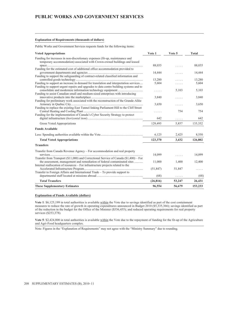### **PUBLIC WORKS AND GOVERNMENT SERVICES**

#### **Explanation of Requirements (thousands of dollars)**

Public Works and Government Services requests funds for the following items:

| <b>Voted Appropriations</b>                                                                                                                                       | Vote 1    | Vote 5 | <b>Total</b> |
|-------------------------------------------------------------------------------------------------------------------------------------------------------------------|-----------|--------|--------------|
| Funding for increases in non-discretionary expenses (fit-up, maintenance and<br>temporary accommodation) associated with Crown-owned buildings and leased         |           |        |              |
| Funding for the estimated cost of additional office accommodation provided to                                                                                     | 88,035    | .      | 88,035       |
| Funding to support the safeguarding of contract-related classified information and                                                                                | 14,444    | .      | 14,444       |
|                                                                                                                                                                   | 13,280    | .      | 13,280       |
| Funding to support an increase in demand for translation and interpretation services                                                                              | 5,604     | .      | 5,604        |
| Funding to support urgent repairs and upgrades to data centre building systems and to                                                                             |           |        |              |
|                                                                                                                                                                   | .         | 5,103  | 5,103        |
| Funding to assist Canadian small and medium-sized enterprises with introducing                                                                                    |           |        |              |
|                                                                                                                                                                   | 3,840     | .      | 3,840        |
| Funding for preliminary work associated with the reconstruction of the Grande-Allée                                                                               |           |        |              |
|                                                                                                                                                                   | 3,650     | .      | 3,650        |
| Funding to replace the existing East Tunnel linking Parliament Hill to the Cliff Street                                                                           |           |        |              |
|                                                                                                                                                                   | .         | 754    | 754          |
| Funding for the implementation of Canada's Cyber Security Strategy to protect                                                                                     | 642       |        | 642          |
|                                                                                                                                                                   |           | .      |              |
| Gross Voted Appropriations                                                                                                                                        | 129,495   | 5,857  | 135,352      |
| <b>Funds Available</b>                                                                                                                                            |           |        |              |
|                                                                                                                                                                   | 6,125     | 2,425  | 8,550        |
| <b>Total Voted Appropriations</b>                                                                                                                                 | 123,370   | 3,432  | 126,802      |
| <b>Transfers</b>                                                                                                                                                  |           |        |              |
| Transfer from Canada Revenue Agency – For accommodation and real property                                                                                         |           |        |              |
|                                                                                                                                                                   | 14,099    | .      | 14,099       |
| Transfer from Transport (\$11,000) and Correctional Service of Canada (\$1,400) – For<br>the assessment, management and remediation of federal contaminated sites | 11,000    | 1,400  | 12,400       |
| Internal reallocation of resources – For infrastructure projects related to the                                                                                   |           |        |              |
|                                                                                                                                                                   | (51, 847) | 51,847 |              |
| Transfer to Foreign Affairs and International Trade - To provide support to                                                                                       |           |        |              |
|                                                                                                                                                                   | (68)      | .      | (68)         |
| <b>Total Transfers</b>                                                                                                                                            | (26, 816) | 53,247 | 26,431       |
| <b>These Supplementary Estimates</b>                                                                                                                              | 96,554    | 56,679 | 153,233      |
|                                                                                                                                                                   |           |        |              |

#### **Explanation of Funds Available (dollars)**

**Vote 1**: \$6,125,199 in total authorities is available within the Vote due to savings identified as part of the cost containment measures to reduce the rate of growth in operating expenditures announced in Budget 2010 (\$5,335,366); savings identified as part of the reduction in the budget for the Office of the Minister (\$536,455); and reduced operating requirements for real property services (\$253,378).

**Vote 5**: \$2,424,800 in total authorities is available within the Vote due to the repayment of funding for the fit-up of the Agriculture and Agri-Food headquarters complex.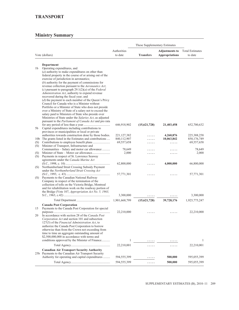|                 |                                                                                                               |               |                  | These Supplementary Estimates |                        |  |  |
|-----------------|---------------------------------------------------------------------------------------------------------------|---------------|------------------|-------------------------------|------------------------|--|--|
|                 |                                                                                                               | Authorities   |                  | <b>Adjustments to</b>         | <b>Total Estimates</b> |  |  |
|                 | Vote (dollars)                                                                                                | to date       | <b>Transfers</b> | <b>Appropriations</b>         | to date                |  |  |
|                 | Department                                                                                                    |               |                  |                               |                        |  |  |
| 1b              | Operating expenditures, and                                                                                   |               |                  |                               |                        |  |  |
|                 | $(a)$ authority to make expenditures on other than                                                            |               |                  |                               |                        |  |  |
|                 | federal property in the course of or arising out of the                                                       |               |                  |                               |                        |  |  |
|                 | exercise of jurisdiction in aeronautics;                                                                      |               |                  |                               |                        |  |  |
|                 | $(b)$ authority for the payment of commissions for                                                            |               |                  |                               |                        |  |  |
|                 | revenue collection pursuant to the Aeronautics Act;                                                           |               |                  |                               |                        |  |  |
|                 | (c) pursuant to paragraph $29.1(2)(a)$ of the Federal                                                         |               |                  |                               |                        |  |  |
|                 | Administration Act, authority to expend revenue<br>recovered during the fiscal year; and                      |               |                  |                               |                        |  |  |
|                 | $(d)$ the payment to each member of the Queen's Privy                                                         |               |                  |                               |                        |  |  |
|                 | Council for Canada who is a Minister without                                                                  |               |                  |                               |                        |  |  |
|                 | Portfolio or a Minister of State who does not preside                                                         |               |                  |                               |                        |  |  |
|                 | over a Ministry of State of a salary not to exceed the                                                        |               |                  |                               |                        |  |  |
|                 | salary paid to Ministers of State who preside over                                                            |               |                  |                               |                        |  |  |
|                 | Ministries of State under the Salaries Act, as adjusted                                                       |               |                  |                               |                        |  |  |
|                 | pursuant to the Parliament of Canada Act and pro rata                                                         |               |                  |                               |                        |  |  |
| 5b              | Capital expenditures including contributions to                                                               | 646,918,902   | (15,621,728)     | 21,403,458                    | 652,700,632            |  |  |
|                 | provinces or municipalities or local or private                                                               |               |                  |                               |                        |  |  |
|                 | authorities towards construction done by those bodies.                                                        | 221, 127, 382 |                  | 4,260,876                     | 225,388,258            |  |  |
| 10 <sub>b</sub> | The grants listed in the Estimates and contributions                                                          | 840,112,907   |                  | 10,063,842                    | 850,176,749            |  |  |
| (S)             |                                                                                                               | 69,557,658    | .                | .                             | 69,557,658             |  |  |
| (S)             | Minister of Transport, Infrastructure and                                                                     |               |                  |                               |                        |  |  |
|                 | Communities – Salary and motor car allowance                                                                  | 78,649        |                  |                               | 78,649                 |  |  |
| (S)             |                                                                                                               | 2,000         |                  |                               | 2,000                  |  |  |
| (S)             | Payments in respect of St. Lawrence Seaway<br>agreements under the Canada Marine Act                          |               |                  |                               |                        |  |  |
|                 |                                                                                                               | 62,800,000    | .                | 4,000,000                     | 66,800,000             |  |  |
| (S)             | Northumberland Strait Crossing Subsidy Payment                                                                |               |                  |                               |                        |  |  |
|                 | under the Northumberland Strait Crossing Act                                                                  |               |                  |                               |                        |  |  |
|                 |                                                                                                               | 57,771,301    |                  |                               | 57,771,301             |  |  |
| (S)             | Payments to the Canadian National Railway                                                                     |               |                  |                               |                        |  |  |
|                 | Company in respect of the termination of the                                                                  |               |                  |                               |                        |  |  |
|                 | collection of tolls on the Victoria Bridge, Montreal                                                          |               |                  |                               |                        |  |  |
|                 | and for rehabilitation work on the roadway portion of<br>the Bridge (Vote 107, Appropriation Act No. 5, 1963, |               |                  |                               |                        |  |  |
|                 |                                                                                                               | 3,300,000     |                  |                               | 3,300,000              |  |  |
|                 |                                                                                                               | 1,901,668,799 | (15,621,728)     | 39,728,176                    | 1,925,775,247          |  |  |
|                 |                                                                                                               |               |                  |                               |                        |  |  |
|                 | <b>Canada Post Corporation</b><br>Payments to the Canada Post Corporation for special                         |               |                  |                               |                        |  |  |
| 15              |                                                                                                               | 22,210,000    | .                |                               | 22,210,000             |  |  |
| 20              | In accordance with section 28 of the <i>Canada Post</i>                                                       |               |                  | .                             |                        |  |  |
|                 | Corporation Act and section 101 and subsection                                                                |               |                  |                               |                        |  |  |
|                 | 127(3) of the Financial Administration Act, to                                                                |               |                  |                               |                        |  |  |
|                 | authorize the Canada Post Corporation to borrow                                                               |               |                  |                               |                        |  |  |
|                 | otherwise than from the Crown not exceeding from                                                              |               |                  |                               |                        |  |  |
|                 | time to time an aggregate outstanding amount of<br>\$2,500,000,000 in accordance with terms and               |               |                  |                               |                        |  |  |
|                 | conditions approved by the Minister of Finance                                                                | 1             |                  |                               | 1                      |  |  |
|                 |                                                                                                               |               |                  |                               |                        |  |  |
|                 |                                                                                                               | 22,210,001    | .                | .                             | 22,210,001             |  |  |
|                 | <b>Canadian Air Transport Security Authority</b>                                                              |               |                  |                               |                        |  |  |
|                 | 25b Payments to the Canadian Air Transport Security<br>Authority for operating and capital expenditures       |               |                  | 500,000                       |                        |  |  |
|                 |                                                                                                               | 594,555,399   | .                |                               | 595,055,399            |  |  |
|                 |                                                                                                               | 594,555,399   | .                | 500,000                       | 595,055,399            |  |  |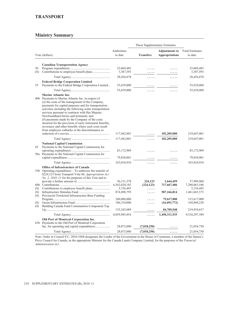# **TRANSPORT**

### **Ministry Summary**

|                   |                                                                                                                                                                                                                                                                                                                                                                                                                                                                                                                                                                         |                            | These Supplementary Estimates |                                                |                                   |
|-------------------|-------------------------------------------------------------------------------------------------------------------------------------------------------------------------------------------------------------------------------------------------------------------------------------------------------------------------------------------------------------------------------------------------------------------------------------------------------------------------------------------------------------------------------------------------------------------------|----------------------------|-------------------------------|------------------------------------------------|-----------------------------------|
|                   | Vote (dollars)                                                                                                                                                                                                                                                                                                                                                                                                                                                                                                                                                          | Authorities<br>to date     | <b>Transfers</b>              | <b>Adjustments to</b><br><b>Appropriations</b> | <b>Total Estimates</b><br>to date |
|                   |                                                                                                                                                                                                                                                                                                                                                                                                                                                                                                                                                                         |                            |                               |                                                |                                   |
| 30                | <b>Canadian Transportation Agency</b>                                                                                                                                                                                                                                                                                                                                                                                                                                                                                                                                   | 25,069,485                 |                               |                                                | 25,069,485                        |
| (S)               |                                                                                                                                                                                                                                                                                                                                                                                                                                                                                                                                                                         | 3,387,393                  | .                             | .                                              | 3,387,393                         |
|                   |                                                                                                                                                                                                                                                                                                                                                                                                                                                                                                                                                                         | 28,456,878                 | .                             | .                                              | 28,456,878                        |
| 35                | <b>Federal Bridge Corporation Limited</b><br>Payments to the Federal Bridge Corporation Limited                                                                                                                                                                                                                                                                                                                                                                                                                                                                         | 55,639,000                 | .                             | .                                              | 55,639,000                        |
|                   |                                                                                                                                                                                                                                                                                                                                                                                                                                                                                                                                                                         | 55,639,000                 | .                             | .                                              | 55,639,000                        |
|                   | Marine Atlantic Inc.<br>40b Payments to Marine Atlantic Inc. in respect of<br>(a) the costs of the management of the Company,<br>payments for capital purposes and for transportation<br>activities including the following water transportation<br>services pursuant to contracts with Her Majesty:<br>Newfoundland ferries and terminals; and<br>(b) payments made by the Company of the costs<br>incurred for the provision of early retirement benefits,<br>severance and other benefits where such costs result<br>from employee cutbacks or the discontinuance or |                            |                               |                                                |                                   |
|                   |                                                                                                                                                                                                                                                                                                                                                                                                                                                                                                                                                                         | 117,442,001                | .                             | 102,205,000                                    | 219,647,001                       |
|                   |                                                                                                                                                                                                                                                                                                                                                                                                                                                                                                                                                                         | 117,442,001                | .                             | 102,205,000                                    | 219,647,001                       |
| 45                | <b>National Capital Commission</b><br>Payments to the National Capital Commission for<br>50a Payments to the National Capital Commission for                                                                                                                                                                                                                                                                                                                                                                                                                            | 83,172,909<br>79,838,001   | .<br>.                        |                                                | 83,172,909<br>79,838,001          |
|                   |                                                                                                                                                                                                                                                                                                                                                                                                                                                                                                                                                                         | 163,010,910                | .                             | .                                              | 163,010,910                       |
|                   | <b>Office of Infrastructure of Canada</b><br>55b Operating expenditures – To authorize the transfer of<br>\$224,123 from Transport Vote 60, Appropriation Act<br>$No. 2, 2010-11$ for the purposes of this Vote and to                                                                                                                                                                                                                                                                                                                                                  | 56, 131, 378               | 224,123                       | 1,644,459                                      | 57,999,960                        |
|                   |                                                                                                                                                                                                                                                                                                                                                                                                                                                                                                                                                                         | 6,562,620,183              | (224, 123)                    | 717,667,486                                    | 7,280,063,546                     |
| (S)<br>(S)<br>(S) | Provincial-Territorial Infrastructure Base Funding                                                                                                                                                                                                                                                                                                                                                                                                                                                                                                                      | 5,156,445<br>874,498,759   | .<br>.                        | .<br>587,166,814                               | 5,156,445<br>1,461,665,573        |
| (S)<br>(S)        | Building Canada Fund Communities Component Top                                                                                                                                                                                                                                                                                                                                                                                                                                                                                                                          | 240,000,000<br>186,334,000 | .<br>.                        | 75,617,000<br>(16, 493, 772)                   | 315,617,000<br>169,840,228        |
|                   |                                                                                                                                                                                                                                                                                                                                                                                                                                                                                                                                                                         | 135,245,089                | .                             | 84,709,548                                     | 219,954,637                       |
|                   |                                                                                                                                                                                                                                                                                                                                                                                                                                                                                                                                                                         | 8,059,985,854              | .                             | 1,450,311,535                                  | 9,510,297,389                     |
|                   | Old Port of Montreal Corporation Inc.<br>65b Payments to the Old Port of Montreal Corporation                                                                                                                                                                                                                                                                                                                                                                                                                                                                           |                            |                               |                                                |                                   |
|                   |                                                                                                                                                                                                                                                                                                                                                                                                                                                                                                                                                                         | 28,073,000                 | (7,018,250)                   |                                                | 21,054,750                        |
|                   |                                                                                                                                                                                                                                                                                                                                                                                                                                                                                                                                                                         | 28,073,000                 | (7,018,250)                   | .                                              | 21,054,750                        |

Note: Order in Council P.C. 2010-1068 designates the Leader of the Government in the House of Commons, a member of the Queen's Privy Council for Canada, as the appropriate Minister for the Canada Lands Company Limited, for the purposes of the *Financial Administration Act*.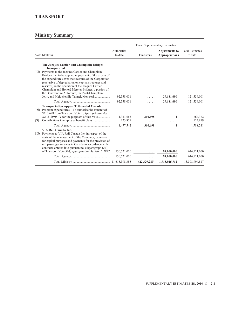|     |                                                                                                                                                                                                                                                                                                                                                                                           | These Supplementary Estimates |                                                                    |               |                                   |  |
|-----|-------------------------------------------------------------------------------------------------------------------------------------------------------------------------------------------------------------------------------------------------------------------------------------------------------------------------------------------------------------------------------------------|-------------------------------|--------------------------------------------------------------------|---------------|-----------------------------------|--|
|     | Vote (dollars)                                                                                                                                                                                                                                                                                                                                                                            | Authorities<br>to date        | <b>Adjustments to</b><br><b>Transfers</b><br><b>Appropriations</b> |               | <b>Total Estimates</b><br>to date |  |
|     | The Jacques Cartier and Champlain Bridges<br>Incorporated                                                                                                                                                                                                                                                                                                                                 |                               |                                                                    |               |                                   |  |
|     | 70b Payments to the Jacques Cartier and Champlain<br>Bridges Inc. to be applied in payment of the excess of<br>the expenditures over the revenues of the Corporation<br>(exclusive of depreciation on capital structures and<br>reserves) in the operation of the Jacques Cartier,<br>Champlain and Honoré Mercier Bridges, a portion of<br>the Bonaventure Autoroute, the Pont-Champlain | 92,358,001                    |                                                                    | 29,181,000    | 121,539,001                       |  |
|     |                                                                                                                                                                                                                                                                                                                                                                                           | 92,358,001                    |                                                                    | 29,181,000    | 121,539,001                       |  |
| (S) | <b>Transportation Appeal Tribunal of Canada</b><br>75b Program expenditures – To authorize the transfer of<br>\$310,698 from Transport Vote 1, Appropriation Act<br>$No. 2, 2010-11$ for the purposes of this Vote                                                                                                                                                                        | 1,353,663<br>123,879          | 310,698                                                            | 1             | 1,664,362<br>123,879              |  |
|     |                                                                                                                                                                                                                                                                                                                                                                                           | 1,477,542                     | 310,698                                                            | 1             | 1,788,241                         |  |
|     | VIA Rail Canada Inc.<br>80b Payments to VIA Rail Canada Inc. in respect of the<br>costs of the management of the Company, payments<br>for capital purposes and payments for the provision of<br>rail passenger services in Canada in accordance with<br>contracts entered into pursuant to subparagraph $(c)(i)$<br>of Transport Vote 52d, Appropriation Act No. 1, 1977                  | 550,521,000                   |                                                                    | 94,000,000    | 644,521,000                       |  |
|     |                                                                                                                                                                                                                                                                                                                                                                                           | 550,521,000                   |                                                                    | 94,000,000    | 644,521,000                       |  |
|     |                                                                                                                                                                                                                                                                                                                                                                                           |                               | .<br>(22, 329, 280)                                                |               | 13,308,994,817                    |  |
|     |                                                                                                                                                                                                                                                                                                                                                                                           |                               |                                                                    | 1,715,925,712 |                                   |  |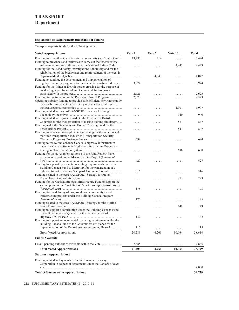#### **Explanation of Requirements (thousands of dollars)**

Transport requests funds for the following items:

| <b>Voted Appropriations</b>                                                                                                                 | Vote 1         | Vote 5               | Vote 10                            | <b>Total</b>   |
|---------------------------------------------------------------------------------------------------------------------------------------------|----------------|----------------------|------------------------------------|----------------|
| Funding to strengthen Canadian air cargo security (horizontal item)<br>Funding to provinces and territories to carry out the federal safety | 13,280         | 214                  | .                                  | 13,494         |
| enforcement responsibilities under the National Safety Code<br>Funding for the Road Safety Investigations Laboratory and for the            |                | .                    | 4,443                              | 4,443          |
| rehabilitation of the breakwater and reinforcement of the crest in                                                                          |                |                      |                                    |                |
| Funding to continue the development and implementation of                                                                                   | .              | 4,047                | .                                  | 4,047          |
| regulated security programs for the Canadian aviation industry                                                                              | 3,974          | .                    | $\cdots$                           | 3,974          |
| Funding for the Windsor-Detroit border crossing for the purpose of                                                                          |                |                      |                                    |                |
| conducting legal, financial and technical definition work                                                                                   |                |                      |                                    |                |
| Funding for continuation of the Passenger Protect Program                                                                                   | 2,625<br>2,373 |                      |                                    | 2,625<br>2,373 |
| Operating subsidy funding to provide safe, efficient, environmentally                                                                       |                |                      |                                    |                |
| responsible and client focused ferry services that contribute to                                                                            |                |                      |                                    |                |
| Funding related to the ecoTRANSPORT Strategy for Freight                                                                                    |                | .                    | 1,907                              | 1,907          |
|                                                                                                                                             | .              | .                    | 940                                | 940            |
| Funding related to payments made to the Province of British                                                                                 |                |                      |                                    |                |
| Columbia for the modernization of marine training simulators                                                                                |                | .                    | 867                                | 867            |
| Funding under the Gateways and Border Crossing Fund for the                                                                                 |                |                      |                                    |                |
| Funding to enhance pre-employment screening for the aviation and                                                                            |                | .                    | 847                                | 847            |
| maritime transportation industries (Transportation Security                                                                                 |                |                      |                                    |                |
|                                                                                                                                             | 694            | .                    |                                    | 694            |
| Funding to renew and enhance Canada's highway infrastructure                                                                                |                |                      |                                    |                |
| under the Canada Strategic Highway Infrastructure Program -                                                                                 |                |                      | 638                                | 638            |
| Funding for the government response to the Joint Review Panel                                                                               |                |                      |                                    |                |
| assessment report on the Mackenzie Gas Project (horizontal                                                                                  |                |                      |                                    |                |
|                                                                                                                                             | 427            |                      | $\sim$ $\sim$ $\sim$               | 427            |
| Funding to support incremental operating requirements under the<br>Building Canada Fund to Metrolinx for the construction of a              |                |                      |                                    |                |
| light rail transit line along Sheppard Avenue in Toronto                                                                                    | 316            | .                    |                                    | 316            |
| Funding related to the ecoTRANSPORT Strategy for Freight                                                                                    |                |                      |                                    |                |
|                                                                                                                                             | .              | .                    | 273                                | 273            |
| Funding for the Canada Strategic Infrastructure Fund to support the<br>second phase of the York Region VIVA bus rapid transit project       |                |                      |                                    |                |
|                                                                                                                                             | 178            | .                    | $\cdots$                           | 178            |
| Funding for the delivery of large-scale and community-based                                                                                 |                |                      |                                    |                |
| infrastructure projects under the Building Canada Program                                                                                   |                |                      |                                    |                |
| Funding related to the ecoTRANSPORT Strategy for the Marine                                                                                 | 175            | .                    |                                    | 175            |
|                                                                                                                                             | $\ldots$ .     | .                    | 149                                | 149            |
| Funding to support a contribution under the Building Canada Fund                                                                            |                |                      |                                    |                |
| to the Government of Quebec for the reconstruction of                                                                                       |                |                      |                                    |                |
| Funding to support an incremental operating requirement under the                                                                           | 132            | .                    | $\cdots$                           | 132            |
| Building Canada Fund to the Government of Québec for the                                                                                    |                |                      |                                    |                |
| implementation of the Réno-Systèmes program, Phase 3                                                                                        | 115            | $\cdots\cdots\cdots$ | $\sim$ $\sim$ $\sim$ $\sim$ $\sim$ | 115            |
| Gross Voted Appropriations                                                                                                                  | 24,289         | 4,261                | 10,064                             | 38,614         |
| <b>Funds Available</b>                                                                                                                      |                |                      |                                    |                |
|                                                                                                                                             | 2,885          | .                    | $\sim$ $\sim$ $\sim$ $\sim$ $\sim$ | 2,885          |
| <b>Total Voted Appropriations</b>                                                                                                           | 21,404         | 4,261                | 10,064                             | 35,729         |
| <b>Statutory Appropriations</b>                                                                                                             |                |                      |                                    |                |
| Funding related to Payments to the St. Lawrence Seaway<br>Corporation in respect of agreements under the <i>Canada Marine</i>               |                |                      |                                    |                |
|                                                                                                                                             |                |                      |                                    | 4,000          |
| <b>Total Adjustments to Appropriations</b>                                                                                                  |                |                      |                                    | 39,729         |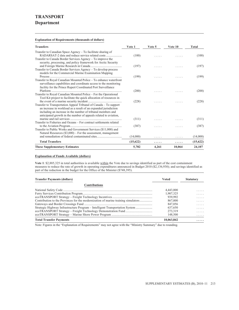# **TRANSPORT Department**

**Explanation of Requirements (thousands of dollars)**

| <b>Transfers</b>                                                                                                                                                                                       | Vote 1   | Vote 5 | Vote 10 | Total     |
|--------------------------------------------------------------------------------------------------------------------------------------------------------------------------------------------------------|----------|--------|---------|-----------|
| Transfer to Canadian Space Agency – To facilitate sharing of                                                                                                                                           | (100)    |        |         | (100)     |
| Transfer to Canada Border Services Agency – To improve the<br>security, processing, and policy framework for Arctic Security                                                                           | (197)    | .      | .       | (197)     |
| Transfer to Canada Border Services Agency – To develop process<br>models for the Commercial Marine Examination Mapping                                                                                 |          |        |         |           |
|                                                                                                                                                                                                        | (199)    |        |         | (199)     |
| Transfer to Royal Canadian Mounted Police - To enhance waterfront<br>surveillance capabilities and coordinate access to the monitoring<br>facility for the Prince Rupert Coordinated Port Surveillance |          |        |         |           |
|                                                                                                                                                                                                        | (200)    |        |         | (200)     |
| Transfer to Royal Canadian Mounted Police - For the Operational                                                                                                                                        |          |        |         |           |
| Tool Kit project to facilitate the quick allocation of resources in                                                                                                                                    | (228)    |        |         | (228)     |
| Transfer to Transportation Appeal Tribunal of Canada - To support                                                                                                                                      |          |        |         |           |
| an increase in workload as a result of an expanded jurisdiction<br>including an increase in the number of tribunal members and                                                                         |          |        |         |           |
| anticipated growth in the number of appeals related to aviation,                                                                                                                                       | (311)    |        |         | (311)     |
| Transfer to Fisheries and Oceans – For contract settlements related                                                                                                                                    |          |        |         |           |
|                                                                                                                                                                                                        | (387)    | .      |         | (387)     |
| Transfer to Public Works and Government Services (\$11,000) and                                                                                                                                        |          |        |         |           |
| Natural Resources $(\$3,000)$ – For the assessment, management                                                                                                                                         |          |        |         |           |
|                                                                                                                                                                                                        | (14,000) |        |         | (14,000)  |
| <b>Total Transfers</b>                                                                                                                                                                                 | (15,622) | .      | .       | (15, 622) |
| <b>These Supplementary Estimates</b>                                                                                                                                                                   | 5,782    | 4,261  | 10,064  | 24,107    |

#### **Explanation of Funds Available (dollars)**

**Vote 1**: \$2,885,325 in total authorities is available within the Vote due to savings identified as part of the cost containment measures to reduce the rate of growth in operating expenditures announced in Budget 2010 (\$2,136,930); and savings identified as part of the reduction in the budget for the Office of the Minister (\$748,395).

| <b>Transfer Payments (dollars)</b>                                                | Voted      | <b>Statutory</b> |
|-----------------------------------------------------------------------------------|------------|------------------|
| <b>Contributions</b>                                                              |            |                  |
|                                                                                   | 4,443,000  | .                |
|                                                                                   | 1,907,325  | .                |
|                                                                                   | 939.992    | .                |
| Contribution to the Provinces for the modernization of marine training simulators | 867,000    | .                |
|                                                                                   | 847,056    | .                |
| Strategic Highway Infrastructure Program – Intelligent Transportation System      | 637,650    | .                |
|                                                                                   | 273.319    | .                |
|                                                                                   | 148,500    | .                |
| <b>Total Transfer Payments</b>                                                    | 10,063,842 | .                |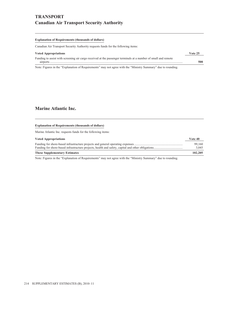# **TRANSPORT Canadian Air Transport Security Authority**

#### **Explanation of Requirements (thousands of dollars)**

Canadian Air Transport Security Authority requests funds for the following items:

**Voted Appropriations Vote 25** Funding to assist with screening air cargo received at the passenger terminals at a number of small and remote airports .......................................................................................................................................................................... **500**

Note: Figures in the "Explanation of Requirements" may not agree with the "Ministry Summary" due to rounding.

### **Marine Atlantic Inc.**

#### **Explanation of Requirements (thousands of dollars)**

Marine Atlantic Inc. requests funds for the following items:

| <b>Voted Appropriations</b>          | Vote 40         |
|--------------------------------------|-----------------|
|                                      | 99,160<br>3.045 |
| <b>These Supplementary Estimates</b> | 102,205         |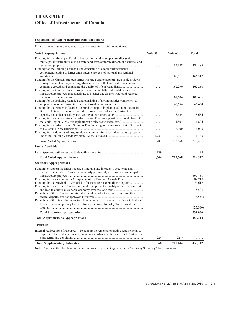# **TRANSPORT Office of Infrastructure of Canada**

#### **Explanation of Requirements (thousands of dollars)**

Office of Infrastructure of Canada requests funds for the following items:

| <b>Voted Appropriations</b>                                                                                                                                               | Vote 55   | Vote 60 | Total             |
|---------------------------------------------------------------------------------------------------------------------------------------------------------------------------|-----------|---------|-------------------|
| Funding for the Municipal Rural Infrastructure Fund to support smaller scale<br>municipal infrastructure such as water and wastewater treatment, and cultural and         |           |         |                   |
| Funding for the Building Canada Fund consisting of a major infrastructure<br>component relating to larger and strategic projects of national and regional                 |           | 184,188 | 184,188           |
| Funding for the Canada Strategic Infrastructure Fund to support large-scale projects                                                                                      |           | 166,512 | 166,512           |
| of major federal and regional significance in areas that are vital to sustaining<br>Funding for the Gas Tax Fund to support environmentally sustainable municipal         |           | 162,250 | 162,250           |
| infrastructure projects that contribute to cleaner air, cleaner water and reduced<br>Funding for the Building Canada Fund consisting of a communities component to        | .         | 102,606 | 102,606           |
| Funding for the Border Infrastructure Fund to support implementation of the Smart                                                                                         |           | 65,654  | 65,654            |
| Borders Action Plan in order to reduce congestion, enhance infrastructure<br>Funding for the Canada Strategic Infrastructure Fund to support the second phase of          | .         | 18,654  | 18,654            |
| Funding for the Infrastructure Stimulus Fund relating to the improvement of the Port                                                                                      | .         | 11,804  | 11,804            |
| Funding for the delivery of large-scale and community-based infrastructure projects                                                                                       | a a a a a | 6,000   | 6,000             |
|                                                                                                                                                                           | 1,783     | .       | 1,783             |
| Gross Voted Appropriations                                                                                                                                                | 1,783     | 717,668 | 719,451           |
| <b>Funds Available</b>                                                                                                                                                    |           |         |                   |
|                                                                                                                                                                           | 139       | .       | 139               |
| <b>Total Voted Appropriations</b>                                                                                                                                         | 1,644     | 717,668 | 719,312           |
| <b>Statutory Appropriations</b>                                                                                                                                           |           |         |                   |
| Funding to support the Infrastructure Stimulus Fund in order to accelerate and<br>increase the number of construction-ready provincial, territorial and municipal         |           |         |                   |
| Funding for the Communities Component of the Building Canada Fund                                                                                                         |           |         | 590,751<br>84,710 |
| Funding for the Provincial-Territorial Infrastructure Base Funding Program<br>Funding for the Green Infrastructure Fund to improve the quality of the environment         |           |         | 75,617            |
| Reduction of the Infrastructure Stimulus Fund in order to provide funds to other                                                                                          |           |         | 8,506             |
| Reduction of the Green Infrastructure Fund in order to reallocate the funds to Natural<br>Resources for supporting the Investments in Forest Industry Transformation      |           |         | (3, 584)          |
|                                                                                                                                                                           |           |         | (25,000)          |
| <b>Total Statutory Appropriations</b>                                                                                                                                     |           |         | 731,000           |
| <b>Total Adjustments to Appropriations</b>                                                                                                                                |           |         | 1,450,312         |
| <b>Transfers</b>                                                                                                                                                          |           |         |                   |
| Internal reallocation of resources – To support incremental operating requirements to<br>implement the contribution agreement in accordance with the Green Infrastructure | 224       | (224)   |                   |
| <b>These Supplementary Estimates</b>                                                                                                                                      | 1,868     | 717,444 | 1,450,312         |
|                                                                                                                                                                           |           |         |                   |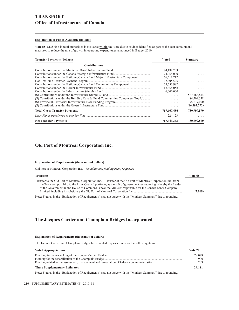# **TRANSPORT Office of Infrastructure of Canada**

#### **Explanation of Funds Available (dollars)**

**Vote 55**: \$138,656 in total authorities is available within the Vote due to savings identified as part of the cost containment measures to reduce the rate of growth in operating expenditures announced in Budget 2010.

| <b>Transfer Payments (dollars)</b>                                            | <b>Voted</b>  | <b>Statutory</b> |
|-------------------------------------------------------------------------------|---------------|------------------|
| <b>Contributions</b>                                                          |               |                  |
|                                                                               | 184, 188, 209 | .                |
|                                                                               | 174,054,000   | .                |
| Contributions under the Building Canada Fund Major Infrastructure Component   | 166,511,712   | .                |
|                                                                               | 102,605,525   | .                |
| Contributions under the Building Canada Fund Communities Component            | 65,653,982    | .                |
|                                                                               | 18,654,058    | .                |
|                                                                               | 6,000,000     | .                |
|                                                                               | 1.1.1.1       | 587,166,814      |
| (S) Contributions under the Building Canada Fund Communities Component Top Up | 1.1.1.1       | 84,709,548       |
|                                                                               | .             | 75,617,000       |
|                                                                               | .             | (16, 493, 772)   |
| <b>Total Gross Transfer Payments</b>                                          | 717,667,486   | 730,999,590      |
|                                                                               | 224.123       | .                |
| <b>Net Transfer Payments</b>                                                  | 717,443,363   | 730,999,590      |

### **Old Port of Montreal Corporation Inc.**

#### **Explanation of Requirements (thousands of dollars)**

Old Port of Montreal Corporation Inc. – *No additional funding being requested*

| <b>Transfers</b>                                                                                                                                                                                                                         | Vote 65 |
|------------------------------------------------------------------------------------------------------------------------------------------------------------------------------------------------------------------------------------------|---------|
| Transfer to the Old Port of Montreal Corporation Inc. – Transfer of the Old Port of Montreal Corporation Inc. from<br>the Transport portfolio to the Privy Council portfolio, as a result of government restructuring whereby the Leader |         |
| of the Government in the House of Commons is now the Minister responsible for the Canada Lands Company                                                                                                                                   | (7,018) |
|                                                                                                                                                                                                                                          |         |

Note: Figures in the "Explanation of Requirements" may not agree with the "Ministry Summary" due to rounding.

# **The Jacques Cartier and Champlain Bridges Incorporated**

|  | <b>Explanation of Requirements (thousands of dollars)</b> |  |  |
|--|-----------------------------------------------------------|--|--|
|--|-----------------------------------------------------------|--|--|

The Jacques Cartier and Champlain Bridges Incorporated requests funds for the following items:

| <b>Voted Appropriations</b>          | Vote 70 |
|--------------------------------------|---------|
|                                      | 28,078  |
|                                      | 900     |
|                                      | 203     |
| <b>These Supplementary Estimates</b> | 29.181  |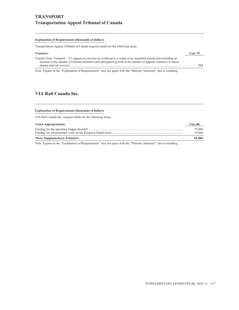#### **Explanation of Requirements (thousands of dollars)**

Transportation Appeal Tribunal of Canada requests funds for the following items:

#### **Transfers Vote 75**

Transfer from Transport – To support an increase in workload as a result of an expanded jurisdiction including an increase in the number of tribunal members and anticipated growth in the number of appeals related to aviation, marine and rail services ................................................................................................................................................ **311**

Note: Figures in the "Explanation of Requirements" may not agree with the "Ministry Summary" due to rounding.

### **VIA Rail Canada Inc.**

#### **Explanation of Requirements (thousands of dollars)**

VIA Rail Canada Inc. requests funds for the following items:

| <b>Voted Appropriations</b>          | Vote 80          |
|--------------------------------------|------------------|
|                                      | 75,000<br>19,000 |
| <b>These Supplementary Estimates</b> | 94.000           |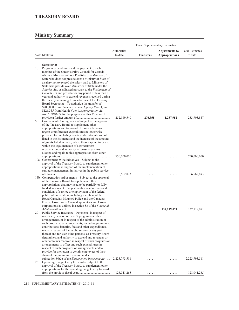# **TREASURY BOARD**

|                |                                                                                                                                                                                                                                                                                                                                                                                                                                                                                                                                                                                                                                                                                                                                                                                                                                                                   |                        | These Supplementary Estimates |                                                | <b>Total Estimates</b><br>to date |
|----------------|-------------------------------------------------------------------------------------------------------------------------------------------------------------------------------------------------------------------------------------------------------------------------------------------------------------------------------------------------------------------------------------------------------------------------------------------------------------------------------------------------------------------------------------------------------------------------------------------------------------------------------------------------------------------------------------------------------------------------------------------------------------------------------------------------------------------------------------------------------------------|------------------------|-------------------------------|------------------------------------------------|-----------------------------------|
| Vote (dollars) |                                                                                                                                                                                                                                                                                                                                                                                                                                                                                                                                                                                                                                                                                                                                                                                                                                                                   | Authorities<br>to date | <b>Transfers</b>              | <b>Adjustments to</b><br><b>Appropriations</b> |                                   |
| 1b<br>5        | Secretariat<br>Program expenditures and the payment to each<br>member of the Queen's Privy Council for Canada<br>who is a Minister without Portfolio or a Minister of<br>State who does not preside over a Ministry of State of<br>a salary not to exceed the salary paid to Ministers of<br>State who preside over Ministries of State under the<br>Salaries Act, as adjusted pursuant to the Parliament of<br>Canada Act and pro rata for any period of less than a<br>year and authority to expend revenues received during<br>the fiscal year arising from activities of the Treasury<br>Board Secretariat - To authorize the transfer of<br>\$200,000 from Canada Revenue Agency Vote 1, and<br>\$126,355 from Health Vote 1, Appropriation Act<br>No. 2, 2010–11 for the purposes of this Vote and to<br>Government Contingencies – Subject to the approval | 252,189,540            | 276,355                       | 1,237,952                                      | 253,703,847                       |
|                | of the Treasury Board, to supplement other<br>appropriations and to provide for miscellaneous,<br>urgent or unforeseen expenditures not otherwise<br>provided for, including grants and contributions not<br>listed in the Estimates and the increase of the amount<br>of grants listed in these, where those expenditures are<br>within the legal mandate of a government<br>organization, and authority to re-use any sums<br>allotted and repaid to this appropriation from other                                                                                                                                                                                                                                                                                                                                                                              | 750,000,000            |                               |                                                | 750,000,000                       |
| 10a            | Government-Wide Initiatives – Subject to the<br>approval of the Treasury Board, to supplement other<br>appropriations in support of the implementation of<br>strategic management initiatives in the public service                                                                                                                                                                                                                                                                                                                                                                                                                                                                                                                                                                                                                                               |                        |                               |                                                |                                   |
|                | $15b$ Compensation Adjustments – Subject to the approval<br>of the Treasury Board, to supplement other<br>appropriations that may need to be partially or fully<br>funded as a result of adjustments made to terms and<br>conditions of service or employment of the federal<br>public administration, including members of the<br>Royal Canadian Mounted Police and the Canadian<br>Forces, Governor in Council appointees and Crown<br>corporations as defined in section 83 of the Financial                                                                                                                                                                                                                                                                                                                                                                   | 6,562,893              |                               |                                                | 6,562,893                         |
| 20             | Public Service Insurance – Payments, in respect of<br>insurance, pension or benefit programs or other<br>arrangements, or in respect of the administration of<br>such programs, or arrangements, including premiums,<br>contributions, benefits, fees and other expenditures,<br>made in respect of the public service or any part<br>thereof and for such other persons, as Treasury Board<br>determines, and authority to expend any revenues or<br>other amounts received in respect of such programs or<br>arrangements to offset any such expenditures in<br>respect of such programs or arrangements and to<br>provide for the return to certain employees of their<br>share of the premium reduction under                                                                                                                                                 |                        |                               | 137,119,071                                    | 137, 119, 071                     |
| 25             | subsection $96(3)$ of the <i>Employment Insurance Act</i><br>Operating Budget Carry Forward – Subject to the<br>approval of the Treasury Board, to supplement other<br>appropriations for the operating budget carry forward                                                                                                                                                                                                                                                                                                                                                                                                                                                                                                                                                                                                                                      | 2,223,793,511          |                               |                                                | 2,223,793,511                     |
|                |                                                                                                                                                                                                                                                                                                                                                                                                                                                                                                                                                                                                                                                                                                                                                                                                                                                                   | 128,041,265            |                               |                                                | 128,041,265                       |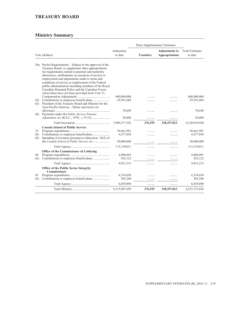### **TREASURY BOARD**

# **Ministry Summary**

|            |                                                                                                                                                                                                                                                                                                                                                                                                                                                                                                    |                           | These Supplementary Estimates |                                                |                                   |
|------------|----------------------------------------------------------------------------------------------------------------------------------------------------------------------------------------------------------------------------------------------------------------------------------------------------------------------------------------------------------------------------------------------------------------------------------------------------------------------------------------------------|---------------------------|-------------------------------|------------------------------------------------|-----------------------------------|
|            | Vote (dollars)                                                                                                                                                                                                                                                                                                                                                                                                                                                                                     | Authorities<br>to date    | <b>Transfers</b>              | <b>Adjustments to</b><br><b>Appropriations</b> | <b>Total Estimates</b><br>to date |
| (S)        | 30a Paylist Requirements – Subject to the approval of the<br>Treasury Board, to supplement other appropriations<br>for requirements related to parental and maternity<br>allowances, entitlements on cessation of service or<br>employment and adjustments made to terms and<br>conditions of service or employment of the Federal<br>public administration including members of the Royal<br>Canadian Mounted Police and the Canadian Forces,<br>where these have not been provided from Vote 15, | 600,000,000<br>29,591,684 |                               |                                                | 600,000,000<br>29,591,684         |
| (S)        | President of the Treasury Board and Minister for the<br>Asia-Pacific Gateway – Salary and motor car                                                                                                                                                                                                                                                                                                                                                                                                | 78,649                    |                               |                                                | 78,649                            |
| (S)        | Payments under the Public Service Pension                                                                                                                                                                                                                                                                                                                                                                                                                                                          | 20,000                    | .                             |                                                | 20,000                            |
|            |                                                                                                                                                                                                                                                                                                                                                                                                                                                                                                    | 3,990,277,542             | 276,355                       | 138,357,023                                    | 4,128,910,920                     |
|            | <b>Canada School of Public Service</b>                                                                                                                                                                                                                                                                                                                                                                                                                                                             |                           |                               |                                                |                                   |
| 35         |                                                                                                                                                                                                                                                                                                                                                                                                                                                                                                    | 56,661,981                |                               |                                                | 56,661,981                        |
| (S)<br>(S) | Spending of revenues pursuant to subsection $18(2)$ of                                                                                                                                                                                                                                                                                                                                                                                                                                             | 6,477,030                 |                               |                                                | 6,477,030                         |
|            |                                                                                                                                                                                                                                                                                                                                                                                                                                                                                                    | 50,000,000                |                               |                                                | 50,000,000                        |
|            |                                                                                                                                                                                                                                                                                                                                                                                                                                                                                                    | 113,139,011               | .                             | .                                              | 113,139,011                       |
|            | Office of the Commissioner of Lobbying                                                                                                                                                                                                                                                                                                                                                                                                                                                             |                           |                               |                                                |                                   |
| 40         |                                                                                                                                                                                                                                                                                                                                                                                                                                                                                                    | 4,409,093                 |                               |                                                | 4,409,093                         |
| (S)        |                                                                                                                                                                                                                                                                                                                                                                                                                                                                                                    | 422,122                   | .                             |                                                | 422,122                           |
|            |                                                                                                                                                                                                                                                                                                                                                                                                                                                                                                    | 4,831,215                 | .                             | .                                              | 4,831,215                         |
|            | Office of the Public Sector Integrity<br>Commissioner                                                                                                                                                                                                                                                                                                                                                                                                                                              |                           |                               |                                                |                                   |
| 45         |                                                                                                                                                                                                                                                                                                                                                                                                                                                                                                    | 6,334,650                 |                               |                                                | 6,334,650                         |
| (S)        |                                                                                                                                                                                                                                                                                                                                                                                                                                                                                                    | 505,240                   | .                             |                                                | 505,240                           |
|            |                                                                                                                                                                                                                                                                                                                                                                                                                                                                                                    | 6,839,890                 | .                             | .                                              | 6,839,890                         |
|            |                                                                                                                                                                                                                                                                                                                                                                                                                                                                                                    | 4,115,087,658             | 276,355                       | 138,357,023                                    | 4,253,721,036                     |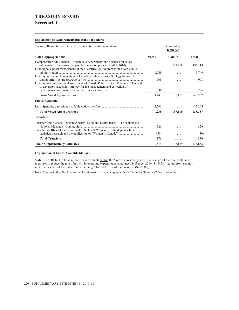### **TREASURY BOARD Secretariat**

#### **Explanation of Requirements (thousands of dollars)**

Treasury Board Secretariat requests funds for the following items: **Centrally-**

|                                                                                                                                                                                                                                             |        | managed |         |
|---------------------------------------------------------------------------------------------------------------------------------------------------------------------------------------------------------------------------------------------|--------|---------|---------|
| <b>Voted Appropriations</b>                                                                                                                                                                                                                 | Vote 1 | Vote 15 | Total   |
| Compensation adjustments – Transfers to departments and agencies for salary<br>adjustments (for retroactive pay for the period prior to April 1, 2010)<br>Funding to support management of the Classification Program for the core public   | .      | 137,119 | 137,119 |
|                                                                                                                                                                                                                                             | 1,749  | .       | 1,749   |
| Funding for the implementation of Canada's Cyber Security Strategy to protect<br>Funding to administer the Government of Canada Public Service Readiness Plan, and<br>to develop a succession strategy for the management and collection of | 908    | .       | 908     |
|                                                                                                                                                                                                                                             | 786    | .       | 786     |
| Gross Voted Appropriations                                                                                                                                                                                                                  | 3,443  | 137,119 | 140,562 |
| <b>Funds Available</b>                                                                                                                                                                                                                      |        |         |         |
|                                                                                                                                                                                                                                             | 2,205  | .       | 2,205   |
| <b>Total Voted Appropriations</b>                                                                                                                                                                                                           | 1,238  | 137,119 | 138,357 |
| <b>Transfers</b>                                                                                                                                                                                                                            |        |         |         |
| Transfer from Canada Revenue Agency (\$200) and Health (\$126) - To support the<br>Transfer to Office of the Co-ordinator, Status of Women – To fund gender-based                                                                           | 326    | .       | 326     |
|                                                                                                                                                                                                                                             | (50)   | .       | (50)    |
| <b>Total Transfers</b>                                                                                                                                                                                                                      | 276    | .       | 276     |
| <b>These Supplementary Estimates</b>                                                                                                                                                                                                        | 1,514  | 137,119 | 138,633 |

#### **Explanation of Funds Available (dollars)**

**Vote 1**: \$2,204,823 in total authorities is available within the Vote due to savings identified as part of the cost containment measures to reduce the rate of growth in operating expenditures announced in Budget 2010 (\$1,445,441); and from savings identified as part of the reduction in the budget for the Office of the President (\$759,382).

Note: Figures in the "Explanation of Requirements" may not agree with the "Ministry Summary" due to rounding.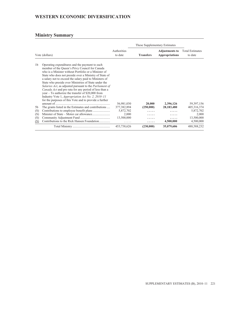# **WESTERN ECONOMIC DIVERSIFICATION**

# **Ministry Summary**

|                |                                                                                                                                                                                                                                                                                                                                                                                                                                                                                                                                                                                                                                              |                        | These Supplementary Estimates |                                                | <b>Total Estimates</b><br>to date |
|----------------|----------------------------------------------------------------------------------------------------------------------------------------------------------------------------------------------------------------------------------------------------------------------------------------------------------------------------------------------------------------------------------------------------------------------------------------------------------------------------------------------------------------------------------------------------------------------------------------------------------------------------------------------|------------------------|-------------------------------|------------------------------------------------|-----------------------------------|
| Vote (dollars) |                                                                                                                                                                                                                                                                                                                                                                                                                                                                                                                                                                                                                                              | Authorities<br>to date | <b>Transfers</b>              | <b>Adjustments to</b><br><b>Appropriations</b> |                                   |
| 1b             | Operating expenditures and the payment to each<br>member of the Queen's Privy Council for Canada<br>who is a Minister without Portfolio or a Minister of<br>State who does not preside over a Ministry of State of<br>a salary not to exceed the salary paid to Ministers of<br>State who preside over Ministries of State under the<br>Salaries Act, as adjusted pursuant to the Parliament of<br><i>Canada Act</i> and pro rata for any period of less than a<br>year $-$ To authorize the transfer of \$20,000 from<br>Industry Vote 1, <i>Appropriation Act No. 2, 2010–11</i><br>for the purposes of this Vote and to provide a further | 56,981,030             | 20,000                        | 2,396,126                                      | 59, 397, 156                      |
| 5b             | The grants listed in the Estimates and contributions                                                                                                                                                                                                                                                                                                                                                                                                                                                                                                                                                                                         | 377,382,894            | (250,000)                     | 28,183,480                                     | 405,316,374                       |
| (S)<br>(S)     |                                                                                                                                                                                                                                                                                                                                                                                                                                                                                                                                                                                                                                              | 5,872,702<br>2,000     |                               |                                                | 5,872,702<br>2,000                |
| (S)            |                                                                                                                                                                                                                                                                                                                                                                                                                                                                                                                                                                                                                                              | 13,500,000             | .                             | .                                              | 13,500,000                        |
| (S)            | Contributions to the Rick Hansen Foundation                                                                                                                                                                                                                                                                                                                                                                                                                                                                                                                                                                                                  | .                      | .<br>.                        | .<br>4,500,000                                 | 4,500,000                         |
|                |                                                                                                                                                                                                                                                                                                                                                                                                                                                                                                                                                                                                                                              | 453,738,626            | (230,000)                     | 35,079,606                                     | 488,588,232                       |